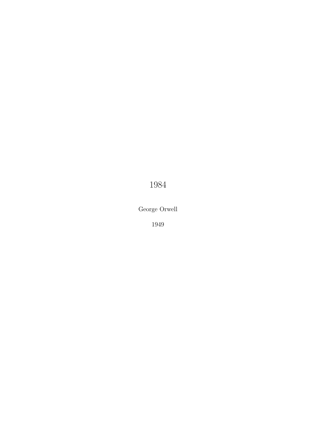### 

George Orwell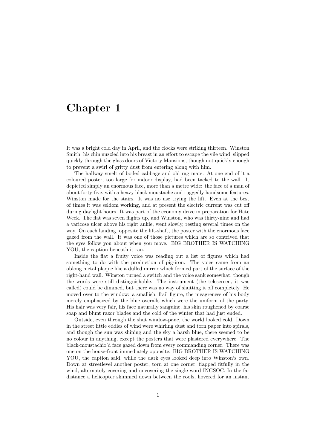## Chapter 1

It was a bright cold day in April, and the clocks were striking thirteen. Winston Smith, his chin nuzzled into his breast in an effort to escape the vile wind, slipped quickly through the glass doors of Victory Mansions, though not quickly enough to prevent a swirl of gritty dust from entering along with him.

The hallway smelt of boiled cabbage and old rag mats. At one end of it a coloured poster, too large for indoor display, had been tacked to the wall. It depicted simply an enormous face, more than a metre wide: the face of a man of about forty-five, with a heavy black moustache and ruggedly handsome features. Winston made for the stairs. It was no use trying the lift. Even at the best of times it was seldom working, and at present the electric current was cut off during daylight hours. It was part of the economy drive in preparation for Hate Week. The flat was seven flights up, and Winston, who was thirty-nine and had a varicose ulcer above his right ankle, went slowly, resting several times on the way. On each landing, opposite the lift-shaft, the poster with the enormous face gazed from the wall. It was one of those pictures which are so contrived that the eyes follow you about when you move. BIG BROTHER IS WATCHING YOU, the caption beneath it ran.

Inside the flat a fruity voice was reading out a list of figures which had something to do with the production of pig-iron. The voice came from an oblong metal plaque like a dulled mirror which formed part of the surface of the right-hand wall. Winston turned a switch and the voice sank somewhat, though the words were still distinguishable. The instrument (the telescreen, it was called) could be dimmed, but there was no way of shutting it off completely. He moved over to the window: a smallish, frail figure, the meagreness of his body merely emphasized by the blue overalls which were the uniform of the party. His hair was very fair, his face naturally sanguine, his skin roughened by coarse soap and blunt razor blades and the cold of the winter that had just ended.

Outside, even through the shut window-pane, the world looked cold. Down in the street little eddies of wind were whirling dust and torn paper into spirals, and though the sun was shining and the sky a harsh blue, there seemed to be no colour in anything, except the posters that were plastered everywhere. The black-moustachio'd face gazed down from every commanding corner. There was one on the house-front immediately opposite. BIG BROTHER IS WATCHING YOU, the caption said, while the dark eyes looked deep into Winston's own. Down at streetlevel another poster, torn at one corner, flapped fitfully in the wind, alternately covering and uncovering the single word INGSOC. In the far distance a helicopter skimmed down between the roofs, hovered for an instant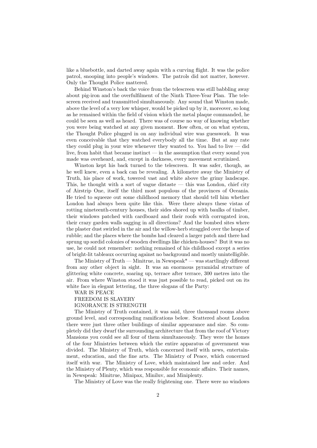like a bluebottle, and darted away again with a curving flight. It was the police patrol, snooping into people's windows. The patrols did not matter, however. Only the Thought Police mattered.

Behind Winston's back the voice from the telescreen was still babbling away about pig-iron and the overfulfilment of the Ninth Three-Year Plan. The telescreen received and transmitted simultaneously. Any sound that Winston made, above the level of a very low whisper, would be picked up by it, moreover, so long as he remained within the field of vision which the metal plaque commanded, he could be seen as well as heard. There was of course no way of knowing whether you were being watched at any given moment. How often, or on what system, the Thought Police plugged in on any individual wire was guesswork. It was even conceivable that they watched everybody all the time. But at any rate they could plug in your wire whenever they wanted to. You had to live — did live, from habit that became instinct — in the assumption that every sound you made was overheard, and, except in darkness, every movement scrutinized.

Winston kept his back turned to the telescreen. It was safer, though, as he well knew, even a back can be revealing. A kilometre away the Ministry of Truth, his place of work, towered vast and white above the grimy landscape. This, he thought with a sort of vague distaste  $-$  this was London, chief city of Airstrip One, itself the third most populous of the provinces of Oceania. He tried to squeeze out some childhood memory that should tell him whether London had always been quite like this. Were there always these vistas of rotting nineteenth-century houses, their sides shored up with baulks of timber, their windows patched with cardboard and their roofs with corrugated iron, their crazy garden walls sagging in all directions? And the bombed sites where the plaster dust swirled in the air and the willow-herb straggled over the heaps of rubble; and the places where the bombs had cleared a larger patch and there had sprung up sordid colonies of wooden dwellings like chicken-houses? But it was no use, he could not remember: nothing remained of his childhood except a series of bright-lit tableaux occurring against no background and mostly unintelligible.

The Ministry of Truth — Minitrue, in Newspeak<sup>\*</sup> — was startlingly different from any other object in sight. It was an enormous pyramidal structure of glittering white concrete, soaring up, terrace after terrace, 300 metres into the air. From where Winston stood it was just possible to read, picked out on its white face in elegant lettering, the three slogans of the Party:

WAR IS PEACE

### FREEDOM IS SLAVERY

#### IGNORANCE IS STRENGTH

The Ministry of Truth contained, it was said, three thousand rooms above ground level, and corresponding ramifications below. Scattered about London there were just three other buildings of similar appearance and size. So completely did they dwarf the surrounding architecture that from the roof of Victory Mansions you could see all four of them simultaneously. They were the homes of the four Ministries between which the entire apparatus of government was divided. The Ministry of Truth, which concerned itself with news, entertainment, education, and the fine arts. The Ministry of Peace, which concerned itself with war. The Ministry of Love, which maintained law and order. And the Ministry of Plenty, which was responsible for economic affairs. Their names, in Newspeak: Minitrue, Minipax, Miniluv, and Miniplenty.

The Ministry of Love was the really frightening one. There were no windows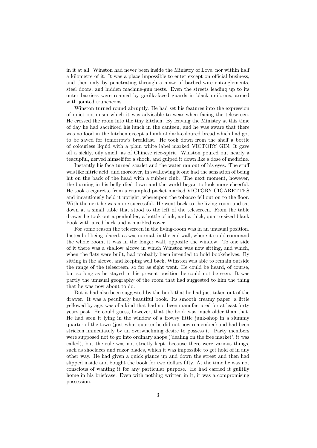in it at all. Winston had never been inside the Ministry of Love, nor within half a kilometre of it. It was a place impossible to enter except on official business, and then only by penetrating through a maze of barbed-wire entanglements, steel doors, and hidden machine-gun nests. Even the streets leading up to its outer barriers were roamed by gorilla-faced guards in black uniforms, armed with jointed truncheons.

Winston turned round abruptly. He had set his features into the expression of quiet optimism which it was advisable to wear when facing the telescreen. He crossed the room into the tiny kitchen. By leaving the Ministry at this time of day he had sacrificed his lunch in the canteen, and he was aware that there was no food in the kitchen except a hunk of dark-coloured bread which had got to be saved for tomorrow's breakfast. He took down from the shelf a bottle of colourless liquid with a plain white label marked VICTORY GIN. It gave off a sickly, oily smell, as of Chinese rice-spirit. Winston poured out nearly a teacupful, nerved himself for a shock, and gulped it down like a dose of medicine.

Instantly his face turned scarlet and the water ran out of his eyes. The stuff was like nitric acid, and moreover, in swallowing it one had the sensation of being hit on the back of the head with a rubber club. The next moment, however, the burning in his belly died down and the world began to look more cheerful. He took a cigarette from a crumpled packet marked VICTORY CIGARETTES and incautiously held it upright, whereupon the tobacco fell out on to the floor. With the next he was more successful. He went back to the living-room and sat down at a small table that stood to the left of the telescreen. From the table drawer he took out a penholder, a bottle of ink, and a thick, quarto-sized blank book with a red back and a marbled cover.

For some reason the telescreen in the living-room was in an unusual position. Instead of being placed, as was normal, in the end wall, where it could command the whole room, it was in the longer wall, opposite the window. To one side of it there was a shallow alcove in which Winston was now sitting, and which, when the flats were built, had probably been intended to hold bookshelves. By sitting in the alcove, and keeping well back, Winston was able to remain outside the range of the telescreen, so far as sight went. He could be heard, of course, but so long as he stayed in his present position he could not be seen. It was partly the unusual geography of the room that had suggested to him the thing that he was now about to do.

But it had also been suggested by the book that he had just taken out of the drawer. It was a peculiarly beautiful book. Its smooth creamy paper, a little yellowed by age, was of a kind that had not been manufactured for at least forty years past. He could guess, however, that the book was much older than that. He had seen it lying in the window of a frowsy little junk-shop in a slummy quarter of the town (just what quarter he did not now remember) and had been stricken immediately by an overwhelming desire to possess it. Party members were supposed not to go into ordinary shops ('dealing on the free market', it was called), but the rule was not strictly kept, because there were various things, such as shoelaces and razor blades, which it was impossible to get hold of in any other way. He had given a quick glance up and down the street and then had slipped inside and bought the book for two dollars fifty. At the time he was not conscious of wanting it for any particular purpose. He had carried it guiltily home in his briefcase. Even with nothing written in it, it was a compromising possession.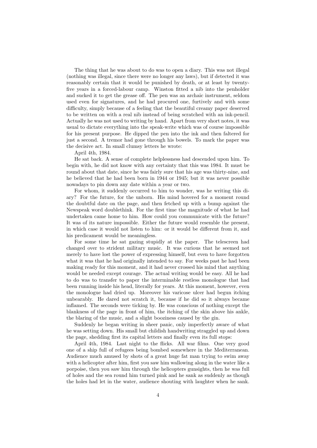The thing that he was about to do was to open a diary. This was not illegal (nothing was illegal, since there were no longer any laws), but if detected it was reasonably certain that it would be punished by death, or at least by twentyfive years in a forced-labour camp. Winston fitted a nib into the penholder and sucked it to get the grease off. The pen was an archaic instrument, seldom used even for signatures, and he had procured one, furtively and with some difficulty, simply because of a feeling that the beautiful creamy paper deserved to be written on with a real nib instead of being scratched with an ink-pencil. Actually he was not used to writing by hand. Apart from very short notes, it was usual to dictate everything into the speak-write which was of course impossible for his present purpose. He dipped the pen into the ink and then faltered for just a second. A tremor had gone through his bowels. To mark the paper was the decisive act. In small clumsy letters he wrote:

April 4th, 1984.

He sat back. A sense of complete helplessness had descended upon him. To begin with, he did not know with any certainty that this was 1984. It must be round about that date, since he was fairly sure that his age was thirty-nine, and he believed that he had been born in 1944 or 1945; but it was never possible nowadays to pin down any date within a year or two.

For whom, it suddenly occurred to him to wonder, was he writing this diary? For the future, for the unborn. His mind hovered for a moment round the doubtful date on the page, and then fetched up with a bump against the Newspeak word doublethink. For the first time the magnitude of what he had undertaken came home to him. How could you communicate with the future? It was of its nature impossible. Either the future would resemble the present, in which case it would not listen to him: or it would be different from it, and his predicament would be meaningless.

For some time he sat gazing stupidly at the paper. The telescreen had changed over to strident military music. It was curious that he seemed not merely to have lost the power of expressing himself, but even to have forgotten what it was that he had originally intended to say. For weeks past he had been making ready for this moment, and it had never crossed his mind that anything would be needed except courage. The actual writing would be easy. All he had to do was to transfer to paper the interminable restless monologue that had been running inside his head, literally for years. At this moment, however, even the monologue had dried up. Moreover his varicose ulcer had begun itching unbearably. He dared not scratch it, because if he did so it always became inflamed. The seconds were ticking by. He was conscious of nothing except the blankness of the page in front of him, the itching of the skin above his ankle, the blaring of the music, and a slight booziness caused by the gin.

Suddenly he began writing in sheer panic, only imperfectly aware of what he was setting down. His small but childish handwriting straggled up and down the page, shedding first its capital letters and finally even its full stops:

April 4th, 1984. Last night to the flicks. All war films. One very good one of a ship full of refugees being bombed somewhere in the Mediterranean. Audience much amused by shots of a great huge fat man trying to swim away with a helicopter after him, first you saw him wallowing along in the water like a porpoise, then you saw him through the helicopters gunsights, then he was full of holes and the sea round him turned pink and he sank as suddenly as though the holes had let in the water, audience shouting with laughter when he sank.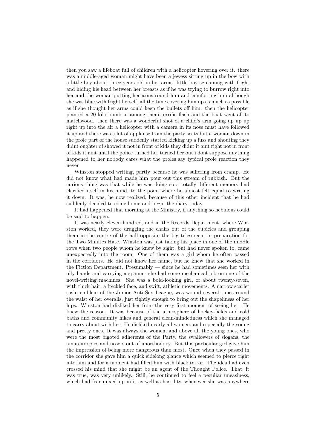then you saw a lifeboat full of children with a helicopter hovering over it. there was a middle-aged woman might have been a jewess sitting up in the bow with a little boy about three years old in her arms. little boy screaming with fright and hiding his head between her breasts as if he was trying to burrow right into her and the woman putting her arms round him and comforting him although she was blue with fright herself, all the time covering him up as much as possible as if she thought her arms could keep the bullets off him. then the helicopter planted a 20 kilo bomb in among them terrific flash and the boat went all to matchwood. then there was a wonderful shot of a child's arm going up up up right up into the air a helicopter with a camera in its nose must have followed it up and there was a lot of applause from the party seats but a woman down in the prole part of the house suddenly started kicking up a fuss and shouting they didnt oughter of showed it not in front of kids they didnt it aint right not in front of kids it aint until the police turned her turned her out i dont suppose anything happened to her nobody cares what the proles say typical prole reaction they never

Winston stopped writing, partly because he was suffering from cramp. He did not know what had made him pour out this stream of rubbish. But the curious thing was that while he was doing so a totally different memory had clarified itself in his mind, to the point where he almost felt equal to writing it down. It was, he now realized, because of this other incident that he had suddenly decided to come home and begin the diary today.

It had happened that morning at the Ministry, if anything so nebulous could be said to happen.

It was nearly eleven hundred, and in the Records Department, where Winston worked, they were dragging the chairs out of the cubicles and grouping them in the centre of the hall opposite the big telescreen, in preparation for the Two Minutes Hate. Winston was just taking his place in one of the middle rows when two people whom he knew by sight, but had never spoken to, came unexpectedly into the room. One of them was a girl whom he often passed in the corridors. He did not know her name, but he knew that she worked in the Fiction Department. Presumably — since he had sometimes seen her with oily hands and carrying a spanner she had some mechanical job on one of the novel-writing machines. She was a bold-looking girl, of about twenty-seven, with thick hair, a freckled face, and swift, athletic movements. A narrow scarlet sash, emblem of the Junior Anti-Sex League, was wound several times round the waist of her overalls, just tightly enough to bring out the shapeliness of her hips. Winston had disliked her from the very first moment of seeing her. He knew the reason. It was because of the atmosphere of hockey-fields and cold baths and community hikes and general clean-mindedness which she managed to carry about with her. He disliked nearly all women, and especially the young and pretty ones. It was always the women, and above all the young ones, who were the most bigoted adherents of the Party, the swallowers of slogans, the amateur spies and nosers-out of unorthodoxy. But this particular girl gave him the impression of being more dangerous than most. Once when they passed in the corridor she gave him a quick sidelong glance which seemed to pierce right into him and for a moment had filled him with black terror. The idea had even crossed his mind that she might be an agent of the Thought Police. That, it was true, was very unlikely. Still, he continued to feel a peculiar uneasiness, which had fear mixed up in it as well as hostility, whenever she was anywhere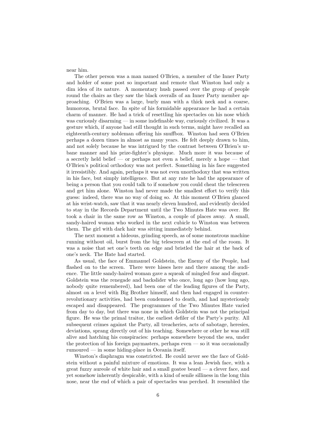near him.

The other person was a man named O'Brien, a member of the Inner Party and holder of some post so important and remote that Winston had only a dim idea of its nature. A momentary hush passed over the group of people round the chairs as they saw the black overalls of an Inner Party member approaching. O'Brien was a large, burly man with a thick neck and a coarse, humorous, brutal face. In spite of his formidable appearance he had a certain charm of manner. He had a trick of resettling his spectacles on his nose which was curiously disarming — in some indefinable way, curiously civilized. It was a gesture which, if anyone had still thought in such terms, might have recalled an eighteenth-century nobleman offering his snuffbox. Winston had seen O'Brien perhaps a dozen times in almost as many years. He felt deeply drawn to him, and not solely because he was intrigued by the contrast between O'Brien's urbane manner and his prize-fighter's physique. Much more it was because of a secretly held belief — or perhaps not even a belief, merely a hope — that O'Brien's political orthodoxy was not perfect. Something in his face suggested it irresistibly. And again, perhaps it was not even unorthodoxy that was written in his face, but simply intelligence. But at any rate he had the appearance of being a person that you could talk to if somehow you could cheat the telescreen and get him alone. Winston had never made the smallest effort to verify this guess: indeed, there was no way of doing so. At this moment O'Brien glanced at his wrist-watch, saw that it was nearly eleven hundred, and evidently decided to stay in the Records Department until the Two Minutes Hate was over. He took a chair in the same row as Winston, a couple of places away. A small, sandy-haired woman who worked in the next cubicle to Winston was between them. The girl with dark hair was sitting immediately behind.

The next moment a hideous, grinding speech, as of some monstrous machine running without oil, burst from the big telescreen at the end of the room. It was a noise that set one's teeth on edge and bristled the hair at the back of one's neck. The Hate had started.

As usual, the face of Emmanuel Goldstein, the Enemy of the People, had flashed on to the screen. There were hisses here and there among the audience. The little sandy-haired woman gave a squeak of mingled fear and disgust. Goldstein was the renegade and backslider who once, long ago (how long ago, nobody quite remembered), had been one of the leading figures of the Party, almost on a level with Big Brother himself, and then had engaged in counterrevolutionary activities, had been condemned to death, and had mysteriously escaped and disappeared. The programmes of the Two Minutes Hate varied from day to day, but there was none in which Goldstein was not the principal figure. He was the primal traitor, the earliest defiler of the Party's purity. All subsequent crimes against the Party, all treacheries, acts of sabotage, heresies, deviations, sprang directly out of his teaching. Somewhere or other he was still alive and hatching his conspiracies: perhaps somewhere beyond the sea, under the protection of his foreign paymasters, perhaps even — so it was occasionally rumoured — in some hiding-place in Oceania itself.

Winston's diaphragm was constricted. He could never see the face of Goldstein without a painful mixture of emotions. It was a lean Jewish face, with a great fuzzy aureole of white hair and a small goatee beard — a clever face, and yet somehow inherently despicable, with a kind of senile silliness in the long thin nose, near the end of which a pair of spectacles was perched. It resembled the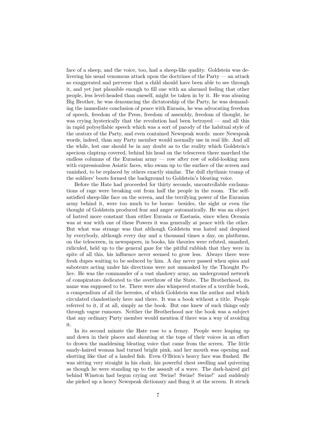face of a sheep, and the voice, too, had a sheep-like quality. Goldstein was delivering his usual venomous attack upon the doctrines of the Party — an attack so exaggerated and perverse that a child should have been able to see through it, and yet just plausible enough to fill one with an alarmed feeling that other people, less level-headed than oneself, might be taken in by it. He was abusing Big Brother, he was denouncing the dictatorship of the Party, he was demanding the immediate conclusion of peace with Eurasia, he was advocating freedom of speech, freedom of the Press, freedom of assembly, freedom of thought, he was crying hysterically that the revolution had been betrayed — and all this in rapid polysyllabic speech which was a sort of parody of the habitual style of the orators of the Party, and even contained Newspeak words: more Newspeak words, indeed, than any Party member would normally use in real life. And all the while, lest one should be in any doubt as to the reality which Goldstein's specious claptrap covered, behind his head on the telescreen there marched the endless columns of the Eurasian army — row after row of solid-looking men with expressionless Asiatic faces, who swam up to the surface of the screen and vanished, to be replaced by others exactly similar. The dull rhythmic tramp of the soldiers' boots formed the background to Goldstein's bleating voice.

Before the Hate had proceeded for thirty seconds, uncontrollable exclamations of rage were breaking out from half the people in the room. The selfsatisfied sheep-like face on the screen, and the terrifying power of the Eurasian army behind it, were too much to be borne: besides, the sight or even the thought of Goldstein produced fear and anger automatically. He was an object of hatred more constant than either Eurasia or Eastasia, since when Oceania was at war with one of these Powers it was generally at peace with the other. But what was strange was that although Goldstein was hated and despised by everybody, although every day and a thousand times a day, on platforms, on the telescreen, in newspapers, in books, his theories were refuted, smashed, ridiculed, held up to the general gaze for the pitiful rubbish that they were in spite of all this, his influence never seemed to grow less. Always there were fresh dupes waiting to be seduced by him. A day never passed when spies and saboteurs acting under his directions were not unmasked by the Thought Police. He was the commander of a vast shadowy army, an underground network of conspirators dedicated to the overthrow of the State. The Brotherhood, its name was supposed to be. There were also whispered stories of a terrible book, a compendium of all the heresies, of which Goldstein was the author and which circulated clandestinely here and there. It was a book without a title. People referred to it, if at all, simply as the book. But one knew of such things only through vague rumours. Neither the Brotherhood nor the book was a subject that any ordinary Party member would mention if there was a way of avoiding it.

In its second minute the Hate rose to a frenzy. People were leaping up and down in their places and shouting at the tops of their voices in an effort to drown the maddening bleating voice that came from the screen. The little sandy-haired woman had turned bright pink, and her mouth was opening and shutting like that of a landed fish. Even O'Brien's heavy face was flushed. He was sitting very straight in his chair, his powerful chest swelling and quivering as though he were standing up to the assault of a wave. The dark-haired girl behind Winston had begun crying out 'Swine! Swine! Swine!' and suddenly she picked up a heavy Newspeak dictionary and flung it at the screen. It struck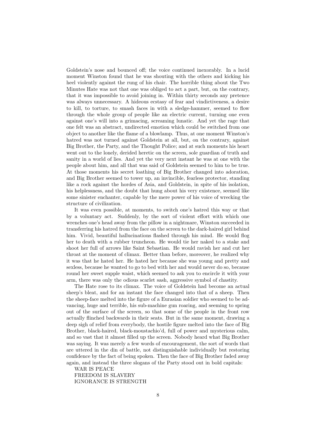Goldstein's nose and bounced off; the voice continued inexorably. In a lucid moment Winston found that he was shouting with the others and kicking his heel violently against the rung of his chair. The horrible thing about the Two Minutes Hate was not that one was obliged to act a part, but, on the contrary, that it was impossible to avoid joining in. Within thirty seconds any pretence was always unnecessary. A hideous ecstasy of fear and vindictiveness, a desire to kill, to torture, to smash faces in with a sledge-hammer, seemed to flow through the whole group of people like an electric current, turning one even against one's will into a grimacing, screaming lunatic. And yet the rage that one felt was an abstract, undirected emotion which could be switched from one object to another like the flame of a blowlamp. Thus, at one moment Winston's hatred was not turned against Goldstein at all, but, on the contrary, against Big Brother, the Party, and the Thought Police; and at such moments his heart went out to the lonely, derided heretic on the screen, sole guardian of truth and sanity in a world of lies. And yet the very next instant he was at one with the people about him, and all that was said of Goldstein seemed to him to be true. At those moments his secret loathing of Big Brother changed into adoration, and Big Brother seemed to tower up, an invincible, fearless protector, standing like a rock against the hordes of Asia, and Goldstein, in spite of his isolation, his helplessness, and the doubt that hung about his very existence, seemed like some sinister enchanter, capable by the mere power of his voice of wrecking the structure of civilization.

It was even possible, at moments, to switch one's hatred this way or that by a voluntary act. Suddenly, by the sort of violent effort with which one wrenches one's head away from the pillow in a nightmare, Winston succeeded in transferring his hatred from the face on the screen to the dark-haired girl behind him. Vivid, beautiful hallucinations flashed through his mind. He would flog her to death with a rubber truncheon. He would tie her naked to a stake and shoot her full of arrows like Saint Sebastian. He would ravish her and cut her throat at the moment of climax. Better than before, moreover, he realized why it was that he hated her. He hated her because she was young and pretty and sexless, because he wanted to go to bed with her and would never do so, because round her sweet supple waist, which seemed to ask you to encircle it with your arm, there was only the odious scarlet sash, aggressive symbol of chastity.

The Hate rose to its climax. The voice of Goldstein had become an actual sheep's bleat, and for an instant the face changed into that of a sheep. Then the sheep-face melted into the figure of a Eurasian soldier who seemed to be advancing, huge and terrible, his sub-machine gun roaring, and seeming to spring out of the surface of the screen, so that some of the people in the front row actually flinched backwards in their seats. But in the same moment, drawing a deep sigh of relief from everybody, the hostile figure melted into the face of Big Brother, black-haired, black-moustachio'd, full of power and mysterious calm, and so vast that it almost filled up the screen. Nobody heard what Big Brother was saying. It was merely a few words of encouragement, the sort of words that are uttered in the din of battle, not distinguishable individually but restoring confidence by the fact of being spoken. Then the face of Big Brother faded away again, and instead the three slogans of the Party stood out in bold capitals:

WAR IS PEACE FREEDOM IS SLAVERY IGNORANCE IS STRENGTH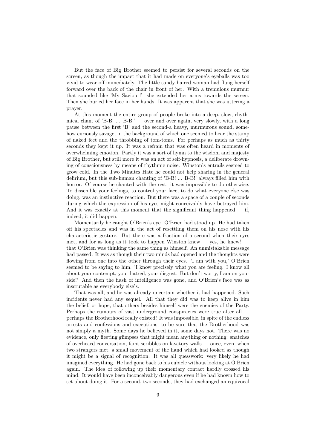But the face of Big Brother seemed to persist for several seconds on the screen, as though the impact that it had made on everyone's eyeballs was too vivid to wear off immediately. The little sandy-haired woman had flung herself forward over the back of the chair in front of her. With a tremulous murmur that sounded like 'My Saviour!' she extended her arms towards the screen. Then she buried her face in her hands. It was apparent that she was uttering a prayer.

At this moment the entire group of people broke into a deep, slow, rhythmical chant of 'B-B! ... B-B!' — over and over again, very slowly, with a long pause between the first 'B' and the second-a heavy, murmurous sound, somehow curiously savage, in the background of which one seemed to hear the stamp of naked feet and the throbbing of tom-toms. For perhaps as much as thirty seconds they kept it up. It was a refrain that was often heard in moments of overwhelming emotion. Partly it was a sort of hymn to the wisdom and majesty of Big Brother, but still more it was an act of self-hypnosis, a deliberate drowning of consciousness by means of rhythmic noise. Winston's entrails seemed to grow cold. In the Two Minutes Hate he could not help sharing in the general delirium, but this sub-human chanting of 'B-B! ... B-B!' always filled him with horror. Of course he chanted with the rest: it was impossible to do otherwise. To dissemble your feelings, to control your face, to do what everyone else was doing, was an instinctive reaction. But there was a space of a couple of seconds during which the expression of his eyes might conceivably have betrayed him. And it was exactly at this moment that the significant thing happened — if, indeed, it did happen.

Momentarily he caught O'Brien's eye. O'Brien had stood up. He had taken off his spectacles and was in the act of resettling them on his nose with his characteristic gesture. But there was a fraction of a second when their eyes met, and for as long as it took to happen Winston knew — yes, he knew! that O'Brien was thinking the same thing as himself. An unmistakable message had passed. It was as though their two minds had opened and the thoughts were flowing from one into the other through their eyes. 'I am with you,' O'Brien seemed to be saying to him. 'I know precisely what you are feeling. I know all about your contempt, your hatred, your disgust. But don't worry, I am on your side!' And then the flash of intelligence was gone, and O'Brien's face was as inscrutable as everybody else's.

That was all, and he was already uncertain whether it had happened. Such incidents never had any sequel. All that they did was to keep alive in him the belief, or hope, that others besides himself were the enemies of the Party. Perhaps the rumours of vast underground conspiracies were true after all perhaps the Brotherhood really existed! It was impossible, in spite of the endless arrests and confessions and executions, to be sure that the Brotherhood was not simply a myth. Some days he believed in it, some days not. There was no evidence, only fleeting glimpses that might mean anything or nothing: snatches of overheard conversation, faint scribbles on lavatory walls — once, even, when two strangers met, a small movement of the hand which had looked as though it might be a signal of recognition. It was all guesswork: very likely he had imagined everything. He had gone back to his cubicle without looking at O'Brien again. The idea of following up their momentary contact hardly crossed his mind. It would have been inconceivably dangerous even if he had known how to set about doing it. For a second, two seconds, they had exchanged an equivocal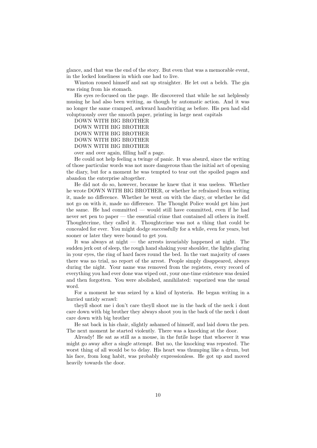glance, and that was the end of the story. But even that was a memorable event, in the locked loneliness in which one had to live.

Winston roused himself and sat up straighter. He let out a belch. The gin was rising from his stomach.

His eyes re-focused on the page. He discovered that while he sat helplessly musing he had also been writing, as though by automatic action. And it was no longer the same cramped, awkward handwriting as before. His pen had slid voluptuously over the smooth paper, printing in large neat capitals

DOWN WITH BIG BROTHER DOWN WITH BIG BROTHER DOWN WITH BIG BROTHER DOWN WITH BIG BROTHER DOWN WITH BIG BROTHER

over and over again, filling half a page.

He could not help feeling a twinge of panic. It was absurd, since the writing of those particular words was not more dangerous than the initial act of opening the diary, but for a moment he was tempted to tear out the spoiled pages and abandon the enterprise altogether.

He did not do so, however, because he knew that it was useless. Whether he wrote DOWN WITH BIG BROTHER, or whether he refrained from writing it, made no difference. Whether he went on with the diary, or whether he did not go on with it, made no difference. The Thought Police would get him just the same. He had committed — would still have committed, even if he had never set pen to paper — the essential crime that contained all others in itself. Thoughtcrime, they called it. Thoughtcrime was not a thing that could be concealed for ever. You might dodge successfully for a while, even for years, but sooner or later they were bound to get you.

It was always at night  $-$  the arrests invariably happened at night. The sudden jerk out of sleep, the rough hand shaking your shoulder, the lights glaring in your eyes, the ring of hard faces round the bed. In the vast majority of cases there was no trial, no report of the arrest. People simply disappeared, always during the night. Your name was removed from the registers, every record of everything you had ever done was wiped out, your one-time existence was denied and then forgotten. You were abolished, annihilated: vaporized was the usual word.

For a moment he was seized by a kind of hysteria. He began writing in a hurried untidy scrawl:

theyll shoot me i don't care theyll shoot me in the back of the neck i dont care down with big brother they always shoot you in the back of the neck i dont care down with big brother

He sat back in his chair, slightly ashamed of himself, and laid down the pen. The next moment he started violently. There was a knocking at the door.

Already! He sat as still as a mouse, in the futile hope that whoever it was might go away after a single attempt. But no, the knocking was repeated. The worst thing of all would be to delay. His heart was thumping like a drum, but his face, from long habit, was probably expressionless. He got up and moved heavily towards the door.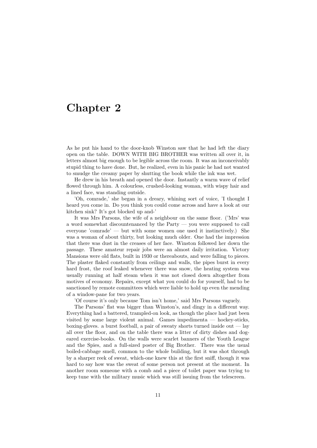# Chapter 2

As he put his hand to the door-knob Winston saw that he had left the diary open on the table. DOWN WITH BIG BROTHER was written all over it, in letters almost big enough to be legible across the room. It was an inconceivably stupid thing to have done. But, he realized, even in his panic he had not wanted to smudge the creamy paper by shutting the book while the ink was wet.

He drew in his breath and opened the door. Instantly a warm wave of relief flowed through him. A colourless, crushed-looking woman, with wispy hair and a lined face, was standing outside.

'Oh, comrade,' she began in a dreary, whining sort of voice, 'I thought I heard you come in. Do you think you could come across and have a look at our kitchen sink? It's got blocked up and-'

It was Mrs Parsons, the wife of a neighbour on the same floor. ('Mrs' was a word somewhat discountenanced by the Party — you were supposed to call everyone 'comrade' — but with some women one used it instinctively.) She was a woman of about thirty, but looking much older. One had the impression that there was dust in the creases of her face. Winston followed her down the passage. These amateur repair jobs were an almost daily irritation. Victory Mansions were old flats, built in 1930 or thereabouts, and were falling to pieces. The plaster flaked constantly from ceilings and walls, the pipes burst in every hard frost, the roof leaked whenever there was snow, the heating system was usually running at half steam when it was not closed down altogether from motives of economy. Repairs, except what you could do for yourself, had to be sanctioned by remote committees which were liable to hold up even the mending of a window-pane for two years.

'Of course it's only because Tom isn't home,' said Mrs Parsons vaguely.

The Parsons' flat was bigger than Winston's, and dingy in a different way. Everything had a battered, trampled-on look, as though the place had just been visited by some large violent animal. Games impedimenta — hockey-sticks, boxing-gloves. a burst football, a pair of sweaty shorts turned inside out — lay all over the floor, and on the table there was a litter of dirty dishes and dogeared exercise-books. On the walls were scarlet banners of the Youth League and the Spies, and a full-sized poster of Big Brother. There was the usual boiled-cabbage smell, common to the whole building, but it was shot through by a sharper reek of sweat, which-one knew this at the first sniff, though it was hard to say how was the sweat of some person not present at the moment. In another room someone with a comb and a piece of toilet paper was trying to keep tune with the military music which was still issuing from the telescreen.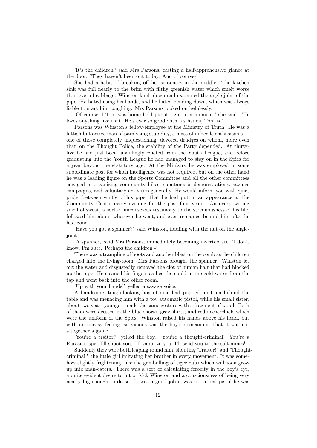'It's the children,' said Mrs Parsons, casting a half-apprehensive glance at the door. 'They haven't been out today. And of course-'

She had a habit of breaking off her sentences in the middle. The kitchen sink was full nearly to the brim with filthy greenish water which smelt worse than ever of cabbage. Winston knelt down and examined the angle-joint of the pipe. He hated using his hands, and he hated bending down, which was always liable to start him coughing. Mrs Parsons looked on helplessly.

'Of course if Tom was home he'd put it right in a moment,' she said. 'He loves anything like that. He's ever so good with his hands, Tom is.'

Parsons was Winston's fellow-employee at the Ministry of Truth. He was a fattish but active man of paralysing stupidity, a mass of imbecile enthusiasms one of those completely unquestioning, devoted drudges on whom, more even than on the Thought Police, the stability of the Party depended. At thirtyfive he had just been unwillingly evicted from the Youth League, and before graduating into the Youth League he had managed to stay on in the Spies for a year beyond the statutory age. At the Ministry he was employed in some subordinate post for which intelligence was not required, but on the other hand he was a leading figure on the Sports Committee and all the other committees engaged in organizing community hikes, spontaneous demonstrations, savings campaigns, and voluntary activities generally. He would inform you with quiet pride, between whiffs of his pipe, that he had put in an appearance at the Community Centre every evening for the past four years. An overpowering smell of sweat, a sort of unconscious testimony to the strenuousness of his life, followed him about wherever he went, and even remained behind him after he had gone.

'Have you got a spanner?' said Winston, fiddling with the nut on the anglejoint.

'A spanner,' said Mrs Parsons, immediately becoming invertebrate. 'I don't know, I'm sure. Perhaps the children -'

There was a trampling of boots and another blast on the comb as the children charged into the living-room. Mrs Parsons brought the spanner. Winston let out the water and disgustedly removed the clot of human hair that had blocked up the pipe. He cleaned his fingers as best he could in the cold water from the tap and went back into the other room.

'Up with your hands!' yelled a savage voice.

A handsome, tough-looking boy of nine had popped up from behind the table and was menacing him with a toy automatic pistol, while his small sister, about two years younger, made the same gesture with a fragment of wood. Both of them were dressed in the blue shorts, grey shirts, and red neckerchiefs which were the uniform of the Spies. Winston raised his hands above his head, but with an uneasy feeling, so vicious was the boy's demeanour, that it was not altogether a game.

'You're a traitor!' yelled the boy. 'You're a thought-criminal! You're a Eurasian spy! I'll shoot you, I'll vaporize you, I'll send you to the salt mines!'

Suddenly they were both leaping round him, shouting 'Traitor!' and 'Thoughtcriminal!' the little girl imitating her brother in every movement. It was somehow slightly frightening, like the gambolling of tiger cubs which will soon grow up into man-eaters. There was a sort of calculating ferocity in the boy's eye, a quite evident desire to hit or kick Winston and a consciousness of being very nearly big enough to do so. It was a good job it was not a real pistol he was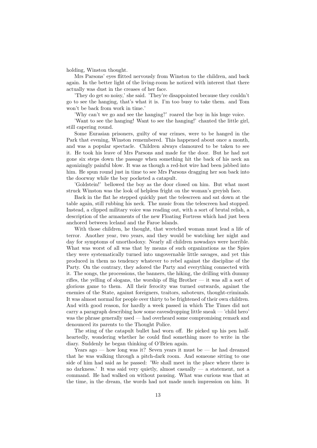holding, Winston thought.

Mrs Parsons' eyes flitted nervously from Winston to the children, and back again. In the better light of the living-room he noticed with interest that there actually was dust in the creases of her face.

'They do get so noisy,' she said. 'They're disappointed because they couldn't go to see the hanging, that's what it is. I'm too busy to take them. and Tom won't be back from work in time.'

'Why can't we go and see the hanging?' roared the boy in his huge voice.

'Want to see the hanging! Want to see the hanging!' chanted the little girl, still capering round.

Some Eurasian prisoners, guilty of war crimes, were to be hanged in the Park that evening, Winston remembered. This happened about once a month, and was a popular spectacle. Children always clamoured to be taken to see it. He took his leave of Mrs Parsons and made for the door. But he had not gone six steps down the passage when something hit the back of his neck an agonizingly painful blow. It was as though a red-hot wire had been jabbed into him. He spun round just in time to see Mrs Parsons dragging her son back into the doorway while the boy pocketed a catapult.

'Goldstein!' bellowed the boy as the door closed on him. But what most struck Winston was the look of helpless fright on the woman's greyish face.

Back in the flat he stepped quickly past the telescreen and sat down at the table again, still rubbing his neck. The music from the telescreen had stopped. Instead, a clipped military voice was reading out, with a sort of brutal relish, a description of the armaments of the new Floating Fortress which had just been anchored between lceland and the Faroe lslands.

With those children, he thought, that wretched woman must lead a life of terror. Another year, two years, and they would be watching her night and day for symptoms of unorthodoxy. Nearly all children nowadays were horrible. What was worst of all was that by means of such organizations as the Spies they were systematically turned into ungovernable little savages, and yet this produced in them no tendency whatever to rebel against the discipline of the Party. On the contrary, they adored the Party and everything connected with it. The songs, the processions, the banners, the hiking, the drilling with dummy rifles, the yelling of slogans, the worship of Big Brother — it was all a sort of glorious game to them. All their ferocity was turned outwards, against the enemies of the State, against foreigners, traitors, saboteurs, thought-criminals. It was almost normal for people over thirty to be frightened of their own children. And with good reason, for hardly a week passed in which The Times did not carry a paragraph describing how some eavesdropping little sneak — 'child hero' was the phrase generally used — had overheard some compromising remark and denounced its parents to the Thought Police.

The sting of the catapult bullet had worn off. He picked up his pen halfheartedly, wondering whether he could find something more to write in the diary. Suddenly he began thinking of O'Brien again.

Years ago — how long was it? Seven years it must be — he had dreamed that he was walking through a pitch-dark room. And someone sitting to one side of him had said as he passed: 'We shall meet in the place where there is no darkness.' It was said very quietly, almost casually  $-$  a statement, not a command. He had walked on without pausing. What was curious was that at the time, in the dream, the words had not made much impression on him. It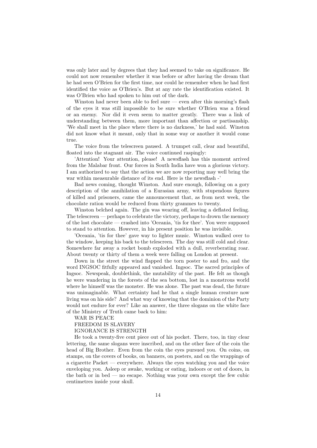was only later and by degrees that they had seemed to take on significance. He could not now remember whether it was before or after having the dream that he had seen O'Brien for the first time, nor could he remember when he had first identified the voice as O'Brien's. But at any rate the identification existed. It was O'Brien who had spoken to him out of the dark.

Winston had never been able to feel sure — even after this morning's flash of the eyes it was still impossible to be sure whether O'Brien was a friend or an enemy. Nor did it even seem to matter greatly. There was a link of understanding between them, more important than affection or partisanship. 'We shall meet in the place where there is no darkness,' he had said. Winston did not know what it meant, only that in some way or another it would come true.

The voice from the telescreen paused. A trumpet call, clear and beautiful, floated into the stagnant air. The voice continued raspingly:

'Attention! Your attention, please! A newsflash has this moment arrived from the Malabar front. Our forces in South India have won a glorious victory. I am authorized to say that the action we are now reporting may well bring the war within measurable distance of its end. Here is the newsflash -'

Bad news coming, thought Winston. And sure enough, following on a gory description of the annihilation of a Eurasian army, with stupendous figures of killed and prisoners, came the announcement that, as from next week, the chocolate ration would be reduced from thirty grammes to twenty.

Winston belched again. The gin was wearing off, leaving a deflated feeling. The telescreen — perhaps to celebrate the victory, perhaps to drown the memory of the lost chocolate — crashed into 'Oceania, 'tis for thee'. You were supposed to stand to attention. However, in his present position he was invisible.

'Oceania, 'tis for thee' gave way to lighter music. Winston walked over to the window, keeping his back to the telescreen. The day was still cold and clear. Somewhere far away a rocket bomb exploded with a dull, reverberating roar. About twenty or thirty of them a week were falling on London at present.

Down in the street the wind flapped the torn poster to and fro, and the word INGSOC fitfully appeared and vanished. Ingsoc. The sacred principles of Ingsoc. Newspeak, doublethink, the mutability of the past. He felt as though he were wandering in the forests of the sea bottom, lost in a monstrous world where he himself was the monster. He was alone. The past was dead, the future was unimaginable. What certainty had he that a single human creature now living was on his side? And what way of knowing that the dominion of the Party would not endure for ever? Like an answer, the three slogans on the white face of the Ministry of Truth came back to him:

### WAR IS PEACE

### FREEDOM IS SLAVERY

### IGNORANCE IS STRENGTH

He took a twenty-five cent piece out of his pocket. There, too, in tiny clear lettering, the same slogans were inscribed, and on the other face of the coin the head of Big Brother. Even from the coin the eyes pursued you. On coins, on stamps, on the covers of books, on banners, on posters, and on the wrappings of a cigarette Packet — everywhere. Always the eyes watching you and the voice enveloping you. Asleep or awake, working or eating, indoors or out of doors, in the bath or in bed — no escape. Nothing was your own except the few cubic centimetres inside your skull.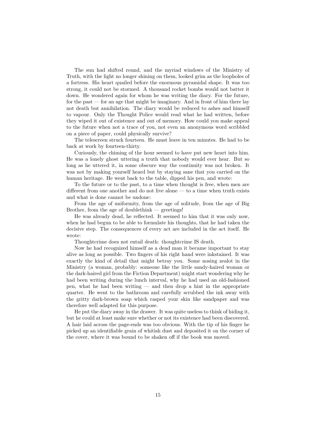The sun had shifted round, and the myriad windows of the Ministry of Truth, with the light no longer shining on them, looked grim as the loopholes of a fortress. His heart quailed before the enormous pyramidal shape. It was too strong, it could not be stormed. A thousand rocket bombs would not batter it down. He wondered again for whom he was writing the diary. For the future, for the past — for an age that might be imaginary. And in front of him there lay not death but annihilation. The diary would be reduced to ashes and himself to vapour. Only the Thought Police would read what he had written, before they wiped it out of existence and out of memory. How could you make appeal to the future when not a trace of you, not even an anonymous word scribbled on a piece of paper, could physically survive?

The telescreen struck fourteen. He must leave in ten minutes. He had to be back at work by fourteen-thirty.

Curiously, the chiming of the hour seemed to have put new heart into him. He was a lonely ghost uttering a truth that nobody would ever hear. But so long as he uttered it, in some obscure way the continuity was not broken. It was not by making yourself heard but by staying sane that you carried on the human heritage. He went back to the table, dipped his pen, and wrote:

To the future or to the past, to a time when thought is free, when men are different from one another and do not live alone — to a time when truth exists and what is done cannot be undone:

From the age of uniformity, from the age of solitude, from the age of Big Brother, from the age of doublethink — greetings!

He was already dead, he reflected. It seemed to him that it was only now, when he had begun to be able to formulate his thoughts, that he had taken the decisive step. The consequences of every act are included in the act itself. He wrote:

Thoughtcrime does not entail death: thoughtcrime IS death.

Now he had recognized himself as a dead man it became important to stay alive as long as possible. Two fingers of his right hand were inkstained. It was exactly the kind of detail that might betray you. Some nosing zealot in the Ministry (a woman, probably: someone like the little sandy-haired woman or the dark-haired girl from the Fiction Department) might start wondering why he had been writing during the lunch interval, why he had used an old-fashioned pen, what he had been writing — and then drop a hint in the appropriate quarter. He went to the bathroom and carefully scrubbed the ink away with the gritty dark-brown soap which rasped your skin like sandpaper and was therefore well adapted for this purpose.

He put the diary away in the drawer. It was quite useless to think of hiding it, but he could at least make sure whether or not its existence had been discovered. A hair laid across the page-ends was too obvious. With the tip of his finger he picked up an identifiable grain of whitish dust and deposited it on the corner of the cover, where it was bound to be shaken off if the book was moved.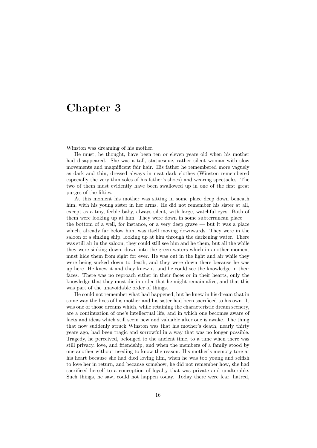## Chapter 3

Winston was dreaming of his mother.

He must, he thought, have been ten or eleven years old when his mother had disappeared. She was a tall, statuesque, rather silent woman with slow movements and magnificent fair hair. His father he remembered more vaguely as dark and thin, dressed always in neat dark clothes (Winston remembered especially the very thin soles of his father's shoes) and wearing spectacles. The two of them must evidently have been swallowed up in one of the first great purges of the fifties.

At this moment his mother was sitting in some place deep down beneath him, with his young sister in her arms. He did not remember his sister at all, except as a tiny, feeble baby, always silent, with large, watchful eyes. Both of them were looking up at him. They were down in some subterranean place the bottom of a well, for instance, or a very deep grave  $-$  but it was a place which, already far below him, was itself moving downwards. They were in the saloon of a sinking ship, looking up at him through the darkening water. There was still air in the saloon, they could still see him and he them, but all the while they were sinking down, down into the green waters which in another moment must hide them from sight for ever. He was out in the light and air while they were being sucked down to death, and they were down there because he was up here. He knew it and they knew it, and he could see the knowledge in their faces. There was no reproach either in their faces or in their hearts, only the knowledge that they must die in order that he might remain alive, and that this was part of the unavoidable order of things.

He could not remember what had happened, but he knew in his dream that in some way the lives of his mother and his sister had been sacrificed to his own. It was one of those dreams which, while retaining the characteristic dream scenery, are a continuation of one's intellectual life, and in which one becomes aware of facts and ideas which still seem new and valuable after one is awake. The thing that now suddenly struck Winston was that his mother's death, nearly thirty years ago, had been tragic and sorrowful in a way that was no longer possible. Tragedy, he perceived, belonged to the ancient time, to a time when there was still privacy, love, and friendship, and when the members of a family stood by one another without needing to know the reason. His mother's memory tore at his heart because she had died loving him, when he was too young and selfish to love her in return, and because somehow, he did not remember how, she had sacrificed herself to a conception of loyalty that was private and unalterable. Such things, he saw, could not happen today. Today there were fear, hatred,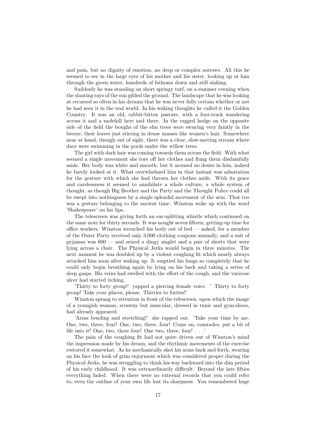and pain, but no dignity of emotion, no deep or complex sorrows. All this he seemed to see in the large eyes of his mother and his sister, looking up at him through the green water, hundreds of fathoms down and still sinking.

Suddenly he was standing on short springy turf, on a summer evening when the slanting rays of the sun gilded the ground. The landscape that he was looking at recurred so often in his dreams that he was never fully certain whether or not he had seen it in the real world. In his waking thoughts he called it the Golden Country. It was an old, rabbit-bitten pasture, with a foot-track wandering across it and a molehill here and there. In the ragged hedge on the opposite side of the field the boughs of the elm trees were swaying very faintly in the breeze, their leaves just stirring in dense masses like women's hair. Somewhere near at hand, though out of sight, there was a clear, slow-moving stream where dace were swimming in the pools under the willow trees.

The girl with dark hair was coming towards them across the field. With what seemed a single movement she tore off her clothes and flung them disdainfully aside. Her body was white and smooth, but it aroused no desire in him, indeed he barely looked at it. What overwhelmed him in that instant was admiration for the gesture with which she had thrown her clothes aside. With its grace and carelessness it seemed to annihilate a whole culture, a whole system of thought, as though Big Brother and the Party and the Thought Police could all be swept into nothingness by a single splendid movement of the arm. That too was a gesture belonging to the ancient time. Winston woke up with the word 'Shakespeare' on his lips.

The telescreen was giving forth an ear-splitting whistle which continued on the same note for thirty seconds. It was nought seven fifteen, getting-up time for office workers. Winston wrenched his body out of bed — naked, for a member of the Outer Party received only 3,000 clothing coupons annually, and a suit of pyjamas was 600 — and seized a dingy singlet and a pair of shorts that were lying across a chair. The Physical Jerks would begin in three minutes. The next moment he was doubled up by a violent coughing fit which nearly always attacked him soon after waking up. It emptied his lungs so completely that he could only begin breathing again by lying on his back and taking a series of deep gasps. His veins had swelled with the effort of the cough, and the varicose ulcer had started itching.

'Thirty to forty group!' yapped a piercing female voice. ' Thirty to forty group! Take your places, please. Thirties to forties!'

Winston sprang to attention in front of the telescreen, upon which the image of a youngish woman, scrawny but muscular, dressed in tunic and gym-shoes, had already appeared.

'Arms bending and stretching!' she rapped out. 'Take your time by me. One, two, three, four! One, two, three, four! Come on, comrades, put a bit of life into it! One, two, three four! One two, three, four! . . .'

The pain of the coughing fit had not quite driven out of Winston's mind the impression made by his dream, and the rhythmic movements of the exercise restored it somewhat. As he mechanically shot his arms back and forth, wearing on his face the look of grim enjoyment which was considered proper during the Physical Jerks, he was struggling to think his way backward into the dim period of his early childhood. It was extraordinarily difficult. Beyond the late fifties everything faded. When there were no external records that you could refer to, even the outline of your own life lost its sharpness. You remembered huge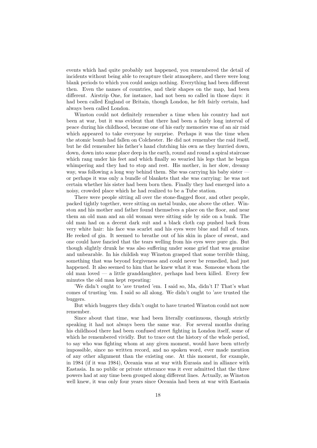events which had quite probably not happened, you remembered the detail of incidents without being able to recapture their atmosphere, and there were long blank periods to which you could assign nothing. Everything had been different then. Even the names of countries, and their shapes on the map, had been different. Airstrip One, for instance, had not been so called in those days: it had been called England or Britain, though London, he felt fairly certain, had always been called London.

Winston could not definitely remember a time when his country had not been at war, but it was evident that there had been a fairly long interval of peace during his childhood, because one of his early memories was of an air raid which appeared to take everyone by surprise. Perhaps it was the time when the atomic bomb had fallen on Colchester. He did not remember the raid itself, but he did remember his father's hand clutching his own as they hurried down, down, down into some place deep in the earth, round and round a spiral staircase which rang under his feet and which finally so wearied his legs that he began whimpering and they had to stop and rest. His mother, in her slow, dreamy way, was following a long way behind them. She was carrying his baby sister – or perhaps it was only a bundle of blankets that she was carrying: he was not certain whether his sister had been born then. Finally they had emerged into a noisy, crowded place which he had realized to be a Tube station.

There were people sitting all over the stone-flagged floor, and other people, packed tightly together, were sitting on metal bunks, one above the other. Winston and his mother and father found themselves a place on the floor, and near them an old man and an old woman were sitting side by side on a bunk. The old man had on a decent dark suit and a black cloth cap pushed back from very white hair: his face was scarlet and his eyes were blue and full of tears. He reeked of gin. It seemed to breathe out of his skin in place of sweat, and one could have fancied that the tears welling from his eyes were pure gin. But though slightly drunk he was also suffering under some grief that was genuine and unbearable. In his childish way Winston grasped that some terrible thing, something that was beyond forgiveness and could never be remedied, had just happened. It also seemed to him that he knew what it was. Someone whom the old man loved — a little granddaughter, perhaps had been killed. Every few minutes the old man kept repeating:

'We didn't ought to 'ave trusted 'em. I said so, Ma, didn't I? That's what comes of trusting 'em. I said so all along. We didn't ought to 'ave trusted the buggers.

But which buggers they didn't ought to have trusted Winston could not now remember.

Since about that time, war had been literally continuous, though strictly speaking it had not always been the same war. For several months during his childhood there had been confused street fighting in London itself, some of which he remembered vividly. But to trace out the history of the whole period, to say who was fighting whom at any given moment, would have been utterly impossible, since no written record, and no spoken word, ever made mention of any other alignment than the existing one. At this moment, for example, in 1984 (if it was 1984), Oceania was at war with Eurasia and in alliance with Eastasia. In no public or private utterance was it ever admitted that the three powers had at any time been grouped along different lines. Actually, as Winston well knew, it was only four years since Oceania had been at war with Eastasia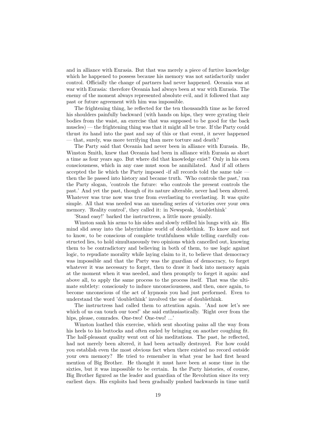and in alliance with Eurasia. But that was merely a piece of furtive knowledge which he happened to possess because his memory was not satisfactorily under control. Officially the change of partners had never happened. Oceania was at war with Eurasia: therefore Oceania had always been at war with Eurasia. The enemy of the moment always represented absolute evil, and it followed that any past or future agreement with him was impossible.

The frightening thing, he reflected for the ten thousandth time as he forced his shoulders painfully backward (with hands on hips, they were gyrating their bodies from the waist, an exercise that was supposed to be good for the back muscles) — the frightening thing was that it might all be true. If the Party could thrust its hand into the past and say of this or that event, it never happened — that, surely, was more terrifying than mere torture and death?

The Party said that Oceania had never been in alliance with Eurasia. He, Winston Smith, knew that Oceania had been in alliance with Eurasia as short a time as four years ago. But where did that knowledge exist? Only in his own consciousness, which in any case must soon be annihilated. And if all others accepted the lie which the Party imposed -if all records told the same tale then the lie passed into history and became truth. 'Who controls the past,' ran the Party slogan, 'controls the future: who controls the present controls the past.' And yet the past, though of its nature alterable, never had been altered. Whatever was true now was true from everlasting to everlasting. It was quite simple. All that was needed was an unending series of victories over your own memory. 'Reality control', they called it: in Newspeak, 'doublethink'

'Stand easy!' barked the instructress, a little more genially.

Winston sank his arms to his sides and slowly refilled his lungs with air. His mind slid away into the labyrinthine world of doublethink. To know and not to know, to be conscious of complete truthfulness while telling carefully constructed lies, to hold simultaneously two opinions which cancelled out, knowing them to be contradictory and believing in both of them, to use logic against logic, to repudiate morality while laying claim to it, to believe that democracy was impossible and that the Party was the guardian of democracy, to forget whatever it was necessary to forget, then to draw it back into memory again at the moment when it was needed, and then promptly to forget it again: and above all, to apply the same process to the process itself. That was the ultimate subtlety: consciously to induce unconsciousness, and then, once again, to become unconscious of the act of hypnosis you had just performed. Even to understand the word 'doublethink' involved the use of doublethink.

The instructress had called them to attention again. 'And now let's see which of us can touch our toes!' she said enthusiastically. 'Right over from the hips, please, comrades. One-two! One-two! ...'

Winston loathed this exercise, which sent shooting pains all the way from his heels to his buttocks and often ended by bringing on another coughing fit. The half-pleasant quality went out of his meditations. The past, he reflected, had not merely been altered, it had been actually destroyed. For how could you establish even the most obvious fact when there existed no record outside your own memory? He tried to remember in what year he had first heard mention of Big Brother. He thought it must have been at some time in the sixties, but it was impossible to be certain. In the Party histories, of course, Big Brother figured as the leader and guardian of the Revolution since its very earliest days. His exploits had been gradually pushed backwards in time until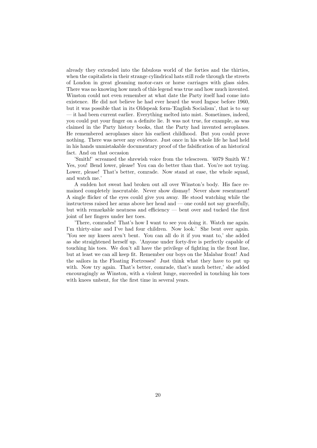already they extended into the fabulous world of the forties and the thirties, when the capitalists in their strange cylindrical hats still rode through the streets of London in great gleaming motor-cars or horse carriages with glass sides. There was no knowing how much of this legend was true and how much invented. Winston could not even remember at what date the Party itself had come into existence. He did not believe he had ever heard the word Ingsoc before 1960, but it was possible that in its Oldspeak form-'English Socialism', that is to say — it had been current earlier. Everything melted into mist. Sometimes, indeed, you could put your finger on a definite lie. It was not true, for example, as was claimed in the Party history books, that the Party had invented aeroplanes. He remembered aeroplanes since his earliest childhood. But you could prove nothing. There was never any evidence. Just once in his whole life he had held in his hands unmistakable documentary proof of the falsification of an historical fact. And on that occasion

'Smith!' screamed the shrewish voice from the telescreen. '6079 Smith W.! Yes, you! Bend lower, please! You can do better than that. You're not trying. Lower, please! That's better, comrade. Now stand at ease, the whole squad, and watch me.'

A sudden hot sweat had broken out all over Winston's body. His face remained completely inscrutable. Never show dismay! Never show resentment! A single flicker of the eyes could give you away. He stood watching while the instructress raised her arms above her head and — one could not say gracefully, but with remarkable neatness and efficiency — bent over and tucked the first joint of her fingers under her toes.

'There, comrades! That's how I want to see you doing it. Watch me again. I'm thirty-nine and I've had four children. Now look.' She bent over again. 'You see my knees aren't bent. You can all do it if you want to,' she added as she straightened herself up. 'Anyone under forty-five is perfectly capable of touching his toes. We don't all have the privilege of fighting in the front line, but at least we can all keep fit. Remember our boys on the Malabar front! And the sailors in the Floating Fortresses! Just think what they have to put up with. Now try again. That's better, comrade, that's much better,' she added encouragingly as Winston, with a violent lunge, succeeded in touching his toes with knees unbent, for the first time in several years.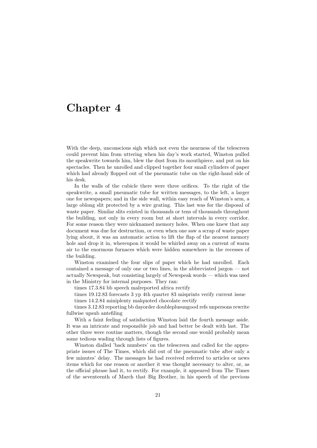# Chapter 4

With the deep, unconscious sigh which not even the nearness of the telescreen could prevent him from uttering when his day's work started, Winston pulled the speakwrite towards him, blew the dust from its mouthpiece, and put on his spectacles. Then he unrolled and clipped together four small cylinders of paper which had already flopped out of the pneumatic tube on the right-hand side of his desk.

In the walls of the cubicle there were three orifices. To the right of the speakwrite, a small pneumatic tube for written messages, to the left, a larger one for newspapers; and in the side wall, within easy reach of Winston's arm, a large oblong slit protected by a wire grating. This last was for the disposal of waste paper. Similar slits existed in thousands or tens of thousands throughout the building, not only in every room but at short intervals in every corridor. For some reason they were nicknamed memory holes. When one knew that any document was due for destruction, or even when one saw a scrap of waste paper lying about, it was an automatic action to lift the flap of the nearest memory hole and drop it in, whereupon it would be whirled away on a current of warm air to the enormous furnaces which were hidden somewhere in the recesses of the building.

Winston examined the four slips of paper which he had unrolled. Each contained a message of only one or two lines, in the abbreviated jargon — not actually Newspeak, but consisting largely of Newspeak words — which was used in the Ministry for internal purposes. They ran:

times 17.3.84 bb speech malreported africa rectify

times 19.12.83 forecasts 3 yp 4th quarter 83 misprints verify current issue

times 14.2.84 miniplenty malquoted chocolate rectify

times 3.12.83 reporting bb dayorder doubleplusungood refs unpersons rewrite fullwise upsub antefiling

With a faint feeling of satisfaction Winston laid the fourth message aside. It was an intricate and responsible job and had better be dealt with last. The other three were routine matters, though the second one would probably mean some tedious wading through lists of figures.

Winston dialled 'back numbers' on the telescreen and called for the appropriate issues of The Times, which slid out of the pneumatic tube after only a few minutes' delay. The messages he had received referred to articles or news items which for one reason or another it was thought necessary to alter, or, as the official phrase had it, to rectify. For example, it appeared from The Times of the seventeenth of March that Big Brother, in his speech of the previous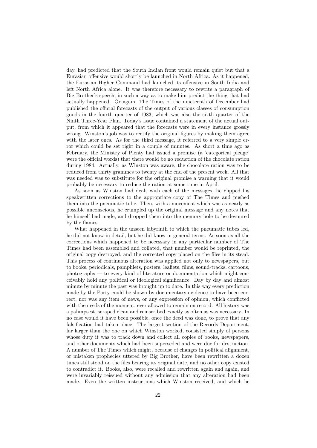day, had predicted that the South Indian front would remain quiet but that a Eurasian offensive would shortly be launched in North Africa. As it happened, the Eurasian Higher Command had launched its offensive in South India and left North Africa alone. It was therefore necessary to rewrite a paragraph of Big Brother's speech, in such a way as to make him predict the thing that had actually happened. Or again, The Times of the nineteenth of December had published the official forecasts of the output of various classes of consumption goods in the fourth quarter of 1983, which was also the sixth quarter of the Ninth Three-Year Plan. Today's issue contained a statement of the actual output, from which it appeared that the forecasts were in every instance grossly wrong. Winston's job was to rectify the original figures by making them agree with the later ones. As for the third message, it referred to a very simple error which could be set right in a couple of minutes. As short a time ago as February, the Ministry of Plenty had issued a promise (a 'categorical pledge' were the official words) that there would be no reduction of the chocolate ration during 1984. Actually, as Winston was aware, the chocolate ration was to be reduced from thirty grammes to twenty at the end of the present week. All that was needed was to substitute for the original promise a warning that it would probably be necessary to reduce the ration at some time in April.

As soon as Winston had dealt with each of the messages, he clipped his speakwritten corrections to the appropriate copy of The Times and pushed them into the pneumatic tube. Then, with a movement which was as nearly as possible unconscious, he crumpled up the original message and any notes that he himself had made, and dropped them into the memory hole to be devoured by the flames.

What happened in the unseen labyrinth to which the pneumatic tubes led, he did not know in detail, but he did know in general terms. As soon as all the corrections which happened to be necessary in any particular number of The Times had been assembled and collated, that number would be reprinted, the original copy destroyed, and the corrected copy placed on the files in its stead. This process of continuous alteration was applied not only to newspapers, but to books, periodicals, pamphlets, posters, leaflets, films, sound-tracks, cartoons, photographs — to every kind of literature or documentation which might conceivably hold any political or ideological significance. Day by day and almost minute by minute the past was brought up to date. In this way every prediction made by the Party could be shown by documentary evidence to have been correct, nor was any item of news, or any expression of opinion, which conflicted with the needs of the moment, ever allowed to remain on record. All history was a palimpsest, scraped clean and reinscribed exactly as often as was necessary. In no case would it have been possible, once the deed was done, to prove that any falsification had taken place. The largest section of the Records Department, far larger than the one on which Winston worked, consisted simply of persons whose duty it was to track down and collect all copies of books, newspapers, and other documents which had been superseded and were due for destruction. A number of The Times which might, because of changes in political alignment, or mistaken prophecies uttered by Big Brother, have been rewritten a dozen times still stood on the files bearing its original date, and no other copy existed to contradict it. Books, also, were recalled and rewritten again and again, and were invariably reissued without any admission that any alteration had been made. Even the written instructions which Winston received, and which he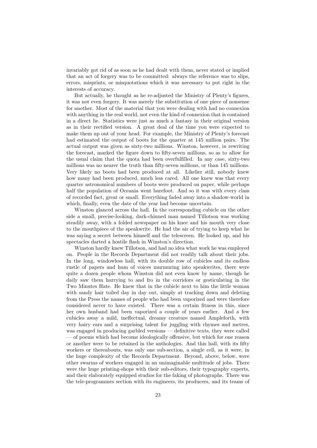invariably got rid of as soon as he had dealt with them, never stated or implied that an act of forgery was to be committed: always the reference was to slips, errors, misprints, or misquotations which it was necessary to put right in the interests of accuracy.

But actually, he thought as he re-adjusted the Ministry of Plenty's figures, it was not even forgery. It was merely the substitution of one piece of nonsense for another. Most of the material that you were dealing with had no connexion with anything in the real world, not even the kind of connexion that is contained in a direct lie. Statistics were just as much a fantasy in their original version as in their rectified version. A great deal of the time you were expected to make them up out of your head. For example, the Ministry of Plenty's forecast had estimated the output of boots for the quarter at 145 million pairs. The actual output was given as sixty-two millions. Winston, however, in rewriting the forecast, marked the figure down to fifty-seven millions, so as to allow for the usual claim that the quota had been overfulfilled. In any case, sixty-two millions was no nearer the truth than fifty-seven millions, or than 145 millions. Very likely no boots had been produced at all. Likelier still, nobody knew how many had been produced, much less cared. All one knew was that every quarter astronomical numbers of boots were produced on paper, while perhaps half the population of Oceania went barefoot. And so it was with every class of recorded fact, great or small. Everything faded away into a shadow-world in which, finally, even the date of the year had become uncertain.

Winston glanced across the hall. In the corresponding cubicle on the other side a small, precise-looking, dark-chinned man named Tillotson was working steadily away, with a folded newspaper on his knee and his mouth very close to the mouthpiece of the speakwrite. He had the air of trying to keep what he was saying a secret between himself and the telescreen. He looked up, and his spectacles darted a hostile flash in Winston's direction.

Winston hardly knew Tillotson, and had no idea what work he was employed on. People in the Records Department did not readily talk about their jobs. In the long, windowless hall, with its double row of cubicles and its endless rustle of papers and hum of voices murmuring into speakwrites, there were quite a dozen people whom Winston did not even know by name, though he daily saw them hurrying to and fro in the corridors or gesticulating in the Two Minutes Hate. He knew that in the cubicle next to him the little woman with sandy hair toiled day in day out, simply at tracking down and deleting from the Press the names of people who had been vaporized and were therefore considered never to have existed. There was a certain fitness in this, since her own husband had been vaporized a couple of years earlier. And a few cubicles away a mild, ineffectual, dreamy creature named Ampleforth, with very hairy ears and a surprising talent for juggling with rhymes and metres, was engaged in producing garbled versions — definitive texts, they were called — of poems which had become ideologically offensive, but which for one reason or another were to be retained in the anthologies. And this hall, with its fifty workers or thereabouts, was only one sub-section, a single cell, as it were, in the huge complexity of the Records Department. Beyond, above, below, were other swarms of workers engaged in an unimaginable multitude of jobs. There were the huge printing-shops with their sub-editors, their typography experts, and their elaborately equipped studios for the faking of photographs. There was the tele-programmes section with its engineers, its producers, and its teams of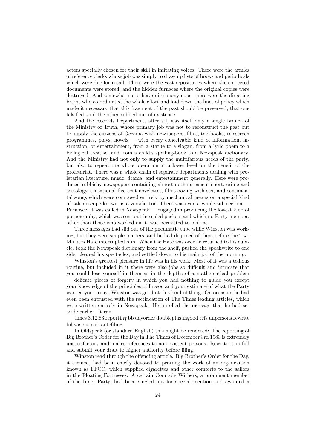actors specially chosen for their skill in imitating voices. There were the armies of reference clerks whose job was simply to draw up lists of books and periodicals which were due for recall. There were the vast repositories where the corrected documents were stored, and the hidden furnaces where the original copies were destroyed. And somewhere or other, quite anonymous, there were the directing brains who co-ordinated the whole effort and laid down the lines of policy which made it necessary that this fragment of the past should be preserved, that one falsified, and the other rubbed out of existence.

And the Records Department, after all, was itself only a single branch of the Ministry of Truth, whose primary job was not to reconstruct the past but to supply the citizens of Oceania with newspapers, films, textbooks, telescreen programmes, plays, novels — with every conceivable kind of information, instruction, or entertainment, from a statue to a slogan, from a lyric poem to a biological treatise, and from a child's spelling-book to a Newspeak dictionary. And the Ministry had not only to supply the multifarious needs of the party, but also to repeat the whole operation at a lower level for the benefit of the proletariat. There was a whole chain of separate departments dealing with proletarian literature, music, drama, and entertainment generally. Here were produced rubbishy newspapers containing almost nothing except sport, crime and astrology, sensational five-cent novelettes, films oozing with sex, and sentimental songs which were composed entirely by mechanical means on a special kind of kaleidoscope known as a versificator. There was even a whole sub-section — Pornosec, it was called in Newspeak — engaged in producing the lowest kind of pornography, which was sent out in sealed packets and which no Party member, other than those who worked on it, was permitted to look at.

Three messages had slid out of the pneumatic tube while Winston was working, but they were simple matters, and he had disposed of them before the Two Minutes Hate interrupted him. When the Hate was over he returned to his cubicle, took the Newspeak dictionary from the shelf, pushed the speakwrite to one side, cleaned his spectacles, and settled down to his main job of the morning.

Winston's greatest pleasure in life was in his work. Most of it was a tedious routine, but included in it there were also jobs so difficult and intricate that you could lose yourself in them as in the depths of a mathematical problem — delicate pieces of forgery in which you had nothing to guide you except your knowledge of the principles of Ingsoc and your estimate of what the Party wanted you to say. Winston was good at this kind of thing. On occasion he had even been entrusted with the rectification of The Times leading articles, which were written entirely in Newspeak. He unrolled the message that he had set aside earlier. It ran:

times 3.12.83 reporting bb dayorder doubleplusungood refs unpersons rewrite fullwise upsub antefiling

In Oldspeak (or standard English) this might be rendered: The reporting of Big Brother's Order for the Day in The Times of December 3rd 1983 is extremely unsatisfactory and makes references to non-existent persons. Rewrite it in full and submit your draft to higher authority before filing.

Winston read through the offending article. Big Brother's Order for the Day, it seemed, had been chiefly devoted to praising the work of an organization known as FFCC, which supplied cigarettes and other comforts to the sailors in the Floating Fortresses. A certain Comrade Withers, a prominent member of the Inner Party, had been singled out for special mention and awarded a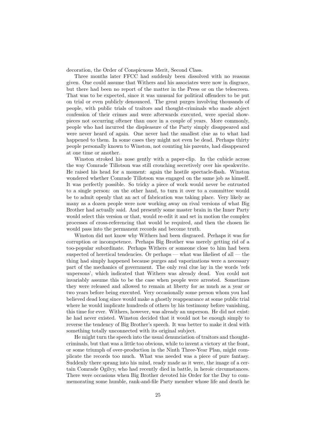decoration, the Order of Conspicuous Merit, Second Class.

Three months later FFCC had suddenly been dissolved with no reasons given. One could assume that Withers and his associates were now in disgrace, but there had been no report of the matter in the Press or on the telescreen. That was to be expected, since it was unusual for political offenders to be put on trial or even publicly denounced. The great purges involving thousands of people, with public trials of traitors and thought-criminals who made abject confession of their crimes and were afterwards executed, were special showpieces not occurring oftener than once in a couple of years. More commonly, people who had incurred the displeasure of the Party simply disappeared and were never heard of again. One never had the smallest clue as to what had happened to them. In some cases they might not even be dead. Perhaps thirty people personally known to Winston, not counting his parents, had disappeared at one time or another.

Winston stroked his nose gently with a paper-clip. In the cubicle across the way Comrade Tillotson was still crouching secretively over his speakwrite. He raised his head for a moment: again the hostile spectacle-flash. Winston wondered whether Comrade Tillotson was engaged on the same job as himself. It was perfectly possible. So tricky a piece of work would never be entrusted to a single person: on the other hand, to turn it over to a committee would be to admit openly that an act of fabrication was taking place. Very likely as many as a dozen people were now working away on rival versions of what Big Brother had actually said. And presently some master brain in the Inner Party would select this version or that, would re-edit it and set in motion the complex processes of cross-referencing that would be required, and then the chosen lie would pass into the permanent records and become truth.

Winston did not know why Withers had been disgraced. Perhaps it was for corruption or incompetence. Perhaps Big Brother was merely getting rid of a too-popular subordinate. Perhaps Withers or someone close to him had been suspected of heretical tendencies. Or perhaps — what was likeliest of all — the thing had simply happened because purges and vaporizations were a necessary part of the mechanics of government. The only real clue lay in the words 'refs unpersons', which indicated that Withers was already dead. You could not invariably assume this to be the case when people were arrested. Sometimes they were released and allowed to remain at liberty for as much as a year or two years before being executed. Very occasionally some person whom you had believed dead long since would make a ghostly reappearance at some public trial where he would implicate hundreds of others by his testimony before vanishing, this time for ever. Withers, however, was already an unperson. He did not exist: he had never existed. Winston decided that it would not be enough simply to reverse the tendency of Big Brother's speech. It was better to make it deal with something totally unconnected with its original subject.

He might turn the speech into the usual denunciation of traitors and thoughtcriminals, but that was a little too obvious, while to invent a victory at the front, or some triumph of over-production in the Ninth Three-Year Plan, might complicate the records too much. What was needed was a piece of pure fantasy. Suddenly there sprang into his mind, ready made as it were, the image of a certain Comrade Ogilvy, who had recently died in battle, in heroic circumstances. There were occasions when Big Brother devoted his Order for the Day to commemorating some humble, rank-and-file Party member whose life and death he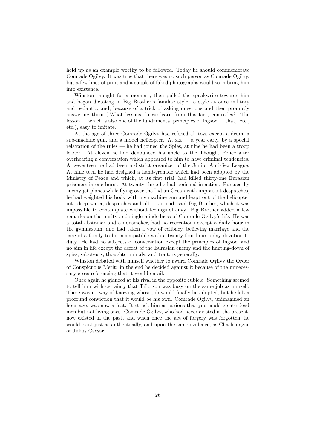held up as an example worthy to be followed. Today he should commemorate Comrade Ogilvy. It was true that there was no such person as Comrade Ogilvy, but a few lines of print and a couple of faked photographs would soon bring him into existence.

Winston thought for a moment, then pulled the speakwrite towards him and began dictating in Big Brother's familiar style: a style at once military and pedantic, and, because of a trick of asking questions and then promptly answering them ('What lessons do we learn from this fact, comrades? The lesson — which is also one of the fundamental principles of Ingsoc — that,' etc., etc.), easy to imitate.

At the age of three Comrade Ogilvy had refused all toys except a drum, a sub-machine gun, and a model helicopter. At  $six - a$  year early, by a special relaxation of the rules — he had joined the Spies, at nine he had been a troop leader. At eleven he had denounced his uncle to the Thought Police after overhearing a conversation which appeared to him to have criminal tendencies. At seventeen he had been a district organizer of the Junior Anti-Sex League. At nine teen he had designed a hand-grenade which had been adopted by the Ministry of Peace and which, at its first trial, had killed thirty-one Eurasian prisoners in one burst. At twenty-three he had perished in action. Pursued by enemy jet planes while flying over the Indian Ocean with important despatches, he had weighted his body with his machine gun and leapt out of the helicopter into deep water, despatches and all — an end, said Big Brother, which it was impossible to contemplate without feelings of envy. Big Brother added a few remarks on the purity and single-mindedness of Comrade Ogilvy's life. He was a total abstainer and a nonsmoker, had no recreations except a daily hour in the gymnasium, and had taken a vow of celibacy, believing marriage and the care of a family to be incompatible with a twenty-four-hour-a-day devotion to duty. He had no subjects of conversation except the principles of Ingsoc, and no aim in life except the defeat of the Eurasian enemy and the hunting-down of spies, saboteurs, thoughtcriminals, and traitors generally.

Winston debated with himself whether to award Comrade Ogilvy the Order of Conspicuous Merit: in the end he decided against it because of the unnecessary cross-referencing that it would entail.

Once again he glanced at his rival in the opposite cubicle. Something seemed to tell him with certainty that Tillotson was busy on the same job as himself. There was no way of knowing whose job would finally be adopted, but he felt a profound conviction that it would be his own. Comrade Ogilvy, unimagined an hour ago, was now a fact. It struck him as curious that you could create dead men but not living ones. Comrade Ogilvy, who had never existed in the present, now existed in the past, and when once the act of forgery was forgotten, he would exist just as authentically, and upon the same evidence, as Charlemagne or Julius Caesar.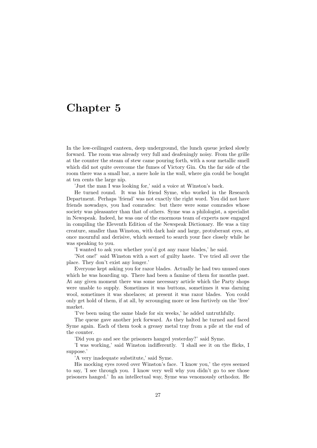# Chapter 5

In the low-ceilinged canteen, deep underground, the lunch queue jerked slowly forward. The room was already very full and deafeningly noisy. From the grille at the counter the steam of stew came pouring forth, with a sour metallic smell which did not quite overcome the fumes of Victory Gin. On the far side of the room there was a small bar, a mere hole in the wall, where gin could be bought at ten cents the large nip.

'Just the man I was looking for,' said a voice at Winston's back.

He turned round. It was his friend Syme, who worked in the Research Department. Perhaps 'friend' was not exactly the right word. You did not have friends nowadays, you had comrades: but there were some comrades whose society was pleasanter than that of others. Syme was a philologist, a specialist in Newspeak. Indeed, he was one of the enormous team of experts now engaged in compiling the Eleventh Edition of the Newspeak Dictionary. He was a tiny creature, smaller than Winston, with dark hair and large, protuberant eyes, at once mournful and derisive, which seemed to search your face closely while he was speaking to you.

'I wanted to ask you whether you'd got any razor blades,' he said.

'Not one!' said Winston with a sort of guilty haste. 'I've tried all over the place. They don't exist any longer.'

Everyone kept asking you for razor blades. Actually he had two unused ones which he was hoarding up. There had been a famine of them for months past. At any given moment there was some necessary article which the Party shops were unable to supply. Sometimes it was buttons, sometimes it was darning wool, sometimes it was shoelaces; at present it was razor blades. You could only get hold of them, if at all, by scrounging more or less furtively on the 'free' market.

'I've been using the same blade for six weeks,' he added untruthfully.

The queue gave another jerk forward. As they halted he turned and faced Syme again. Each of them took a greasy metal tray from a pile at the end of the counter.

'Did you go and see the prisoners hanged yesterday?' said Syme.

'I was working,' said Winston indifferently. 'I shall see it on the flicks, I suppose.'

'A very inadequate substitute,' said Syme.

His mocking eyes roved over Winston's face. 'I know you,' the eyes seemed to say, 'I see through you. I know very well why you didn't go to see those prisoners hanged.' In an intellectual way, Syme was venomously orthodox. He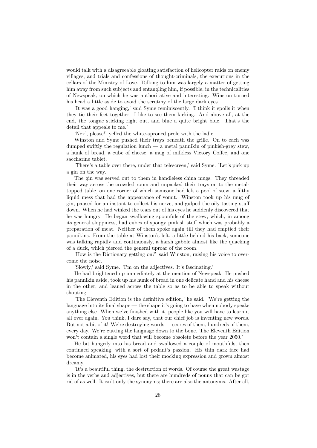would talk with a disagreeable gloating satisfaction of helicopter raids on enemy villages, and trials and confessions of thought-criminals, the executions in the cellars of the Ministry of Love. Talking to him was largely a matter of getting him away from such subjects and entangling him, if possible, in the technicalities of Newspeak, on which he was authoritative and interesting. Winston turned his head a little aside to avoid the scrutiny of the large dark eyes.

'It was a good hanging,' said Syme reminiscently. 'I think it spoils it when they tie their feet together. I like to see them kicking. And above all, at the end, the tongue sticking right out, and blue a quite bright blue. That's the detail that appeals to me.'

'Nex', please!' yelled the white-aproned prole with the ladle.

Winston and Syme pushed their trays beneath the grille. On to each was dumped swiftly the regulation lunch — a metal pannikin of pinkish-grey stew, a hunk of bread, a cube of cheese, a mug of milkless Victory Coffee, and one saccharine tablet.

'There's a table over there, under that telescreen,' said Syme. 'Let's pick up a gin on the way.'

The gin was served out to them in handleless china mugs. They threaded their way across the crowded room and unpacked their trays on to the metaltopped table, on one corner of which someone had left a pool of stew, a filthy liquid mess that had the appearance of vomit. Winston took up his mug of gin, paused for an instant to collect his nerve, and gulped the oily-tasting stuff down. When he had winked the tears out of his eyes he suddenly discovered that he was hungry. He began swallowing spoonfuls of the stew, which, in among its general sloppiness, had cubes of spongy pinkish stuff which was probably a preparation of meat. Neither of them spoke again till they had emptied their pannikins. From the table at Winston's left, a little behind his back, someone was talking rapidly and continuously, a harsh gabble almost like the quacking of a duck, which pierced the general uproar of the room.

'How is the Dictionary getting on?' said Winston, raising his voice to overcome the noise.

'Slowly,' said Syme. 'I'm on the adjectives. It's fascinating.'

He had brightened up immediately at the mention of Newspeak. He pushed his pannikin aside, took up his hunk of bread in one delicate hand and his cheese in the other, and leaned across the table so as to be able to speak without shouting.

'The Eleventh Edition is the definitive edition,' he said. 'We're getting the language into its final shape — the shape it's going to have when nobody speaks anything else. When we've finished with it, people like you will have to learn it all over again. You think, I dare say, that our chief job is inventing new words. But not a bit of it! We're destroying words — scores of them, hundreds of them, every day. We're cutting the language down to the bone. The Eleventh Edition won't contain a single word that will become obsolete before the year 2050.'

He bit hungrily into his bread and swallowed a couple of mouthfuls, then continued speaking, with a sort of pedant's passion. His thin dark face had become animated, his eyes had lost their mocking expression and grown almost dreamy.

'It's a beautiful thing, the destruction of words. Of course the great wastage is in the verbs and adjectives, but there are hundreds of nouns that can be got rid of as well. It isn't only the synonyms; there are also the antonyms. After all,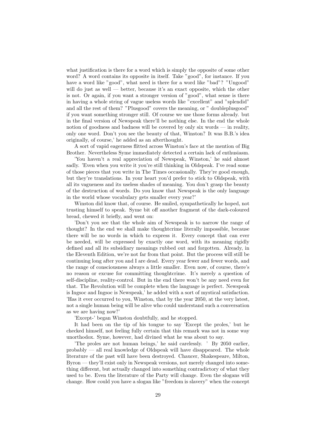what justification is there for a word which is simply the opposite of some other word? A word contains its opposite in itself. Take "good", for instance. If you have a word like "good", what need is there for a word like "bad"? "Ungood" will do just as well — better, because it's an exact opposite, which the other is not. Or again, if you want a stronger version of "good", what sense is there in having a whole string of vague useless words like "excellent" and "splendid" and all the rest of them? "Plusgood" covers the meaning, or " doubleplusgood" if you want something stronger still. Of course we use those forms already. but in the final version of Newspeak there'll be nothing else. In the end the whole notion of goodness and badness will be covered by only six words — in reality, only one word. Don't you see the beauty of that, Winston? It was B.B.'s idea originally, of course,' he added as an afterthought.

A sort of vapid eagerness flitted across Winston's face at the mention of Big Brother. Nevertheless Syme immediately detected a certain lack of enthusiasm.

'You haven't a real appreciation of Newspeak, Winston,' he said almost sadly. 'Even when you write it you're still thinking in Oldspeak. I've read some of those pieces that you write in The Times occasionally. They're good enough, but they're translations. In your heart you'd prefer to stick to Oldspeak, with all its vagueness and its useless shades of meaning. You don't grasp the beauty of the destruction of words. Do you know that Newspeak is the only language in the world whose vocabulary gets smaller every year?'

Winston did know that, of course. He smiled, sympathetically he hoped, not trusting himself to speak. Syme bit off another fragment of the dark-coloured bread, chewed it briefly, and went on:

'Don't you see that the whole aim of Newspeak is to narrow the range of thought? In the end we shall make thoughtcrime literally impossible, because there will be no words in which to express it. Every concept that can ever be needed, will be expressed by exactly one word, with its meaning rigidly defined and all its subsidiary meanings rubbed out and forgotten. Already, in the Eleventh Edition, we're not far from that point. But the process will still be continuing long after you and I are dead. Every year fewer and fewer words, and the range of consciousness always a little smaller. Even now, of course, there's no reason or excuse for committing thoughtcrime. It's merely a question of self-discipline, reality-control. But in the end there won't be any need even for that. The Revolution will be complete when the language is perfect. Newspeak is Ingsoc and Ingsoc is Newspeak,' he added with a sort of mystical satisfaction. 'Has it ever occurred to you, Winston, that by the year 2050, at the very latest, not a single human being will be alive who could understand such a conversation as we are having now?'

'Except-' began Winston doubtfully, and he stopped.

It had been on the tip of his tongue to say 'Except the proles,' but he checked himself, not feeling fully certain that this remark was not in some way unorthodox. Syme, however, had divined what he was about to say.

'The proles are not human beings,' he said carelessly. ' By 2050 earlier, probably — all real knowledge of Oldspeak will have disappeared. The whole literature of the past will have been destroyed. Chaucer, Shakespeare, Milton, Byron — they'll exist only in Newspeak versions, not merely changed into something different, but actually changed into something contradictory of what they used to be. Even the literature of the Party will change. Even the slogans will change. How could you have a slogan like "freedom is slavery" when the concept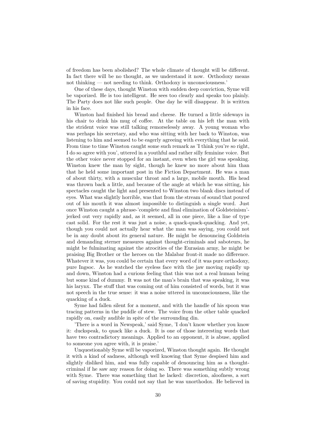of freedom has been abolished? The whole climate of thought will be different. In fact there will be no thought, as we understand it now. Orthodoxy means not thinking — not needing to think. Orthodoxy is unconsciousness.'

One of these days, thought Winston with sudden deep conviction, Syme will be vaporized. He is too intelligent. He sees too clearly and speaks too plainly. The Party does not like such people. One day he will disappear. It is written in his face.

Winston had finished his bread and cheese. He turned a little sideways in his chair to drink his mug of coffee. At the table on his left the man with the strident voice was still talking remorselessly away. A young woman who was perhaps his secretary, and who was sitting with her back to Winston, was listening to him and seemed to be eagerly agreeing with everything that he said. From time to time Winston caught some such remark as 'I think you're so right, I do so agree with you', uttered in a youthful and rather silly feminine voice. But the other voice never stopped for an instant, even when the girl was speaking. Winston knew the man by sight, though he knew no more about him than that he held some important post in the Fiction Department. He was a man of about thirty, with a muscular throat and a large, mobile mouth. His head was thrown back a little, and because of the angle at which he was sitting, his spectacles caught the light and presented to Winston two blank discs instead of eyes. What was slightly horrible, was that from the stream of sound that poured out of his mouth it was almost impossible to distinguish a single word. Just once Winston caught a phrase-'complete and final elimination of Goldsteinism' jerked out very rapidly and, as it seemed, all in one piece, like a line of type cast solid. For the rest it was just a noise, a quack-quack-quacking. And yet, though you could not actually hear what the man was saying, you could not be in any doubt about its general nature. He might be denouncing Goldstein and demanding sterner measures against thought-criminals and saboteurs, he might be fulminating against the atrocities of the Eurasian army, he might be praising Big Brother or the heroes on the Malabar front-it made no difference. Whatever it was, you could be certain that every word of it was pure orthodoxy, pure Ingsoc. As he watched the eyeless face with the jaw moving rapidly up and down, Winston had a curious feeling that this was not a real human being but some kind of dummy. It was not the man's brain that was speaking, it was his larynx. The stuff that was coming out of him consisted of words, but it was not speech in the true sense: it was a noise uttered in unconsciousness, like the quacking of a duck.

Syme had fallen silent for a moment, and with the handle of his spoon was tracing patterns in the puddle of stew. The voice from the other table quacked rapidly on, easily audible in spite of the surrounding din.

'There is a word in Newspeak,' said Syme, 'I don't know whether you know it: duckspeak, to quack like a duck. It is one of those interesting words that have two contradictory meanings. Applied to an opponent, it is abuse, applied to someone you agree with, it is praise.'

Unquestionably Syme will be vaporized, Winston thought again. He thought it with a kind of sadness, although well knowing that Syme despised him and slightly disliked him, and was fully capable of denouncing him as a thoughtcriminal if he saw any reason for doing so. There was something subtly wrong with Syme. There was something that he lacked: discretion, aloofness, a sort of saving stupidity. You could not say that he was unorthodox. He believed in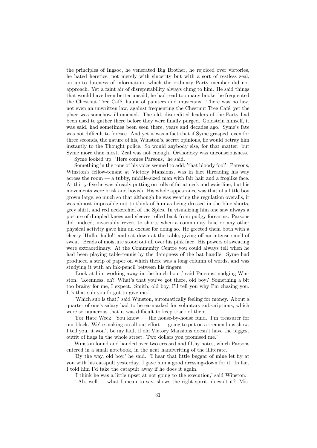the principles of Ingsoc, he venerated Big Brother, he rejoiced over victories, he hated heretics, not merely with sincerity but with a sort of restless zeal, an up-to-dateness of information, which the ordinary Party member did not approach. Yet a faint air of disreputability always clung to him. He said things that would have been better unsaid, he had read too many books, he frequented the Chestnut Tree Café, haunt of painters and musicians. There was no law, not even an unwritten law, against frequenting the Chestnut Tree Café, yet the place was somehow ill-omened. The old, discredited leaders of the Party had been used to gather there before they were finally purged. Goldstein himself, it was said, had sometimes been seen there, years and decades ago. Syme's fate was not difficult to foresee. And yet it was a fact that if Syme grasped, even for three seconds, the nature of his, Winston's, secret opinions, he would betray him instantly to the Thought police. So would anybody else, for that matter: but Syme more than most. Zeal was not enough. Orthodoxy was unconsciousness.

Syme looked up. 'Here comes Parsons,' he said.

Something in the tone of his voice seemed to add, 'that bloody fool'. Parsons, Winston's fellow-tenant at Victory Mansions, was in fact threading his way across the room — a tubby, middle-sized man with fair hair and a froglike face. At thirty-five he was already putting on rolls of fat at neck and waistline, but his movements were brisk and boyish. His whole appearance was that of a little boy grown large, so much so that although he was wearing the regulation overalls, it was almost impossible not to think of him as being dressed in the blue shorts, grey shirt, and red neckerchief of the Spies. In visualizing him one saw always a picture of dimpled knees and sleeves rolled back from pudgy forearms. Parsons did, indeed, invariably revert to shorts when a community hike or any other physical activity gave him an excuse for doing so. He greeted them both with a cheery 'Hullo, hullo!' and sat down at the table, giving off an intense smell of sweat. Beads of moisture stood out all over his pink face. His powers of sweating were extraordinary. At the Community Centre you could always tell when he had been playing table-tennis by the dampness of the bat handle. Syme had produced a strip of paper on which there was a long column of words, and was studying it with an ink-pencil between his fingers.

'Look at him working away in the lunch hour,' said Parsons, nudging Winston. 'Keenness, eh? What's that you've got there, old boy? Something a bit too brainy for me, I expect. Smith, old boy, I'll tell you why I'm chasing you. It's that sub you forgot to give me.'

'Which sub is that? said Winston, automatically feeling for money. About a quarter of one's salary had to be earmarked for voluntary subscriptions, which were so numerous that it was difficult to keep track of them.

'For Hate Week. You know — the house-by-house fund. I'm treasurer for our block. We're making an all-out effort — going to put on a tremendous show. I tell you, it won't be my fault if old Victory Mansions doesn't have the biggest outfit of flags in the whole street. Two dollars you promised me.'

Winston found and handed over two creased and filthy notes, which Parsons entered in a small notebook, in the neat handwriting of the illiterate.

'By the way, old boy,' he said. 'I hear that little beggar of mine let fly at you with his catapult yesterday. I gave him a good dressing-down for it. In fact I told him I'd take the catapult away if he does it again.

'I think he was a little upset at not going to the execution,' said Winston.

' Ah, well — what I mean to say, shows the right spirit, doesn't it? Mis-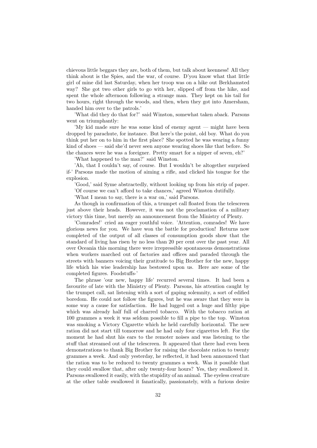chievous little beggars they are, both of them, but talk about keenness! All they think about is the Spies, and the war, of course. D'you know what that little girl of mine did last Saturday, when her troop was on a hike out Berkhamsted way? She got two other girls to go with her, slipped off from the hike, and spent the whole afternoon following a strange man. They kept on his tail for two hours, right through the woods, and then, when they got into Amersham, handed him over to the patrols.'

'What did they do that for?' said Winston, somewhat taken aback. Parsons went on triumphantly:

'My kid made sure he was some kind of enemy agent — might have been dropped by parachute, for instance. But here's the point, old boy. What do you think put her on to him in the first place? She spotted he was wearing a funny kind of shoes — said she'd never seen anyone wearing shoes like that before. So the chances were he was a foreigner. Pretty smart for a nipper of seven, eh?'

'What happened to the man?' said Winston.

'Ah, that I couldn't say, of course. But I wouldn't be altogether surprised if-' Parsons made the motion of aiming a rifle, and clicked his tongue for the explosion.

'Good,' said Syme abstractedly, without looking up from his strip of paper.

'Of course we can't afford to take chances,' agreed Winston dutifully.

'What I mean to say, there is a war on,' said Parsons.

As though in confirmation of this, a trumpet call floated from the telescreen just above their heads. However, it was not the proclamation of a military victory this time, but merely an announcement from the Ministry of Plenty.

'Comrades!' cried an eager youthful voice. 'Attention, comrades! We have glorious news for you. We have won the battle for production! Returns now completed of the output of all classes of consumption goods show that the standard of living has risen by no less than 20 per cent over the past year. All over Oceania this morning there were irrepressible spontaneous demonstrations when workers marched out of factories and offices and paraded through the streets with banners voicing their gratitude to Big Brother for the new, happy life which his wise leadership has bestowed upon us. Here are some of the completed figures. Foodstuffs-'

The phrase 'our new, happy life' recurred several times. It had been a favourite of late with the Ministry of Plenty. Parsons, his attention caught by the trumpet call, sat listening with a sort of gaping solemnity, a sort of edified boredom. He could not follow the figures, but he was aware that they were in some way a cause for satisfaction. He had lugged out a huge and filthy pipe which was already half full of charred tobacco. With the tobacco ration at 100 grammes a week it was seldom possible to fill a pipe to the top. Winston was smoking a Victory Cigarette which he held carefully horizontal. The new ration did not start till tomorrow and he had only four cigarettes left. For the moment he had shut his ears to the remoter noises and was listening to the stuff that streamed out of the telescreen. It appeared that there had even been demonstrations to thank Big Brother for raising the chocolate ration to twenty grammes a week. And only yesterday, he reflected, it had been announced that the ration was to be reduced to twenty grammes a week. Was it possible that they could swallow that, after only twenty-four hours? Yes, they swallowed it. Parsons swallowed it easily, with the stupidity of an animal. The eyeless creature at the other table swallowed it fanatically, passionately, with a furious desire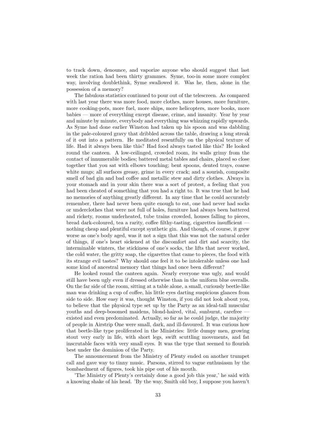to track down, denounce, and vaporize anyone who should suggest that last week the ration had been thirty grammes. Syme, too-in some more complex way, involving doublethink, Syme swallowed it. Was he, then, alone in the possession of a memory?

The fabulous statistics continued to pour out of the telescreen. As compared with last year there was more food, more clothes, more houses, more furniture, more cooking-pots, more fuel, more ships, more helicopters, more books, more babies — more of everything except disease, crime, and insanity. Year by year and minute by minute, everybody and everything was whizzing rapidly upwards. As Syme had done earlier Winston had taken up his spoon and was dabbling in the pale-coloured gravy that dribbled across the table, drawing a long streak of it out into a pattern. He meditated resentfully on the physical texture of life. Had it always been like this? Had food always tasted like this? He looked round the canteen. A low-ceilinged, crowded room, its walls grimy from the contact of innumerable bodies; battered metal tables and chairs, placed so close together that you sat with elbows touching; bent spoons, dented trays, coarse white mugs; all surfaces greasy, grime in every crack; and a sourish, composite smell of bad gin and bad coffee and metallic stew and dirty clothes. Always in your stomach and in your skin there was a sort of protest, a feeling that you had been cheated of something that you had a right to. It was true that he had no memories of anything greatly different. In any time that he could accurately remember, there had never been quite enough to eat, one had never had socks or underclothes that were not full of holes, furniture had always been battered and rickety, rooms underheated, tube trains crowded, houses falling to pieces, bread dark-coloured, tea a rarity, coffee filthy-tasting, cigarettes insufficient nothing cheap and plentiful except synthetic gin. And though, of course, it grew worse as one's body aged, was it not a sign that this was not the natural order of things, if one's heart sickened at the discomfort and dirt and scarcity, the interminable winters, the stickiness of one's socks, the lifts that never worked, the cold water, the gritty soap, the cigarettes that came to pieces, the food with its strange evil tastes? Why should one feel it to be intolerable unless one had some kind of ancestral memory that things had once been different?

He looked round the canteen again. Nearly everyone was ugly, and would still have been ugly even if dressed otherwise than in the uniform blue overalls. On the far side of the room, sitting at a table alone, a small, curiously beetle-like man was drinking a cup of coffee, his little eyes darting suspicious glances from side to side. How easy it was, thought Winston, if you did not look about you, to believe that the physical type set up by the Party as an ideal-tall muscular youths and deep-bosomed maidens, blond-haired, vital, sunburnt, carefree existed and even predominated. Actually, so far as he could judge, the majority of people in Airstrip One were small, dark, and ill-favoured. It was curious how that beetle-like type proliferated in the Ministries: little dumpy men, growing stout very early in life, with short legs, swift scuttling movements, and fat inscrutable faces with very small eyes. It was the type that seemed to flourish best under the dominion of the Party.

The announcement from the Ministry of Plenty ended on another trumpet call and gave way to tinny music. Parsons, stirred to vague enthusiasm by the bombardment of figures, took his pipe out of his mouth.

'The Ministry of Plenty's certainly done a good job this year,' he said with a knowing shake of his head. 'By the way, Smith old boy, I suppose you haven't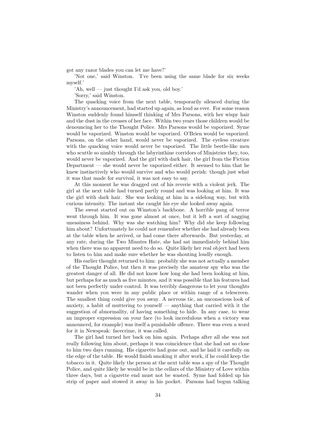got any razor blades you can let me have?'

'Not one,' said Winston. 'I've been using the same blade for six weeks myself.'

'Ah, well — just thought I'd ask you, old boy.'

'Sorry,' said Winston.

The quacking voice from the next table, temporarily silenced during the Ministry's announcement, had started up again, as loud as ever. For some reason Winston suddenly found himself thinking of Mrs Parsons, with her wispy hair and the dust in the creases of her face. Within two years those children would be denouncing her to the Thought Police. Mrs Parsons would be vaporized. Syme would be vaporized. Winston would be vaporized. O'Brien would be vaporized. Parsons, on the other hand, would never be vaporized. The eyeless creature with the quacking voice would never be vaporized. The little beetle-like men who scuttle so nimbly through the labyrinthine corridors of Ministries they, too, would never be vaporized. And the girl with dark hair, the girl from the Fiction Department — she would never be vaporized either. It seemed to him that he knew instinctively who would survive and who would perish: though just what it was that made for survival, it was not easy to say.

At this moment he was dragged out of his reverie with a violent jerk. The girl at the next table had turned partly round and was looking at him. It was the girl with dark hair. She was looking at him in a sidelong way, but with curious intensity. The instant she caught his eye she looked away again.

The sweat started out on Winston's backbone. A horrible pang of terror went through him. It was gone almost at once, but it left a sort of nagging uneasiness behind. Why was she watching him? Why did she keep following him about? Unfortunately he could not remember whether she had already been at the table when he arrived, or had come there afterwards. But yesterday, at any rate, during the Two Minutes Hate, she had sat immediately behind him when there was no apparent need to do so. Quite likely her real object had been to listen to him and make sure whether he was shouting loudly enough.

His earlier thought returned to him: probably she was not actually a member of the Thought Police, but then it was precisely the amateur spy who was the greatest danger of all. He did not know how long she had been looking at him, but perhaps for as much as five minutes, and it was possible that his features had not been perfectly under control. It was terribly dangerous to let your thoughts wander when you were in any public place or within range of a telescreen. The smallest thing could give you away. A nervous tic, an unconscious look of anxiety, a habit of muttering to yourself — anything that carried with it the suggestion of abnormality, of having something to hide. In any case, to wear an improper expression on your face (to look incredulous when a victory was announced, for example) was itself a punishable offence. There was even a word for it in Newspeak: facecrime, it was called.

The girl had turned her back on him again. Perhaps after all she was not really following him about, perhaps it was coincidence that she had sat so close to him two days running. His cigarette had gone out, and he laid it carefully on the edge of the table. He would finish smoking it after work, if he could keep the tobacco in it. Quite likely the person at the next table was a spy of the Thought Police, and quite likely he would be in the cellars of the Ministry of Love within three days, but a cigarette end must not be wasted. Syme had folded up his strip of paper and stowed it away in his pocket. Parsons had begun talking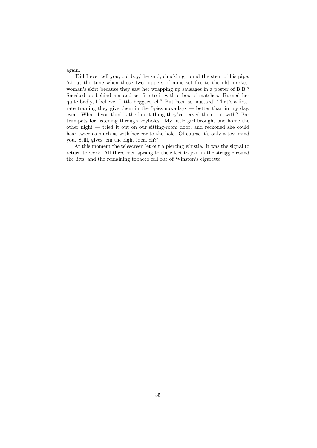again.

'Did I ever tell you, old boy,' he said, chuckling round the stem of his pipe, 'about the time when those two nippers of mine set fire to the old marketwoman's skirt because they saw her wrapping up sausages in a poster of B.B.? Sneaked up behind her and set fire to it with a box of matches. Burned her quite badly, I believe. Little beggars, eh? But keen as mustard! That's a firstrate training they give them in the Spies nowadays — better than in my day, even. What d'you think's the latest thing they've served them out with? Ear trumpets for listening through keyholes! My little girl brought one home the other night — tried it out on our sitting-room door, and reckoned she could hear twice as much as with her ear to the hole. Of course it's only a toy, mind you. Still, gives 'em the right idea, eh?'

At this moment the telescreen let out a piercing whistle. It was the signal to return to work. All three men sprang to their feet to join in the struggle round the lifts, and the remaining tobacco fell out of Winston's cigarette.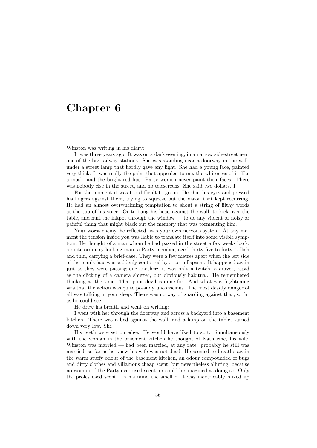## Chapter 6

Winston was writing in his diary:

It was three years ago. It was on a dark evening, in a narrow side-street near one of the big railway stations. She was standing near a doorway in the wall, under a street lamp that hardly gave any light. She had a young face, painted very thick. It was really the paint that appealed to me, the whiteness of it, like a mask, and the bright red lips. Party women never paint their faces. There was nobody else in the street, and no telescreens. She said two dollars. I

For the moment it was too difficult to go on. He shut his eyes and pressed his fingers against them, trying to squeeze out the vision that kept recurring. He had an almost overwhelming temptation to shout a string of filthy words at the top of his voice. Or to bang his head against the wall, to kick over the table, and hurl the inkpot through the window — to do any violent or noisy or painful thing that might black out the memory that was tormenting him.

Your worst enemy, he reflected, was your own nervous system. At any moment the tension inside you was liable to translate itself into some visible symptom. He thought of a man whom he had passed in the street a few weeks back; a quite ordinary-looking man, a Party member, aged thirty-five to forty, tallish and thin, carrying a brief-case. They were a few metres apart when the left side of the man's face was suddenly contorted by a sort of spasm. It happened again just as they were passing one another: it was only a twitch, a quiver, rapid as the clicking of a camera shutter, but obviously habitual. He remembered thinking at the time: That poor devil is done for. And what was frightening was that the action was quite possibly unconscious. The most deadly danger of all was talking in your sleep. There was no way of guarding against that, so far as he could see.

He drew his breath and went on writing:

I went with her through the doorway and across a backyard into a basement kitchen. There was a bed against the wall, and a lamp on the table, turned down very low. She

His teeth were set on edge. He would have liked to spit. Simultaneously with the woman in the basement kitchen he thought of Katharine, his wife. Winston was married — had been married, at any rate: probably he still was married, so far as he knew his wife was not dead. He seemed to breathe again the warm stuffy odour of the basement kitchen, an odour compounded of bugs and dirty clothes and villainous cheap scent, but nevertheless alluring, because no woman of the Party ever used scent, or could be imagined as doing so. Only the proles used scent. In his mind the smell of it was inextricably mixed up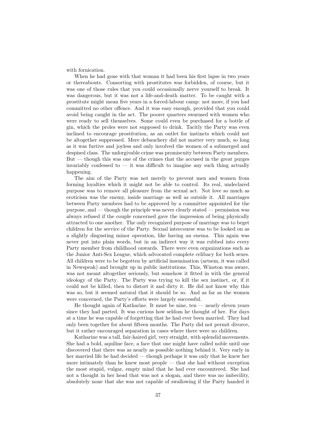with fornication.

When he had gone with that woman it had been his first lapse in two years or thereabouts. Consorting with prostitutes was forbidden, of course, but it was one of those rules that you could occasionally nerve yourself to break. It was dangerous, but it was not a life-and-death matter. To be caught with a prostitute might mean five years in a forced-labour camp: not more, if you had committed no other offence. And it was easy enough, provided that you could avoid being caught in the act. The poorer quarters swarmed with women who were ready to sell themselves. Some could even be purchased for a bottle of gin, which the proles were not supposed to drink. Tacitly the Party was even inclined to encourage prostitution, as an outlet for instincts which could not be altogether suppressed. Mere debauchery did not matter very much, so long as it was furtive and joyless and only involved the women of a submerged and despised class. The unforgivable crime was promiscuity between Party members. But — though this was one of the crimes that the accused in the great purges invariably confessed to  $-$  it was difficult to imagine any such thing actually happening.

The aim of the Party was not merely to prevent men and women from forming loyalties which it might not be able to control. Its real, undeclared purpose was to remove all pleasure from the sexual act. Not love so much as eroticism was the enemy, inside marriage as well as outside it. All marriages between Party members had to be approved by a committee appointed for the purpose, and — though the principle was never clearly stated — permission was always refused if the couple concerned gave the impression of being physically attracted to one another. The only recognized purpose of marriage was to beget children for the service of the Party. Sexual intercourse was to be looked on as a slightly disgusting minor operation, like having an enema. This again was never put into plain words, but in an indirect way it was rubbed into every Party member from childhood onwards. There were even organizations such as the Junior Anti-Sex League, which advocated complete celibacy for both sexes. All children were to be begotten by artificial insemination (artsem, it was called in Newspeak) and brought up in public institutions. This, Winston was aware, was not meant altogether seriously, but somehow it fitted in with the general ideology of the Party. The Party was trying to kill the sex instinct, or, if it could not be killed, then to distort it and dirty it. He did not know why this was so, but it seemed natural that it should be so. And as far as the women were concerned, the Party's efforts were largely successful.

He thought again of Katharine. It must be nine, ten — nearly eleven years since they had parted. It was curious how seldom he thought of her. For days at a time he was capable of forgetting that he had ever been married. They had only been together for about fifteen months. The Party did not permit divorce, but it rather encouraged separation in cases where there were no children.

Katharine was a tall, fair-haired girl, very straight, with splendid movements. She had a bold, aquiline face, a face that one might have called noble until one discovered that there was as nearly as possible nothing behind it. Very early in her married life he had decided — though perhaps it was only that he knew her more intimately than he knew most people — that she had without exception the most stupid, vulgar, empty mind that he had ever encountered. She had not a thought in her head that was not a slogan, and there was no imbecility, absolutely none that she was not capable of swallowing if the Party handed it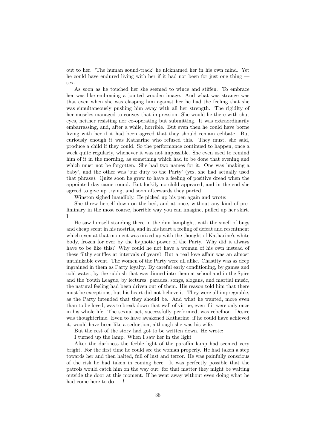out to her. 'The human sound-track' he nicknamed her in his own mind. Yet he could have endured living with her if it had not been for just one thing sex.

As soon as he touched her she seemed to wince and stiffen. To embrace her was like embracing a jointed wooden image. And what was strange was that even when she was clasping him against her he had the feeling that she was simultaneously pushing him away with all her strength. The rigidlty of her muscles managed to convey that impression. She would lie there with shut eyes, neither resisting nor co-operating but submitting. It was extraordinarily embarrassing, and, after a while, horrible. But even then he could have borne living with her if it had been agreed that they should remain celibate. But curiously enough it was Katharine who refused this. They must, she said, produce a child if they could. So the performance continued to happen, once a week quite regulariy, whenever it was not impossible. She even used to remind him of it in the morning, as something which had to be done that evening and which must not be forgotten. She had two names for it. One was 'making a baby', and the other was 'our duty to the Party' (yes, she had actually used that phrase). Quite soon he grew to have a feeling of positive dread when the appointed day came round. But luckily no child appeared, and in the end she agreed to give up trying, and soon afterwards they parted.

Winston sighed inaudibly. He picked up his pen again and wrote:

She threw herself down on the bed, and at once, without any kind of preliminary in the most coarse, horrible way you can imagine, pulled up her skirt. I

He saw himself standing there in the dim lamplight, with the smell of bugs and cheap scent in his nostrils, and in his heart a feeling of defeat and resentment which even at that moment was mixed up with the thought of Katharine's white body, frozen for ever by the hypnotic power of the Party. Why did it always have to be like this? Why could he not have a woman of his own instead of these filthy scuffles at intervals of years? But a real love affair was an almost unthinkable event. The women of the Party were all alike. Chastity was as deep ingrained in them as Party loyalty. By careful early conditioning, by games and cold water, by the rubbish that was dinned into them at school and in the Spies and the Youth League, by lectures, parades, songs, slogans, and martial music, the natural feeling had been driven out of them. His reason told him that there must be exceptions, but his heart did not believe it. They were all impregnable, as the Party intended that they should be. And what he wanted, more even than to be loved, was to break down that wall of virtue, even if it were only once in his whole life. The sexual act, successfully performed, was rebellion. Desire was thoughtcrime. Even to have awakened Katharine, if he could have achieved it, would have been like a seduction, although she was his wife.

But the rest of the story had got to be written down. He wrote:

I turned up the lamp. When I saw her in the light

After the darkness the feeble light of the paraffin lamp had seemed very bright. For the first time he could see the woman properly. He had taken a step towards her and then halted, full of lust and terror. He was painfully conscious of the risk he had taken in coming here. It was perfectly possible that the patrols would catch him on the way out: for that matter they might be waiting outside the door at this moment. If he went away without even doing what he had come here to do -!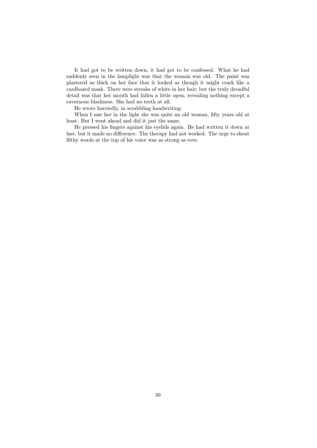It had got to be written down, it had got to be confessed. What he had suddenly seen in the lamplight was that the woman was old. The paint was plastered so thick on her face that it looked as though it might crack like a cardboard mask. There were streaks of white in her hair; but the truly dreadful detail was that her mouth had fallen a little open, revealing nothing except a cavernous blackness. She had no teeth at all.

He wrote hurriedly, in scrabbling handwriting:

When I saw her in the light she was quite an old woman, fifty years old at least. But I went ahead and did it just the same.

He pressed his fingers against his eyelids again. He had written it down at last, but it made no difference. The therapy had not worked. The urge to shout filthy words at the top of his voice was as strong as ever.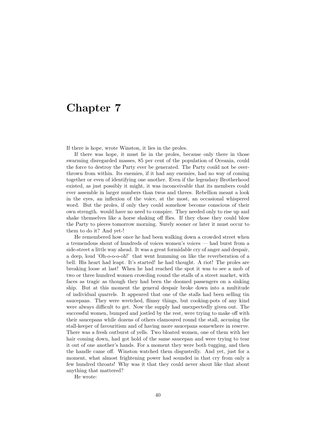# Chapter 7

If there is hope, wrote Winston, it lies in the proles.

If there was hope, it must lie in the proles, because only there in those swarming disregarded masses, 85 per cent of the population of Oceania, could the force to destroy the Party ever be generated. The Party could not be overthrown from within. Its enemies, if it had any enemies, had no way of coming together or even of identifying one another. Even if the legendary Brotherhood existed, as just possibly it might, it was inconceivable that its members could ever assemble in larger numbers than twos and threes. Rebellion meant a look in the eyes, an inflexion of the voice, at the most, an occasional whispered word. But the proles, if only they could somehow become conscious of their own strength. would have no need to conspire. They needed only to rise up and shake themselves like a horse shaking off flies. If they chose they could blow the Party to pieces tomorrow morning. Surely sooner or later it must occur to them to do it? And yet-!

He remembered how once he had been walking down a crowded street when a tremendous shout of hundreds of voices women's voices — had burst from a side-street a little way ahead. It was a great formidable cry of anger and despair, a deep, loud 'Oh-o-o-o-oh!' that went humming on like the reverberation of a bell. His heart had leapt. It's started! he had thought. A riot! The proles are breaking loose at last! When he had reached the spot it was to see a mob of two or three hundred women crowding round the stalls of a street market, with faces as tragic as though they had been the doomed passengers on a sinking ship. But at this moment the general despair broke down into a multitude of individual quarrels. It appeared that one of the stalls had been selling tin saucepans. They were wretched, flimsy things, but cooking-pots of any kind were always difficult to get. Now the supply had unexpectedly given out. The successful women, bumped and jostled by the rest, were trying to make off with their saucepans while dozens of others clamoured round the stall, accusing the stall-keeper of favouritism and of having more saucepans somewhere in reserve. There was a fresh outburst of yells. Two bloated women, one of them with her hair coming down, had got hold of the same saucepan and were trying to tear it out of one another's hands. For a moment they were both tugging, and then the handle came off. Winston watched them disgustedly. And yet, just for a moment, what almost frightening power had sounded in that cry from only a few hundred throats! Why was it that they could never shout like that about anything that mattered?

He wrote: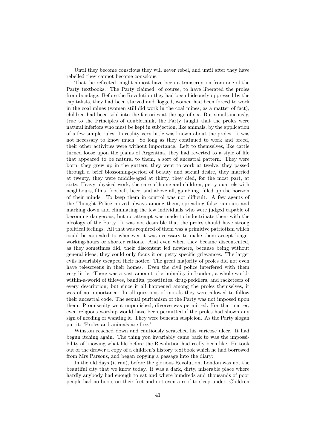Until they become conscious they will never rebel, and until after they have rebelled they cannot become conscious.

That, he reflected, might almost have been a transcription from one of the Party textbooks. The Party claimed, of course, to have liberated the proles from bondage. Before the Revolution they had been hideously oppressed by the capitalists, they had been starved and flogged, women had been forced to work in the coal mines (women still did work in the coal mines, as a matter of fact), children had been sold into the factories at the age of six. But simultaneously, true to the Principles of doublethink, the Party taught that the proles were natural inferiors who must be kept in subjection, like animals, by the application of a few simple rules. In reality very little was known about the proles. It was not necessary to know much. So long as they continued to work and breed, their other activities were without importance. Left to themselves, like cattle turned loose upon the plains of Argentina, they had reverted to a style of life that appeared to be natural to them, a sort of ancestral pattern. They were born, they grew up in the gutters, they went to work at twelve, they passed through a brief blossoming-period of beauty and sexual desire, they married at twenty, they were middle-aged at thirty, they died, for the most part, at sixty. Heavy physical work, the care of home and children, petty quarrels with neighbours, films, football, beer, and above all, gambling, filled up the horizon of their minds. To keep them in control was not difficult. A few agents of the Thought Police moved always among them, spreading false rumours and marking down and eliminating the few individuals who were judged capable of becoming dangerous; but no attempt was made to indoctrinate them with the ideology of the Party. It was not desirable that the proles should have strong political feelings. All that was required of them was a primitive patriotism which could be appealed to whenever it was necessary to make them accept longer working-hours or shorter rations. And even when they became discontented, as they sometimes did, their discontent led nowhere, because being without general ideas, they could only focus it on petty specific grievances. The larger evils invariably escaped their notice. The great majority of proles did not even have telescreens in their homes. Even the civil police interfered with them very little. There was a vast amount of criminality in London, a whole worldwithin-a-world of thieves, bandits, prostitutes, drug-peddlers, and racketeers of every description; but since it all happened among the proles themselves, it was of no importance. In all questions of morals they were allowed to follow their ancestral code. The sexual puritanism of the Party was not imposed upon them. Promiscuity went unpunished, divorce was permitted. For that matter, even religious worship would have been permitted if the proles had shown any sign of needing or wanting it. They were beneath suspicion. As the Party slogan put it: 'Proles and animals are free.'

Winston reached down and cautiously scratched his varicose ulcer. It had begun itching again. The thing you invariably came back to was the impossibility of knowing what life before the Revolution had really been like. He took out of the drawer a copy of a children's history textbook which he had borrowed from Mrs Parsons, and began copying a passage into the diary:

In the old days (it ran), before the glorious Revolution, London was not the beautiful city that we know today. It was a dark, dirty, miserable place where hardly anybody had enough to eat and where hundreds and thousands of poor people had no boots on their feet and not even a roof to sleep under. Children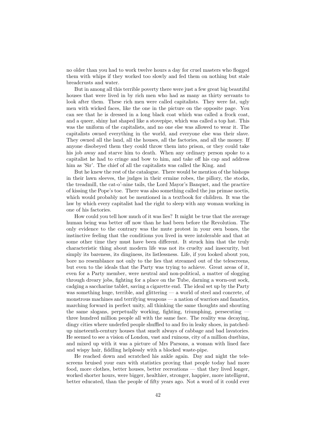no older than you had to work twelve hours a day for cruel masters who flogged them with whips if they worked too slowly and fed them on nothing but stale breadcrusts and water.

But in among all this terrible poverty there were just a few great big beautiful houses that were lived in by rich men who had as many as thirty servants to look after them. These rich men were called capitalists. They were fat, ugly men with wicked faces, like the one in the picture on the opposite page. You can see that he is dressed in a long black coat which was called a frock coat, and a queer, shiny hat shaped like a stovepipe, which was called a top hat. This was the uniform of the capitalists, and no one else was allowed to wear it. The capitalists owned everything in the world, and everyone else was their slave. They owned all the land, all the houses, all the factories, and all the money. If anyone disobeyed them they could throw them into prison, or they could take his job away and starve him to death. When any ordinary person spoke to a capitalist he had to cringe and bow to him, and take off his cap and address him as 'Sir'. The chief of all the capitalists was called the King. and

But he knew the rest of the catalogue. There would be mention of the bishops in their lawn sleeves, the judges in their ermine robes, the pillory, the stocks, the treadmill, the cat-o'-nine tails, the Lord Mayor's Banquet, and the practice of kissing the Pope's toe. There was also something called the jus primae noctis, which would probably not be mentioned in a textbook for children. It was the law by which every capitalist had the right to sleep with any woman working in one of his factories.

How could you tell how much of it was lies? It might be true that the average human being was better off now than he had been before the Revolution. The only evidence to the contrary was the mute protest in your own bones, the instinctive feeling that the conditions you lived in were intolerable and that at some other time they must have been different. It struck him that the truly characteristic thing about modern life was not its cruelty and insecurity, but simply its bareness, its dinginess, its listlessness. Life, if you looked about you, bore no resemblance not only to the lies that streamed out of the telescreens, but even to the ideals that the Party was trying to achieve. Great areas of it, even for a Party member, were neutral and non-political, a matter of slogging through dreary jobs, fighting for a place on the Tube, darning a worn-out sock, cadging a saccharine tablet, saving a cigarette end. The ideal set up by the Party was something huge, terrible, and glittering — a world of steel and concrete, of monstrous machines and terrifying weapons — a nation of warriors and fanatics, marching forward in perfect unity, all thinking the same thoughts and shouting the same slogans, perpetually working, fighting, triumphing, persecuting three hundred million people all with the same face. The reality was decaying, dingy cities where underfed people shuffled to and fro in leaky shoes, in patchedup nineteenth-century houses that smelt always of cabbage and bad lavatories. He seemed to see a vision of London, vast and ruinous, city of a million dustbins, and mixed up with it was a picture of Mrs Parsons, a woman with lined face and wispy hair, fiddling helplessly with a blocked waste-pipe.

He reached down and scratched his ankle again. Day and night the telescreens bruised your ears with statistics proving that people today had more food, more clothes, better houses, better recreations — that they lived longer, worked shorter hours, were bigger, healthier, stronger, happier, more intelligent, better educated, than the people of fifty years ago. Not a word of it could ever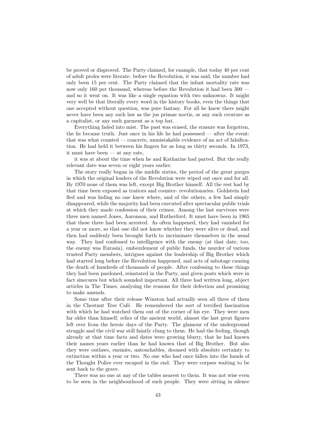be proved or disproved. The Party claimed, for example, that today 40 per cent of adult proles were literate: before the Revolution, it was said, the number had only been 15 per cent. The Party claimed that the infant mortality rate was now only 160 per thousand, whereas before the Revolution it had been 300 and so it went on. It was like a single equation with two unknowns. It might very well be that literally every word in the history books, even the things that one accepted without question, was pure fantasy. For all he knew there might never have been any such law as the jus primae noctis, or any such creature as a capitalist, or any such garment as a top hat.

Everything faded into mist. The past was erased, the erasure was forgotten, the lie became truth. Just once in his life he had possessed — after the event: that was what counted — concrete, unmistakable evidence of an act of falsification. He had held it between his fingers for as long as thirty seconds. In 1973, it must have been — at any rate,

it was at about the time when he and Katharine had parted. But the really relevant date was seven or eight years earlier.

The story really began in the middle sixties, the period of the great purges in which the original leaders of the Revolution were wiped out once and for all. By 1970 none of them was left, except Big Brother himself. All the rest had by that time been exposed as traitors and counter- revolutionaries. Goldstein had fled and was hiding no one knew where, and of the others, a few had simply disappeared, while the majority had been executed after spectacular public trials at which they made confession of their crimes. Among the last survivors were three men named Jones, Aaronson, and Rutherford. It must have been in 1965 that these three had been arrested. As often happened, they had vanished for a year or more, so that one did not know whether they were alive or dead, and then had suddenly been brought forth to incriminate themselves in the usual way. They had confessed to intelligence with the enemy (at that date, too, the enemy was Eurasia), embezzlement of public funds, the murder of various trusted Party members, intrigues against the leadership of Big Brother which had started long before the Revolution happened, and acts of sabotage causing the death of hundreds of thousands of people. After confessing to these things they had been pardoned, reinstated in the Party, and given posts which were in fact sinecures but which sounded important. All three had written long, abject articles in The Times, analysing the reasons for their defection and promising to make amends.

Some time after their release Winston had actually seen all three of them in the Chestnut Tree Café. He remembered the sort of terrified fascination with which he had watched them out of the corner of his eye. They were men far older than himself, relics of the ancient world, almost the last great figures left over from the heroic days of the Party. The glamour of the underground struggle and the civil war still faintly clung to them. He had the feeling, though already at that time facts and dates were growing blurry, that he had known their names years earlier than he had known that of Big Brother. But also they were outlaws, enemies, untouchables, doomed with absolute certainty to extinction within a year or two. No one who had once fallen into the hands of the Thought Police ever escaped in the end. They were corpses waiting to be sent back to the grave.

There was no one at any of the tables nearest to them. It was not wise even to be seen in the neighbourhood of such people. They were sitting in silence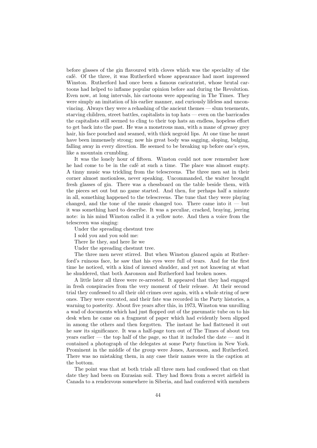before glasses of the gin flavoured with cloves which was the speciality of the café. Of the three, it was Rutherford whose appearance had most impressed Winston. Rutherford had once been a famous caricaturist, whose brutal cartoons had helped to inflame popular opinion before and during the Revolution. Even now, at long intervals, his cartoons were appearing in The Times. They were simply an imitation of his earlier manner, and curiously lifeless and unconvincing. Always they were a rehashing of the ancient themes — slum tenements, starving children, street battles, capitalists in top hats — even on the barricades the capitalists still seemed to cling to their top hats an endless, hopeless effort to get back into the past. He was a monstrous man, with a mane of greasy grey hair, his face pouched and seamed, with thick negroid lips. At one time he must have been immensely strong; now his great body was sagging, sloping, bulging, falling away in every direction. He seemed to be breaking up before one's eves, like a mountain crumbling.

It was the lonely hour of fifteen. Winston could not now remember how he had come to be in the café at such a time. The place was almost empty. A tinny music was trickling from the telescreens. The three men sat in their corner almost motionless, never speaking. Uncommanded, the waiter brought fresh glasses of gin. There was a chessboard on the table beside them, with the pieces set out but no game started. And then, for perhaps half a minute in all, something happened to the telescreens. The tune that they were playing changed, and the tone of the music changed too. There came into it  $-$  but it was something hard to describe. It was a peculiar, cracked, braying, jeering note: in his mind Winston called it a yellow note. And then a voice from the telescreen was singing:

Under the spreading chestnut tree

I sold you and you sold me:

There lie they, and here lie we

Under the spreading chestnut tree.

The three men never stirred. But when Winston glanced again at Rutherford's ruinous face, he saw that his eyes were full of tears. And for the first time he noticed, with a kind of inward shudder, and yet not knowing at what he shuddered, that both Aaronson and Rutherford had broken noses.

A little later all three were re-arrested. It appeared that they had engaged in fresh conspiracies from the very moment of their release. At their second trial they confessed to all their old crimes over again, with a whole string of new ones. They were executed, and their fate was recorded in the Party histories, a warning to posterity. About five years after this, in 1973, Winston was unrolling a wad of documents which had just flopped out of the pneumatic tube on to his desk when he came on a fragment of paper which had evidently been slipped in among the others and then forgotten. The instant he had flattened it out he saw its significance. It was a half-page torn out of The Times of about ten years earlier — the top half of the page, so that it included the date — and it contained a photograph of the delegates at some Party function in New York. Prominent in the middle of the group were Jones, Aaronson, and Rutherford. There was no mistaking them, in any case their names were in the caption at the bottom.

The point was that at both trials all three men had confessed that on that date they had been on Eurasian soil. They had flown from a secret airfield in Canada to a rendezvous somewhere in Siberia, and had conferred with members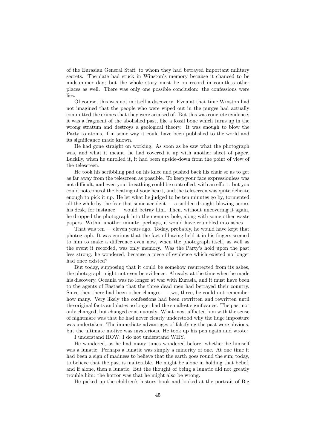of the Eurasian General Staff, to whom they had betrayed important military secrets. The date had stuck in Winston's memory because it chanced to be midsummer day; but the whole story must be on record in countless other places as well. There was only one possible conclusion: the confessions were lies.

Of course, this was not in itself a discovery. Even at that time Winston had not imagined that the people who were wiped out in the purges had actually committed the crimes that they were accused of. But this was concrete evidence; it was a fragment of the abolished past, like a fossil bone which turns up in the wrong stratum and destroys a geological theory. It was enough to blow the Party to atoms, if in some way it could have been published to the world and its significance made known.

He had gone straight on working. As soon as he saw what the photograph was, and what it meant, he had covered it up with another sheet of paper. Luckily, when he unrolled it, it had been upside-down from the point of view of the telescreen.

He took his scribbling pad on his knee and pushed back his chair so as to get as far away from the telescreen as possible. To keep your face expressionless was not difficult, and even your breathing could be controlled, with an effort: but you could not control the beating of your heart, and the telescreen was quite delicate enough to pick it up. He let what he judged to be ten minutes go by, tormented all the while by the fear that some accident — a sudden draught blowing across his desk, for instance — would betray him. Then, without uncovering it again, he dropped the photograph into the memory hole, along with some other waste papers. Within another minute, perhaps, it would have crumbled into ashes.

That was ten — eleven years ago. Today, probably, he would have kept that photograph. It was curious that the fact of having held it in his fingers seemed to him to make a difference even now, when the photograph itself, as well as the event it recorded, was only memory. Was the Party's hold upon the past less strong, he wondered, because a piece of evidence which existed no longer had once existed?

But today, supposing that it could be somehow resurrected from its ashes, the photograph might not even be evidence. Already, at the time when he made his discovery, Oceania was no longer at war with Eurasia, and it must have been to the agents of Eastasia that the three dead men had betrayed their country. Since then there had been other changes — two, three, he could not remember how many. Very likely the confessions had been rewritten and rewritten until the original facts and dates no longer had the smallest significance. The past not only changed, but changed continuously. What most afflicted him with the sense of nightmare was that he had never clearly understood why the huge imposture was undertaken. The immediate advantages of falsifying the past were obvious, but the ultimate motive was mysterious. He took up his pen again and wrote:

I understand HOW: I do not understand WHY.

He wondered, as he had many times wondered before, whether he himself was a lunatic. Perhaps a lunatic was simply a minority of one. At one time it had been a sign of madness to believe that the earth goes round the sun; today, to believe that the past is inalterable. He might be alone in holding that belief, and if alone, then a lunatic. But the thought of being a lunatic did not greatly trouble him: the horror was that he might also be wrong.

He picked up the children's history book and looked at the portrait of Big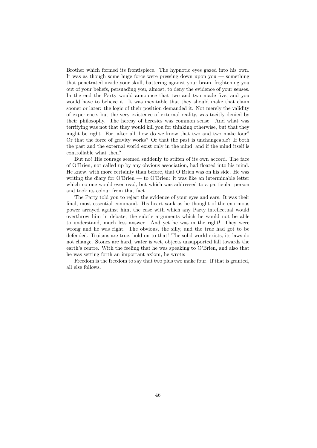Brother which formed its frontispiece. The hypnotic eyes gazed into his own. It was as though some huge force were pressing down upon you — something that penetrated inside your skull, battering against your brain, frightening you out of your beliefs, persuading you, almost, to deny the evidence of your senses. In the end the Party would announce that two and two made five, and you would have to believe it. It was inevitable that they should make that claim sooner or later: the logic of their position demanded it. Not merely the validity of experience, but the very existence of external reality, was tacitly denied by their philosophy. The heresy of heresies was common sense. And what was terrifying was not that they would kill you for thinking otherwise, but that they might be right. For, after all, how do we know that two and two make four? Or that the force of gravity works? Or that the past is unchangeable? If both the past and the external world exist only in the mind, and if the mind itself is controllable what then?

But no! His courage seemed suddenly to stiffen of its own accord. The face of O'Brien, not called up by any obvious association, had floated into his mind. He knew, with more certainty than before, that O'Brien was on his side. He was writing the diary for O'Brien — to O'Brien: it was like an interminable letter which no one would ever read, but which was addressed to a particular person and took its colour from that fact.

The Party told you to reject the evidence of your eyes and ears. It was their final, most essential command. His heart sank as he thought of the enormous power arrayed against him, the ease with which any Party intellectual would overthrow him in debate, the subtle arguments which he would not be able to understand, much less answer. And yet he was in the right! They were wrong and he was right. The obvious, the silly, and the true had got to be defended. Truisms are true, hold on to that! The solid world exists, its laws do not change. Stones are hard, water is wet, objects unsupported fall towards the earth's centre. With the feeling that he was speaking to O'Brien, and also that he was setting forth an important axiom, he wrote:

Freedom is the freedom to say that two plus two make four. If that is granted, all else follows.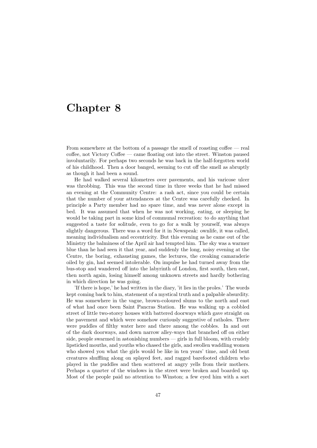## Chapter 8

From somewhere at the bottom of a passage the smell of roasting coffee — real coffee, not Victory Coffee — came floating out into the street. Winston paused involuntarily. For perhaps two seconds he was back in the half-forgotten world of his childhood. Then a door banged, seeming to cut off the smell as abruptly as though it had been a sound.

He had walked several kilometres over pavements, and his varicose ulcer was throbbing. This was the second time in three weeks that he had missed an evening at the Community Centre: a rash act, since you could be certain that the number of your attendances at the Centre was carefully checked. In principle a Party member had no spare time, and was never alone except in bed. It was assumed that when he was not working, eating, or sleeping he would be taking part in some kind of communal recreation: to do anything that suggested a taste for solitude, even to go for a walk by yourself, was always slightly dangerous. There was a word for it in Newspeak: ownlife, it was called, meaning individualism and eccentricity. But this evening as he came out of the Ministry the balminess of the April air had tempted him. The sky was a warmer blue than he had seen it that year, and suddenly the long, noisy evening at the Centre, the boring, exhausting games, the lectures, the creaking camaraderie oiled by gin, had seemed intolerable. On impulse he had turned away from the bus-stop and wandered off into the labyrinth of London, first south, then east, then north again, losing himself among unknown streets and hardly bothering in which direction he was going.

'If there is hope,' he had written in the diary, 'it lies in the proles.' The words kept coming back to him, statement of a mystical truth and a palpable absurdity. He was somewhere in the vague, brown-coloured slums to the north and east of what had once been Saint Pancras Station. He was walking up a cobbled street of little two-storey houses with battered doorways which gave straight on the pavement and which were somehow curiously suggestive of ratholes. There were puddles of filthy water here and there among the cobbles. In and out of the dark doorways, and down narrow alley-ways that branched off on either side, people swarmed in astonishing numbers — girls in full bloom, with crudely lipsticked mouths, and youths who chased the girls, and swollen waddling women who showed you what the girls would be like in ten years' time, and old bent creatures shuffling along on splayed feet, and ragged barefooted children who played in the puddles and then scattered at angry yells from their mothers. Perhaps a quarter of the windows in the street were broken and boarded up. Most of the people paid no attention to Winston; a few eyed him with a sort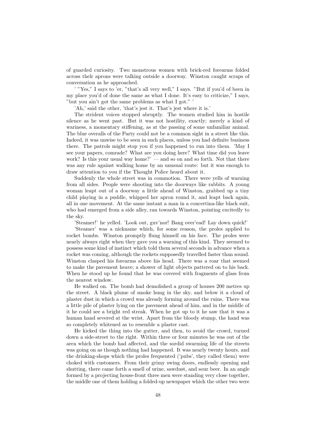of guarded curiosity. Two monstrous women with brick-red forearms folded across thelr aprons were talking outside a doorway. Winston caught scraps of conversation as he approached.

' "Yes," I says to 'er, "that's all very well," I says. "But if you'd of been in my place you'd of done the same as what I done. It's easy to criticize," I says, "but you ain't got the same problems as what I got."

'Ah,' said the other, 'that's jest it. That's jest where it is.'

The strident voices stopped abruptly. The women studied him in hostile silence as he went past. But it was not hostility, exactly; merely a kind of wariness, a momentary stiffening, as at the passing of some unfamiliar animal. The blue overalls of the Party could not be a common sight in a street like this. Indeed, it was unwise to be seen in such places, unless you had definite business there. The patrols might stop you if you happened to run into them. 'May I see your papers, comrade? What are you doing here? What time did you leave work? Is this your usual way home?' — and so on and so forth. Not that there was any rule against walking home by an unusual route: but it was enough to draw attention to you if the Thought Police heard about it.

Suddenly the whole street was in commotion. There were yells of warning from all sides. People were shooting into the doorways like rabbits. A young woman leapt out of a doorway a little ahead of Winston, grabbed up a tiny child playing in a puddle, whipped her apron round it, and leapt back again, all in one movement. At the same instant a man in a concertina-like black suit, who had emerged from a side alley, ran towards Winston, pointing excitedly to the sky.

'Steamer!' he yelled. 'Look out, guv'nor! Bang over'ead! Lay down quick!'

'Steamer' was a nickname which, for some reason, the proles applied to rocket bombs. Winston promptly flung himself on his face. The proles were nearly always right when they gave you a warning of this kind. They seemed to possess some kind of instinct which told them several seconds in advance when a rocket was coming, although the rockets supposedly travelled faster than sound. Winston clasped his forearms above his head. There was a roar that seemed to make the pavement heave; a shower of light objects pattered on to his back. When he stood up he found that he was covered with fragments of glass from the nearest window.

He walked on. The bomb had demolished a group of houses 200 metres up the street. A black plume of smoke hung in the sky, and below it a cloud of plaster dust in which a crowd was already forming around the ruins. There was a little pile of plaster lying on the pavement ahead of him, and in the middle of it he could see a bright red streak. When he got up to it he saw that it was a human hand severed at the wrist. Apart from the bloody stump, the hand was so completely whitened as to resemble a plaster cast.

He kicked the thing into the gutter, and then, to avoid the crowd, turned down a side-street to the right. Within three or four minutes he was out of the area which the bomb had affected, and the sordid swarming life of the streets was going on as though nothing had happened. It was nearly twenty hours, and the drinking-shops which the proles frequented ('pubs', they called them) were choked with customers. From their grimy swing doors, endlessly opening and shutting, there came forth a smell of urine, sawdust, and sour beer. In an angle formed by a projecting house-front three men were standing very close together, the middle one of them holding a folded-up newspaper which the other two were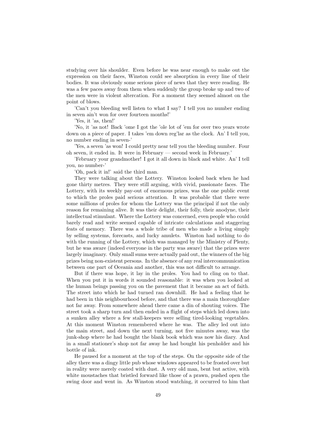studying over his shoulder. Even before he was near enough to make out the expression on their faces, Winston could see absorption in every line of their bodies. It was obviously some serious piece of news that they were reading. He was a few paces away from them when suddenly the group broke up and two of the men were in violent altercation. For a moment they seemed almost on the point of blows.

'Can't you bleeding well listen to what I say? I tell you no number ending in seven ain't won for over fourteen months!'

'Yes, it 'as, then!'

'No, it 'as not! Back 'ome I got the 'ole lot of 'em for over two years wrote down on a piece of paper. I takes 'em down reg'lar as the clock. An' I tell you, no number ending in seven-'

'Yes, a seven 'as won! I could pretty near tell you the bleeding number. Four oh seven, it ended in. It were in February — second week in February.'

'February your grandmother! I got it all down in black and white. An' I tell you, no number-'

'Oh, pack it in!' said the third man.

They were talking about the Lottery. Winston looked back when he had gone thirty metres. They were still arguing, with vivid, passionate faces. The Lottery, with its weekly pay-out of enormous prizes, was the one public event to which the proles paid serious attention. It was probable that there were some millions of proles for whom the Lottery was the principal if not the only reason for remaining alive. It was their delight, their folly, their anodyne, their intellectual stimulant. Where the Lottery was concerned, even people who could barely read and write seemed capable of intricate calculations and staggering feats of memory. There was a whole tribe of men who made a living simply by selling systems, forecasts, and lucky amulets. Winston had nothing to do with the running of the Lottery, which was managed by the Ministry of Plenty, but he was aware (indeed everyone in the party was aware) that the prizes were largely imaginary. Only small sums were actually paid out, the winners of the big prizes being non-existent persons. In the absence of any real intercommunication between one part of Oceania and another, this was not difficult to arrange.

But if there was hope, it lay in the proles. You had to cling on to that. When you put it in words it sounded reasonable: it was when you looked at the human beings passing you on the pavement that it became an act of faith. The street into which he had turned ran downhill. He had a feeling that he had been in this neighbourhood before, and that there was a main thoroughfare not far away. From somewhere ahead there came a din of shouting voices. The street took a sharp turn and then ended in a flight of steps which led down into a sunken alley where a few stall-keepers were selling tired-looking vegetables. At this moment Winston remembered where he was. The alley led out into the main street, and down the next turning, not five minutes away, was the junk-shop where he had bought the blank book which was now his diary. And in a small stationer's shop not far away he had bought his penholder and his bottle of ink.

He paused for a moment at the top of the steps. On the opposite side of the alley there was a dingy little pub whose windows appeared to be frosted over but in reality were merely coated with dust. A very old man, bent but active, with white moustaches that bristled forward like those of a prawn, pushed open the swing door and went in. As Winston stood watching, it occurred to him that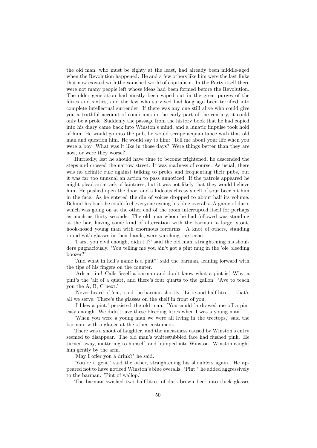the old man, who must be eighty at the least, had already been middle-aged when the Revolution happened. He and a few others like him were the last links that now existed with the vanished world of capitalism. In the Party itself there were not many people left whose ideas had been formed before the Revolution. The older generation had mostly been wiped out in the great purges of the fifties and sixties, and the few who survived had long ago been terrified into complete intellectual surrender. If there was any one still alive who could give you a truthful account of conditions in the early part of the century, it could only be a prole. Suddenly the passage from the history book that he had copied into his diary came back into Winston's mind, and a lunatic impulse took hold of him. He would go into the pub, he would scrape acquaintance with that old man and question him. He would say to him: 'Tell me about your life when you were a boy. What was it like in those days? Were things better than they are now, or were they worse?'

Hurriedly, lest he should have time to become frightened, he descended the steps and crossed the narrow street. It was madness of course. As usual, there was no definite rule against talking to proles and frequenting their pubs, but it was far too unusual an action to pass unnoticed. If the patrols appeared he might plead an attack of faintness, but it was not likely that they would believe him. He pushed open the door, and a hideous cheesy smell of sour beer hit him in the face. As he entered the din of voices dropped to about half its volume. Behind his back he could feel everyone eyeing his blue overalls. A game of darts which was going on at the other end of the room interrupted itself for perhaps as much as thirty seconds. The old man whom he had followed was standing at the bar, having some kind of altercation with the barman, a large, stout, hook-nosed young man with enormous forearms. A knot of others, standing round with glasses in their hands, were watching the scene.

'I arst you civil enough, didn't I?' said the old man, straightening his shoulders pugnaciously. 'You telling me you ain't got a pint mug in the 'ole bleeding boozer?'

'And what in hell's name is a pint?' said the barman, leaning forward with the tips of his fingers on the counter.

'Ark at 'im! Calls 'isself a barman and don't know what a pint is! Why, a pint's the 'alf of a quart, and there's four quarts to the gallon. 'Ave to teach you the A, B, C next.'

'Never heard of 'em,' said the barman shortly. 'Litre and half litre — that's all we serve. There's the glasses on the shelf in front of you.

'I likes a pint,' persisted the old man. 'You could 'a drawed me off a pint easy enough. We didn't 'ave these bleeding litres when I was a young man.'

'When you were a young man we were all living in the treetops,' said the barman, with a glance at the other customers.

There was a shout of laughter, and the uneasiness caused by Winston's entry seemed to disappear. The old man's whitestubbled face had flushed pink. He turned away, muttering to himself, and bumped into Winston. Winston caught him gently by the arm.

'May I offer you a drink?' he said.

'You're a gent,' said the other, straightening his shoulders again. He appeared not to have noticed Winston's blue overalls. 'Pint!' he added aggressively to the barman. 'Pint of wallop.'

The barman swished two half-litres of dark-brown beer into thick glasses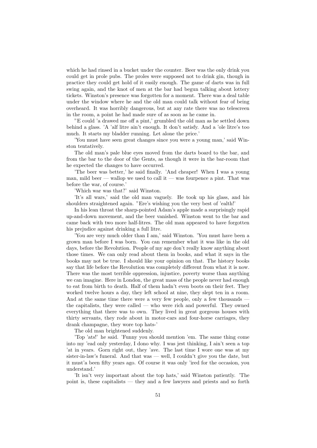which he had rinsed in a bucket under the counter. Beer was the only drink you could get in prole pubs. The proles were supposed not to drink gin, though in practice they could get hold of it easily enough. The game of darts was in full swing again, and the knot of men at the bar had begun talking about lottery tickets. Winston's presence was forgotten for a moment. There was a deal table under the window where he and the old man could talk without fear of being overheard. It was horribly dangerous, but at any rate there was no telescreen in the room, a point he had made sure of as soon as he came in.

"E could 'a drawed me off a pint,' grumbled the old man as he settled down behind a glass. 'A 'alf litre ain't enough. It don't satisfy. And a 'ole litre's too much. It starts my bladder running. Let alone the price.'

'You must have seen great changes since you were a young man,' said Winston tentatively.

The old man's pale blue eyes moved from the darts board to the bar, and from the bar to the door of the Gents, as though it were in the bar-room that he expected the changes to have occurred.

'The beer was better,' he said finally. 'And cheaper! When I was a young man, mild beer — wallop we used to call it — was fourpence a pint. That was before the war, of course.'

'Which war was that?' said Winston.

'It's all wars,' said the old man vaguely. He took up his glass, and his shoulders straightened again. "Ere's wishing you the very best of 'ealth!'

In his lean throat the sharp-pointed Adam's apple made a surprisingly rapid up-and-down movement, and the beer vanished. Winston went to the bar and came back with two more half-litres. The old man appeared to have forgotten his prejudice against drinking a full litre.

'You are very much older than I am,' said Winston. 'You must have been a grown man before I was born. You can remember what it was like in the old days, before the Revolution. People of my age don't really know anything about those times. We can only read about them in books, and what it says in the books may not be true. I should like your opinion on that. The history books say that life before the Revolution was completely different from what it is now. There was the most terrible oppression, injustice, poverty worse than anything we can imagine. Here in London, the great mass of the people never had enough to eat from birth to death. Half of them hadn't even boots on their feet. They worked twelve hours a day, they left school at nine, they slept ten in a room. And at the same time there were a very few people, only a few thousands the capitalists, they were called — who were rich and powerful. They owned everything that there was to own. They lived in great gorgeous houses with thirty servants, they rode about in motor-cars and four-horse carriages, they drank champagne, they wore top hats-'

The old man brightened suddenly.

'Top 'ats!' he said. 'Funny you should mention 'em. The same thing come into my 'ead only yesterday, I dono why. I was jest thinking, I ain't seen a top 'at in years. Gorn right out, they 'ave. The last time I wore one was at my sister-in-law's funeral. And that was — well, I couldn't give you the date, but it must'a been fifty years ago. Of course it was only 'ired for the occasion, you understand.'

'It isn't very important about the top hats,' said Winston patiently. 'The point is, these capitalists — they and a few lawyers and priests and so forth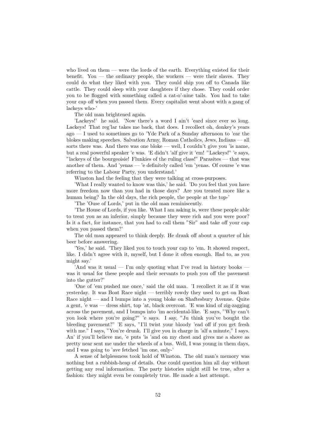who lived on them — were the lords of the earth. Everything existed for their benefit. You — the ordinary people, the workers — were their slaves. They could do what they liked with you. They could ship you off to Canada like cattle. They could sleep with your daughters if they chose. They could order you to be flogged with something called a cat-o'-nine tails. You had to take your cap off when you passed them. Every capitalist went about with a gang of lackeys who-'

The old man brightened again.

'Lackeys!' he said. 'Now there's a word I ain't 'eard since ever so long. Lackeys! That reg'lar takes me back, that does. I recollect oh, donkey's years ago — I used to sometimes go to 'Yde Park of a Sunday afternoon to 'ear the blokes making speeches. Salvation Army, Roman Catholics, Jews, Indians — all sorts there was. And there was one bloke — well, I couldn't give you 'is name, but a real powerful speaker 'e was. 'E didn't 'alf give it 'em! "Lackeys!" 'e says, "lackeys of the bourgeoisie! Flunkies of the ruling class!" Parasites — that was another of them. And 'yenas — 'e definitely called 'em 'yenas. Of course 'e was referring to the Labour Party, you understand.'

Winston had the feeling that they were talking at cross-purposes.

'What I really wanted to know was this,' he said. 'Do you feel that you have more freedom now than you had in those days? Are you treated more like a human being? In the old days, the rich people, the people at the top-'

'The 'Ouse of Lords,' put in the old man reminiscently.

'The House of Lords, if you like. What I am asking is, were these people able to treat you as an inferior, simply because they were rich and you were poor? Is it a fact, for instance, that you had to call them "Sir" and take off your cap when you passed them?'

The old man appeared to think deeply. He drank off about a quarter of his beer before answering.

'Yes,' he said. 'They liked you to touch your cap to 'em. It showed respect, like. I didn't agree with it, myself, but I done it often enough. Had to, as you might say.'

'And was it usual  $-$  I'm only quoting what I've read in history books  $$ was it usual for these people and their servants to push you off the pavement into the gutter?'

'One of 'em pushed me once,' said the old man. 'I recollect it as if it was yesterday. It was Boat Race night — terribly rowdy they used to get on Boat Race night — and I bumps into a young bloke on Shaftesbury Avenue. Quite a gent, 'e was — dress shirt, top 'at, black overcoat. 'E was kind of zig-zagging across the pavement, and I bumps into 'im accidental-like. 'E says, "Why can't you look where you're going?" 'e says. I say, "Ju think you've bought the bleeding pavement?" 'E says, "I'll twist your bloody 'ead off if you get fresh with me." I says, "You're drunk. I'll give you in charge in 'alf a minute," I says. An' if you'll believe me, 'e puts 'is 'and on my chest and gives me a shove as pretty near sent me under the wheels of a bus. Well, I was young in them days, and I was going to 'ave fetched 'im one, only-'

A sense of helplessness took hold of Winston. The old man's memory was nothing but a rubbish-heap of details. One could question him all day without getting any real information. The party histories might still be true, after a fashion: they might even be completely true. He made a last attempt.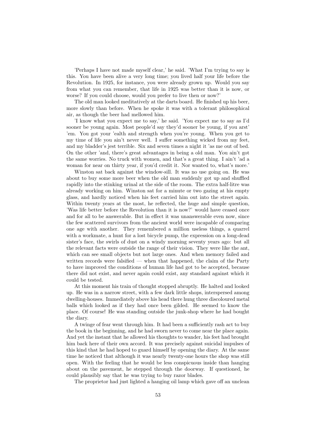'Perhaps I have not made myself clear,' he said. 'What I'm trying to say is this. You have been alive a very long time; you lived half your life before the Revolution. In 1925, for instance, you were already grown up. Would you say from what you can remember, that life in 1925 was better than it is now, or worse? If you could choose, would you prefer to live then or now?'

The old man looked meditatively at the darts board. He finished up his beer, more slowly than before. When he spoke it was with a tolerant philosophical air, as though the beer had mellowed him.

'I know what you expect me to say,' he said. 'You expect me to say as I'd sooner be young again. Most people'd say they'd sooner be young, if you arst' 'em. You got your 'ealth and strength when you're young. When you get to my time of life you ain't never well. I suffer something wicked from my feet, and my bladder's jest terrible. Six and seven times a night it 'as me out of bed. On the other 'and, there's great advantages in being a old man. You ain't got the same worries. No truck with women, and that's a great thing. I ain't 'ad a woman for near on thirty year, if you'd credit it. Nor wanted to, what's more.'

Winston sat back against the window-sill. It was no use going on. He was about to buy some more beer when the old man suddenly got up and shuffled rapidly into the stinking urinal at the side of the room. The extra half-litre was already working on him. Winston sat for a minute or two gazing at his empty glass, and hardly noticed when his feet carried him out into the street again. Within twenty years at the most, he reflected, the huge and simple question, 'Was life better before the Revolution than it is now?' would have ceased once and for all to be answerable. But in effect it was unanswerable even now, since the few scattered survivors from the ancient world were incapable of comparing one age with another. They remembered a million useless things, a quarrel with a workmate, a hunt for a lost bicycle pump, the expression on a long-dead sister's face, the swirls of dust on a windy morning seventy years ago: but all the relevant facts were outside the range of their vision. They were like the ant, which can see small objects but not large ones. And when memory failed and written records were falsified — when that happened, the claim of the Party to have improved the conditions of human life had got to be accepted, because there did not exist, and never again could exist, any standard against which it could be tested.

At this moment his train of thought stopped abruptly. He halted and looked up. He was in a narrow street, with a few dark little shops, interspersed among dwelling-houses. Immediately above his head there hung three discoloured metal balls which looked as if they had once been gilded. He seemed to know the place. Of course! He was standing outside the junk-shop where he had bought the diary.

A twinge of fear went through him. It had been a sufficiently rash act to buy the book in the beginning, and he had sworn never to come near the place again. And yet the instant that he allowed his thoughts to wander, his feet had brought him back here of their own accord. It was precisely against suicidal impulses of this kind that he had hoped to guard himself by opening the diary. At the same time he noticed that although it was nearly twenty-one hours the shop was still open. With the feeling that he would be less conspicuous inside than hanging about on the pavement, he stepped through the doorway. If questioned, he could plausibly say that he was trying to buy razor blades.

The proprietor had just lighted a hanging oil lamp which gave off an unclean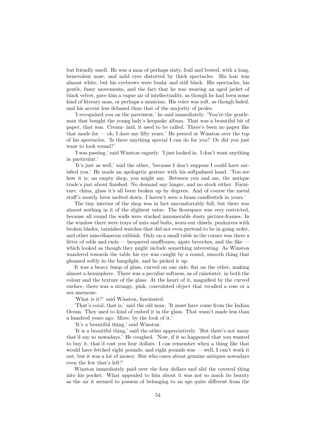but friendly smell. He was a man of perhaps sixty, frail and bowed, with a long, benevolent nose, and mild eyes distorted by thick spectacles. His hair was almost white, but his eyebrows were bushy and still black. His spectacles, his gentle, fussy movements, and the fact that he was wearing an aged jacket of black velvet, gave him a vague air of intellectuality, as though he had been some kind of literary man, or perhaps a musician. His voice was soft, as though faded, and his accent less debased than that of the majority of proles.

'I recognized you on the pavement,' he said immediately. 'You're the gentleman that bought the young lady's keepsake album. That was a beautiful bit of paper, that was. Cream- laid, it used to be called. There's been no paper like that made for  $\sim$  oh, I dare say fifty years.' He peered at Winston over the top of his spectacles. 'Is there anything special I can do for you? Or did you just want to look round?'

'I was passing,' said Winston vaguely. 'I just looked in. I don't want anything in particular.'

'It's just as well,' said the other, 'because I don't suppose I could have satisfied you.' He made an apologetic gesture with his softpalmed hand. 'You see how it is; an empty shop, you might say. Between you and me, the antique trade's just about finished. No demand any longer, and no stock either. Furniture, china, glass it's all been broken up by degrees. And of course the metal stuff's mostly been melted down. I haven't seen a brass candlestick in years.'

The tiny interior of the shop was in fact uncomfortably full, but there was almost nothing in it of the slightest value. The floorspace was very restricted, because all round the walls were stacked innumerable dusty picture-frames. In the window there were trays of nuts and bolts, worn-out chisels, penknives with broken blades, tarnished watches that did not even pretend to be in going order, and other miscellaneous rubbish. Only on a small table in the corner was there a litter of odds and ends — lacquered snuffboxes, agate brooches, and the like which looked as though they might include something interesting. As Winston wandered towards the table his eye was caught by a round, smooth thing that gleamed softly in the lamplight, and he picked it up.

It was a heavy lump of glass, curved on one side, flat on the other, making almost a hemisphere. There was a peculiar softness, as of rainwater, in both the colour and the texture of the glass. At the heart of it, magnified by the curved surface, there was a strange, pink, convoluted object that recalled a rose or a sea anemone.

'What is it?' said Winston, fascinated.

'That's coral, that is,' said the old man. 'It must have come from the Indian Ocean. They used to kind of embed it in the glass. That wasn't made less than a hundred years ago. More, by the look of it.'

'It's a beautiful thing,' said Winston.

'It is a beautiful thing,' said the other appreciatively. 'But there's not many that'd say so nowadays.' He coughed. 'Now, if it so happened that you wanted to buy it, that'd cost you four dollars. I can remember when a thing like that would have fetched eight pounds, and eight pounds was — well, I can't work it out, but it was a lot of money. But who cares about genuine antiques nowadays even the few that's left?'

Winston immediately paid over the four dollars and slid the coveted thing into his pocket. What appealed to him about it was not so much its beauty as the air it seemed to possess of belonging to an age quite different from the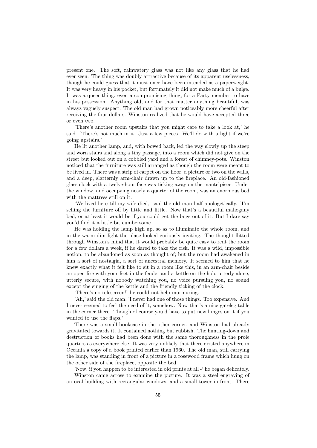present one. The soft, rainwatery glass was not like any glass that he had ever seen. The thing was doubly attractive because of its apparent uselessness, though he could guess that it must once have been intended as a paperweight. It was very heavy in his pocket, but fortunately it did not make much of a bulge. It was a queer thing, even a compromising thing, for a Party member to have in his possession. Anything old, and for that matter anything beautiful, was always vaguely suspect. The old man had grown noticeably more cheerful after receiving the four dollars. Winston realized that he would have accepted three or even two.

'There's another room upstairs that you might care to take a look at,' he said. 'There's not much in it. Just a few pieces. We'll do with a light if we're going upstairs.'

He lit another lamp, and, with bowed back, led the way slowly up the steep and worn stairs and along a tiny passage, into a room which did not give on the street but looked out on a cobbled yard and a forest of chimney-pots. Winston noticed that the furniture was still arranged as though the room were meant to be lived in. There was a strip of carpet on the floor, a picture or two on the walls, and a deep, slatternly arm-chair drawn up to the fireplace. An old-fashioned glass clock with a twelve-hour face was ticking away on the mantelpiece. Under the window, and occupying nearly a quarter of the room, was an enormous bed with the mattress still on it.

'We lived here till my wife died,' said the old man half apologetically. 'I'm selling the furniture off by little and little. Now that's a beautiful mahogany bed, or at least it would be if you could get the bugs out of it. But I dare say you'd find it a little bit cumbersome.

He was holdlng the lamp high up, so as to illuminate the whole room, and in the warm dim light the place looked curiously inviting. The thought flitted through Winston's mind that it would probably be quite easy to rent the room for a few dollars a week, if he dared to take the risk. It was a wild, impossible notion, to be abandoned as soon as thought of; but the room had awakened in him a sort of nostalgia, a sort of ancestral memory. It seemed to him that he knew exactly what it felt like to sit in a room like this, in an arm-chair beside an open fire with your feet in the fender and a kettle on the hob; utterly alone, utterly secure, with nobody watching you, no voice pursuing you, no sound except the singing of the kettle and the friendly ticking of the clock.

'There's no telescreen!' he could not help murmuring.

'Ah,' said the old man, 'I never had one of those things. Too expensive. And I never seemed to feel the need of it, somehow. Now that's a nice gateleg table in the corner there. Though of course you'd have to put new hinges on it if you wanted to use the flaps.'

There was a small bookcase in the other corner, and Winston had already gravitated towards it. It contained nothing but rubbish. The hunting-down and destruction of books had been done with the same thoroughness in the prole quarters as everywhere else. It was very unlikely that there existed anywhere in Oceania a copy of a book printed earlier than 1960. The old man, still carrying the lamp, was standing in front of a picture in a rosewood frame which hung on the other side of the fireplace, opposite the bed.

'Now, if you happen to be interested in old prints at all -' he began delicately.

Winston came across to examine the picture. It was a steel engraving of an oval building with rectangular windows, and a small tower in front. There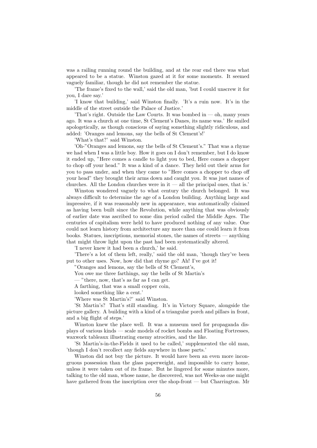was a railing running round the building, and at the rear end there was what appeared to be a statue. Winston gazed at it for some moments. It seemed vaguely familiar, though he did not remember the statue.

'The frame's fixed to the wall,' said the old man, 'but I could unscrew it for you, I dare say.'

'I know that building,' said Winston finally. 'It's a ruin now. It's in the middle of the street outside the Palace of Justice.'

'That's right. Outside the Law Courts. It was bombed in — oh, many years ago. It was a church at one time, St Clement's Danes, its name was.' He smiled apologetically, as though conscious of saying something slightly ridiculous, and added: 'Oranges and lemons, say the bells of St Clement's!'

'What's that?' said Winston.

'Oh-"Oranges and lemons, say the bells of St Clement's." That was a rhyme we had when I was a little boy. How it goes on I don't remember, but I do know it ended up, "Here comes a candle to light you to bed, Here comes a chopper to chop off your head." It was a kind of a dance. They held out their arms for you to pass under, and when they came to "Here comes a chopper to chop off your head" they brought their arms down and caught you. It was just names of churches. All the London churches were in  $\mathfrak{t}$  — all the principal ones, that is.<sup>'</sup>

Winston wondered vaguely to what century the church belonged. It was always difficult to determine the age of a London building. Anything large and impressive, if it was reasonably new in appearance, was automatically claimed as having been built since the Revolution, while anything that was obviously of earlier date was ascribed to some dim period called the Middle Ages. The centuries of capitalism were held to have produced nothing of any value. One could not learn history from architecture any more than one could learn it from books. Statues, inscriptions, memorial stones, the names of streets — anything that might throw light upon the past had been systematically altered.

'I never knew it had been a church,' he said.

'There's a lot of them left, really,' said the old man, 'though they've been put to other uses. Now, how did that rhyme go? Ah! I've got it!

"Oranges and lemons, say the bells of St Clement's,

You owe me three farthings, say the bells of St Martin's

— "there, now, that's as far as I can get.

A farthing, that was a small copper coin,

looked something like a cent.'

'Where was St Martin's?' said Winston.

'St Martin's? That's still standing. It's in Victory Square, alongside the picture gallery. A building with a kind of a triangular porch and pillars in front, and a big flight of steps.'

Winston knew the place well. It was a museum used for propaganda displays of various kinds — scale models of rocket bombs and Floating Fortresses, waxwork tableaux illustrating enemy atrocities, and the like.

'St Martin's-in-the-Fields it used to be called,' supplemented the old man, 'though I don't recollect any fields anywhere in those parts.'

Winston did not buy the picture. It would have been an even more incongruous possession than the glass paperweight, and impossible to carry home, unless it were taken out of its frame. But he lingered for some minutes more, talking to the old man, whose name, he discovered, was not Weeks-as one might have gathered from the inscription over the shop-front — but Charrington. Mr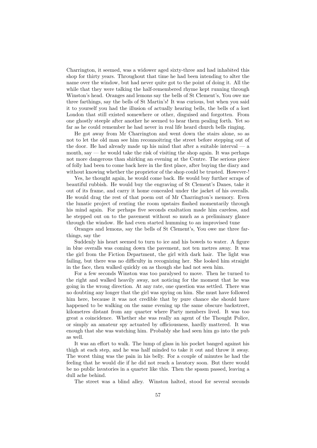Charrington, it seemed, was a widower aged sixty-three and had inhabited this shop for thirty years. Throughout that time he had been intending to alter the name over the window, but had never quite got to the point of doing it. All the while that they were talking the half-remembered rhyme kept running through Winston's head. Oranges and lemons say the bells of St Clement's, You owe me three farthings, say the bells of St Martin's! It was curious, but when you said it to yourself you had the illusion of actually hearing bells, the bells of a lost London that still existed somewhere or other, disguised and forgotten. From one ghostly steeple after another he seemed to hear them pealing forth. Yet so far as he could remember he had never in real life heard church bells ringing.

He got away from Mr Charrington and went down the stairs alone, so as not to let the old man see him reconnoitring the street before stepping out of the door. He had already made up his mind that after a suitable interval  $-$  a month, say  $-$  he would take the risk of visiting the shop again. It was perhaps not more dangerous than shirking an evening at the Centre. The serious piece of folly had been to come back here in the first place, after buying the diary and without knowing whether the proprietor of the shop could be trusted. However-!

Yes, he thought again, he would come back. He would buy further scraps of beautiful rubbish. He would buy the engraving of St Clement's Danes, take it out of its frame, and carry it home concealed under the jacket of his overalls. He would drag the rest of that poem out of Mr Charrington's memory. Even the lunatic project of renting the room upstairs flashed momentarily through his mind again. For perhaps five seconds exaltation made him careless, and he stepped out on to the pavement without so much as a preliminary glance through the window. He had even started humming to an improvised tune

Oranges and lemons, say the bells of St Clement's, You owe me three farthings, say the

Suddenly his heart seemed to turn to ice and his bowels to water. A figure in blue overalls was coming down the pavement, not ten metres away. It was the girl from the Fiction Department, the girl with dark hair. The light was failing, but there was no difficulty in recognizing her. She looked him straight in the face, then walked quickly on as though she had not seen him.

For a few seconds Winston was too paralysed to move. Then he turned to the right and walked heavily away, not noticing for the moment that he was going in the wrong direction. At any rate, one question was settled. There was no doubting any longer that the girl was spying on him. She must have followed him here, because it was not credible that by pure chance she should have happened to be walking on the same evening up the same obscure backstreet, kilometres distant from any quarter where Party members lived. It was too great a coincidence. Whether she was really an agent of the Thought Police, or simply an amateur spy actuated by officiousness, hardly mattered. It was enough that she was watching him. Probably she had seen him go into the pub as well.

It was an effort to walk. The lump of glass in his pocket banged against his thigh at each step, and he was half minded to take it out and throw it away. The worst thing was the pain in his belly. For a couple of minutes he had the feeling that he would die if he did not reach a lavatory soon. But there would be no public lavatories in a quarter like this. Then the spasm passed, leaving a dull ache behind.

The street was a blind alley. Winston halted, stood for several seconds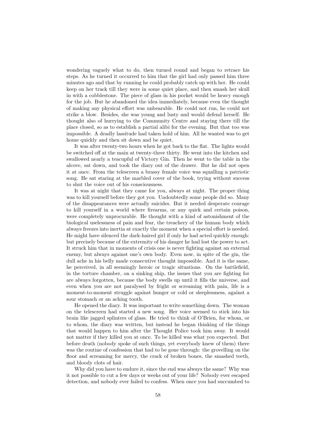wondering vaguely what to do, then turned round and began to retrace his steps. As he turned it occurred to him that the girl had only passed him three minutes ago and that by running he could probably catch up with her. He could keep on her track till they were in some quiet place, and then smash her skull in with a cobblestone. The piece of glass in his pocket would be heavy enough for the job. But he abandoned the idea immediately, because even the thought of making any physical effort was unbearable. He could not run, he could not strike a blow. Besides, she was young and lusty and would defend herself. He thought also of hurrying to the Community Centre and staying there till the place closed, so as to establish a partial alibi for the evening. But that too was impossible. A deadly lassitude had taken hold of him. All he wanted was to get home quickly and then sit down and be quiet.

It was after twenty-two hours when he got back to the flat. The lights would be switched off at the main at twenty-three thirty. He went into the kitchen and swallowed nearly a teacupful of Victory Gin. Then he went to the table in the alcove, sat down, and took the diary out of the drawer. But he did not open it at once. From the telescreen a brassy female voice was squalling a patriotic song. He sat staring at the marbled cover of the book, trying without success to shut the voice out of his consciousness.

It was at night that they came for you, always at night. The proper thing was to kill yourself before they got you. Undoubtedly some people did so. Many of the disappearances were actually suicides. But it needed desperate courage to kill yourself in a world where firearms, or any quick and certain poison, were completely unprocurable. He thought with a kind of astonishment of the biological uselessness of pain and fear, the treachery of the human body which always freezes into inertia at exactly the moment when a special effort is needed. He might have silenced the dark-haired girl if only he had acted quickly enough: but precisely because of the extremity of his danger he had lost the power to act. It struck him that in moments of crisis one is never fighting against an external enemy, but always against one's own body. Even now, in spite of the gin, the dull ache in his belly made consecutive thought impossible. And it is the same, he perceived, in all seemingly heroic or tragic situations. On the battlefield, in the torture chamber, on a sinking ship, the issues that you are fighting for are always forgotten, because the body swells up until it fills the universe, and even when you are not paralysed by fright or screaming with pain, life is a moment-to-moment struggle against hunger or cold or sleeplessness, against a sour stomach or an aching tooth.

He opened the diary. It was important to write something down. The woman on the telescreen had started a new song. Her voice seemed to stick into his brain like jagged splinters of glass. He tried to think of O'Brien, for whom, or to whom, the diary was written, but instead he began thinking of the things that would happen to him after the Thought Police took him away. It would not matter if they killed you at once. To be killed was what you expected. But before death (nobody spoke of such things, yet everybody knew of them) there was the routine of confession that had to be gone through: the grovelling on the floor and screaming for mercy, the crack of broken bones, the smashed teeth, and bloody clots of hair.

Why did you have to endure it, since the end was always the same? Why was it not possible to cut a few days or weeks out of your life? Nobody ever escaped detection, and nobody ever failed to confess. When once you had succumbed to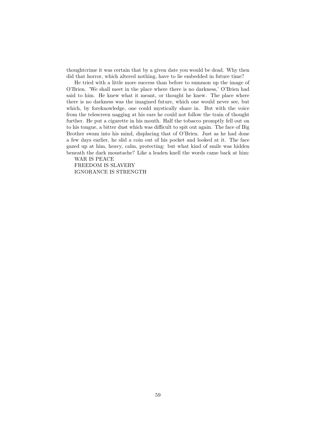thoughtcrime it was certain that by a given date you would be dead. Why then did that horror, which altered nothing, have to lie embedded in future time?

He tried with a little more success than before to summon up the image of O'Brien. 'We shall meet in the place where there is no darkness,' O'Brien had said to him. He knew what it meant, or thought he knew. The place where there is no darkness was the imagined future, which one would never see, but which, by foreknowledge, one could mystically share in. But with the voice from the telescreen nagging at his ears he could not follow the train of thought further. He put a cigarette in his mouth. Half the tobacco promptly fell out on to his tongue, a bitter dust which was difficult to spit out again. The face of Big Brother swam into his mind, displacing that of O'Brien. Just as he had done a few days earlier, he slid a coin out of his pocket and looked at it. The face gazed up at him, heavy, calm, protecting: but what kind of smile was hidden beneath the dark moustache? Like a leaden knell the words came back at him:

WAR IS PEACE FREEDOM IS SLAVERY IGNORANCE IS STRENGTH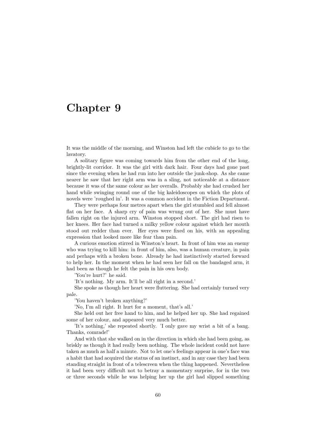# Chapter 9

It was the middle of the morning, and Winston had left the cubicle to go to the lavatory.

A solitary figure was coming towards him from the other end of the long, brightly-lit corridor. It was the girl with dark hair. Four days had gone past since the evening when he had run into her outside the junk-shop. As she came nearer he saw that her right arm was in a sling, not noticeable at a distance because it was of the same colour as her overalls. Probably she had crushed her hand while swinging round one of the big kaleidoscopes on which the plots of novels were 'roughed in'. It was a common accident in the Fiction Department.

They were perhaps four metres apart when the girl stumbled and fell almost flat on her face. A sharp cry of pain was wrung out of her. She must have fallen right on the injured arm. Winston stopped short. The girl had risen to her knees. Her face had turned a milky yellow colour against which her mouth stood out redder than ever. Her eyes were fixed on his, with an appealing expression that looked more like fear than pain.

A curious emotion stirred in Winston's heart. In front of him was an enemy who was trying to kill him: in front of him, also, was a human creature, in pain and perhaps with a broken bone. Already he had instinctively started forward to help her. In the moment when he had seen her fall on the bandaged arm, it had been as though he felt the pain in his own body.

'You're hurt?' he said.

'It's nothing. My arm. It'll be all right in a second.'

She spoke as though her heart were fluttering. She had certainly turned very pale.

'You haven't broken anything?'

'No, I'm all right. It hurt for a moment, that's all.'

She held out her free hand to him, and he helped her up. She had regained some of her colour, and appeared very much better.

'It's nothing,' she repeated shortly. 'I only gave my wrist a bit of a bang. Thanks, comrade!'

And with that she walked on in the direction in which she had been going, as briskly as though it had really been nothing. The whole incident could not have taken as much as half a minute. Not to let one's feelings appear in one's face was a habit that had acquired the status of an instinct, and in any case they had been standing straight in front of a telescreen when the thing happened. Nevertheless it had been very difficult not to betray a momentary surprise, for in the two or three seconds while he was helping her up the girl had slipped something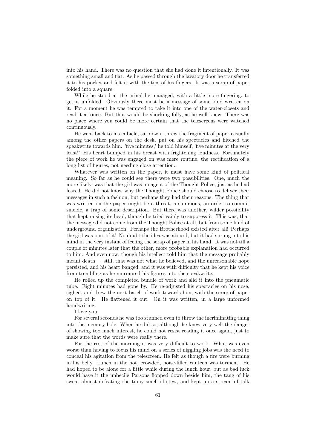into his hand. There was no question that she had done it intentionally. It was something small and flat. As he passed through the lavatory door he transferred it to his pocket and felt it with the tips of his fingers. It was a scrap of paper folded into a square.

While he stood at the urinal he managed, with a little more fingering, to get it unfolded. Obviously there must be a message of some kind written on it. For a moment he was tempted to take it into one of the water-closets and read it at once. But that would be shocking folly, as he well knew. There was no place where you could be more certain that the telescreens were watched continuously.

He went back to his cubicle, sat down, threw the fragment of paper casually among the other papers on the desk, put on his spectacles and hitched the speakwrite towards him. 'five minutes,' he told himself, 'five minutes at the very least!' His heart bumped in his breast with frightening loudness. Fortunately the piece of work he was engaged on was mere routine, the rectification of a long list of figures, not needing close attention.

Whatever was written on the paper, it must have some kind of political meaning. So far as he could see there were two possibilities. One, much the more likely, was that the girl was an agent of the Thought Police, just as he had feared. He did not know why the Thought Police should choose to deliver their messages in such a fashion, but perhaps they had their reasons. The thing that was written on the paper might be a threat, a summons, an order to commit suicide, a trap of some description. But there was another, wilder possibility that kept raising its head, though he tried vainly to suppress it. This was, that the message did not come from the Thought Police at all, but from some kind of underground organization. Perhaps the Brotherhood existed after all! Perhaps the girl was part of it! No doubt the idea was absurd, but it had sprung into his mind in the very instant of feeling the scrap of paper in his hand. It was not till a couple of minutes later that the other, more probable explanation had occurred to him. And even now, though his intellect told him that the message probably meant death — still, that was not what he believed, and the unreasonable hope persisted, and his heart banged, and it was with difficulty that he kept his voice from trembling as he murmured his figures into the speakwrite.

He rolled up the completed bundle of work and slid it into the pneumatic tube. Eight minutes had gone by. He re-adjusted his spectacles on his nose, sighed, and drew the next batch of work towards him, with the scrap of paper on top of it. He flattened it out. On it was written, in a large unformed handwriting:

I love you.

For several seconds he was too stunned even to throw the incriminating thing into the memory hole. When he did so, although he knew very well the danger of showing too much interest, he could not resist reading it once again, just to make sure that the words were really there.

For the rest of the morning it was very difficult to work. What was even worse than having to focus his mind on a series of niggling jobs was the need to conceal his agitation from the telescreen. He felt as though a fire were burning in his belly. Lunch in the hot, crowded, noise-filled canteen was torment. He had hoped to be alone for a little while during the lunch hour, but as bad luck would have it the imbecile Parsons flopped down beside him, the tang of his sweat almost defeating the tinny smell of stew, and kept up a stream of talk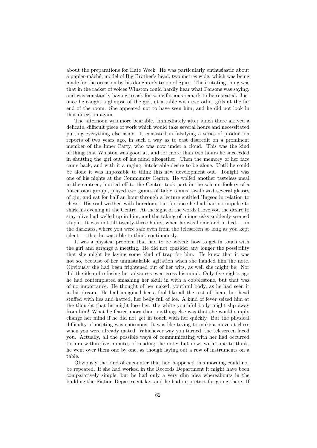about the preparations for Hate Week. He was particularly enthusiastic about a papier-mâché; model of Big Brother's head, two metres wide, which was being made for the occasion by his daughter's troop of Spies. The irritating thing was that in the racket of voices Winston could hardly hear what Parsons was saying, and was constantly having to ask for some fatuous remark to be repeated. Just once he caught a glimpse of the girl, at a table with two other girls at the far end of the room. She appeared not to have seen him, and he did not look in that direction again.

The afternoon was more bearable. Immediately after lunch there arrived a delicate, difficult piece of work which would take several hours and necessitated putting everything else aside. It consisted in falsifying a series of production reports of two years ago, in such a way as to cast discredit on a prominent member of the Inner Party, who was now under a cloud. This was the kind of thing that Winston was good at, and for more than two hours he succeeded in shutting the girl out of his mind altogether. Then the memory of her face came back, and with it a raging, intolerable desire to be alone. Until he could be alone it was impossible to think this new development out. Tonight was one of his nights at the Community Centre. He wolfed another tasteless meal in the canteen, hurried off to the Centre, took part in the solemn foolery of a 'discussion group', played two games of table tennis, swallowed several glasses of gin, and sat for half an hour through a lecture entitled 'Ingsoc in relation to chess'. His soul writhed with boredom, but for once he had had no impulse to shirk his evening at the Centre. At the sight of the words I love you the desire to stay alive had welled up in him, and the taking of minor risks suddenly seemed stupid. It was not till twenty-three hours, when he was home and in bed — in the darkness, where you were safe even from the telescreen so long as you kept silent — that he was able to think continuously.

It was a physical problem that had to be solved: how to get in touch with the girl and arrange a meeting. He did not consider any longer the possibility that she might be laying some kind of trap for him. He knew that it was not so, because of her unmistakable agitation when she handed him the note. Obviously she had been frightened out of her wits, as well she might be. Nor did the idea of refusing her advances even cross his mind. Only five nights ago he had contemplated smashing her skull in with a cobblestone, but that was of no importance. He thought of her naked, youthful body, as he had seen it in his dream. He had imagined her a fool like all the rest of them, her head stuffed with lies and hatred, her belly full of ice. A kind of fever seized him at the thought that he might lose her, the white youthful body might slip away from him! What he feared more than anything else was that she would simply change her mind if he did not get in touch with her quickly. But the physical difficulty of meeting was enormous. It was like trying to make a move at chess when you were already mated. Whichever way you turned, the telescreen faced you. Actually, all the possible ways of communicating with her had occurred to him within five minutes of reading the note; but now, with time to think, he went over them one by one, as though laying out a row of instruments on a table.

Obviously the kind of encounter that had happened this morning could not be repeated. If she had worked in the Records Department it might have been comparatively simple, but he had only a very dim idea whereabouts in the building the Fiction Departrnent lay, and he had no pretext for going there. If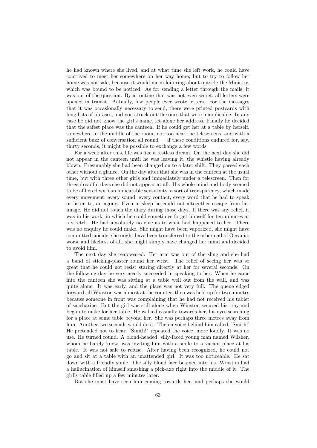he had known where she lived, and at what time she left work, he could have contrived to meet her somewhere on her way home; but to try to follow her home was not safe, because it would mean loitering about outside the Ministry, which was bound to be noticed. As for sending a letter through the mails, it was out of the question. By a routine that was not even secret, all letters were opened in transit. Actually, few people ever wrote letters. For the messages that it was occasionally necessary to send, there were printed postcards with long lists of phrases, and you struck out the ones that were inapplicable. In any case he did not know the girl's name, let alone her address. Finally he decided that the safest place was the canteen. If he could get her at a table by herself, somewhere in the middle of the room, not too near the telescreens, and with a sufficient buzz of conversation all round — if these conditions endured for, say, thirty seconds, it might be possible to exchange a few words.

For a week after this, life was like a restless dream. On the next day she did not appear in the canteen until he was leaving it, the whistle having already blown. Presumably she had been changed on to a later shift. They passed each other without a glance. On the day after that she was in the canteen at the usual time, but with three other girls and immediately under a telescreen. Then for three dreadful days she did not appear at all. His whole mind and body seemed to be afflicted with an unbearable sensitivity, a sort of transparency, which made every movement, every sound, every contact, every word that he had to speak or listen to, an agony. Even in sleep he could not altogether escape from her image. He did not touch the diary during those days. If there was any relief, it was in his work, in which he could sometimes forget himself for ten minutes at a stretch. He had absolutely no clue as to what had happened to her. There was no enquiry he could make. She might have been vaporized, she might have committed suicide, she might have been transferred to the other end of Oceania: worst and likeliest of all, she might simply have changed her mind and decided to avoid him.

The next day she reappeared. Her arm was out of the sling and she had a band of sticking-plaster round her wrist. The relief of seeing her was so great that he could not resist staring directly at her for several seconds. On the following day he very nearly succeeded in speaking to her. When he came into the canteen she was sitting at a table well out from the wall, and was quite alone. It was early, and the place was not very full. The queue edged forward till Winston was almost at the counter, then was held up for two minutes because someone in front was complaining that he had not received his tablet of saccharine. But the girl was still alone when Winston secured his tray and began to make for her table. He walked casually towards her, his eyes searching for a place at some table beyond her. She was perhaps three metres away from him. Another two seconds would do it. Then a voice behind him called, 'Smith!' He pretended not to hear. 'Smith!' repeated the voice, more loudly. It was no use. He turned round. A blond-headed, silly-faced young man named Wilsher, whom he barely knew, was inviting him with a smile to a vacant place at his table. It was not safe to refuse. After having been recognized, he could not go and sit at a table with an unattended girl. It was too noticeable. He sat down with a friendly smile. The silly blond face beamed into his. Winston had a hallucination of himself smashing a pick-axe right into the middle of it. The girl's table filled up a few minutes later.

But she must have seen him coming towards her, and perhaps she would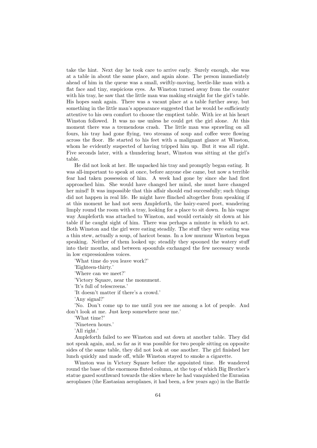take the hint. Next day he took care to arrive early. Surely enough, she was at a table in about the same place, and again alone. The person immediately ahead of him in the queue was a small, swiftly-moving, beetle-like man with a flat face and tiny, suspicious eyes. As Winston turned away from the counter with his tray, he saw that the little man was making straight for the girl's table. His hopes sank again. There was a vacant place at a table further away, but something in the little man's appearance suggested that he would be sufficiently attentive to his own comfort to choose the emptiest table. With ice at his heart Winston followed. It was no use unless he could get the girl alone. At this moment there was a tremendous crash. The little man was sprawling on all fours, his tray had gone flying, two streams of soup and coffee were flowing across the floor. He started to his feet with a malignant glance at Winston, whom he evidently suspected of having tripped him up. But it was all right. Five seconds later, with a thundering heart, Winston was sitting at the girl's table.

He did not look at her. He unpacked his tray and promptly began eating. It was all-important to speak at once, before anyone else came, but now a terrible fear had taken possession of him. A week had gone by since she had first approached him. She would have changed her mind, she must have changed her mind! It was impossible that this affair should end successfully; such things did not happen in real life. He might have flinched altogether from speaking if at this moment he had not seen Ampleforth, the hairy-eared poet, wandering limply round the room with a tray, looking for a place to sit down. In his vague way Ampleforth was attached to Winston, and would certainly sit down at his table if he caught sight of him. There was perhaps a minute in which to act. Both Winston and the girl were eating steadily. The stuff they were eating was a thin stew, actually a soup, of haricot beans. In a low murmur Winston began speaking. Neither of them looked up; steadily they spooned the watery stuff into their mouths, and between spoonfuls exchanged the few necessary words in low expressionless voices.

'What time do you leave work?'

'Eighteen-thirty.'

'Where can we meet?'

'Victory Square, near the monument.

'It's full of telescreens.'

'It doesn't matter if there's a crowd.'

'Any signal?'

'No. Don't come up to me until you see me among a lot of people. And don't look at me. Just keep somewhere near me.'

'What time?' 'Nineteen hours.'

'All right.'

Ampleforth failed to see Winston and sat down at another table. They did not speak again, and, so far as it was possible for two people sitting on opposite sides of the same table, they did not look at one another. The girl finished her lunch quickly and made off, while Winston stayed to smoke a cigarette.

Winston was in Victory Square before the appointed time. He wandered round the base of the enormous fluted column, at the top of which Big Brother's statue gazed southward towards the skies where he had vanquished the Eurasian aeroplanes (the Eastasian aeroplanes, it had been, a few years ago) in the Battle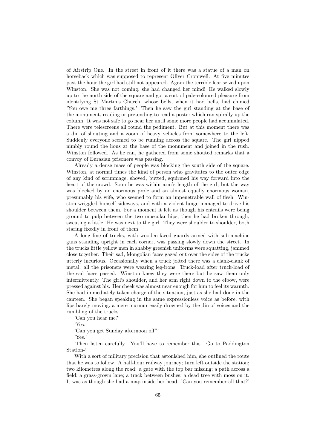of Airstrip One. In the street in front of it there was a statue of a man on horseback which was supposed to represent Oliver Cromwell. At five minutes past the hour the girl had still not appeared. Again the terrible fear seized upon Winston. She was not coming, she had changed her mind! He walked slowly up to the north side of the square and got a sort of pale-coloured pleasure from identifying St Martin's Church, whose bells, when it had bells, had chimed 'You owe me three farthings.' Then he saw the girl standing at the base of the monument, reading or pretending to read a poster which ran spirally up the column. It was not safe to go near her until some more people had accumulated. There were telescreens all round the pediment. But at this moment there was a din of shouting and a zoom of heavy vehicles from somewhere to the left. Suddenly everyone seemed to be running across the square. The girl nipped nimbly round the lions at the base of the monument and joined in the rush. Winston followed. As he ran, he gathered from some shouted remarks that a convoy of Eurasian prisoners was passing.

Already a dense mass of people was blocking the south side of the square. Winston, at normal times the kind of person who gravitates to the outer edge of any kind of scrimmage, shoved, butted, squirmed his way forward into the heart of the crowd. Soon he was within arm's length of the girl, but the way was blocked by an enormous prole and an almost equally enormous woman, presumably his wife, who seemed to form an impenetrable wall of flesh. Winston wriggled himself sideways, and with a violent lunge managed to drive his shoulder between them. For a moment it felt as though his entrails were being ground to pulp between the two muscular hips, then he had broken through, sweating a little. He was next to the girl. They were shoulder to shoulder, both staring fixedly in front of them.

A long line of trucks, with wooden-faced guards armed with sub-machine guns standing upright in each corner, was passing slowly down the street. In the trucks little yellow men in shabby greenish uniforms were squatting, jammed close together. Their sad, Mongolian faces gazed out over the sides of the trucks utterly incurious. Occasionally when a truck jolted there was a clank-clank of metal: all the prisoners were wearing leg-irons. Truck-load after truck-load of the sad faces passed. Winston knew they were there but he saw them only intermittently. The girl's shoulder, and her arm right down to the elbow, were pressed against his. Her cheek was almost near enough for him to feel its warmth. She had immediately taken charge of the situation, just as she had done in the canteen. She began speaking in the same expressionless voice as before, with lips barely moving, a mere murmur easily drowned by the din of voices and the rumbling of the trucks.

'Can you hear me?'

'Yes.'

'Can you get Sunday afternoon off?'

'Yes.'

'Then listen carefully. You'll have to remember this. Go to Paddington Station-'

With a sort of military precision that astonished him, she outlined the route that he was to follow. A half-hour railway journey; turn left outside the station; two kilometres along the road: a gate with the top bar missing; a path across a field; a grass-grown lane; a track between bushes; a dead tree with moss on it. It was as though she had a map inside her head. 'Can you remember all that?'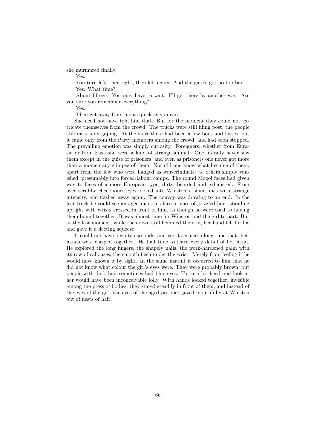she murmured finally.

'Yes.'

'You turn left, then right, then left again. And the gate's got no top bar.'

'Yes. What time?'

'About fifteen. You may have to wait. I'll get there by another way. Are you sure you remember everything?'

'Yes.'

'Then get away from me as quick as you can.'

She need not have told him that. But for the moment they could not extricate themselves from the crowd. The trucks were still filing post, the people still insatiably gaping. At the start there had been a few boos and hisses, but it came only from the Party members among the crowd, and had soon stopped. The prevailing emotion was simply curiosity. Foreigners, whether from Eurasia or from Eastasia, were a kind of strange animal. One literally never saw them except in the guise of prisoners, and even as prisoners one never got more than a momentary glimpse of them. Nor did one know what became of them, apart from the few who were hanged as war-criminals: te others simply vanished, presumably into forced-labour camps. The round Mogol faces had given way to faces of a more European type, dirty, bearded and exhausted. From over scrubby cheekbones eyes looked into Winston's, sometimes with strange intensity, and flashed away again. The convoy was drawing to an end. In the last truck he could see an aged man, his face a mass of grizzled hair, standing upright with wrists crossed in front of him, as though he were used to having them bound together. It was almost time for Winston and the girl to part. But at the last moment, while the crowd still hemmed them in, her hand felt for his and gave it a fleeting squeeze.

It could not have been ten seconds, and yet it seemed a long time that their hands were clasped together. He had time to learn every detail of her hand. He explored the long fingers, the shapely nails, the work-hardened palm with its row of callouses, the smooth flesh under the wrist. Merely from feeling it he would have known it by sight. In the same instant it occurred to him that he did not know what colour the girl's eyes were. They were probably brown, but people with dark hair sometimes had blue eyes. To turn his head and look at her would have been inconceivable folly. With hands locked together, invisible among the press of bodies, they stared steadily in front of them, and instead of the eyes of the girl, the eyes of the aged prisoner gazed mournfully at Winston out of nests of hair.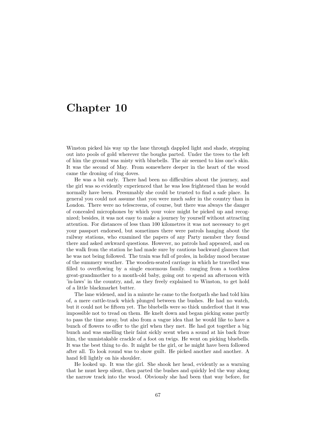### Chapter 10

Winston picked his way up the lane through dappled light and shade, stepping out into pools of gold wherever the boughs parted. Under the trees to the left of him the ground was misty with bluebells. The air seemed to kiss one's skin. It was the second of May. From somewhere deeper in the heart of the wood came the droning of ring doves.

He was a bit early. There had been no difficulties about the journey, and the girl was so evidently experienced that he was less frightened than he would normally have been. Presumably she could be trusted to find a safe place. In general you could not assume that you were much safer in the country than in London. There were no telescreens, of course, but there was always the danger of concealed microphones by which your voice might be picked up and recognized; besides, it was not easy to make a journey by yourself without attracting attention. For distances of less than 100 kilometres it was not necessary to get your passport endorsed, but sometimes there were patrols hanging about the railway stations, who examined the papers of any Party member they found there and asked awkward questions. However, no patrols had appeared, and on the walk from the station he had made sure by cautious backward glances that he was not being followed. The train was full of proles, in holiday mood because of the summery weather. The wooden-seated carriage in which he travelled was filled to overflowing by a single enormous family. ranging from a toothless great-grandmother to a month-old baby, going out to spend an afternoon with 'in-laws' in the country, and, as they freely explained to Winston, to get hold of a little blackmarket butter.

The lane widened, and in a minute he came to the footpath she had told him of, a mere cattle-track which plunged between the bushes. He had no watch, but it could not be fifteen yet. The bluebells were so thick underfoot that it was impossible not to tread on them. He knelt down and began picking some partly to pass the time away, but also from a vague idea that he would like to have a bunch of flowers to offer to the girl when they met. He had got together a big bunch and was smelling their faint sickly scent when a sound at his back froze him, the unmistakable crackle of a foot on twigs. He went on picking bluebells. It was the best thing to do. It might be the girl, or he might have been followed after all. To look round was to show guilt. He picked another and another. A hand fell lightly on his shoulder.

He looked up. It was the girl. She shook her head, evidently as a warning that he must keep silent, then parted the bushes and quickly led the way along the narrow track into the wood. Obviously she had been that way before, for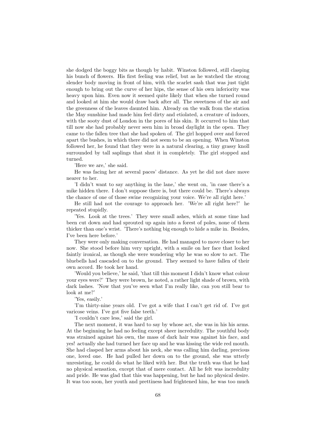she dodged the boggy bits as though by habit. Winston followed, still clasping his bunch of flowers. His first feeling was relief, but as he watched the strong slender body moving in front of him, with the scarlet sash that was just tight enough to bring out the curve of her hips, the sense of his own inferiority was heavy upon him. Even now it seemed quite likely that when she turned round and looked at him she would draw back after all. The sweetness of the air and the greenness of the leaves daunted him. Already on the walk from the station the May sunshine had made him feel dirty and etiolated, a creature of indoors, with the sooty dust of London in the pores of his skin. It occurred to him that till now she had probably never seen him in broad daylight in the open. They came to the fallen tree that she had spoken of. The girl hopped over and forced apart the bushes, in which there did not seem to be an opening. When Winston followed her, he found that they were in a natural clearing, a tiny grassy knoll surrounded by tall saplings that shut it in completely. The girl stopped and turned.

'Here we are,' she said.

He was facing her at several paces' distance. As yet he did not dare move nearer to her.

'I didn't want to say anything in the lane,' she went on, 'in case there's a mike hidden there. I don't suppose there is, but there could be. There's always the chance of one of those swine recognizing your voice. We're all right here.'

He still had not the courage to approach her. 'We're all right here?' he repeated stupidly.

'Yes. Look at the trees.' They were small ashes, which at some time had been cut down and had sprouted up again into a forest of poles, none of them thicker than one's wrist. 'There's nothing big enough to hide a mike in. Besides, I've been here before.'

They were only making conversation. He had managed to move closer to her now. She stood before him very upright, with a smile on her face that looked faintly ironical, as though she were wondering why he was so slow to act. The bluebells had cascaded on to the ground. They seemed to have fallen of their own accord. He took her hand.

'Would you believe,' he said, 'that till this moment I didn't know what colour your eyes were?' They were brown, he noted, a rather light shade of brown, with dark lashes. 'Now that you've seen what I'm really like, can you still bear to look at me?'

'Yes, easily.'

'I'm thirty-nine years old. I've got a wife that I can't get rid of. I've got varicose veins. I've got five false teeth.'

'I couldn't care less,' said the girl.

The next moment, it was hard to say by whose act, she was in his his arms. At the beginning he had no feeling except sheer incredulity. The youthful body was strained against his own, the mass of dark hair was against his face, and yes! actually she had turned her face up and he was kissing the wide red mouth. She had clasped her arms about his neck, she was calling him darling, precious one, loved one. He had pulled her down on to the ground, she was utterly unresisting, he could do what he liked with her. But the truth was that he had no physical sensation, except that of mere contact. All he felt was incredulity and pride. He was glad that this was happening, but he had no physical desire. It was too soon, her youth and prettiness had frightened him, he was too much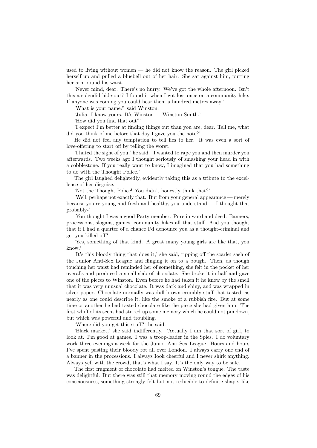used to living without women — he did not know the reason. The girl picked herself up and pulled a bluebell out of her hair. She sat against him, putting her arm round his waist.

'Never mind, dear. There's no hurry. We've got the whole afternoon. Isn't this a splendid hide-out? I found it when I got lost once on a community hike. If anyone was coming you could hear them a hundred metres away.'

'What is your name?' said Winston.

'Julia. I know yours. It's Winston — Winston Smith.'

'How did you find that out?'

'I expect I'm better at finding things out than you are, dear. Tell me, what did you think of me before that day I gave you the note?'

He did not feel any temptation to tell lies to her. It was even a sort of love-offering to start off by telling the worst.

'I hated the sight of you,' he said. 'I wanted to rape you and then murder you afterwards. Two weeks ago I thought seriously of smashing your head in with a cobblestone. If you really want to know, I imagined that you had something to do with the Thought Police.'

The girl laughed delightedly, evidently taking this as a tribute to the excellence of her disguise.

'Not the Thought Police! You didn't honestly think that?'

'Well, perhaps not exactly that. But from your general appearance — merely because you're young and fresh and healthy, you understand — I thought that probably-'

'You thought I was a good Party member. Pure in word and deed. Banners, processions, slogans, games, community hikes all that stuff. And you thought that if I had a quarter of a chance I'd denounce you as a thought-criminal and get you killed off?'

'Yes, something of that kind. A great many young girls are like that, you know.'

'It's this bloody thing that does it,' she said, ripping off the scarlet sash of the Junior Anti-Sex League and flinging it on to a bough. Then, as though touching her waist had reminded her of something, she felt in the pocket of her overalls and produced a small slab of chocolate. She broke it in half and gave one of the pieces to Winston. Even before he had taken it he knew by the smell that it was very unusual chocolate. It was dark and shiny, and was wrapped in silver paper. Chocolate normally was dull-brown crumbly stuff that tasted, as nearly as one could describe it, like the smoke of a rubbish fire. But at some time or another he had tasted chocolate like the piece she had given him. The first whiff of its scent had stirred up some memory which he could not pin down, but which was powerful and troubling.

'Where did you get this stuff?' he said.

'Black market,' she said indifferently. 'Actually I am that sort of girl, to look at. I'm good at games. I was a troop-leader in the Spies. I do voluntary work three evenings a week for the Junior Anti-Sex League. Hours and hours I've spent pasting their bloody rot all over London. I always carry one end of a banner in the processions. I always Iook cheerful and I never shirk anything. Always yell with the crowd, that's what I say. It's the only way to be safe.'

The first fragment of chocolate had melted on Winston's tongue. The taste was delightful. But there was still that memory moving round the edges of his consciousness, something strongly felt but not reducible to definite shape, like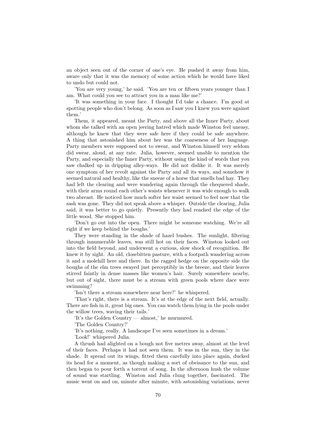an object seen out of the corner of one's eye. He pushed it away from him, aware only that it was the memory of some action which he would have liked to undo but could not.

'You are very young,' he said. 'You are ten or fifteen years younger than I am. What could you see to attract you in a man like me?

'It was something in your face. I thought I'd take a chance. I'm good at spotting people who don't belong. As soon as I saw you I knew you were against them.'

Them, it appeared, meant the Party, and above all the Inner Party, about whom she talked with an open jeering hatred which made Winston feel uneasy, although he knew that they were safe here if they could be safe anywhere. A thing that astonished him about her was the coarseness of her language. Party members were supposed not to swear, and Winston himself very seldom did swear, aloud, at any rate. Julia, however, seemed unable to mention the Party, and especially the Inner Party, without using the kind of words that you saw chalked up in dripping alley-ways. He did not dislike it. It was merely one symptom of her revolt against the Party and all its ways, and somehow it seemed natural and healthy, like the sneeze of a horse that smells bad hay. They had left the clearing and were wandering again through the chequered shade, with their arms round each other's waists whenever it was wide enough to walk two abreast. He noticed how much softer her waist seemed to feel now that the sash was gone. They did not speak above a whisper. Outside the clearing, Julia said, it was better to go quietly. Presently they had reached the edge of the little wood. She stopped him.

'Don't go out into the open. There might be someone watching. We're all right if we keep behind the boughs.'

They were standing in the shade of hazel bushes. The sunlight, filtering through innumerable leaves, was still hot on their faces. Winston looked out into the field beyond, and underwent a curious, slow shock of recognition. He knew it by sight. An old, closebitten pasture, with a footpath wandering across it and a molehill here and there. In the ragged hedge on the opposite side the boughs of the elm trees swayed just perceptibly in the breeze, and their leaves stirred faintly in dense masses like women's hair. Surely somewhere nearby, but out of sight, there must be a stream with green pools where dace were swimming?

'Isn't there a stream somewhere near here?' he whispered.

'That's right, there is a stream. It's at the edge of the next field, actually. There are fish in it, great big ones. You can watch them lying in the pools under the willow trees, waving their tails.'

'It's the Golden Country — almost,' he murmured.

'The Golden Country?'

'It's nothing, really. A landscape I've seen sometimes in a dream.'

'Look!' whispered Julia.

A thrush had alighted on a bough not five metres away, almost at the level of their faces. Perhaps it had not seen them. It was in the sun, they in the shade. It spread out its wings, fitted them carefully into place again, ducked its head for a moment, as though making a sort of obeisance to the sun, and then began to pour forth a torrent of song. In the afternoon hush the volume of sound was startling. Winston and Julia clung together, fascinated. The music went on and on, minute after minute, with astonishing variations, never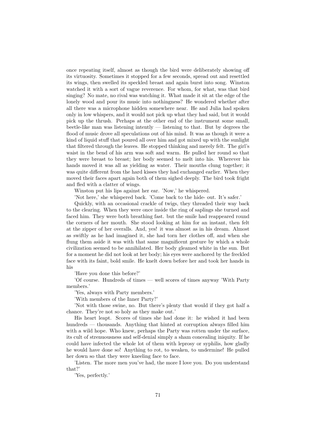once repeating itself, almost as though the bird were deliberately showing off its virtuosity. Sometimes it stopped for a few seconds, spread out and resettled its wings, then swelled its speckled breast and again burst into song. Winston watched it with a sort of vague reverence. For whom, for what, was that bird singing? No mate, no rival was watching it. What made it sit at the edge of the lonely wood and pour its music into nothingness? He wondered whether after all there was a microphone hidden somewhere near. He and Julia had spoken only in low whispers, and it would not pick up what they had said, but it would pick up the thrush. Perhaps at the other end of the instrument some small, beetle-like man was listening intently — listening to that. But by degrees the flood of music drove all speculations out of his mind. It was as though it were a kind of liquid stuff that poured all over him and got mixed up with the sunlight that filtered through the leaves. He stopped thinking and merely felt. The girl's waist in the bend of his arm was soft and warm. He pulled her round so that they were breast to breast; her body seemed to melt into his. Wherever his hands moved it was all as yielding as water. Their mouths clung together; it was quite different from the hard kisses they had exchanged earlier. When they moved their faces apart again both of them sighed deeply. The bird took fright and fled with a clatter of wings.

Winston put his lips against her ear. 'Now,' he whispered.

'Not here,' she whispered back. 'Come back to the hide- out. It's safer.'

Quickly, with an occasional crackle of twigs, they threaded their way back to the clearing. When they were once inside the ring of saplings she turned and faced him. They were both breathing fast. but the smile had reappeared round the corners of her mouth. She stood looking at him for an instant, then felt at the zipper of her overalls. And, yes! it was almost as in his dream. Almost as swiftly as he had imagined it, she had torn her clothes off, and when she flung them aside it was with that same magnificent gesture by which a whole civilization seemed to be annihilated. Her body gleamed white in the sun. But for a moment he did not look at her body; his eyes were anchored by the freckled face with its faint, bold smile. He knelt down before her and took her hands in his

'Have you done this before?'

'Of course. Hundreds of times — well scores of times anyway 'With Party members.'

'Yes, always with Party members.'

'With members of the Inner Party?'

'Not with those swine, no. But there's plenty that would if they got half a chance. They're not so holy as they make out.'

His heart leapt. Scores of times she had done it: he wished it had been hundreds — thousands. Anything that hinted at corruption always filled him with a wild hope. Who knew, perhaps the Party was rotten under the surface, its cult of strenuousness and self-denial simply a sham concealing iniquity. If he could have infected the whole lot of them with leprosy or syphilis, how gladly he would have done so! Anything to rot, to weaken, to undermine! He pulled her down so that they were kneeling face to face.

'Listen. The more men you've had, the more I love you. Do you understand that?'

'Yes, perfectly.'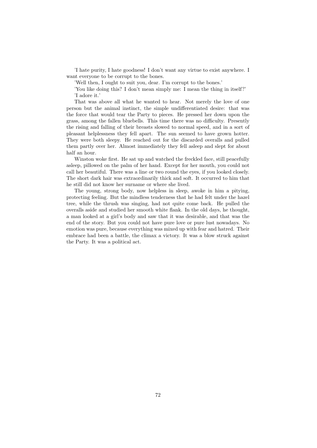'I hate purity, I hate goodness! I don't want any virtue to exist anywhere. I want everyone to be corrupt to the bones.

'Well then, I ought to suit you, dear. I'm corrupt to the bones.'

'You like doing this? I don't mean simply me: I mean the thing in itself?' 'I adore it.'

That was above all what he wanted to hear. Not merely the love of one person but the animal instinct, the simple undifferentiated desire: that was the force that would tear the Party to pieces. He pressed her down upon the grass, among the fallen bluebells. This time there was no difficulty. Presently the rising and falling of their breasts slowed to normal speed, and in a sort of pleasant helplessness they fell apart. The sun seemed to have grown hotter. They were both sleepy. He reached out for the discarded overalls and pulled them partly over her. Almost immediately they fell asleep and slept for about half an hour.

Winston woke first. He sat up and watched the freckled face, still peacefully asleep, pillowed on the palm of her hand. Except for her mouth, you could not call her beautiful. There was a line or two round the eyes, if you looked closely. The short dark hair was extraordinarily thick and soft. It occurred to him that he still did not know her surname or where she lived.

The young, strong body, now helpless in sleep, awoke in him a pitying, protecting feeling. But the mindless tenderness that he had felt under the hazel tree, while the thrush was singing, had not quite come back. He pulled the overalls aside and studied her smooth white flank. In the old days, he thought, a man looked at a girl's body and saw that it was desirable, and that was the end of the story. But you could not have pure love or pure lust nowadays. No emotion was pure, because everything was mixed up with fear and hatred. Their embrace had been a battle, the climax a victory. It was a blow struck against the Party. It was a political act.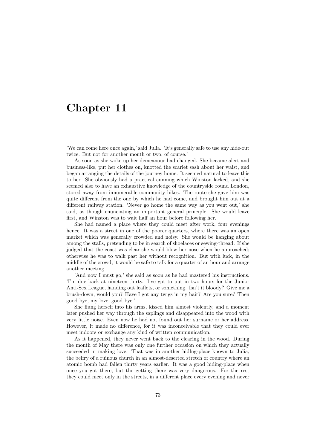# Chapter 11

'We can come here once again,' said Julia. 'It's generally safe to use any hide-out twice. But not for another month or two, of course.'

As soon as she woke up her demeanour had changed. She became alert and business-like, put her clothes on, knotted the scarlet sash about her waist, and began arranging the details of the journey home. It seemed natural to leave this to her. She obviously had a practical cunning which Winston lacked, and she seemed also to have an exhaustive knowledge of the countryside round London, stored away from innumerable community hikes. The route she gave him was quite different from the one by which he had come, and brought him out at a different railway station. 'Never go home the same way as you went out,' she said, as though enunciating an important general principle. She would leave first, and Winston was to wait half an hour before following her.

She had named a place where they could meet after work, four evenings hence. It was a street in one of the poorer quarters, where there was an open market which was generally crowded and noisy. She would be hanging about among the stalls, pretending to be in search of shoelaces or sewing-thread. If she judged that the coast was clear she would blow her nose when he approached; otherwise he was to walk past her without recognition. But with luck, in the middle of the crowd, it would be safe to talk for a quarter of an hour and arrange another meeting.

'And now I must go,' she said as soon as he had mastered his instructions. 'I'm due back at nineteen-thirty. I've got to put in two hours for the Junior Anti-Sex League, handing out leaflets, or something. Isn't it bloody? Give me a brush-down, would you? Have I got any twigs in my hair? Are you sure? Then good-bye, my love, good-bye!'

She flung herself into his arms, kissed him almost violently, and a moment later pushed her way through the saplings and disappeared into the wood with very little noise. Even now he had not found out her surname or her address. However, it made no difference, for it was inconceivable that they could ever meet indoors or exchange any kind of written communication.

As it happened, they never went back to the clearing in the wood. During the month of May there was only one further occasion on which they actually succeeded in making love. That was in another hidlng-place known to Julia, the belfry of a ruinous church in an almost-deserted stretch of country where an atomic bomb had fallen thirty years earlier. It was a good hiding-place when once you got there, but the getting there was very dangerous. For the rest they could meet only in the streets, in a different place every evening and never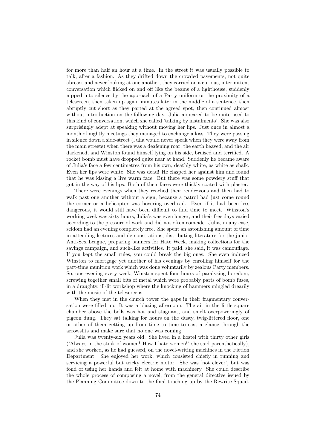for more than half an hour at a time. In the street it was usually possible to talk, after a fashion. As they drifted down the crowded pavements, not quite abreast and never looking at one another, they carried on a curious, intermittent conversation which flicked on and off like the beams of a lighthouse, suddenly nipped into silence by the approach of a Party uniform or the proximity of a telescreen, then taken up again minutes later in the middle of a sentence, then abruptly cut short as they parted at the agreed spot, then continued almost without introduction on the following day. Julia appeared to be quite used to this kind of conversation, which she called 'talking by instalments'. She was also surprisingly adept at speaking without moving her lips. Just once in almost a month of nightly meetings they managed to exchange a kiss. They were passing in silence down a side-street (Julia would never speak when they were away from the main streets) when there was a deafening roar, the earth heaved, and the air darkened, and Winston found himself lying on his side, bruised and terrified. A rocket bomb must have dropped quite near at hand. Suddenly he became aware of Julia's face a few centimetres from his own, deathly white, as white as chalk. Even her lips were white. She was dead! He clasped her against him and found that he was kissing a live warm face. But there was some powdery stuff that got in the way of his lips. Both of their faces were thickly coated with plaster.

There were evenings when they reached their rendezvous and then had to walk past one another without a sign, because a patrol had just come round the corner or a helicopter was hovering overhead. Even if it had been less dangerous, it would still have been difficult to find time to meet. Winston's working week was sixty hours, Julia's was even longer, and their free days varied according to the pressure of work and did not often coincide. Julia, in any case, seldom had an evening completely free. She spent an astonishing amount of time in attending lectures and demonstrations, distributing literature for the junior Anti-Sex League, preparing banners for Hate Week, making collections for the savings campaign, and such-like activities. It paid, she said, it was camouflage. If you kept the small rules, you could break the big ones. She even induced Winston to mortgage yet another of his evenings by enrolling himself for the part-time munition work which was done voluntarily by zealous Party members. So, one evening every week, Winston spent four hours of paralysing boredom, screwing together small bits of metal which were probably parts of bomb fuses, in a draughty, ill-lit workshop where the knocking of hammers mingled drearily with the music of the telescreens.

When they met in the church tower the gaps in their fragmentary conversation were filled up. It was a blazing afternoon. The air in the little square chamber above the bells was hot and stagnant, and smelt overpoweringly of pigeon dung. They sat talking for hours on the dusty, twig-littered floor, one or other of them getting up from time to time to cast a glance through the arrowslits and make sure that no one was coming.

Julia was twenty-six years old. She lived in a hostel with thirty other girls ('Always in the stink of women! How I hate women!' she said parenthetically), and she worked, as he had guessed, on the novel-writing machines in the Fiction Department. She enjoyed her work, which consisted chiefly in running and servicing a powerful but tricky electric motor. She was 'not clever', but was fond of using her hands and felt at home with machinery. She could describe the whole process of composing a novel, from the general directive issued by the Planning Committee down to the final touching-up by the Rewrite Squad.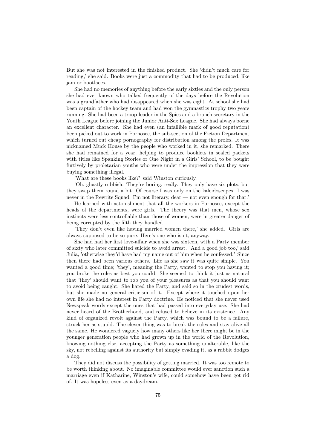But she was not interested in the finished product. She 'didn't much care for reading,' she said. Books were just a commodity that had to be produced, like jam or bootlaces.

She had no memories of anything before the early sixties and the only person she had ever known who talked frequently of the days before the Revolution was a grandfather who had disappeared when she was eight. At school she had been captain of the hockey team and had won the gymnastics trophy two years running. She had been a troop-leader in the Spies and a branch secretary in the Youth League before joining the Junior Anti-Sex League. She had always borne an excellent character. She had even (an infallible mark of good reputation) been picked out to work in Pornosec, the sub-section of the Fiction Department which turned out cheap pornography for distribution among the proles. It was nicknamed Muck House by the people who worked in it, she remarked. There she had remained for a year, helping to produce booklets in sealed packets with titles like Spanking Stories or One Night in a Girls' School, to be bought furtively by proletarian youths who were under the impression that they were buying something illegal.

'What are these books like?' said Winston curiously.

'Oh, ghastly rubbish. They're boring, really. They only have six plots, but they swap them round a bit. Of course I was only on the kaleidoscopes. I was never in the Rewrite Squad. I'm not literary, dear — not even enough for that.'

He learned with astonishment that all the workers in Pornosec, except the heads of the departments, were girls. The theory was that men, whose sex instincts were less controllable than those of women, were in greater danger of being corrupted by the filth they handled.

'They don't even like having married women there,' she added. Girls are always supposed to be so pure. Here's one who isn't, anyway.

She had had her first love-affair when she was sixteen, with a Party member of sixty who later committed suicide to avoid arrest. 'And a good job too,' said Julia, 'otherwise they'd have had my name out of him when he confessed.' Since then there had been various others. Life as she saw it was quite simple. You wanted a good time; 'they', meaning the Party, wanted to stop you having it; you broke the rules as best you couId. She seemed to think it just as natural that 'they' should want to rob you of your pleasures as that you should want to avoid being caught. She hated the Party, and said so in the crudest words, but she made no general criticism of it. Except where it touched upon her own life she had no interest in Party doctrine. He noticed that she never used Newspeak words except the ones that had passed into everyday use. She had never heard of the Brotherhood, and refused to believe in its existence. Any kind of organized revolt against the Party, which was bound to be a failure, struck her as stupid. The clever thing was to break the rules and stay alive all the same. He wondered vaguely how many others like her there might be in the younger generation people who had grown up in the world of the Revolution, knowing nothing else, accepting the Party as something unalterable, like the sky, not rebelling against its authority but simply evading it, as a rabbit dodges a dog.

They did not discuss the possibility of getting married. It was too remote to be worth thinking about. No imaginable committee would ever sanction such a marriage even if Katharine, Winston's wife, could somehow have been got rid of. It was hopeless even as a daydream.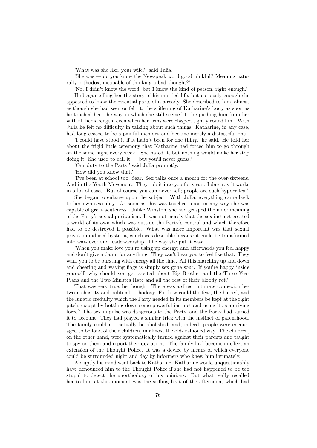'What was she like, your wife?' said Julia.

'She was — do you know the Newspeak word goodthinkful? Meaning naturally orthodox, incapable of thinking a bad thought?'

'No, I didn't know the word, but I know the kind of person, right enough.' He began telling her the story of his married life, but curiously enough she appeared to know the essential parts of it already. She described to him, almost as though she had seen or felt it, the stiffening of Katharine's body as soon as he touched her, the way in which she still seemed to be pushing him from her with all her strength, even when her arms were clasped tightly round him. With Julia he felt no difficulty in talking about such things: Katharine, in any case, had long ceased to be a painful memory and became merely a distasteful one.

'I could have stood it if it hadn't been for one thing,' he said. He toId her about the frigid little ceremony that Katharine had forced him to go through on the same night every week. 'She hated it, but nothing would make her stop doing it. She used to call it — but you'll never guess.'

'Our duty to the Party,' said Julia promptly.

'How did you know that?'

'I've been at school too, dear. Sex talks once a month for the over-sixteens. And in the Youth Movement. They rub it into you for years. I dare say it works in a lot of cases. But of course you can never tell; people are such hypocrites.'

She began to enlarge upon the subject. With Julia, everything came back to her own sexuality. As soon as this was touched upon in any way she was capable of great acuteness. Unlike Winston, she had grasped the inner meaning of the Party's sexual puritanism. It was not merely that the sex instinct created a world of its own which was outside the Party's control and which therefore had to be destroyed if possible. What was more important was that sexual privation induced hysteria, which was desirable because it could be transformed into war-fever and leader-worship. The way she put it was:

'When you make love you're using up energy; and afterwards you feel happy and don't give a damn for anything. They can't bear you to feel like that. They want you to be bursting with energy all the time. All this marching up and down and cheering and waving flags is simply sex gone sour. If you're happy inside yourself, why should you get excited about Big Brother and the Three-Year Plans and the Two Minutes Hate and all the rest of their bloody rot?'

That was very true, he thought. There was a direct intimate connexion between chastity and political orthodoxy. For how could the fear, the hatred, and the lunatic credulity which the Party needed in its members be kept at the right pitch, except by bottling down some powerful instinct and using it as a driving force? The sex impulse was dangerous to the Party, and the Party had turned it to account. They had played a similar trick with the instinct of parenthood. The family could not actually be abolished, and, indeed, people were encouraged to be fond of their children, in almost the old-fashioned way. The children, on the other hand, were systematically turned against their parents and taught to spy on them and report their deviations. The family had become in effect an extension of the Thought Police. It was a device by means of which everyone could be surrounded night and day by informers who knew him intimately.

Abruptly his mind went back to Katharine. Katharine would unquestionably have denounced him to the Thought Police if she had not happened to be too stupid to detect the unorthodoxy of his opinions. But what really recalled her to him at this moment was the stifling heat of the afternoon, which had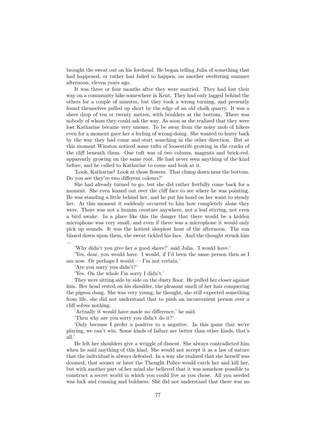brought the sweat out on his forehead. He began telling Julia of something that had happened, or rather had failed to happen, on another sweltering summer afternoon, eleven years ago.

It was three or four months after they were married. They had lost their way on a community hike somewhere in Kent. They had only lagged behind the others for a couple of minutes, but they took a wrong turning, and presently found themselves pulled up short by the edge of an old chalk quarry. It was a sheer drop of ten or twenty metres, with boulders at the bottom. There was nobody of whom they could ask the way. As soon as she realized that they were lost Katharine became very uneasy. To be away from the noisy mob of hikers even for a moment gave her a feeling of wrong-doing. She wanted to hurry back by the way they had come and start searching in the other direction. But at this moment Winston noticed some tufts of loosestrife growing in the cracks of the cliff beneath them. One tuft was of two colours, magenta and brick-red, apparently growing on the same root. He had never seen anything of the kind before, and he called to Katharine to come and look at it.

'Look, Katharine! Look at those flowers. That clump down near the bottom. Do you see they're two different colours?'

She had already turned to go, but she did rather fretfully come back for a moment. She even leaned out over the cliff face to see where he was pointing. He was standing a little behind her, and he put his hand on her waist to steady her. At this moment it suddenly occurred to him how completely alone they were. There was not a human creature anywhere, not a leaf stirring, not even a bird awake. In a place like this the danger that there would be a hidden microphone was very small, and even if there was a microphone it would only pick up sounds. It was the hottest sleepiest hour of the afternoon. The sun blazed down upon them, the sweat tickled his face. And the thought struck him ...

'Why didn't you give her a good shove?' said Julia. 'I would have.'

'Yes, dear, you would have. I would, if I'd been the same person then as I am now. Or perhaps I would — I'm not certain.'

'Are you sorry you didn't?'

'Yes. On the whole I'm sorry I didn't.'

They were sitting side by side on the dusty floor. He pulled her closer against him. Her head rested on his shoulder, the pleasant smell of her hair conquering the pigeon dung. She was very young, he thought, she still expected something from life, she did not understand that to push an inconvenient person over a cliff solves nothing.

'Actually it would have made no difference,' he said.

'Then why are you sorry you didn't do it?'

'Only because I prefer a positive to a negative. In this game that we're playing, we can't win. Some kinds of failure are better than other kinds, that's all.'

He felt her shoulders give a wriggle of dissent. She always contradicted him when he said anything of this kind. She would not accept it as a law of nature that the individual is always defeated. In a way she realized that she herself was doomed, that sooner or later the Thought Police would catch her and kill her, but with another part of her mind she believed that it was somehow possible to construct a secret world in which you could live as you chose. All you needed was luck and cunning and boldness. She did not understand that there was no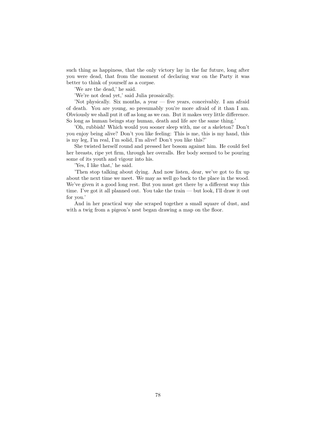such thing as happiness, that the only victory lay in the far future, long after you were dead, that from the moment of declaring war on the Party it was better to think of yourself as a corpse.

'We are the dead,' he said.

'We're not dead yet,' said Julia prosaically.

'Not physically. Six months, a year — five years, conceivably. I am afraid of death. You are young, so presumably you're more afraid of it than I am. Obviously we shall put it off as long as we can. But it makes very little difference. So long as human beings stay human, death and life are the same thing.'

'Oh, rubbish! Which would you sooner sleep with, me or a skeleton? Don't you enjoy being alive? Don't you like feeling: This is me, this is my hand, this is my leg, I'm real, I'm solid, I'm alive! Don't you like this?'

She twisted herself round and pressed her bosom against him. He could feel her breasts, ripe yet firm, through her overalls. Her body seemed to be pouring some of its youth and vigour into his.

'Yes, I like that,' he said.

'Then stop talking about dying. And now listen, dear, we've got to fix up about the next time we meet. We may as well go back to the place in the wood. We've given it a good long rest. But you must get there by a different way this time. I've got it all planned out. You take the train — but look, I'll draw it out for you.'

And in her practical way she scraped together a small square of dust, and with a twig from a pigeon's nest began drawing a map on the floor.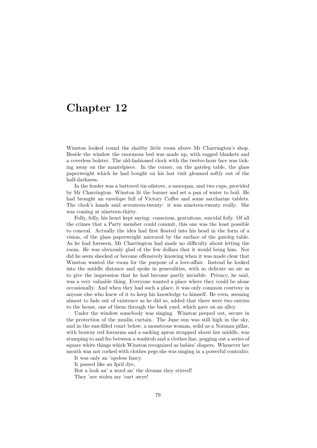### Chapter 12

Winston looked round the shabby little room above Mr Charrington's shop. Beside the window the enormous bed was made up, with ragged blankets and a coverless bolster. The old-fashioned clock with the twelve-hour face was ticking away on the mantelpiece. In the corner, on the gateleg table, the glass paperweight which he had bought on his last visit gleamed softly out of the half-darkness.

In the fender was a battered tin oilstove, a saucepan, and two cups, provided by Mr Charrington. Winston lit the burner and set a pan of water to boil. He had brought an envelope full of Victory Coffee and some saccharine tablets. The clock's hands said seventeen-twenty: it was nineteen-twenty really. She was coming at nineteen-thirty.

Folly, folly, his heart kept saying: conscious, gratuitous, suicidal folly. Of all the crimes that a Party member could commit, this one was the least possible to conceal. Actually the idea had first floated into his head in the form of a vision, of the glass paperweight mirrored by the surface of the gateleg table. As he had foreseen, Mr Charrington had made no difficulty about letting the room. He was obviously glad of the few dollars that it would bring him. Nor did he seem shocked or become offensively knowing when it was made clear that Winston wanted the room for the purpose of a love-affair. Instead he looked into the middle distance and spoke in generalities, with so delicate an air as to give the impression that he had become partly invisible. Privacy, he said, was a very valuable thing. Everyone wanted a place where they could be alone occasionally. And when they had such a place, it was only common courtesy in anyone else who knew of it to keep his knowledge to himself. He even, seeming almost to fade out of existence as he did so, added that there were two entries to the house, one of them through the back yard, which gave on an alley.

Under the window somebody was singing. Winston peeped out, secure in the protection of the muslin curtain. The June sun was still high in the sky, and in the sun-filled court below, a monstrous woman, solid as a Norman pillar, with brawny red forearms and a sacking apron strapped about her middle, was stumping to and fro between a washtub and a clothes line, pegging out a series of square white things which Winston recognized as babies' diapers. Whenever her mouth was not corked with clothes pegs she was singing in a powerful contralto:

It was only an 'opeless fancy.

It passed like an Ipril dye,

But a look an' a word an' the dreams they stirred!

They 'ave stolen my 'eart awye!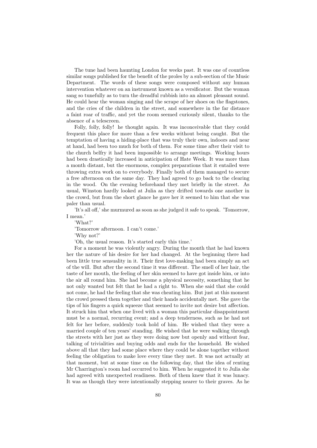The tune had been haunting London for weeks past. It was one of countless similar songs published for the benefit of the proles by a sub-section of the Music Department. The words of these songs were composed without any human intervention whatever on an instrument known as a versificator. But the woman sang so tunefully as to turn the dreadful rubbish into an almost pleasant sound. He could hear the woman singing and the scrape of her shoes on the flagstones, and the cries of the children in the street, and somewhere in the far distance a faint roar of traffic, and yet the room seemed curiously silent, thanks to the absence of a telescreen.

Folly, folly, folly! he thought again. It was inconceivable that they could frequent this place for more than a few weeks without being caught. But the temptation of having a hiding-place that was truly their own, indoors and near at hand, had been too much for both of them. For some time after their visit to the church belfry it had been impossible to arrange meetings. Working hours had been drastically increased in anticipation of Hate Week. It was more than a month distant, but the enormous, complex preparations that it entailed were throwing extra work on to everybody. Finally both of them managed to secure a free afternoon on the same day. They had agreed to go back to the clearing in the wood. On the evening beforehand they met briefly in the street. As usual, Winston hardly looked at Julia as they drifted towards one another in the crowd, but from the short glance he gave her it seemed to him that she was paler than usual.

'It's all off,' she murmured as soon as she judged it safe to speak. 'Tomorrow, I mean.'

'What?'

'Tomorrow afternoon. I can't come.'

'Why not?'

'Oh, the usual reason. It's started early this time.'

For a moment he was violently angry. During the month that he had known her the nature of his desire for her had changed. At the beginning there had been little true sensuality in it. Their first love-making had been simply an act of the will. But after the second time it was different. The smell of her hair, the taste of her mouth, the feeling of her skin seemed to have got inside him, or into the air all round him. She had become a physical necessity, something that he not only wanted but felt that he had a right to. When she said that she could not come, he had the feeling that she was cheating him. But just at this moment the crowd pressed them together and their hands accidentally met. She gave the tips of his fingers a quick squeeze that seemed to invite not desire but affection. It struck him that when one lived with a woman this particular disappointment must be a normal, recurring event; and a deep tenderness, such as he had not felt for her before, suddenly took hold of him. He wished that they were a married couple of ten years' standing. He wished that he were walking through the streets with her just as they were doing now but openly and without fear, talking of trivialities and buying odds and ends for the household. He wished above all that they had some place where they could be alone together without feeling the obligation to make love every time they met. It was not actually at that moment, but at some time on the following day, that the idea of renting Mr Charrington's room had occurred to him. When he suggested it to Julia she had agreed with unexpected readiness. Both of them knew that it was lunacy. It was as though they were intentionally stepping nearer to their graves. As he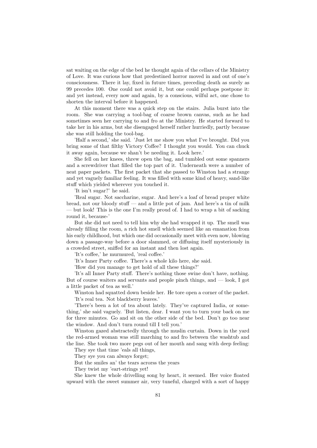sat waiting on the edge of the bed he thought again of the cellars of the Ministry of Love. It was curious how that predestined horror moved in and out of one's consciousness. There it lay, fixed in future times, preceding death as surely as 99 precedes 100. One could not avoid it, but one could perhaps postpone it: and yet instead, every now and again, by a conscious, wilful act, one chose to shorten the interval before it happened.

At this moment there was a quick step on the stairs. Julia burst into the room. She was carrying a tool-bag of coarse brown canvas, such as he had sometimes seen her carrying to and fro at the Ministry. He started forward to take her in his arms, but she disengaged herself rather hurriedly, partly because she was still holding the tool-bag.

'Half a second,' she said. 'Just let me show you what I've brought. Did you bring some of that filthy Victory Coffee? I thought you would. You can chuck it away again, because we shan't be needing it. Look here.'

She fell on her knees, threw open the bag, and tumbled out some spanners and a screwdriver that filled the top part of it. Underneath were a number of neat paper packets. The first packet that she passed to Winston had a strange and yet vaguely familiar feeling. It was filled with some kind of heavy, sand-like stuff which yielded wherever you touched it.

'It isn't sugar?' he said.

'Real sugar. Not saccharine, sugar. And here's a loaf of bread proper white bread, not our bloody stuff — and a little pot of jam. And here's a tin of milk — but look! This is the one I'm really proud of. I had to wrap a bit of sacking round it, because-'

But she did not need to tell him why she had wrapped it up. The smell was already filling the room, a rich hot smell which seemed like an emanation from his early childhood, but which one did occasionally meet with even now, blowing down a passage-way before a door slammed, or diffusing itself mysteriously in a crowded street, sniffed for an instant and then lost again.

'It's coffee,' he murmured, 'real coffee.'

'It's Inner Party coffee. There's a whole kilo here, she said.

'How did you manage to get hold of all these things?'

'It's all Inner Party stuff. There's nothing those swine don't have, nothing. But of course waiters and servants and people pinch things, and — look, I got a little packet of tea as well.'

Winston had squatted down beside her. He tore open a corner of the packet. 'It's real tea. Not blackberry leaves.'

'There's been a lot of tea about lately. They've captured India, or something,' she said vaguely. 'But listen, dear. I want you to turn your back on me for three minutes. Go and sit on the other side of the bed. Don't go too near the window. And don't turn round till I tell you.'

Winston gazed abstractedly through the muslin curtain. Down in the yard the red-armed woman was still marching to and fro between the washtub and the line. She took two more pegs out of her mouth and sang with deep feeling:

They sye that time 'eals all things,

They sye you can always forget;

But the smiles an' the tears acrorss the years

They twist my 'eart-strings yet!

She knew the whole drivelling song by heart, it seemed. Her voice floated upward with the sweet summer air, very tuneful, charged with a sort of happy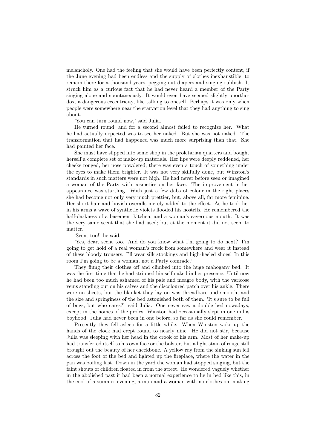melancholy. One had the feeling that she would have been perfectly content, if the June evening had been endless and the supply of clothes inexhaustible, to remain there for a thousand years, pegging out diapers and singing rubbish. It struck him as a curious fact that he had never heard a member of the Party singing alone and spontaneously. It would even have seemed slightly unorthodox, a dangerous eccentricity, like talking to oneself. Perhaps it was only when people were somewhere near the starvation level that they had anything to sing about.

'You can turn round now,' said Julia.

He turned round, and for a second almost failed to recognize her. What he had actually expected was to see her naked. But she was not naked. The transformation that had happened was much more surprising than that. She had painted her face.

She must have slipped into some shop in the proletarian quarters and bought herself a complete set of make-up materials. Her lips were deeply reddened, her cheeks rouged, her nose powdered; there was even a touch of something under the eyes to make them brighter. It was not very skilfully done, but Winston's standards in such matters were not high. He had never before seen or imagined a woman of the Party with cosmetics on her face. The improvement in her appearance was startling. With just a few dabs of colour in the right places she had become not only very much prettier, but, above all, far more feminine. Her short hair and boyish overalls merely added to the effect. As he took her in his arms a wave of synthetic violets flooded his nostrils. He remembered the half-darkness of a basement kitchen, and a woman's cavernous mouth. It was the very same scent that she had used; but at the moment it did not seem to matter.

'Scent too!' he said.

'Yes, dear, scent too. And do you know what I'm going to do next? I'm going to get hold of a real woman's frock from somewhere and wear it instead of these bloody trousers. I'll wear silk stockings and high-heeled shoes! In this room I'm going to be a woman, not a Party comrade.'

They flung their clothes off and climbed into the huge mahogany bed. It was the first time that he had stripped himself naked in her presence. Until now he had been too much ashamed of his pale and meagre body, with the varicose veins standing out on his calves and the discoloured patch over his ankle. There were no sheets, but the blanket they lay on was threadbare and smooth, and the size and springiness of the bed astonished both of them. 'It's sure to be full of bugs, but who cares?' said Julia. One never saw a double bed nowadays, except in the homes of the proles. Winston had occasionally slept in one in his boyhood: Julia had never been in one before, so far as she could remember.

Presently they fell asleep for a little while. When Winston woke up the hands of the clock had crept round to nearly nine. He did not stir, because Julia was sleeping with her head in the crook of his arm. Most of her make-up had transferred itself to his own face or the bolster, but a light stain of rouge still brought out the beauty of her cheekbone. A yellow ray from the sinking sun fell across the foot of the bed and lighted up the fireplace, where the water in the pan was boiling fast. Down in the yard the woman had stopped singing, but the faint shouts of children floated in from the street. He wondered vaguely whether in the abolished past it had been a normal experience to lie in bed like this, in the cool of a summer evening, a man and a woman with no clothes on, making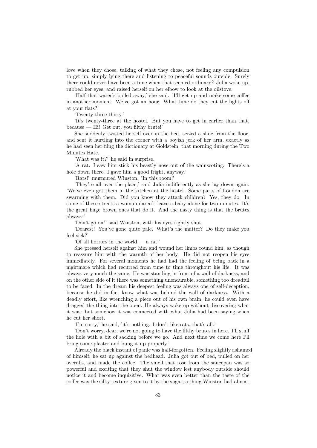love when they chose, talking of what they chose, not feeling any compulsion to get up, simply lying there and listening to peaceful sounds outside. Surely there could never have been a time when that seemed ordinary? Julia woke up, rubbed her eyes, and raised herself on her elbow to look at the oilstove.

'Half that water's boiled away,' she said. 'I'll get up and make some coffee in another moment. We've got an hour. What time do they cut the lights off at your flats?'

'Twenty-three thirty.'

'It's twenty-three at the hostel. But you have to get in earlier than that, because — Hi! Get out, you filthy brute!'

She suddenly twisted herself over in the bed, seized a shoe from the floor, and sent it hurtling into the corner with a boyish jerk of her arm, exactly as he had seen her fling the dictionary at Goldstein, that morning during the Two Minutes Hate.

'What was it?' he said in surprise.

'A rat. I saw him stick his beastly nose out of the wainscoting. There's a hole down there. I gave him a good fright, anyway.'

'Rats!' murmured Winston. 'In this room!'

'They're all over the place,' said Julia indifferently as she lay down again. 'We've even got them in the kitchen at the hostel. Some parts of London are swarming with them. Did you know they attack children? Yes, they do. In some of these streets a woman daren't leave a baby alone for two minutes. It's the great huge brown ones that do it. And the nasty thing is that the brutes always-'

'Don't go on!' said Winston, with his eyes tightly shut.

'Dearest! You've gone quite pale. What's the matter? Do they make you feel sick?'

'Of all horrors in the world — a rat!'

She pressed herself against him and wound her limbs round him, as though to reassure him with the warmth of her body. He did not reopen his eyes immediately. For several moments he had had the feeling of being back in a nightmare which had recurred from time to time throughout his life. It was always very much the same. He was standing in front of a wall of darkness, and on the other side of it there was something unendurable, something too dreadful to be faced. In the dream his deepest feeling was always one of self-deception, because he did in fact know what was behind the wall of darkness. With a deadly effort, like wrenching a piece out of his own brain, he could even have dragged the thing into the open. He always woke up without discovering what it was: but somehow it was connected with what Julia had been saying when he cut her short.

'I'm sorry,' he said, 'it's nothing. I don't like rats, that's all.'

'Don't worry, dear, we're not going to have the filthy brutes in here. I'll stuff the hole with a bit of sacking before we go. And next time we come here I'll bring some plaster and bung it up properly.'

Already the black instant of panic was half-forgotten. Feeling slightly ashamed of himself, he sat up against the bedhead. Julia got out of bed, pulled on her overalls, and made the coffee. The smell that rose from the saucepan was so powerful and exciting that they shut the window lest anybody outside should notice it and become inquisitive. What was even better than the taste of the coffee was the silky texture given to it by the sugar, a thing Winston had almost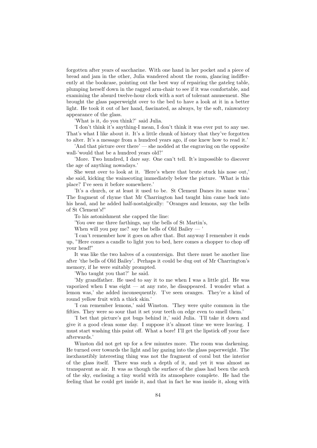forgotten after years of saccharine. With one hand in her pocket and a piece of bread and jam in the other, Julia wandered about the room, glancing indifferently at the bookcase, pointing out the best way of repairing the gateleg table, plumping herself down in the ragged arm-chair to see if it was comfortable, and examining the absurd twelve-hour clock with a sort of tolerant amusement. She brought the glass paperweight over to the bed to have a look at it in a better light. He took it out of her hand, fascinated, as always, by the soft, rainwatery appearance of the glass.

'What is it, do you think?' said Julia.

'I don't think it's anything-I mean, I don't think it was ever put to any use. That's what I like about it. It's a little chunk of history that they've forgotten to alter. It's a message from a hundred years ago, if one knew how to read it.'

'And that picture over there' — she nodded at the engraving on the opposite wall-'would that be a hundred years old?'

'More. Two hundred, I dare say. One can't tell. It's impossible to discover the age of anything nowadays.'

She went over to look at it. 'Here's where that brute stuck his nose out,' she said, kicking the wainscoting immediately below the picture. 'What is this place? I've seen it before somewhere.'

'It's a church, or at least it used to be. St Clement Danes its name was.' The fragment of rhyme that Mr Charrington had taught him came back into his head, and he added half-nostalgically: "Oranges and lemons, say the bells of St Clement's!"

To his astonishment she capped the line:

'You owe me three farthings, say the bells of St Martin's,

When will you pay me? say the bells of Old Bailey  $-$ 

'I can't remember how it goes on after that. But anyway I remember it ends up, "Here comes a candle to light you to bed, here comes a chopper to chop off your head!"

It was like the two halves of a countersign. But there must be another line after 'the bells of Old Bailey'. Perhaps it could be dug out of Mr Charrington's memory, if he were suitably prompted.

'Who taught you that?' he said.

'My grandfather. He used to say it to me when I was a little girl. He was vaporized when I was eight — at any rate, he disappeared. I wonder what a lemon was,' she added inconsequently. 'I've seen oranges. They're a kind of round yellow fruit with a thick skin.'

'I can remember lemons,' said Winston. 'They were quite common in the fifties. They were so sour that it set your teeth on edge even to smell them.'

'I bet that picture's got bugs behind it,' said Julia. 'I'll take it down and give it a good clean some day. I suppose it's almost time we were leaving. I must start washing this paint off. What a bore! I'll get the lipstick off your face afterwards.'

Winston did not get up for a few minutes more. The room was darkening. He turned over towards the light and lay gazing into the glass paperweight. The inexhaustibly interesting thing was not the fragment of coral but the interior of the glass itself. There was such a depth of it, and yet it was almost as transparent as air. It was as though the surface of the glass had been the arch of the sky, enclosing a tiny world with its atmosphere complete. He had the feeling that he could get inside it, and that in fact he was inside it, along with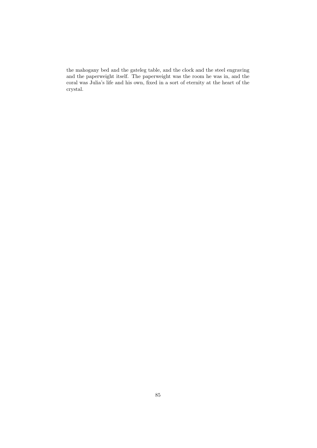the mahogany bed and the gateleg table, and the clock and the steel engraving and the paperweight itself. The paperweight was the room he was in, and the coral was Julia's life and his own, fixed in a sort of eternity at the heart of the crystal.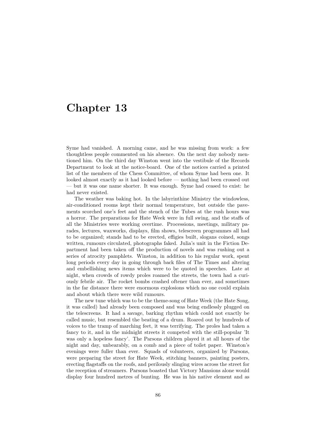## Chapter 13

Syme had vanished. A morning came, and he was missing from work: a few thoughtless people commented on his absence. On the next day nobody mentioned him. On the third day Winston went into the vestibule of the Records Department to look at the notice-board. One of the notices carried a printed list of the members of the Chess Committee, of whom Syme had been one. It looked almost exactly as it had looked before — nothing had been crossed out — but it was one name shorter. It was enough. Syme had ceased to exist: he had never existed.

The weather was baking hot. In the labyrinthine Ministry the windowless, air-conditioned rooms kept their normal temperature, but outside the pavements scorched one's feet and the stench of the Tubes at the rush hours was a horror. The preparations for Hate Week were in full swing, and the staffs of all the Ministries were working overtime. Processions, meetings, military parades, lectures, waxworks, displays, film shows, telescreen programmes all had to be organized; stands had to be erected, effigies built, slogans coined, songs written, rumours circulated, photographs faked. Julia's unit in the Fiction Department had been taken off the production of novels and was rushing out a series of atrocity pamphlets. Winston, in addition to his regular work, spent long periods every day in going through back files of The Times and altering and embellishing news items which were to be quoted in speeches. Late at night, when crowds of rowdy proles roamed the streets, the town had a curiously febrile air. The rocket bombs crashed oftener than ever, and sometimes in the far distance there were enormous explosions which no one could explain and about which there were wild rumours.

The new tune which was to be the theme-song of Hate Week (the Hate Song, it was called) had already been composed and was being endlessly plugged on the telescreens. It had a savage, barking rhythm which could not exactly be called music, but resembled the beating of a drum. Roared out by hundreds of voices to the tramp of marching feet, it was terrifying. The proles had taken a fancy to it, and in the midnight streets it competed with the still-popular 'It was only a hopeless fancy'. The Parsons children played it at all hours of the night and day, unbearably, on a comb and a piece of toilet paper. Winston's evenings were fuller than ever. Squads of volunteers, organized by Parsons, were preparing the street for Hate Week, stitching banners, painting posters, erecting flagstaffs on the roofs, and perilously slinging wires across the street for the reception of streamers. Parsons boasted that Victory Mansions alone would display four hundred metres of bunting. He was in his native element and as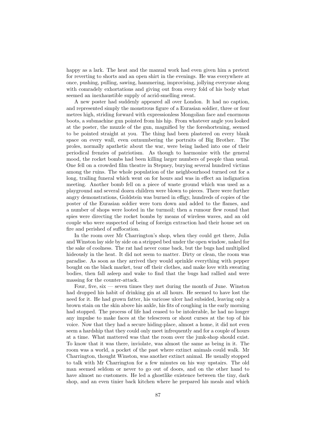happy as a lark. The heat and the manual work had even given him a pretext for reverting to shorts and an open shirt in the evenings. He was everywhere at once, pushing, pulling, sawing, hammering, improvising, jollying everyone along with comradely exhortations and giving out from every fold of his body what seemed an inexhaustible supply of acrid-smelling sweat.

A new poster had suddenly appeared all over London. It had no caption, and represented simply the monstrous figure of a Eurasian soldier, three or four metres high, striding forward with expressionless Mongolian face and enormous boots, a submachine gun pointed from his hip. From whatever angle you looked at the poster, the muzzle of the gun, magnified by the foreshortening, seemed to be pointed straight at you. The thing had been plastered on every blank space on every wall, even outnumbering the portraits of Big Brother. The proles, normally apathetic about the war, were being lashed into one of their periodical frenzies of patriotism. As though to harmonize with the general mood, the rocket bombs had been killing larger numbers of people than usual. One fell on a crowded film theatre in Stepney, burying several hundred victims among the ruins. The whole population of the neighbourhood turned out for a long, trailing funeral which went on for hours and was in effect an indignation meeting. Another bomb fell on a piece of waste ground which was used as a playground and several dozen children were blown to pieces. There were further angry demonstrations, Goldstein was burned in effigy, hundreds of copies of the poster of the Eurasian soldier were torn down and added to the flames, and a number of shops were looted in the turmoil; then a rumour flew round that spies were directing the rocket bombs by means of wireless waves, and an old couple who were suspected of being of foreign extraction had their house set on fire and perished of suffocation.

In the room over Mr Charrington's shop, when they could get there, Julia and Winston lay side by side on a stripped bed under the open window, naked for the sake of coolness. The rat had never come back, but the bugs had multiplied hideously in the heat. It did not seem to matter. Dirty or clean, the room was paradise. As soon as they arrived they would sprinkle everything with pepper bought on the black market, tear off their clothes, and make love with sweating bodies, then fall asleep and wake to find that the bugs had rallied and were massing for the counter-attack.

Four, five,  $six$  — seven times they met during the month of June. Winston had dropped his habit of drinking gin at all hours. He seemed to have lost the need for it. He had grown fatter, his varicose ulcer had subsided, leaving only a brown stain on the skin above his ankle, his fits of coughing in the early morning had stopped. The process of life had ceased to be intolerable, he had no longer any impulse to make faces at the telescreen or shout curses at the top of his voice. Now that they had a secure hiding-place, almost a home, it did not even seem a hardship that they could only meet infrequently and for a couple of hours at a time. What mattered was that the room over the junk-shop should exist. To know that it was there, inviolate, was almost the same as being in it. The room was a world, a pocket of the past where extinct animals could walk. Mr Charrington, thought Winston, was another extinct animal. He usually stopped to talk with Mr Charrington for a few minutes on his way upstairs. The old man seemed seldom or never to go out of doors, and on the other hand to have almost no customers. He led a ghostlike existence between the tiny, dark shop, and an even tinier back kitchen where he prepared his meals and which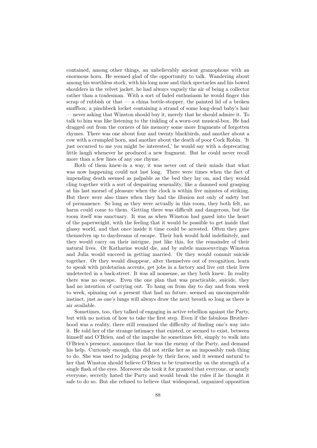contained, among other things, an unbelievably ancient gramophone with an enormous horn. He seemed glad of the opportunity to talk. Wandering about among his worthless stock, with his long nose and thick spectacles and his bowed shoulders in the velvet jacket, he had always vaguely the air of being a collector rather than a tradesman. With a sort of faded enthusiasm he would finger this scrap of rubbish or that  $-$  a china bottle-stopper, the painted lid of a broken snuffbox, a pinchbeck locket containing a strand of some long-dead baby's hair — never asking that Winston should buy it, merely that he should admire it. To talk to him was like listening to the tinkling of a worn-out musical-box. He had dragged out from the corners of his memory some more fragments of forgotten rhymes. There was one about four and twenty blackbirds, and another about a cow with a crumpled horn, and another about the death of poor Cock Robin. 'It just occurred to me you might be interested,' he would say with a deprecating little laugh whenever he produced a new fragment. But he could never recall more than a few lines of any one rhyme.

Both of them knew-in a way, it was never out of their minds that what was now happening could not last long. There were times when the fact of impending death seemed as palpable as the bed they lay on, and they would cling together with a sort of despairing sensuality, like a damned soul grasping at his last morsel of pleasure when the clock is within five minutes of striking. But there were also times when they had the illusion not only of safety but of permanence. So long as they were actually in this room, they both felt, no harm could come to them. Getting there was difficult and dangerous, but the room itself was sanctuary. It was as when Winston had gazed into the heart of the paperweight, with the feeling that it would be possible to get inside that glassy world, and that once inside it time could be arrested. Often they gave themselves up to daydreams of escape. Their luck would hold indefinitely, and they would carry on their intrigue, just like this, for the remainder of their natural lives. Or Katharine would die, and by subtle manoeuvrings Winston and Julia would succeed in getting married. Or they would commit suicide together. Or they would disappear, alter themselves out of recognition, learn to speak with proletarian accents, get jobs in a factory and live out their lives undetected in a back-street. It was all nonsense, as they both knew. In reality there was no escape. Even the one plan that was practicable, suicide, they had no intention of carrying out. To hang on from day to day and from week to week, spinning out a present that had no future, seemed an unconquerable instinct, just as one's lungs will always draw the next breath so long as there is air available.

Sometimes, too, they talked of engaging in active rebellion against the Party, but with no notion of how to take the first step. Even if the fabulous Brotherhood was a reality, there still remained the difficulty of finding one's way into it. He told her of the strange intimacy that existed, or seemed to exist, between himself and O'Brien, and of the impulse he sometimes felt, simply to walk into O'Brien's presence, announce that he was the enemy of the Party, and demand his help. Curiously enough, this did not strike her as an impossibly rash thing to do. She was used to judging people by their faces, and it seemed natural to her that Winston should believe O'Brien to be trustworthy on the strength of a single flash of the eyes. Moreover she took it for granted that everyone, or nearly everyone, secretly hated the Party and would break the rules if he thought it safe to do so. But she refused to believe that widespread, organized opposition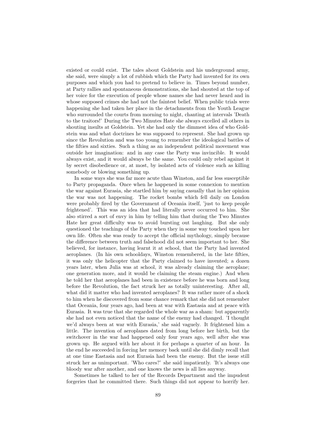existed or could exist. The tales about Goldstein and his underground army, she said, were simply a lot of rubbish which the Party had invented for its own purposes and which you had to pretend to believe in. Times beyond number, at Party rallies and spontaneous demonstrations, she had shouted at the top of her voice for the execution of people whose names she had never heard and in whose supposed crimes she had not the faintest belief. When public trials were happening she had taken her place in the detachments from the Youth League who surrounded the courts from morning to night, chanting at intervals 'Death to the traitors!' During the Two Minutes Hate she always excelled all others in shouting insults at Goldstein. Yet she had only the dimmest idea of who Goldstein was and what doctrines he was supposed to represent. She had grown up since the Revolution and was too young to remember the ideological battles of the fifties and sixties. Such a thing as an independent political movement was outside her imagination: and in any case the Party was invincible. It would always exist, and it would always be the same. You could only rebel against it by secret disobedience or, at most, by isolated acts of violence such as killing somebody or blowing something up.

In some ways she was far more acute than Winston, and far less susceptible to Party propaganda. Once when he happened in some connexion to mention the war against Eurasia, she startled him by saying casually that in her opinion the war was not happening. The rocket bombs which fell daily on London were probably fired by the Government of Oceania itself, 'just to keep people frightened'. This was an idea that had literally never occurred to him. She also stirred a sort of envy in him by telling him that during the Two Minutes Hate her great difficulty was to avoid bursting out laughing. But she only questioned the teachings of the Party when they in some way touched upon her own life. Often she was ready to accept the official mythology, simply because the difference between truth and falsehood did not seem important to her. She believed, for instance, having learnt it at school, that the Party had invented aeroplanes. (In his own schooldays, Winston remembered, in the late fifties, it was only the helicopter that the Party claimed to have invented; a dozen years later, when Julia was at school, it was already claiming the aeroplane; one generation more, and it would be claiming the steam engine.) And when he told her that aeroplanes had been in existence before he was born and long before the Revolution, the fact struck her as totally uninteresting. After all, what did it matter who had invented aeroplanes? It was rather more of a shock to him when he discovered from some chance remark that she did not remember that Oceania, four years ago, had been at war with Eastasia and at peace with Eurasia. It was true that she regarded the whole war as a sham: but apparently she had not even noticed that the name of the enemy had changed. 'I thought we'd always been at war with Eurasia,' she said vaguely. It frightened him a little. The invention of aeroplanes dated from long before her birth, but the switchover in the war had happened only four years ago, well after she was grown up. He argued with her about it for perhaps a quarter of an hour. In the end he succeeded in forcing her memory back until she did dimly recall that at one time Eastasia and not Eurasia had been the enemy. But the issue still struck her as unimportant. 'Who cares?' she said impatiently. 'It's always one bloody war after another, and one knows the news is all lies anyway.

Sometimes he talked to her of the Records Department and the impudent forgeries that he committed there. Such things did not appear to horrify her.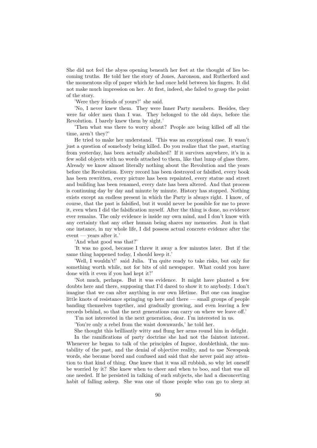She did not feel the abyss opening beneath her feet at the thought of lies becoming truths. He told her the story of Jones, Aaronson, and Rutherford and the momentous slip of paper which he had once held between his fingers. It did not make much impression on her. At first, indeed, she failed to grasp the point of the story.

'Were they friends of yours?' she said.

'No, I never knew them. They were Inner Party members. Besides, they were far older men than I was. They belonged to the old days, before the Revolution. I barely knew them by sight.'

'Then what was there to worry about? People are being killed off all the time, aren't they?'

He tried to make her understand. 'This was an exceptional case. It wasn't just a question of somebody being killed. Do you realize that the past, starting from yesterday, has been actually abolished? If it survives anywhere, it's in a few solid objects with no words attached to them, like that lump of glass there. Already we know almost literally nothing about the Revolution and the years before the Revolution. Every record has been destroyed or falsified, every book has been rewritten, every picture has been repainted, every statue and street and building has been renamed, every date has been altered. And that process is continuing day by day and minute by minute. History has stopped. Nothing exists except an endless present in which the Party is always right. I know, of course, that the past is falsified, but it would never be possible for me to prove it, even when I did the falsification myself. After the thing is done, no evidence ever remains. The only evidence is inside my own mind, and I don't know with any certainty that any other human being shares my memories. Just in that one instance, in my whole life, I did possess actual concrete evidence after the event — years after it.'

'And what good was that?'

'It was no good, because I threw it away a few minutes later. But if the same thing happened today, I should keep it.'

'Well, I wouldn't!' said Julia. 'I'm quite ready to take risks, but only for something worth while, not for bits of old newspaper. What could you have done with it even if you had kept it?'

'Not much, perhaps. But it was evidence. It might have planted a few doubts here and there, supposing that I'd dared to show it to anybody. I don't imagine that we can alter anything in our own lifetime. But one can imagine little knots of resistance springing up here and there — small groups of people banding themselves together, and gradually growing, and even leaving a few records behind, so that the next generations can carry on where we leave off.'

'I'm not interested in the next generation, dear. I'm interested in us.

'You're only a rebel from the waist downwards,' he told her.

She thought this brilliantly witty and flung her arms round him in delight.

In the ramifications of party doctrine she had not the faintest interest. Whenever he began to talk of the principles of Ingsoc, doublethink, the mutability of the past, and the denial of objective reality, and to use Newspeak words, she became bored and confused and said that she never paid any attention to that kind of thing. One knew that it was all rubbish, so why let oneself be worried by it? She knew when to cheer and when to boo, and that was all one needed. If he persisted in talking of such subjects, she had a disconcerting habit of falling asleep. She was one of those people who can go to sleep at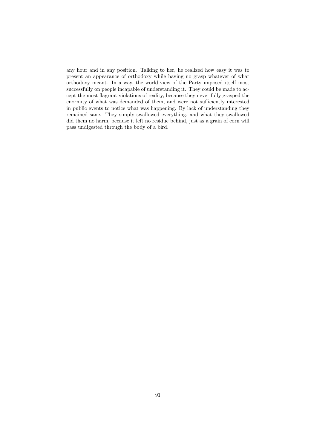any hour and in any position. Talking to her, he realized how easy it was to present an appearance of orthodoxy while having no grasp whatever of what orthodoxy meant. In a way, the world-view of the Party imposed itself most successfully on people incapable of understanding it. They could be made to accept the most flagrant violations of reality, because they never fully grasped the enormity of what was demanded of them, and were not sufficiently interested in public events to notice what was happening. By lack of understanding they remained sane. They simply swallowed everything, and what they swallowed did them no harm, because it left no residue behind, just as a grain of corn will pass undigested through the body of a bird.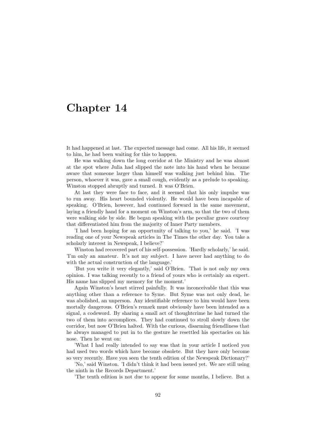#### Chapter 14

It had happened at last. The expected message had come. All his life, it seemed to him, he had been waiting for this to happen.

He was walking down the long corridor at the Ministry and he was almost at the spot where Julia had slipped the note into his hand when he became aware that someone larger than himself was walking just behind him. The person, whoever it was, gave a small cough, evidently as a prelude to speaking. Winston stopped abruptly and turned. It was O'Brien.

At last they were face to face, and it seemed that his only impulse was to run away. His heart bounded violently. He would have been incapable of speaking. O'Brien, however, had continued forward in the same movement, laying a friendly hand for a moment on Winston's arm, so that the two of them were walking side by side. He began speaking with the peculiar grave courtesy that differentiated him from the majority of Inner Party members.

'I had been hoping for an opportunity of talking to you,' he said. 'I was reading one of your Newspeak articles in The Times the other day. You take a scholarly interest in Newspeak, I believe?'

Winston had recovered part of his self-possession. 'Hardly scholarly,' he said. 'I'm only an amateur. It's not my subject. I have never had anything to do with the actual construction of the language.'

'But you write it very elegantly,' said O'Brien. 'That is not only my own opinion. I was talking recently to a friend of yours who is certainly an expert. His name has slipped my memory for the moment.'

Again Winston's heart stirred painfully. It was inconceivable that this was anything other than a reference to Syme. But Syme was not only dead, he was abolished, an unperson. Any identifiable reference to him would have been mortally dangerous. O'Brien's remark must obviously have been intended as a signal, a codeword. By sharing a small act of thoughtcrime he had turned the two of them into accomplices. They had continued to stroll slowly down the corridor, but now O'Brien halted. With the curious, disarming friendliness that he always managed to put in to the gesture he resettled his spectacles on his nose. Then he went on:

'What I had really intended to say was that in your article I noticed you had used two words which have become obsolete. But they have only become so very recently. Have you seen the tenth edition of the Newspeak Dictionary?'

'No,' said Winston. 'I didn't think it had been issued yet. We are still using the ninth in the Records Department.'

'The tenth edition is not due to appear for some months, I believe. But a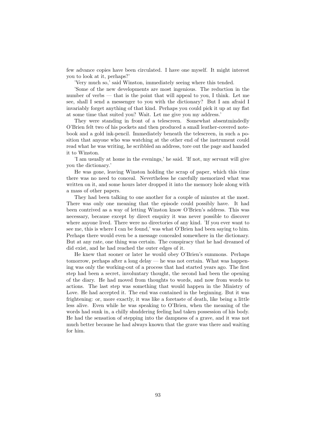few advance copies have been circulated. I have one myself. It might interest you to look at it, perhaps?'

'Very much so,' said Winston, immediately seeing where this tended.

'Some of the new developments are most ingenious. The reduction in the number of verbs — that is the point that will appeal to you, I think. Let me see, shall I send a messenger to you with the dictionary? But I am afraid I invariably forget anything of that kind. Perhaps you could pick it up at my flat at some time that suited you? Wait. Let me give you my address.'

They were standing in front of a telescreen. Somewhat absentmindedly O'Brien felt two of his pockets and then produced a small leather-covered notebook and a gold ink-pencil. Immediately beneath the telescreen, in such a position that anyone who was watching at the other end of the instrument could read what he was writing, he scribbled an address, tore out the page and handed it to Winston.

'I am usually at home in the evenings,' he said. 'If not, my servant will give you the dictionary.'

He was gone, leaving Winston holding the scrap of paper, which this time there was no need to conceal. Nevertheless he carefully memorized what was written on it, and some hours later dropped it into the memory hole along with a mass of other papers.

They had been talking to one another for a couple of minutes at the most. There was only one meaning that the episode could possibly have. It had been contrived as a way of letting Winston know O'Brien's address. This was necessary, because except by direct enquiry it was never possible to discover where anyone lived. There were no directories of any kind. 'If you ever want to see me, this is where I can be found,' was what O'Brien had been saying to him. Perhaps there would even be a message concealed somewhere in the dictionary. But at any rate, one thing was certain. The conspiracy that he had dreamed of did exist, and he had reached the outer edges of it.

He knew that sooner or later he would obey O'Brien's summons. Perhaps tomorrow, perhaps after a long delay — he was not certain. What was happening was only the working-out of a process that had started years ago. The first step had been a secret, involuntary thought, the second had been the opening of the diary. He had moved from thoughts to words, and now from words to actions. The last step was something that would happen in the Ministry of Love. He had accepted it. The end was contained in the beginning. But it was frightening: or, more exactly, it was like a foretaste of death, like being a little less alive. Even while he was speaking to O'Brien, when the meaning of the words had sunk in, a chilly shuddering feeling had taken possession of his body. He had the sensation of stepping into the dampness of a grave, and it was not much better because he had always known that the grave was there and waiting for him.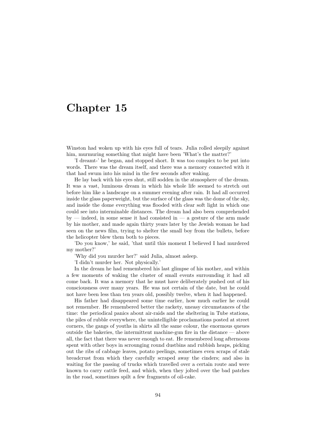## Chapter 15

Winston had woken up with his eyes full of tears. Julia rolled sleepily against him, murmuring something that might have been 'What's the matter?'

'I dreamt-' he began, and stopped short. It was too complex to be put into words. There was the dream itself, and there was a memory connected with it that had swum into his mind in the few seconds after waking.

He lay back with his eyes shut, still sodden in the atmosphere of the dream. It was a vast, luminous dream in which his whole life seemed to stretch out before him like a landscape on a summer evening after rain. It had all occurred inside the glass paperweight, but the surface of the glass was the dome of the sky, and inside the dome everything was flooded with clear soft light in which one could see into interminable distances. The dream had also been comprehended  $by$  — indeed, in some sense it had consisted in — a gesture of the arm made by his mother, and made again thirty years later by the Jewish woman he had seen on the news film, trying to shelter the small boy from the bullets, before the helicopter blew them both to pieces.

'Do you know,' he said, 'that until this moment I believed I had murdered my mother?'

'Why did you murder her?' said Julia, almost asleep.

'I didn't murder her. Not physically.'

In the dream he had remembered his last glimpse of his mother, and within a few moments of waking the cluster of small events surrounding it had all come back. It was a memory that he must have deliberately pushed out of his consciousness over many years. He was not certain of the date, but he could not have been less than ten years old, possibly twelve, when it had happened.

His father had disappeared some time earlier, how much earlier he could not remember. He remembered better the rackety, uneasy circumstances of the time: the periodical panics about air-raids and the sheltering in Tube stations, the piles of rubble everywhere, the unintelligible proclamations posted at street corners, the gangs of youths in shirts all the same colour, the enormous queues outside the bakeries, the intermittent machine-gun fire in the distance — above all, the fact that there was never enough to eat. He remembered long afternoons spent with other boys in scrounging round dustbins and rubbish heaps, picking out the ribs of cabbage leaves, potato peelings, sometimes even scraps of stale breadcrust from which they carefully scraped away the cinders; and also in waiting for the passing of trucks which travelled over a certain route and were known to carry cattle feed, and which, when they jolted over the bad patches in the road, sometimes spilt a few fragments of oil-cake.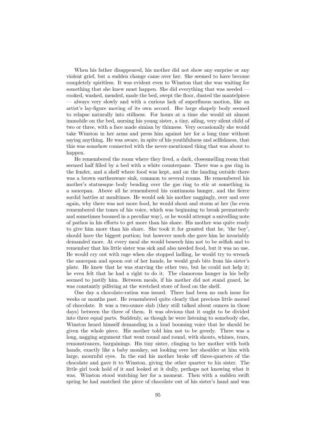When his father disappeared, his mother did not show any surprise or any violent grief, but a sudden change came over her. She seemed to have become completely spiritless. It was evident even to Winston that she was waiting for something that she knew must happen. She did everything that was needed  $\cdot$ cooked, washed, mended, made the bed, swept the floor, dusted the mantelpiece — always very slowly and with a curious lack of superfluous motion, like an artist's lay-figure moving of its own accord. Her large shapely body seemed to relapse naturally into stillness. For hours at a time she would sit almost immobile on the bed, nursing his young sister, a tiny, ailing, very silent child of two or three, with a face made simian by thinness. Very occasionally she would take Winston in her arms and press him against her for a long time without saying anything. He was aware, in spite of his youthfulness and selfishness, that this was somehow connected with the never-mentioned thing that was about to happen.

He remembered the room where they lived, a dark, closesmelling room that seemed half filled by a bed with a white counterpane. There was a gas ring in the fender, and a shelf where food was kept, and on the landing outside there was a brown earthenware sink, common to several rooms. He remembered his mother's statuesque body bending over the gas ring to stir at something in a saucepan. Above all he remembered his continuous hunger, and the fierce sordid battles at mealtimes. He would ask his mother naggingly, over and over again, why there was not more food, he would shout and storm at her (he even remembered the tones of his voice, which was beginning to break prematurely and sometimes boomed in a peculiar way), or he would attempt a snivelling note of pathos in his efforts to get more than his share. His mother was quite ready to give him more than his share. She took it for granted that he, 'the boy', should have the biggest portion; but however much she gave him he invariably demanded more. At every meal she would beseech him not to be selfish and to remember that his little sister was sick and also needed food, but it was no use. He would cry out with rage when she stopped ladling, he would try to wrench the saucepan and spoon out of her hands, he would grab bits from his sister's plate. He knew that he was starving the other two, but he could not help it; he even felt that he had a right to do it. The clamorous hunger in his belly seemed to justify him. Between meals, if his mother did not stand guard, he was constantly pilfering at the wretched store of food on the shelf.

One day a chocolate-ration was issued. There had been no such issue for weeks or months past. He remembered quite clearly that precious little morsel of chocolate. It was a two-ounce slab (they still talked about ounces in those days) between the three of them. It was obvious that it ought to be divided into three equal parts. Suddenly, as though he were listening to somebody else, Winston heard himself demanding in a loud booming voice that he should be given the whole piece. His mother told him not to be greedy. There was a long, nagging argument that went round and round, with shouts, whines, tears, remonstrances, bargainings. His tiny sister, clinging to her mother with both hands, exactly like a baby monkey, sat looking over her shoulder at him with large, mournful eyes. In the end his mother broke off three-quarters of the chocolate and gave it to Winston, giving the other quarter to his sister. The little girl took hold of it and looked at it dully, perhaps not knowing what it was. Winston stood watching her for a moment. Then with a sudden swift spring he had snatched the piece of chocolate out of his sister's hand and was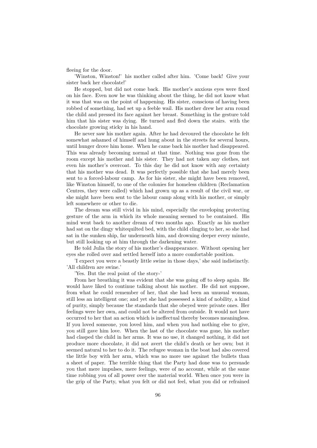fleeing for the door.

'Winston, Winston!' his mother called after him. 'Come back! Give your sister back her chocolate!'

He stopped, but did not come back. His mother's anxious eyes were fixed on his face. Even now he was thinking about the thing, he did not know what it was that was on the point of happening. His sister, conscious of having been robbed of something, had set up a feeble wail. His mother drew her arm round the child and pressed its face against her breast. Something in the gesture told him that his sister was dying. He turned and fled down the stairs. with the chocolate growing sticky in his hand.

He never saw his mother again. After he had devoured the chocolate he felt somewhat ashamed of himself and hung about in the streets for several hours, until hunger drove him home. When he came back his mother had disappeared. This was already becoming normal at that time. Nothing was gone from the room except his mother and his sister. They had not taken any clothes, not even his mother's overcoat. To this day he did not know with any certainty that his mother was dead. It was perfectly possible that she had merely been sent to a forced-labour camp. As for his sister, she might have been removed, like Winston himself, to one of the colonies for homeless children (Reclamation Centres, they were called) which had grown up as a result of the civil war, or she might have been sent to the labour camp along with his mother, or simply left somewhere or other to die.

The dream was still vivid in his mind, especially the enveloping protecting gesture of the arm in which its whole meaning seemed to be contained. His mind went back to another dream of two months ago. Exactly as his mother had sat on the dingy whitequilted bed, with the child clinging to her, so she had sat in the sunken ship, far underneath him, and drowning deeper every minute, but still looking up at him through the darkening water.

He told Julia the story of his mother's disappearance. Without opening her eyes she rolled over and settled herself into a more comfortable position.

'I expect you were a beastly little swine in those days,' she said indistinctly. 'All children are swine.'

'Yes. But the real point of the story-'

From her breathing it was evident that she was going off to sleep again. He would have liked to continue talking about his mother. He did not suppose, from what he could remember of her, that she had been an unusual woman, still less an intelligent one; and yet she had possessed a kind of nobility, a kind of purity, simply because the standards that she obeyed were private ones. Her feelings were her own, and could not be altered from outside. It would not have occurred to her that an action which is ineffectual thereby becomes meaningless. If you loved someone, you loved him, and when you had nothing else to give, you still gave him love. When the last of the chocolate was gone, his mother had clasped the child in her arms. It was no use, it changed nothing, it did not produce more chocolate, it did not avert the child's death or her own; but it seemed natural to her to do it. The refugee woman in the boat had also covered the little boy with her arm, which was no more use against the bullets than a sheet of paper. The terrible thing that the Party had done was to persuade you that mere impulses, mere feelings, were of no account, while at the same time robbing you of all power over the material world. When once you were in the grip of the Party, what you felt or did not feel, what you did or refrained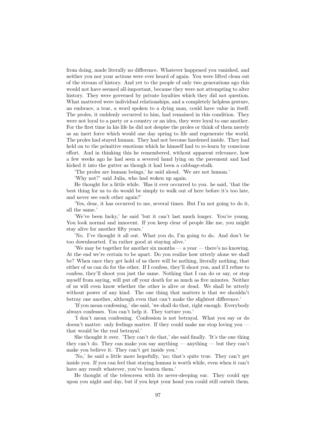from doing, made literally no difference. Whatever happened you vanished, and neither you nor your actions were ever heard of again. You were lifted clean out of the stream of history. And yet to the people of only two generations ago this would not have seemed all-important, because they were not attempting to alter history. They were governed by private loyalties which they did not question. What mattered were individual relationships, and a completely helpless gesture, an embrace, a tear, a word spoken to a dying man, could have value in itself. The proles, it suddenly occurred to him, had remained in this condition. They were not loyal to a party or a country or an idea, they were loyal to one another. For the first time in his life he did not despise the proles or think of them merely as an inert force which would one day spring to life and regenerate the world. The proles had stayed human. They had not become hardened inside. They had held on to the primitive emotions which he himself had to re-learn by conscious effort. And in thinking this he remembered, without apparent relevance, how a few weeks ago he had seen a severed hand lying on the pavement and had kicked it into the gutter as though it had been a cabbage-stalk.

'The proles are human beings,' he said aloud. 'We are not human.'

'Why not?' said Julia, who had woken up again.

He thought for a little while. 'Has it ever occurred to you. he said, 'that the best thing for us to do would be simply to walk out of here before it's too late, and never see each other again?'

'Yes, dear, it has occurred to me, several times. But I'm not going to do it, all the same.'

'We've been lucky,' he said 'but it can't last much longer. You're young. You look normal and innocent. If you keep clear of people like me, you might stay alive for another fifty years.'

'No. I've thought it all out. What you do, I'm going to do. And don't be too downhearted. I'm rather good at staying alive.'

'We may be together for another six months — a year — there's no knowing. At the end we're certain to be apart. Do you realize how utterly alone we shall be? When once they get hold of us there will be nothing, literally nothing, that either of us can do for the other. If I confess, they'll shoot you, and if I refuse to confess, they'll shoot you just the same. Nothing that I can do or say, or stop myself from saying, will put off your death for as much as five minutes. Neither of us will even know whether the other is alive or dead. We shall be utterly without power of any kind. The one thing that matters is that we shouldn't betray one another, although even that can't make the slightest difference.'

'If you mean confessing,' she said, 'we shall do that, right enough. Everybody always confesses. You can't help it. They torture you.'

'I don't mean confessing. Confession is not betrayal. What you say or do doesn't matter: only feelings matter. If they could make me stop loving you that would be the real betrayal.'

She thought it over. 'They can't do that,' she said finally. 'It's the one thing they can't do. They can make you say anything — anything — but they can't make you believe it. They can't get inside you.'

'No,' he said a little more hopefully, 'no; that's quite true. They can't get inside you. If you can feel that staying human is worth while, even when it can't have any result whatever, you've beaten them.'

He thought of the telescreen with its never-sleeping ear. They could spy upon you night and day, but if you kept your head you could still outwit them.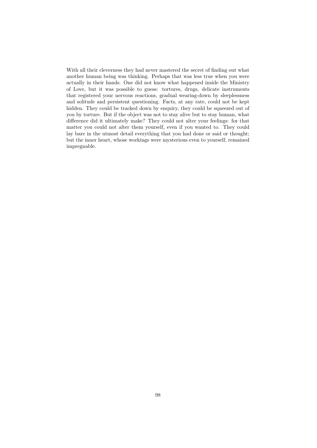With all their cleverness they had never mastered the secret of finding out what another human being was thinking. Perhaps that was less true when you were actually in their hands. One did not know what happened inside the Ministry of Love, but it was possible to guess: tortures, drugs, delicate instruments that registered your nervous reactions, gradual wearing-down by sleeplessness and solitude and persistent questioning. Facts, at any rate, could not be kept hidden. They could be tracked down by enquiry, they could be squeezed out of you by torture. But if the object was not to stay alive but to stay human, what difference did it ultimately make? They could not alter your feelings: for that matter you could not alter them yourself, even if you wanted to. They could lay bare in the utmost detail everything that you had done or said or thought; but the inner heart, whose workings were mysterious even to yourself, remained impregnable.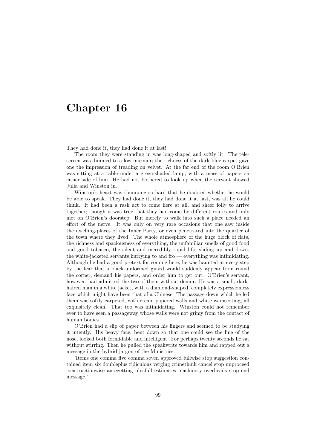## Chapter 16

They had done it, they had done it at last!

The room they were standing in was long-shaped and softly lit. The telescreen was dimmed to a low murmur; the richness of the dark-blue carpet gave one the impression of treading on velvet. At the far end of the room O'Brien was sitting at a table under a green-shaded lamp, with a mass of papers on either side of him. He had not bothered to look up when the servant showed Julia and Winston in.

Winston's heart was thumping so hard that he doubted whether he would be able to speak. They had done it, they had done it at last, was all he could think. It had been a rash act to come here at all, and sheer folly to arrive together; though it was true that they had come by different routes and only met on O'Brien's doorstep. But merely to walk into such a place needed an effort of the nerve. It was only on very rare occasions that one saw inside the dwelling-places of the Inner Party, or even penetrated into the quarter of the town where they lived. The whole atmosphere of the huge block of flats, the richness and spaciousness of everything, the unfamiliar smells of good food and good tobacco, the silent and incredibly rapid lifts sliding up and down, the white-jacketed servants hurrying to and fro — everything was intimidating. Although he had a good pretext for coming here, he was haunted at every step by the fear that a black-uniformed guard would suddenly appear from round the corner, demand his papers, and order him to get out. O'Brien's servant, however, had admitted the two of them without demur. He was a small, darkhaired man in a white jacket, with a diamond-shaped, completely expressionless face which might have been that of a Chinese. The passage down which he led them was softly carpeted, with cream-papered walls and white wainscoting, all exquisitely clean. That too was intimidating. Winston could not remember ever to have seen a passageway whose walls were not grimy from the contact of human bodies.

O'Brien had a slip of paper between his fingers and seemed to be studying it intently. His heavy face, bent down so that one could see the line of the nose, looked both formidable and intelligent. For perhaps twenty seconds he sat without stirring. Then he pulled the speakwrite towards him and rapped out a message in the hybrid jargon of the Ministries:

'Items one comma five comma seven approved fullwise stop suggestion contained item six doubleplus ridiculous verging crimethink cancel stop unproceed constructionwise antegetting plusfull estimates machinery overheads stop end message.'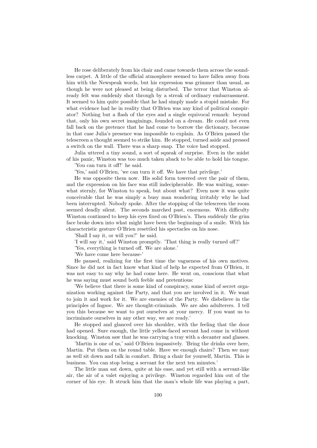He rose deliberately from his chair and came towards them across the soundless carpet. A little of the official atmosphere seemed to have fallen away from him with the Newspeak words, but his expression was grimmer than usual, as though he were not pleased at being disturbed. The terror that Winston already felt was suddenly shot through by a streak of ordinary embarrassment. It seemed to him quite possible that he had simply made a stupid mistake. For what evidence had he in reality that O'Brien was any kind of political conspirator? Nothing but a flash of the eyes and a single equivocal remark: beyond that, only his own secret imaginings, founded on a dream. He could not even fall back on the pretence that he had come to borrow the dictionary, because in that case Julia's presence was impossible to explain. As O'Brien passed the telescreen a thought seemed to strike him. He stopped, turned aside and pressed a switch on the wall. There was a sharp snap. The voice had stopped.

Julia uttered a tiny sound, a sort of squeak of surprise. Even in the midst of his panic, Winston was too much taken aback to be able to hold his tongue. 'You can turn it off!' he said.

'Yes,' said O'Brien, 'we can turn it off. We have that privilege.'

He was opposite them now. His solid form towered over the pair of them, and the expression on his face was still indecipherable. He was waiting, somewhat sternly, for Winston to speak, but about what? Even now it was quite conceivable that he was simply a busy man wondering irritably why he had been interrupted. Nobody spoke. After the stopping of the telescreen the room seemed deadly silent. The seconds marched past, enormous. With difficulty Winston continued to keep his eyes fixed on O'Brien's. Then suddenly the grim face broke down into what might have been the beginnings of a smile. With his characteristic gesture O'Brien resettled his spectacles on his nose.

'Shall I say it, or will you?' he said.

'I will say it,' said Winston promptly. 'That thing is really turned off?'

'Yes, everything is turned off. We are alone.'

'We have come here because-'

He paused, realizing for the first time the vagueness of his own motives. Since he did not in fact know what kind of help he expected from O'Brien, it was not easy to say why he had come here. He went on, conscious that what he was saying must sound both feeble and pretentious:

'We believe that there is some kind of conspiracy, some kind of secret organization working against the Party, and that you are involved in it. We want to join it and work for it. We are enemies of the Party. We disbelieve in the principles of Ingsoc. We are thought-criminals. We are also adulterers. I tell you this because we want to put ourselves at your mercy. If you want us to incriminate ourselves in any other way, we are ready.'

He stopped and glanced over his shoulder, with the feeling that the door had opened. Sure enough, the little yellow-faced servant had come in without knocking. Winston saw that he was carrying a tray with a decanter and glasses.

'Martin is one of us,' said O'Brien impassively. 'Bring the drinks over here, Martin. Put them on the round table. Have we enough chairs? Then we may as well sit down and talk in comfort. Bring a chair for yourself, Martin. This is business. You can stop being a servant for the next ten minutes.'

The little man sat down, quite at his ease, and yet still with a servant-like air, the air of a valet enjoying a privilege. Winston regarded him out of the corner of his eye. It struck him that the man's whole life was playing a part,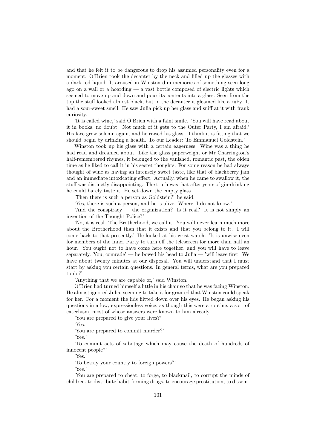and that he felt it to be dangerous to drop his assumed personality even for a moment. O'Brien took the decanter by the neck and filled up the glasses with a dark-red liquid. It aroused in Winston dim memories of something seen long ago on a wall or a hoarding — a vast bottle composed of electric lights which seemed to move up and down and pour its contents into a glass. Seen from the top the stuff looked almost black, but in the decanter it gleamed like a ruby. It had a sour-sweet smell. He saw Julia pick up her glass and sniff at it with frank curiosity.

'It is called wine,' said O'Brien with a faint smile. 'You will have read about it in books, no doubt. Not much of it gets to the Outer Party, I am afraid.' His face grew solemn again, and he raised his glass: 'I think it is fitting that we should begin by drinking a health. To our Leader: To Emmanuel Goldstein.'

Winston took up his glass with a certain eagerness. Wine was a thing he had read and dreamed about. Like the glass paperweight or Mr Charrington's half-remembered rhymes, it belonged to the vanished, romantic past, the olden time as he liked to call it in his secret thoughts. For some reason he had always thought of wine as having an intensely sweet taste, like that of blackberry jam and an immediate intoxicating effect. Actually, when he came to swallow it, the stuff was distinctly disappointing. The truth was that after years of gin-drinking he could barely taste it. He set down the empty glass.

'Then there is such a person as Goldstein?' he said.

'Yes, there is such a person, and he is alive. Where, I do not know.'

'And the conspiracy — the organization? Is it real? It is not simply an invention of the Thought Police?'

'No, it is real. The Brotherhood, we call it. You will never learn much more about the Brotherhood than that it exists and that you belong to it. I will come back to that presently.' He looked at his wrist-watch. 'It is unwise even for members of the Inner Party to turn off the telescreen for more than half an hour. You ought not to have come here together, and you will have to leave separately. You, comrade' — he bowed his head to Julia — 'will leave first. We have about twenty minutes at our disposal. You will understand that I must start by asking you certain questions. In general terms, what are you prepared to do?'

'Anything that we are capable of,' said Winston.

O'Brien had turned himself a little in his chair so that he was facing Winston. He almost ignored Julia, seeming to take it for granted that Winston could speak for her. For a moment the lids flitted down over his eyes. He began asking his questions in a low, expressionless voice, as though this were a routine, a sort of catechism, most of whose answers were known to him already.

'You are prepared to give your lives?'

'Yes.'

'You are prepared to commit murder?'

'Yes.'

'To commit acts of sabotage which may cause the death of hundreds of innocent people?'

'Yes.'

'To betray your country to foreign powers?'

 $'Y_{\rho S}$ :

'You are prepared to cheat, to forge, to blackmail, to corrupt the minds of children, to distribute habit-forming drugs, to encourage prostitution, to dissem-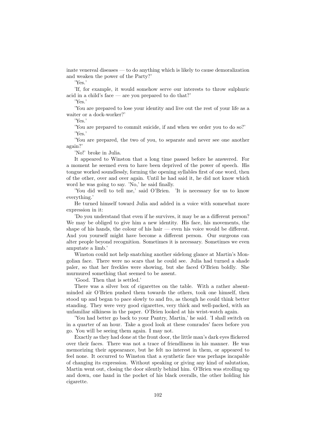inate venereal diseases — to do anything which is likely to cause demoralization and weaken the power of the Party?'

'Yes.'

'If, for example, it would somehow serve our interests to throw sulphuric acid in a child's face — are you prepared to do that?'

'Yes.'

'You are prepared to lose your identity and live out the rest of your life as a waiter or a dock-worker?'

'Yes.'

'You are prepared to commit suicide, if and when we order you to do so?'  $'Y_{\rho\sigma}$ '

'You are prepared, the two of you, to separate and never see one another again?'

'No!' broke in Julia.

It appeared to Winston that a long time passed before he answered. For a moment he seemed even to have been deprived of the power of speech. His tongue worked soundlessly, forming the opening syllables first of one word, then of the other, over and over again. Until he had said it, he did not know which word he was going to say. 'No,' he said finally.

'You did well to tell me,' said O'Brien. 'It is necessary for us to know everything.'

He turned himself toward Julia and added in a voice with somewhat more expression in it:

'Do you understand that even if he survives, it may be as a different person? We may be obliged to give him a new identity. His face, his movements, the shape of his hands, the colour of his hair — even his voice would be different. And you yourself might have become a different person. Our surgeons can alter people beyond recognition. Sometimes it is necessary. Sometimes we even amputate a limb.'

Winston could not help snatching another sidelong glance at Martin's Mongolian face. There were no scars that he could see. Julia had turned a shade paler, so that her freckles were showing, but she faced O'Brien boldly. She murmured something that seemed to be assent.

'Good. Then that is settled.'

There was a silver box of cigarettes on the table. With a rather absentminded air O'Brien pushed them towards the others, took one himself, then stood up and began to pace slowly to and fro, as though he could think better standing. They were very good cigarettes, very thick and well-packed, with an unfamiliar silkiness in the paper. O'Brien looked at his wrist-watch again.

'You had better go back to your Pantry, Martin,' he said. 'I shall switch on in a quarter of an hour. Take a good look at these comrades' faces before you go. You will be seeing them again. I may not.

Exactly as they had done at the front door, the little man's dark eyes flickered over their faces. There was not a trace of friendliness in his manner. He was memorizing their appearance, but he felt no interest in them, or appeared to feel none. It occurred to Winston that a synthetic face was perhaps incapable of changing its expression. Without speaking or giving any kind of salutation, Martin went out, closing the door silently behind him. O'Brien was strolling up and down, one hand in the pocket of his black overalls, the other holding his cigarette.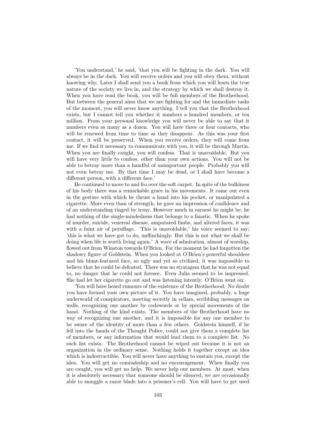'You understand,' he said, 'that you will be fighting in the dark. You will always be in the dark. You will receive orders and you will obey them, without knowing why. Later I shall send you a book from which you will learn the true nature of the society we live in, and the strategy by which we shall destroy it. When you have read the book, you will be full members of the Brotherhood. But between the general aims that we are fighting for and the immediate tasks of the moment, you will never know anything. I tell you that the Brotherhood exists, but I cannot tell you whether it numbers a hundred members, or ten million. From your personal knowledge you will never be able to say that it numbers even as many as a dozen. You will have three or four contacts, who will be renewed from time to time as they disappear. As this was your first contact, it will be preserved. When you receive orders, they will come from me. If we find it necessary to communicate with you, it will be through Martin. When you are finally caught, you will confess. That is unavoidable. But you will have very little to confess, other than your own actions. You will not be able to betray more than a handful of unimportant people. Probably you will not even betray me. By that time I may be dead, or I shall have become a different person, with a different face.'

He continued to move to and fro over the soft carpet. In spite of the bulkiness of his body there was a remarkable grace in his movements. It came out even in the gesture with which he thrust a hand into his pocket, or manipulated a cigarette. More even than of strength, he gave an impression of confidence and of an understanding tinged by irony. However much in earnest he might be, he had nothing of the single-mindedness that belongs to a fanatic. When he spoke of murder, suicide, venereal disease, amputated limbs, and altered faces, it was with a faint air of persiflage. 'This is unavoidable,' his voice seemed to say; 'this is what we have got to do, unflinchingly. But this is not what we shall be doing when life is worth living again.' A wave of admiration, almost of worship, flowed out from Winston towards O'Brien. For the moment he had forgotten the shadowy figure of Goldstein. When you looked at O'Brien's powerful shoulders and his blunt-featured face, so ugly and yet so civilized, it was impossible to believe that he could be defeated. There was no stratagem that he was not equal to, no danger that he could not foresee. Even Julia seemed to be impressed. She had let her cigarette go out and was listening intently. O'Brien went on:

'You will have heard rumours of the existence of the Brotherhood. No doubt you have formed your own picture of it. You have imagined, probably, a huge underworld of conspirators, meeting secretly in cellars, scribbling messages on walls, recognizing one another by codewords or by special movements of the hand. Nothing of the kind exists. The members of the Brotherhood have no way of recognizing one another, and it is impossible for any one member to be aware of the identity of more than a few others. Goldstein himself, if he fell into the hands of the Thought Police, could not give them a complete list of members, or any information that would lead them to a complete list. No such list exists. The Brotherhood cannot be wiped out because it is not an organization in the ordinary sense. Nothing holds it together except an idea which is indestructible. You will never have anything to sustain you, except the idea. You will get no comradeship and no encouragement. When finally you are caught, you will get no help. We never help our members. At most, when it is absolutely necessary that someone should be silenced, we are occasionally able to smuggle a razor blade into a prisoner's cell. You will have to get used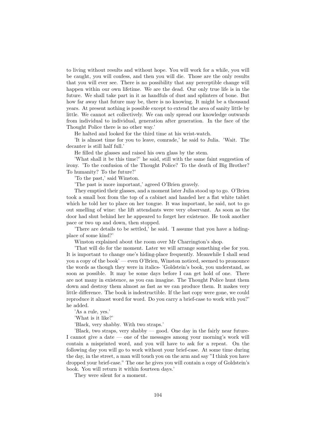to living without results and without hope. You will work for a while, you will be caught, you will confess, and then you will die. Those are the only results that you will ever see. There is no possibility that any perceptible change will happen within our own lifetime. We are the dead. Our only true life is in the future. We shall take part in it as handfuls of dust and splinters of bone. But how far away that future may be, there is no knowing. It might be a thousand years. At present nothing is possible except to extend the area of sanity little by little. We cannot act collectively. We can only spread our knowledge outwards from individual to individual, generation after generation. In the face of the Thought Police there is no other way.'

He halted and looked for the third time at his wrist-watch.

'It is almost time for you to leave, comrade,' he said to Julia. 'Wait. The decanter is still half full.'

He filled the glasses and raised his own glass by the stem.

'What shall it be this time?' he said, still with the same faint suggestion of irony. 'To the confusion of the Thought Police? To the death of Big Brother? To humanity? To the future?'

'To the past,' said Winston.

'The past is more important,' agreed O'Brien gravely.

They emptied their glasses, and a moment later Julia stood up to go. O'Brien took a small box from the top of a cabinet and handed her a flat white tablet which he told her to place on her tongue. It was important, he said, not to go out smelling of wine: the lift attendants were very observant. As soon as the door had shut behind her he appeared to forget her existence. He took another pace or two up and down, then stopped.

'There are details to be settled,' he said. 'I assume that you have a hidingplace of some kind?'

Winston explained about the room over Mr Charrington's shop.

'That will do for the moment. Later we will arrange something else for you. It is important to change one's hiding-place frequently. Meanwhile I shall send you a copy of the book' — even O'Brien, Winston noticed, seemed to pronounce the words as though they were in italics- 'Goldstein's book, you understand, as soon as possible. It may be some days before I can get hold of one. There are not many in existence, as you can imagine. The Thought Police hunt them down and destroy them almost as fast as we can produce them. It makes very little difference. The book is indestructible. If the last copy were gone, we could reproduce it almost word for word. Do you carry a brief-case to work with you?' he added.

'As a rule, yes.'

'What is it like?'

'Black, very shabby. With two straps.'

'Black, two straps, very shabby — good. One day in the fairly near future-I cannot give a date — one of the messages among your morning's work will contain a misprinted word, and you will have to ask for a repeat. On the following day you will go to work without your brief-case. At some time during the day, in the street, a man will touch you on the arm and say "I think you have dropped your brief-case." The one he gives you will contain a copy of Goldstein's book. You will return it within fourteen days.'

They were silent for a moment.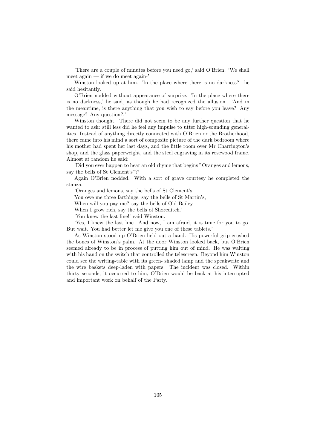'There are a couple of minutes before you need go,' said O'Brien. 'We shall meet again — if we do meet again-'

Winston looked up at him. 'In the place where there is no darkness?' he said hesitantly.

O'Brien nodded without appearance of surprise. 'In the place where there is no darkness,' he said, as though he had recognized the allusion. 'And in the meantime, is there anything that you wish to say before you leave? Any message? Any question?.'

Winston thought. There did not seem to be any further question that he wanted to ask: still less did he feel any impulse to utter high-sounding generalities. Instead of anything directly connected with O'Brien or the Brotherhood, there came into his mind a sort of composite picture of the dark bedroom where his mother had spent her last days, and the little room over Mr Charrington's shop, and the glass paperweight, and the steel engraving in its rosewood frame. Almost at random he said:

'Did you ever happen to hear an old rhyme that begins "Oranges and lemons, say the bells of St Clement's"?'

Again O'Brien nodded. With a sort of grave courtesy he completed the stanza:

'Oranges and lemons, say the bells of St Clement's,

You owe me three farthings, say the bells of St Martin's,

When will you pay me? say the bells of Old Bailey

When I grow rich, say the bells of Shoreditch.'

'You knew the last line!' said Winston.

'Yes, I knew the last line. And now, I am afraid, it is time for you to go. But wait. You had better let me give you one of these tablets.'

As Winston stood up O'Brien held out a hand. His powerful grip crushed the bones of Winston's palm. At the door Winston looked back, but O'Brien seemed already to be in process of putting him out of mind. He was waiting with his hand on the switch that controlled the telescreen. Beyond him Winston could see the writing-table with its green- shaded lamp and the speakwrite and the wire baskets deep-laden with papers. The incident was closed. Within thirty seconds, it occurred to him, O'Brien would be back at his interrupted and important work on behalf of the Party.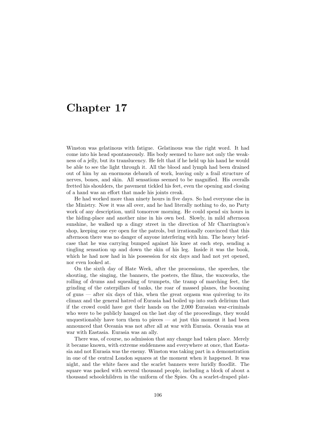# Chapter 17

Winston was gelatinous with fatigue. Gelatinous was the right word. It had come into his head spontaneously. His body seemed to have not only the weakness of a jelly, but its translucency. He felt that if he held up his hand he would be able to see the light through it. All the blood and lymph had been drained out of him by an enormous debauch of work, leaving only a frail structure of nerves, bones, and skin. All sensations seemed to be magnified. His overalls fretted his shoulders, the pavement tickled his feet, even the opening and closing of a hand was an effort that made his joints creak.

He had worked more than ninety hours in five days. So had everyone else in the Ministry. Now it was all over, and he had literally nothing to do, no Party work of any description, until tomorrow morning. He could spend six hours in the hiding-place and another nine in his own bed. Slowly, in mild afternoon sunshine, he walked up a dingy street in the direction of Mr Charrington's shop, keeping one eye open for the patrols, but irrationally convinced that this afternoon there was no danger of anyone interfering with him. The heavy briefcase that he was carrying bumped against his knee at each step, sending a tingling sensation up and down the skin of his leg. Inside it was the book, which he had now had in his possession for six days and had not yet opened, nor even looked at.

On the sixth day of Hate Week, after the processions, the speeches, the shouting, the singing, the banners, the posters, the films, the waxworks, the rolling of drums and squealing of trumpets, the tramp of marching feet, the grinding of the caterpillars of tanks, the roar of massed planes, the booming of guns  $-$  after six days of this, when the great orgasm was quivering to its climax and the general hatred of Eurasia had boiled up into such delirium that if the crowd could have got their hands on the 2,000 Eurasian war-criminals who were to be publicly hanged on the last day of the proceedings, they would unquestionably have torn them to pieces  $-$  at just this moment it had been announced that Oceania was not after all at war with Eurasia. Oceania was at war with Eastasia. Eurasia was an ally.

There was, of course, no admission that any change had taken place. Merely it became known, with extreme suddenness and everywhere at once, that Eastasia and not Eurasia was the enemy. Winston was taking part in a demonstration in one of the central London squares at the moment when it happened. It was night, and the white faces and the scarlet banners were luridly floodlit. The square was packed with several thousand people, including a block of about a thousand schoolchildren in the uniform of the Spies. On a scarlet-draped plat-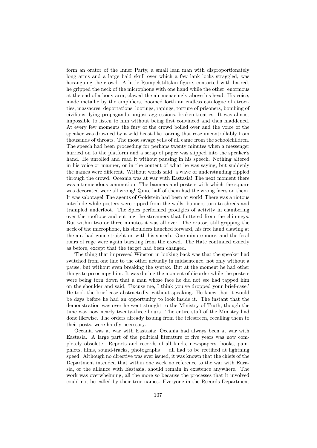form an orator of the Inner Party, a small lean man with disproportionately long arms and a large bald skull over which a few lank locks straggled, was haranguing the crowd. A little Rumpelstiltskin figure, contorted with hatred, he gripped the neck of the microphone with one hand while the other, enormous at the end of a bony arm, clawed the air menacingly above his head. His voice, made metallic by the amplifiers, boomed forth an endless catalogue of atrocities, massacres, deportations, lootings, rapings, torture of prisoners, bombing of civilians, lying propaganda, unjust aggressions, broken treaties. It was almost impossible to listen to him without being first convinced and then maddened. At every few moments the fury of the crowd boiled over and the voice of the speaker was drowned by a wild beast-like roaring that rose uncontrollably from thousands of throats. The most savage yells of all came from the schoolchildren. The speech had been proceeding for perhaps twenty minutes when a messenger hurried on to the platform and a scrap of paper was slipped into the speaker's hand. He unrolled and read it without pausing in his speech. Nothing altered in his voice or manner, or in the content of what he was saying, but suddenly the names were different. Without words said, a wave of understanding rippled through the crowd. Oceania was at war with Eastasia! The next moment there was a tremendous commotion. The banners and posters with which the square was decorated were all wrong! Quite half of them had the wrong faces on them. It was sabotage! The agents of Goldstein had been at work! There was a riotous interlude while posters were ripped from the walls, banners torn to shreds and trampled underfoot. The Spies performed prodigies of activity in clambering over the rooftops and cutting the streamers that fluttered from the chimneys. But within two or three minutes it was all over. The orator, still gripping the neck of the microphone, his shoulders hunched forward, his free hand clawing at the air, had gone straight on with his speech. One minute more, and the feral roars of rage were again bursting from the crowd. The Hate continued exactly as before, except that the target had been changed.

The thing that impressed Winston in looking back was that the speaker had switched from one line to the other actually in midsentence, not only without a pause, but without even breaking the syntax. But at the moment he had other things to preoccupy him. It was during the moment of disorder while the posters were being torn down that a man whose face he did not see had tapped him on the shoulder and said, 'Excuse me, I think you've dropped your brief-case.' He took the brief-case abstractedly, without speaking. He knew that it would be days before he had an opportunity to look inside it. The instant that the demonstration was over he went straight to the Ministry of Truth, though the time was now nearly twenty-three hours. The entire staff of the Ministry had done likewise. The orders already issuing from the telescreen, recalling them to their posts, were hardly necessary.

Oceania was at war with Eastasia: Oceania had always been at war with Eastasia. A large part of the political literature of five years was now completely obsolete. Reports and records of all kinds, newspapers, books, pamphlets, films, sound-tracks, photographs — all had to be rectified at lightning speed. Although no directive was ever issued, it was known that the chiefs of the Department intended that within one week no reference to the war with Eurasia, or the alliance with Eastasia, should remain in existence anywhere. The work was overwhelming, all the more so because the processes that it involved could not be called by their true names. Everyone in the Records Department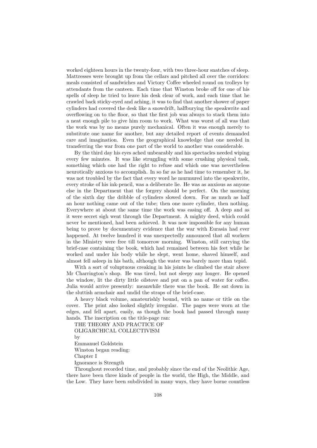worked eighteen hours in the twenty-four, with two three-hour snatches of sleep. Mattresses were brought up from the cellars and pitched all over the corridors: meals consisted of sandwiches and Victory Coffee wheeled round on trolleys by attendants from the canteen. Each time that Winston broke off for one of his spells of sleep he tried to leave his desk clear of work, and each time that he crawled back sticky-eyed and aching, it was to find that another shower of paper cylinders had covered the desk like a snowdrift, halfburying the speakwrite and overflowing on to the floor, so that the first job was always to stack them into a neat enough pile to give him room to work. What was worst of all was that the work was by no means purely mechanical. Often it was enough merely to substitute one name for another, but any detailed report of events demanded care and imagination. Even the geographical knowledge that one needed in transferring the war from one part of the world to another was considerable.

By the third day his eyes ached unbearably and his spectacles needed wiping every few minutes. It was like struggling with some crushing physical task, something which one had the right to refuse and which one was nevertheless neurotically anxious to accomplish. In so far as he had time to remember it, he was not troubled by the fact that every word he murmured into the speakwrite, every stroke of his ink-pencil, was a deliberate lie. He was as anxious as anyone else in the Department that the forgery should be perfect. On the morning of the sixth day the dribble of cylinders slowed down. For as much as half an hour nothing came out of the tube; then one more cylinder, then nothing. Everywhere at about the same time the work was easing off. A deep and as it were secret sigh went through the Department. A mighty deed, which could never be mentioned, had been achieved. It was now impossible for any human being to prove by documentary evidence that the war with Eurasia had ever happened. At twelve hundred it was unexpectedly announced that all workers in the Ministry were free till tomorrow morning. Winston, still carrying the brief-case containing the book, which had remained between his feet while he worked and under his body while he slept, went home, shaved himself, and almost fell asleep in his bath, although the water was barely more than tepid.

With a sort of voluptuous creaking in his joints he climbed the stair above Mr Charrington's shop. He was tired, but not sleepy any longer. He opened the window, lit the dirty little oilstove and put on a pan of water for coffee. Julia would arrive presently: meanwhile there was the book. He sat down in the sluttish armchair and undid the straps of the brief-case.

A heavy black volume, amateurishly bound, with no name or title on the cover. The print also looked slightly irregular. The pages were worn at the edges, and fell apart, easily, as though the book had passed through many hands. The inscription on the title-page ran:

THE THEORY AND PRACTICE OF OLIGARCHICAL COLLECTIVISM by Emmanuel Goldstein Winston began reading: Chapter I Ignorance is Strength

Throughout recorded time, and probably since the end of the Neolithic Age, there have been three kinds of people in the world, the High, the Middle, and the Low. They have been subdivided in many ways, they have borne countless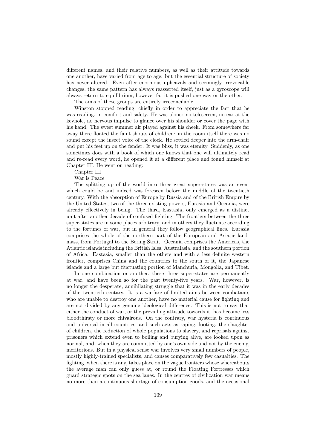different names, and their relative numbers, as well as their attitude towards one another, have varied from age to age: but the essential structure of society has never altered. Even after enormous upheavals and seemingly irrevocable changes, the same pattern has always reasserted itself, just as a gyroscope will always return to equilibrium, however far it is pushed one way or the other.

The aims of these groups are entirely irreconcilable...

Winston stopped reading, chiefly in order to appreciate the fact that he was reading, in comfort and safety. He was alone: no telescreen, no ear at the keyhole, no nervous impulse to glance over his shoulder or cover the page with his hand. The sweet summer air played against his cheek. From somewhere far away there floated the faint shouts of children: in the room itself there was no sound except the insect voice of the clock. He settled deeper into the arm-chair and put his feet up on the fender. It was bliss, it was etemity. Suddenly, as one sometimes does with a book of which one knows that one will ultimately read and re-read every word, he opened it at a different place and found himself at Chapter III. He went on reading:

Chapter III

War is Peace

The splitting up of the world into three great super-states was an event which could be and indeed was foreseen before the middle of the twentieth century. With the absorption of Europe by Russia and of the British Empire by the United States, two of the three existing powers, Eurasia and Oceania, were already effectively in being. The third, Eastasia, only emerged as a distinct unit after another decade of confused fighting. The frontiers between the three super-states are in some places arbitrary, and in others they fluctuate according to the fortunes of war, but in general they follow geographical lines. Eurasia comprises the whole of the northern part of the European and Asiatic landmass, from Portugal to the Bering Strait. Oceania comprises the Americas, the Atlantic islands including the British Isles, Australasia, and the southern portion of Africa. Eastasia, smaller than the others and with a less definite western frontier, comprises China and the countries to the south of it, the Japanese islands and a large but fluctuating portion of Manchuria, Mongolia, and Tibet.

In one combination or another, these three super-states are permanently at war, and have been so for the past twenty-five years. War, however, is no longer the desperate, annihilating struggle that it was in the early decades of the twentieth centary. It is a warfare of limited aims between combatants who are unable to destroy one another, have no material cause for fighting and are not divided by any genuine ideological difference. This is not to say that either the conduct of war, or the prevailing attitude towards it, has become less bloodthirsty or more chivalrous. On the contrary, war hysteria is continuous and universal in all countries, and such acts as raping, looting, the slaughter of children, the reduction of whole populations to slavery, and reprisals against prisoners which extend even to boiling and burying alive, are looked upon as normal, and, when they are committed by one's own side and not by the enemy, meritorious. But in a physical sense war involves very small numbers of people, mostly highly-trained specialists, and causes comparatively few casualties. The fighting, when there is any, takes place on the vague frontiers whose whereabouts the average man can only guess at, or round the Floating Fortresses which guard strategic spots on the sea lanes. In the centres of civilization war means no more than a continuous shortage of consumption goods, and the occasional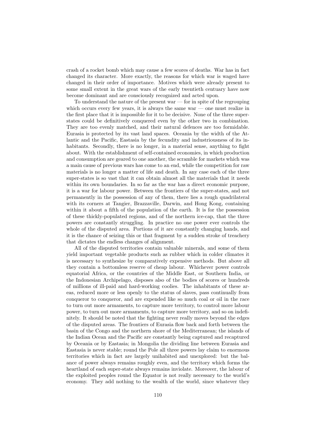crash of a rocket bomb which may cause a few scores of deaths. War has in fact changed its character. More exactly, the reasons for which war is waged have changed in their order of importance. Motives which were already present to some small extent in the great wars of the early twentieth centuary have now become dominant and are consciously recognized and acted upon.

To understand the nature of the present war — for in spite of the regrouping which occurs every few years, it is always the same war — one must realize in the first place that it is impossible for it to be decisive. None of the three superstates could be definitively conquered even by the other two in combination. They are too evenly matched, and their natural defences are too formidable. Eurasia is protected by its vast land spaces. Oceania by the width of the Atlantic and the Pacific, Eastasia by the fecundity and industriousness of its inhabitants. Secondly, there is no longer, in a material sense, anything to fight about. With the establishment of self-contained economies, in which production and consumption are geared to one another, the scramble for markets which was a main cause of previous wars has come to an end, while the competition for raw materials is no longer a matter of life and death. In any case each of the three super-states is so vast that it can obtain almost all the materials that it needs within its own boundaries. In so far as the war has a direct economic purpose, it is a war for labour power. Between the frontiers of the super-states, and not permanently in the possession of any of them, there lies a rough quadrilateral with its corners at Tangier, Brazzaville, Darwin, and Hong Kong, containing within it about a fifth of the population of the earth. It is for the possession of these thickly-populated regions, and of the northern ice-cap, that the three powers are constantly struggling. In practice no one power ever controls the whole of the disputed area. Portions of it are constantly changing hands, and it is the chance of seizing this or that fragment by a sudden stroke of treachery that dictates the endless changes of alignment.

All of the disputed territories contain valuable minerals, and some of them yield important vegetable products such as rubber which in colder climates it is necessary to synthesize by comparatively expensive methods. But above all they contain a bottomless reserve of cheap labour. Whichever power controls equatorial Africa, or the countries of the Middle East, or Southern India, or the Indonesian Archipelago, disposes also of the bodies of scores or hundreds of millions of ill-paid and hard-working coolies. The inhabitants of these areas, reduced more or less openly to the status of slaves, pass continually from conqueror to conqueror, and are expended like so much coal or oil in the race to turn out more armaments, to capture more territory, to control more labour power, to turn out more armaments, to capture more territory, and so on indefinitely. It should be noted that the fighting never really moves beyond the edges of the disputed areas. The frontiers of Eurasia flow back and forth between the basin of the Congo and the northern shore of the Mediterranean; the islands of the Indian Ocean and the Pacific are constantly being captured and recaptured by Oceania or by Eastasia; in Mongolia the dividing line between Eurasia and Eastasia is never stable; round the Pole all three powers lay claim to enormous territories which in fact are largely unihabited and unexplored: but the balance of power always remains roughly even, and the territory which forms the heartland of each super-state always remains inviolate. Moreover, the labour of the exploited peoples round the Equator is not really necessary to the world's economy. They add nothing to the wealth of the world, since whatever they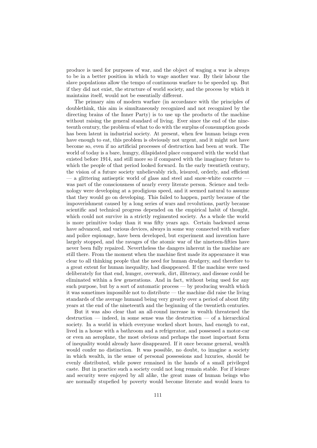produce is used for purposes of war, and the object of waging a war is always to be in a better position in which to wage another war. By their labour the slave populations allow the tempo of continuous warfare to be speeded up. But if they did not exist, the structure of world society, and the process by which it maintains itself, would not be essentially different.

The primary aim of modern warfare (in accordance with the principles of doublethink, this aim is simultaneously recognized and not recognized by the directing brains of the Inner Party) is to use up the products of the machine without raising the general standard of living. Ever since the end of the nineteenth century, the problem of what to do with the surplus of consumption goods has been latent in industrial society. At present, when few human beings even have enough to eat, this problem is obviously not urgent, and it might not have become so, even if no artificial processes of destruction had been at work. The world of today is a bare, hungry, dilapidated place compared with the world that existed before 1914, and still more so if compared with the imaginary future to which the people of that period looked forward. In the early twentieth century, the vision of a future society unbelievably rich, leisured, orderly, and efficient — a glittering antiseptic world of glass and steel and snow-white concrete was part of the consciousness of nearly every literate person. Science and technology were developing at a prodigious speed, and it seemed natural to assume that they would go on developing. This failed to happen, partly because of the impoverishment caused by a long series of wars and revolutions, partly because scientific and technical progress depended on the empirical habit of thought, which could not survive in a strictly regimented society. As a whole the world is more primitive today than it was fifty years ago. Certain backward areas have advanced, and various devices, always in some way connected with warfare and police espionage, have been developed, but experiment and invention have largely stopped, and the ravages of the atomic war of the nineteen-fifties have never been fully repaired. Nevertheless the dangers inherent in the machine are still there. From the moment when the machine first made its appearance it was clear to all thinking people that the need for human drudgery, and therefore to a great extent for human inequality, had disappeared. If the machine were used deliberately for that end, hunger, overwork, dirt, illiteracy, and disease could be eliminated within a few generations. And in fact, without being used for any such purpose, but by a sort of automatic process — by producing wealth which it was sometimes impossible not to distribute — the machine did raise the living standards of the average humand being very greatly over a period of about fifty years at the end of the nineteenth and the beginning of the twentieth centuries.

But it was also clear that an all-round increase in wealth threatened the destruction — indeed, in some sense was the destruction — of a hierarchical society. In a world in which everyone worked short hours, had enough to eat, lived in a house with a bathroom and a refrigerator, and possessed a motor-car or even an aeroplane, the most obvious and perhaps the most important form of inequality would already have disappeared. If it once became general, wealth would confer no distinction. It was possible, no doubt, to imagine a society in which wealth, in the sense of personal possessions and luxuries, should be evenly distributed, while power remained in the hands of a small privileged caste. But in practice such a society could not long remain stable. For if leisure and security were enjoyed by all alike, the great mass of human beings who are normally stupefied by poverty would become literate and would learn to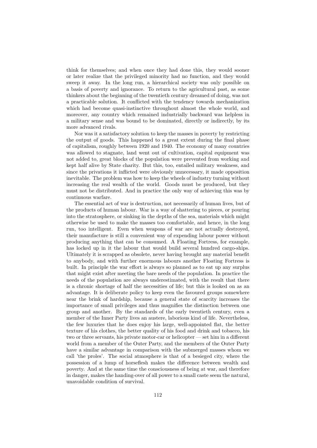think for themselves; and when once they had done this, they would sooner or later realize that the privileged minority had no function, and they would sweep it away. In the long run, a hierarchical society was only possible on a basis of poverty and ignorance. To return to the agricultural past, as some thinkers about the beginning of the twentieth century dreamed of doing, was not a practicable solution. It conflicted with the tendency towards mechanization which had become quasi-instinctive throughout almost the whole world, and moreover, any country which remained industrially backward was helpless in a military sense and was bound to be dominated, directly or indirectly, by its more advanced rivals.

Nor was it a satisfactory solution to keep the masses in poverty by restricting the output of goods. This happened to a great extent during the final phase of capitalism, roughly between 1920 and 1940. The economy of many countries was allowed to stagnate, land went out of cultivation, capital equipment was not added to, great blocks of the population were prevented from working and kept half alive by State charity. But this, too, entailed military weakness, and since the privations it inflicted were obviously unnecessary, it made opposition inevitable. The problem was how to keep the wheels of industry turning without increasing the real wealth of the world. Goods must be produced, but they must not be distributed. And in practice the only way of achieving this was by continuous warfare.

The essential act of war is destruction, not necessarily of human lives, but of the products of human labour. War is a way of shattering to pieces, or pouring into the stratosphere, or sinking in the depths of the sea, materials which might otherwise be used to make the masses too comfortable, and hence, in the long run, too intelligent. Even when weapons of war are not actually destroyed, their manufacture is still a convenient way of expending labour power without producing anything that can be consumed. A Floating Fortress, for example, has locked up in it the labour that would build several hundred cargo-ships. Ultimately it is scrapped as obsolete, never having brought any material benefit to anybody, and with further enormous labours another Floating Fortress is built. In principle the war effort is always so planned as to eat up any surplus that might exist after meeting the bare needs of the population. In practice the needs of the population are always underestimated, with the result that there is a chronic shortage of half the necessities of life; but this is looked on as an advantage. It is deliberate policy to keep even the favoured groups somewhere near the brink of hardship, because a general state of scarcity increases the importance of small privileges and thus magnifies the distinction between one group and another. By the standards of the early twentieth century, even a member of the Inner Party lives an austere, laborious kind of life. Nevertheless, the few luxuries that he does enjoy his large, well-appointed flat, the better texture of his clothes, the better quality of his food and drink and tobacco, his two or three servants, his private motor-car or helicopter — set him in a different world from a member of the Outer Party, and the members of the Outer Party have a similar advantage in comparison with the submerged masses whom we call 'the proles'. The social atmosphere is that of a besieged city, where the possession of a lump of horseflesh makes the difference between wealth and poverty. And at the same time the consciousness of being at war, and therefore in danger, makes the handing-over of all power to a small caste seem the natural, unavoidable condition of survival.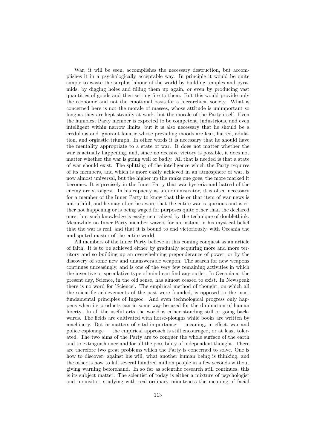War, it will be seen, accomplishes the necessary destruction, but accomplishes it in a psychologically acceptable way. In principle it would be quite simple to waste the surplus labour of the world by building temples and pyramids, by digging holes and filling them up again, or even by producing vast quantities of goods and then setting fire to them. But this would provide only the economic and not the emotional basis for a hierarchical society. What is concerned here is not the morale of masses, whose attitude is unimportant so long as they are kept steadily at work, but the morale of the Party itself. Even the humblest Party member is expected to be competent, industrious, and even intelligent within narrow limits, but it is also necessary that he should be a credulous and ignorant fanatic whose prevailing moods are fear, hatred, adulation, and orgiastic triumph. In other words it is necessary that he should have the mentality appropriate to a state of war. It does not matter whether the war is actually happening, and, since no decisive victory is possible, it does not matter whether the war is going well or badly. All that is needed is that a state of war should exist. The splitting of the intelligence which the Party requires of its members, and which is more easily achieved in an atmosphere of war, is now almost universal, but the higher up the ranks one goes, the more marked it becomes. It is precisely in the Inner Party that war hysteria and hatred of the enemy are strongest. In his capacity as an administrator, it is often necessary for a member of the Inner Party to know that this or that item of war news is untruthful, and he may often be aware that the entire war is spurious and is either not happening or is being waged for purposes quite other than the declared ones: but such knowledge is easily neutralized by the technique of doublethink. Meanwhile no Inner Party member wavers for an instant in his mystical belief that the war is real, and that it is bound to end victoriously, with Oceania the undisputed master of the entire world.

All members of the Inner Party believe in this coming conquest as an article of faith. It is to be achieved either by gradually acquiring more and more territory and so building up an overwhelming preponderance of power, or by the discovery of some new and unanswerable weapon. The search for new weapons continues unceasingly, and is one of the very few remaining activities in which the inventive or speculative type of mind can find any outlet. In Oceania at the present day, Science, in the old sense, has almost ceased to exist. In Newspeak there is no word for 'Science'. The empirical method of thought, on which all the scientific achievements of the past were founded, is opposed to the most fundamental principles of Ingsoc. And even technological progress only happens when its products can in some way be used for the diminution of human liberty. In all the useful arts the world is either standing still or going backwards. The fields are cultivated with horse-ploughs while books are written by machinery. But in matters of vital importance — meaning, in effect, war and police espionage — the empirical approach is still encouraged, or at least tolerated. The two aims of the Party are to conquer the whole surface of the earth and to extinguish once and for all the possibility of independent thought. There are therefore two great problems which the Party is concerned to solve. One is how to discover, against his will, what another human being is thinking, and the other is how to kill several hundred million people in a few seconds without giving warning beforehand. In so far as scientific research still continues, this is its subject matter. The scientist of today is either a mixture of psychologist and inquisitor, studying with real ordinary minuteness the meaning of facial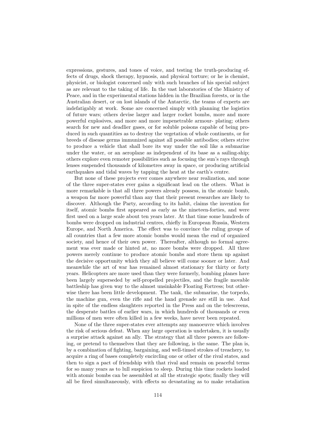expressions, gestures, and tones of voice, and testing the truth-producing effects of drugs, shock therapy, hypnosis, and physical torture; or he is chemist, physicist, or biologist concerned only with such branches of his special subject as are relevant to the taking of life. In the vast laboratories of the Ministry of Peace, and in the experimental stations hidden in the Brazilian forests, or in the Australian desert, or on lost islands of the Antarctic, the teams of experts are indefatigably at work. Some are concerned simply with planning the logistics of future wars; others devise larger and larger rocket bombs, more and more powerful explosives, and more and more impenetrable armour- plating; others search for new and deadlier gases, or for soluble poisons capable of being produced in such quantities as to destroy the vegetation of whole continents, or for breeds of disease germs immunized against all possible antibodies; others strive to produce a vehicle that shall bore its way under the soil like a submarine under the water, or an aeroplane as independent of its base as a sailing-ship; others explore even remoter possibilities such as focusing the sun's rays through lenses suspended thousands of kilometres away in space, or producing artificial earthquakes and tidal waves by tapping the heat at the earth's centre.

But none of these projects ever comes anywhere near realization, and none of the three super-states ever gains a significant lead on the others. What is more remarkable is that all three powers already possess, in the atomic bomb, a weapon far more powerful than any that their present researches are likely to discover. Although the Party, according to its habit, claims the invention for itself, atomic bombs first appeared as early as the nineteen-forties, and were first used on a large scale about ten years later. At that time some hundreds of bombs were dropped on industrial centres, chiefly in European Russia, Western Europe, and North America. The effect was to convince the ruling groups of all countries that a few more atomic bombs would mean the end of organized society, and hence of their own power. Thereafter, although no formal agreement was ever made or hinted at, no more bombs were dropped. All three powers merely continue to produce atomic bombs and store them up against the decisive opportunity which they all believe will come sooner or later. And meanwhile the art of war has remained almost stationary for thirty or forty years. Helicopters are more used than they were formerly, bombing planes have been largely superseded by self-propelled projectiles, and the fragile movable battleship has given way to the almost unsinkable Floating Fortress; but otherwise there has been little development. The tank, the submarine, the torpedo, the machine gun, even the rifle and the hand grenade are still in use. And in spite of the endless slaughters reported in the Press and on the telescreens, the desperate battles of earlier wars, in which hundreds of thousands or even millions of men were often killed in a few weeks, have never been repeated.

None of the three super-states ever attempts any manoeuvre which involves the risk of serious defeat. When any large operation is undertaken, it is usually a surprise attack against an ally. The strategy that all three powers are following, or pretend to themselves that they are following, is the same. The plan is, by a combination of fighting, bargaining, and well-timed strokes of treachery, to acquire a ring of bases completely encircling one or other of the rival states, and then to sign a pact of friendship with that rival and remain on peaceful terms for so many years as to lull suspicion to sleep. During this time rockets loaded with atomic bombs can be assembled at all the strategic spots; finally they will all be fired simultaneously, with effects so devastating as to make retaliation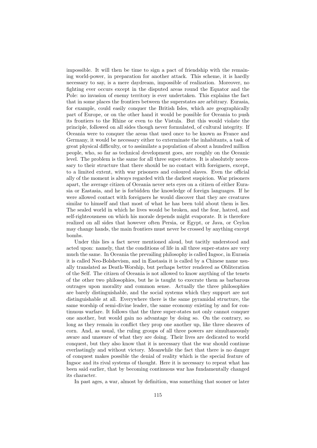impossible. It will then be time to sign a pact of friendship with the remaining world-power, in preparation for another attack. This scheme, it is hardly necessary to say, is a mere daydream, impossible of realization. Moreover, no fighting ever occurs except in the disputed areas round the Equator and the Pole: no invasion of enemy territory is ever undertaken. This explains the fact that in some places the frontiers between the superstates are arbitrary. Eurasia, for example, could easily conquer the British Isles, which are geographically part of Europe, or on the other hand it would be possible for Oceania to push its frontiers to the Rhine or even to the Vistula. But this would violate the principle, followed on all sides though never formulated, of cultural integrity. If Oceania were to conquer the areas that used once to be known as France and Germany, it would be necessary either to exterminate the inhabitants, a task of great physical difficulty, or to assimilate a population of about a hundred million people, who, so far as technical development goes, are roughly on the Oceanic level. The problem is the same for all three super-states. It is absolutely necessary to their structure that there should be no contact with foreigners, except, to a limited extent, with war prisoners and coloured slaves. Even the official ally of the moment is always regarded with the darkest suspicion. War prisoners apart, the average citizen of Oceania never sets eyes on a citizen of either Eurasia or Eastasia, and he is forbidden the knowledge of foreign languages. If he were allowed contact with foreigners he would discover that they are creatures similar to himself and that most of what he has been told about them is lies. The sealed world in which he lives would be broken, and the fear, hatred, and self-righteousness on which his morale depends might evaporate. It is therefore realized on all sides that however often Persia, or Egypt, or Java, or Ceylon may change hands, the main frontiers must never be crossed by anything except bombs.

Under this lies a fact never mentioned aloud, but tacitly understood and acted upon: namely, that the conditions of life in all three super-states are very much the same. In Oceania the prevailing philosophy is called Ingsoc, in Eurasia it is called Neo-Bolshevism, and in Eastasia it is called by a Chinese name usually translated as Death-Worship, but perhaps better rendered as Obliteration of the Self. The citizen of Oceania is not allowed to know anything of the tenets of the other two philosophies, but he is taught to execrate them as barbarous outrages upon morality and common sense. Actually the three philosophies are barely distinguishable, and the social systems which they support are not distinguishable at all. Everywhere there is the same pyramidal structure, the same worship of semi-divine leader, the same economy existing by and for continuous warfare. It follows that the three super-states not only cannot conquer one another, but would gain no advantage by doing so. On the contrary, so long as they remain in conflict they prop one another up, like three sheaves of corn. And, as usual, the ruling groups of all three powers are simultaneously aware and unaware of what they are doing. Their lives are dedicated to world conquest, but they also know that it is necessary that the war should continue everlastingly and without victory. Meanwhile the fact that there is no danger of conquest makes possible the denial of reality which is the special feature of Ingsoc and its rival systems of thought. Here it is necessary to repeat what has been said earlier, that by becoming continuous war has fundamentally changed its character.

In past ages, a war, almost by definition, was something that sooner or later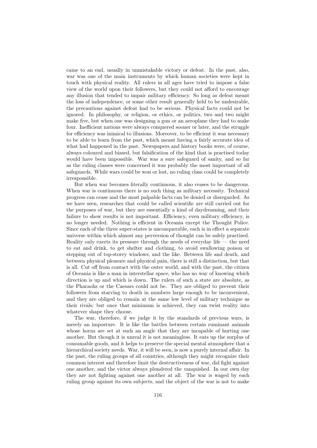came to an end, usually in unmistakable victory or defeat. In the past, also, war was one of the main instruments by which human societies were kept in touch with physical reality. All rulers in all ages have tried to impose a false view of the world upon their followers, but they could not afford to encourage any illusion that tended to impair military efficiency. So long as defeat meant the loss of independence, or some other result generally held to be undesirable, the precautions against defeat had to be serious. Physical facts could not be ignored. In philosophy, or religion, or ethics, or politics, two and two might make five, but when one was designing a gun or an aeroplane they had to make four. Inefficient nations were always conquered sooner or later, and the struggle for efficiency was inimical to illusions. Moreover, to be efficient it was necessary to be able to learn from the past, which meant having a fairly accurate idea of what had happened in the past. Newspapers and history books were, of course, always coloured and biased, but falsification of the kind that is practised today would have been impossible. War was a sure safeguard of sanity, and so far as the ruling classes were concerned it was probably the most important of all safeguards. While wars could be won or lost, no ruling class could be completely irresponsible.

But when war becomes literally continuous, it also ceases to be dangerous. When war is continuous there is no such thing as military necessity. Technical progress can cease and the most palpable facts can be denied or disregarded. As we have seen, researches that could be called scientific are still carried out for the purposes of war, but they are essentially a kind of daydreaming, and their failure to show results is not important. Efficiency, even military efficiency, is no longer needed. Nothing is efficient in Oceania except the Thought Police. Since each of the three super-states is unconquerable, each is in effect a separate universe within which almost any perversion of thought can be safely practised. Reality only exerts its pressure through the needs of everyday life — the need to eat and drink, to get shelter and clothing, to avoid swallowing poison or stepping out of top-storey windows, and the like. Between life and death, and between physical pleasure and physical pain, there is still a distinction, but that is all. Cut off from contact with the outer world, and with the past, the citizen of Oceania is like a man in interstellar space, who has no way of knowing which direction is up and which is down. The rulers of such a state are absolute, as the Pharaohs or the Caesars could not be. They are obliged to prevent their followers from starving to death in numbers large enough to be inconvenient, and they are obliged to remain at the same low level of military technique as their rivals; but once that minimum is achieved, they can twist reality into whatever shape they choose.

The war, therefore, if we judge it by the standards of previous wars, is merely an imposture. It is like the battles between certain ruminant animals whose horns are set at such an angle that they are incapable of hurting one another. But though it is unreal it is not meaningless. It eats up the surplus of consumable goods, and it helps to preserve the special mental atmosphere that a hierarchical society needs. War, it will be seen, is now a purely internal affair. In the past, the ruling groups of all countries, although they might recognize their common interest and therefore limit the destructiveness of war, did fight against one another, and the victor always plundered the vanquished. In our own day they are not fighting against one another at all. The war is waged by each ruling group against its own subjects, and the object of the war is not to make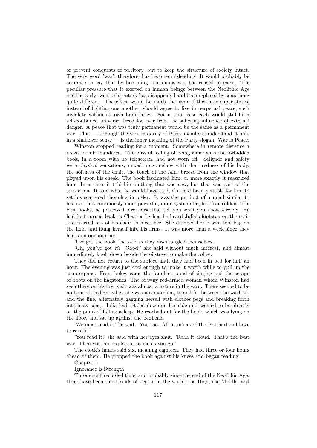or prevent conquests of territory, but to keep the structure of society intact. The very word 'war', therefore, has become misleading. It would probably be accurate to say that by becoming continuous war has ceased to exist. The peculiar pressure that it exerted on human beings between the Neolithic Age and the early twentieth century has disappeared and been replaced by something quite different. The effect would be much the same if the three super-states, instead of fighting one another, should agree to live in perpetual peace, each inviolate within its own boundaries. For in that case each would still be a self-contained universe, freed for ever from the sobering influence of external danger. A peace that was truly permanent would be the same as a permanent war. This — although the vast majority of Party members understand it only in a shallower sense — is the inner meaning of the Party slogan: War is Peace.

Winston stopped reading for a moment. Somewhere in remote distance a rocket bomb thundered. The blissful feeling of being alone with the forbidden book, in a room with no telescreen, had not worn off. Solitude and safety were physical sensations, mixed up somehow with the tiredness of his body, the softness of the chair, the touch of the faint breeze from the window that played upon his cheek. The book fascinated him, or more exactly it reassured him. In a sense it told him nothing that was new, but that was part of the attraction. It said what he would have said, if it had been possible for him to set his scattered thoughts in order. It was the product of a mind similar to his own, but enormously more powerful, more systematic, less fear-ridden. The best books, he perceived, are those that tell you what you know already. He had just turned back to Chapter I when he heard Julia's footstep on the stair and started out of his chair to meet her. She dumped her brown tool-bag on the floor and flung herself into his arms. It was more than a week since they had seen one another.

'I've got the book,' he said as they disentangled themselves.

'Oh, you've got it? Good,' she said without much interest, and almost immediately knelt down beside the oilstove to make the coffee.

They did not return to the subject until they had been in bed for half an hour. The evening was just cool enough to make it worth while to pull up the counterpane. From below came the familiar sound of singing and the scrape of boots on the flagstones. The brawny red-armed woman whom Winston had seen there on his first visit was almost a fixture in the yard. There seemed to be no hour of daylight when she was not marching to and fro between the washtub and the line, alternately gagging herself with clothes pegs and breaking forth into lusty song. Julia had settled down on her side and seemed to be already on the point of falling asleep. He reached out for the book, which was lying on the floor, and sat up against the bedhead.

'We must read it,' he said. 'You too. All members of the Brotherhood have to read it.'

'You read it,' she said with her eyes shut. 'Read it aloud. That's the best way. Then you can explain it to me as you go.'

The clock's hands said six, meaning eighteen. They had three or four hours ahead of them. He propped the book against his knees and began reading:

Chapter I

Ignorance is Strength

Throughout recorded time, and probably since the end of the Neolithic Age, there have been three kinds of people in the world, the High, the Middle, and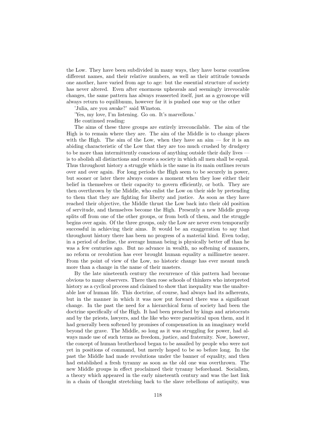the Low. They have been subdivided in many ways, they have borne countless different names, and their relative numbers, as well as their attitude towards one another, have varied from age to age: but the essential structure of society has never altered. Even after enormous upheavals and seemingly irrevocable changes, the same pattern has always reasserted itself, just as a gyroscope will always return to equilibnum, however far it is pushed one way or the other

'Julia, are you awake?' said Winston.

'Yes, my love, I'm listening. Go on. It's marvellous.'

He continued reading:

The aims of these three groups are entirely irreconcilable. The aim of the High is to remain where they are. The aim of the Middle is to change places with the High. The aim of the Low, when they have an aim  $-$  for it is an abiding characteristic of the Low that they are too much crushed by drudgery to be more than intermittently conscious of anything outside their daily lives is to abolish all distinctions and create a society in which all men shall be equal. Thus throughout history a struggle which is the same in its main outlines recurs over and over again. For long periods the High seem to be securely in power, but sooner or later there always comes a moment when they lose either their belief in themselves or their capacity to govern efficiently, or both. They are then overthrown by the Middle, who enlist the Low on their side by pretending to them that they are fighting for liberty and justice. As soon as they have reached their objective, the Middle thrust the Low back into their old position of servitude, and themselves become the High. Presently a new Middle group splits off from one of the other groups, or from both of them, and the struggle begins over again. Of the three groups, only the Low are never even temporarily successful in achieving their aims. It would be an exaggeration to say that throughout history there has been no progress of a material kind. Even today, in a period of decline, the average human being is physically better off than he was a few centuries ago. But no advance in wealth, no softening of manners, no reform or revolution has ever brought human equality a millimetre nearer. From the point of view of the Low, no historic change has ever meant much more than a change in the name of their masters.

By the late nineteenth century the recurrence of this pattern had become obvious to many observers. There then rose schools of thinkers who interpreted history as a cyclical process and claimed to show that inequality was the unalterable law of human life. This doctrine, of course, had always had its adherents, but in the manner in which it was now put forward there was a significant change. In the past the need for a hierarchical form of society had been the doctrine specifically of the High. It had been preached by kings and aristocrats and by the priests, lawyers, and the like who were parasitical upon them, and it had generally been softened by promises of compensation in an imaginary world beyond the grave. The Middle, so long as it was struggling for power, had always made use of such terms as freedom, justice, and fraternity. Now, however, the concept of human brotherhood began to be assailed by people who were not yet in positions of command, but merely hoped to be so before long. In the past the Middle had made revolutions under the banner of equality, and then had established a fresh tyranny as soon as the old one was overthrown. The new Middle groups in effect proclaimed their tyranny beforehand. Socialism, a theory which appeared in the early nineteenth century and was the last link in a chain of thought stretching back to the slave rebellions of antiquity, was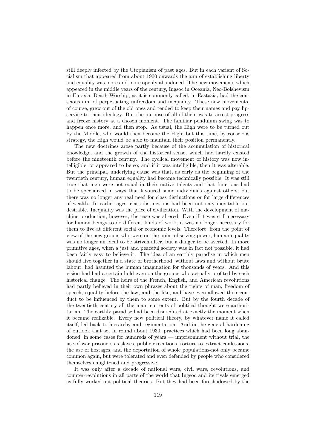still deeply infected by the Utopianism of past ages. But in each variant of Socialism that appeared from about 1900 onwards the aim of establishing liberty and equality was more and more openly abandoned. The new movements which appeared in the middle years of the century, Ingsoc in Oceania, Neo-Bolshevism in Eurasia, Death-Worship, as it is commonly called, in Eastasia, had the conscious aim of perpetuating unfreedom and inequality. These new movements, of course, grew out of the old ones and tended to keep their names and pay lipservice to their ideology. But the purpose of all of them was to arrest progress and freeze history at a chosen moment. The familiar pendulum swing was to happen once more, and then stop. As usual, the High were to be turned out by the Middle, who would then become the High; but this time, by conscious strategy, the High would be able to maintain their position permanently.

The new doctrines arose partly because of the accumulation of historical knowledge, and the growth of the historical sense, which had hardly existed before the nineteenth century. The cyclical movement of history was now intelligible, or appeared to be so; and if it was intelligible, then it was alterable. But the principal, underlying cause was that, as early as the beginning of the twentieth century, human equality had become technically possible. It was still true that men were not equal in their native talents and that functions had to be specialized in ways that favoured some individuals against others; but there was no longer any real need for class distinctions or for large differences of wealth. In earlier ages, class distinctions had been not only inevitable but desirable. Inequality was the price of civilization. With the development of machine production, however, the case was altered. Even if it was still necessary for human beings to do different kinds of work, it was no longer necessary for them to live at different social or economic levels. Therefore, from the point of view of the new groups who were on the point of seizing power, human equality was no longer an ideal to be striven after, but a danger to be averted. In more primitive ages, when a just and peaceful society was in fact not possible, it had been fairly easy to believe it. The idea of an earthly paradise in which men should live together in a state of brotherhood, without laws and without brute labour, had haunted the human imagination for thousands of years. And this vision had had a certain hold even on the groups who actually profited by each historical change. The heirs of the French, English, and American revolutions had partly believed in their own phrases about the rights of man, freedom of speech, equality before the law, and the like, and have even allowed their conduct to be influenced by them to some extent. But by the fourth decade of the twentieth century all the main currents of political thought were authoritarian. The earthly paradise had been discredited at exactly the moment when it became realizable. Every new political theory, by whatever name it called itself, led back to hierarchy and regimentation. And in the general hardening of outlook that set in round about 1930, practices which had been long abandoned, in some cases for hundreds of years — imprisonment without trial, the use of war prisoners as slaves, public executions, torture to extract confessions, the use of hostages, and the deportation of whole populations-not only became common again, but were tolerated and even defended by people who considered themselves enlightened and progressive.

It was only after a decade of national wars, civil wars, revolutions, and counter-revolutions in all parts of the world that Ingsoc and its rivals emerged as fully worked-out political theories. But they had been foreshadowed by the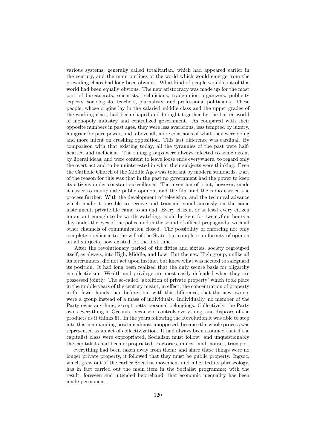various systems, generally called totalitarian, which had appeared earlier in the century, and the main outlines of the world which would emerge from the prevailing chaos had long been obvious. What kind of people would control this world had been equally obvious. The new aristocracy was made up for the most part of bureaucrats, scientists, technicians, trade-union organizers, publicity experts, sociologists, teachers, journalists, and professional politicians. These people, whose origins lay in the salaried middle class and the upper grades of the working class, had been shaped and brought together by the barren world of monopoly industry and centralized government. As compared with their opposite numbers in past ages, they were less avaricious, less tempted by luxury, hungrier for pure power, and, above all, more conscious of what they were doing and more intent on crushing opposition. This last difference was cardinal. By comparison with that existing today, all the tyrannies of the past were halfhearted and inefficient. The ruling groups were always infected to some extent by liberal ideas, and were content to leave loose ends everywhere, to regard only the overt act and to be uninterested in what their subjects were thinking. Even the Catholic Church of the Middle Ages was tolerant by modern standards. Part of the reason for this was that in the past no government had the power to keep its citizens under constant surveillance. The invention of print, however, made it easier to manipulate public opinion, and the film and the radio carried the process further. With the development of television, and the technical advance which made it possible to receive and transmit simultaneously on the same instrument, private life came to an end. Every citizen, or at least every citizen important enough to be worth watching, could be kept for twentyfour hours a day under the eyes of the police and in the sound of official propaganda, with all other channels of communication closed. The possibility of enforcing not only complete obedience to the will of the State, but complete uniformity of opinion on all subjects, now existed for the first time.

After the revolutionary period of the fifties and sixties, society regrouped itself, as always, into High, Middle, and Low. But the new High group, unlike all its forerunners, did not act upon instinct but knew what was needed to safeguard its position. It had long been realized that the only secure basis for oligarchy is collectivism. Wealth and privilege are most easily defended when they are possessed jointly. The so-called 'abolition of private property' which took place in the middle years of the century meant, in effect, the concentration of property in far fewer hands than before: but with this difference, that the new owners were a group instead of a mass of individuals. Individually, no member of the Party owns anything, except petty personal belongings. Collectively, the Party owns everything in Oceania, because it controls everything, and disposes of the products as it thinks fit. In the years following the Revolution it was able to step into this commanding position almost unopposed, because the whole process was represented as an act of collectivization. It had always been assumed that if the capitalist class were expropriated, Socialism must follow: and unquestionably the capitalists had been expropriated. Factories, mines, land, houses, transport — everything had been taken away from them: and since these things were no longer private property, it followed that they must be public property. Ingsoc, which grew out of the earlier Socialist movement and inherited its phraseology, has in fact carried out the main item in the Socialist programme; with the result, foreseen and intended beforehand, that economic inequality has been made permanent.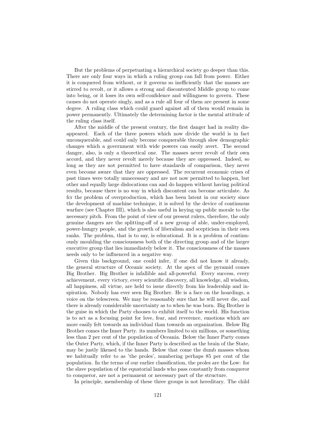But the problems of perpetuating a hierarchical society go deeper than this. There are only four ways in which a ruling group can fall from power. Either it is conquered from without, or it governs so inefficiently that the masses are stirred to revolt, or it allows a strong and discontented Middle group to come into being, or it loses its own self-confidence and willingness to govern. These causes do not operate singly, and as a rule all four of them are present in some degree. A ruling class which could guard against all of them would remain in power permanently. Ultimately the determining factor is the mental attitude of the ruling class itself.

After the middle of the present century, the first danger had in reality disappeared. Each of the three powers which now divide the world is in fact unconquerable, and could only become conquerable through slow demographic changes which a government with wide powers can easily avert. The second danger, also, is only a theoretical one. The masses never revolt of their own accord, and they never revolt merely because they are oppressed. Indeed, so long as they are not permitted to have standards of comparison, they never even become aware that they are oppressed. The recurrent economic crises of past times were totally unnecessary and are not now permitted to happen, but other and equally large dislocations can and do happen without having political results, because there is no way in which discontent can become articulate. As fcr the problem of overproduction, which has been latent in our society since the development of machine technique, it is solved by the device of continuous warfare (see Chapter III), which is also useful in keying up public morale to the necessary pitch. From the point of view of our present rulers, therefore, the only genuine dangers are the splitting-off of a new group of able, under-employed, power-hungry people, and the growth of liberalism and scepticism in their own ranks. The problem, that is to say, is educational. It is a problem of continuously moulding the consciousness both of the directing group and of the larger executive group that lies immediately below it. The consciousness of the masses needs only to be influenced in a negative way.

Given this background, one could infer, if one did not know it already, the general structure of Oceanic society. At the apex of the pyramid comes Big Brother. Big Brother is infallible and all-powerful. Every success, every achievement, every victory, every scientific discovery, all knowledge, all wisdom, all happiness, all virtue, are held to issue directly from his leadership and inspiration. Nobody has ever seen Big Brother. He is a face on the hoardings, a voice on the telescreen. We may be reasonably sure that he will never die, and there is already considerable uncertainty as to when he was born. Big Brother is the guise in which the Party chooses to exhibit itself to the world. His function is to act as a focusing point for love, fear, and reverence, emotions which are more easily felt towards an individual than towards an organization. Below Big Brother comes the Inner Party. its numbers limited to six millions, or something less than 2 per cent of the population of Oceania. Below the Inner Party comes the Outer Party, which, if the Inner Party is described as the brain of the State, may be justly likened to the hands. Below that come the dumb masses whom we habitually refer to as 'the proles', numbering perhaps 85 per cent of the population. In the terms of our earlier classification, the proles are the Low: for the slave population of the equatorial lands who pass constantly from conqueror to conqueror, are not a permanent or necessary part of the structure.

In principle, membership of these three groups is not hereditary. The child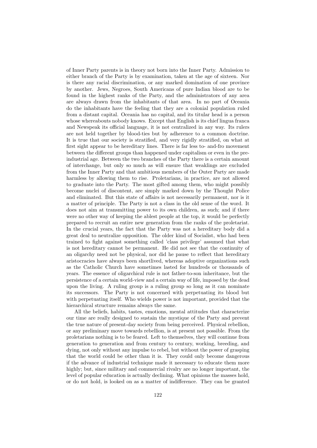of Inner Party parents is in theory not born into the Inner Party. Admission to either branch of the Party is by examination, taken at the age of sixteen. Nor is there any racial discrimination, or any marked domination of one province by another. Jews, Negroes, South Americans of pure Indian blood are to be found in the highest ranks of the Party, and the administrators of any area are always drawn from the inhabitants of that area. In no part of Oceania do the inhabitants have the feeling that they are a colonial population ruled from a distant capital. Oceania has no capital, and its titular head is a person whose whereabouts nobody knows. Except that English is its chief lingua franca and Newspeak its official language, it is not centralized in any way. Its rulers are not held together by blood-ties but by adherence to a common doctrine. It is true that our society is stratified, and very rigidly stratified, on what at first sight appear to be hereditary lines. There is far less to- and-fro movement between the different groups than happened under capitalism or even in the preindustrial age. Between the two branches of the Party there is a certain amount of interchange, but only so much as will ensure that weaklings are excluded from the Inner Party and that ambitious members of the Outer Party are made harmless by allowing them to rise. Proletarians, in practice, are not allowed to graduate into the Party. The most gifted among them, who might possibly become nuclei of discontent, are simply marked down by the Thought Police and eliminated. But this state of affairs is not necessarily permanent, nor is it a matter of principle. The Party is not a class in the old sense of the word. It does not aim at transmitting power to its own children, as such; and if there were no other way of keeping the ablest people at the top, it would be perfectly prepared to recruit an entire new generation from the ranks of the proletariat. In the crucial years, the fact that the Party was not a hereditary body did a great deal to neutralize opposition. The older kind of Socialist, who had been trained to fight against something called 'class privilege' assumed that what is not hereditary cannot be permanent. He did not see that the continuity of an oligarchy need not be physical, nor did he pause to reflect that hereditary aristocracies have always been shortlived, whereas adoptive organizations such as the Catholic Church have sometimes lasted for hundreds or thousands of years. The essence of oligarchical rule is not father-to-son inheritance, but the persistence of a certain world-view and a certain way of life, imposed by the dead upon the living. A ruling group is a ruling group so long as it can nominate its successors. The Party is not concerned with perpetuating its blood but with perpetuating itself. Who wields power is not important, provided that the hierarchical structure remains always the same.

All the beliefs, habits, tastes, emotions, mental attitudes that characterize our time are really designed to sustain the mystique of the Party and prevent the true nature of present-day society from being perceived. Physical rebellion, or any preliminary move towards rebellion, is at present not possible. From the proletarians nothing is to be feared. Left to themselves, they will continue from generation to generation and from century to century, working, breeding, and dying, not only without any impulse to rebel, but without the power of grasping that the world could be other than it is. They could only become dangerous if the advance of industrial technique made it necessary to educate them more highly; but, since military and commercial rivalry are no longer important, the level of popular education is actually declining. What opinions the masses hold, or do not hold, is looked on as a matter of indifference. They can be granted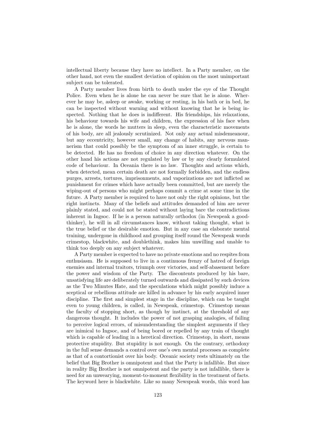intellectual liberty because they have no intellect. In a Party member, on the other hand, not even the smallest deviation of opinion on the most unimportant subject can be tolerated.

A Party member lives from birth to death under the eye of the Thought Police. Even when he is alone he can never be sure that he is alone. Wherever he may be, asleep or awake, working or resting, in his bath or in bed, he can be inspected without warning and without knowing that he is being inspected. Nothing that he does is indifferent. His friendships, his relaxations, his behaviour towards his wife and children, the expression of his face when he is alone, the words he mutters in sleep, even the characteristic movements of his body, are all jealously scrutinized. Not only any actual misdemeanour, but any eccentricity, however small, any change of habits, any nervous mannerism that could possibly be the symptom of an inner struggle, is certain to be detected. He has no freedom of choice in any direction whatever. On the other hand his actions are not regulated by law or by any clearly formulated code of behaviour. In Oceania there is no law. Thoughts and actions which, when detected, mean certain death are not formally forbidden, and the endless purges, arrests, tortures, imprisonments, and vaporizations are not inflicted as punishment for crimes which have actually been committed, but are merely the wiping-out of persons who might perhaps commit a crime at some time in the future. A Party member is required to have not only the right opinions, but the right instincts. Many of the beliefs and attitudes demanded of him are never plainly stated, and could not be stated without laying bare the contradictions inherent in Ingsoc. If he is a person naturally orthodox (in Newspeak a goodthinker), he will in all circumstances know, without taking thought, what is the true belief or the desirable emotion. But in any case an elaborate mental training, undergone in childhood and grouping itself round the Newspeak words crimestop, blackwhite, and doublethink, makes him unwilling and unable to think too deeply on any subject whatever.

A Party member is expected to have no private emotions and no respites from enthusiasm. He is supposed to live in a continuous frenzy of hatred of foreign enemies and internal traitors, triumph over victories, and self-abasement before the power and wisdom of the Party. The discontents produced by his bare, unsatisfying life are deliberately turned outwards and dissipated by such devices as the Two Minutes Hate, and the speculations which might possibly induce a sceptical or rebellious attitude are killed in advance by his early acquired inner discipline. The first and simplest stage in the discipline, which can be taught even to young children, is called, in Newspeak, crimestop. Crimestop means the faculty of stopping short, as though by instinct, at the threshold of any dangerous thought. It includes the power of not grasping analogies, of failing to perceive logical errors, of misunderstanding the simplest arguments if they are inimical to Ingsoc, and of being bored or repelled by any train of thought which is capable of leading in a heretical direction. Crimestop, in short, means protective stupidity. But stupidity is not enough. On the contrary, orthodoxy in the full sense demands a control over one's own mental processes as complete as that of a contortionist over his body. Oceanic society rests ultimately on the belief that Big Brother is omnipotent and that the Party is infallible. But since in reality Big Brother is not omnipotent and the party is not infallible, there is need for an unwearying, moment-to-moment flexibility in the treatment of facts. The keyword here is blackwhite. Like so many Newspeak words, this word has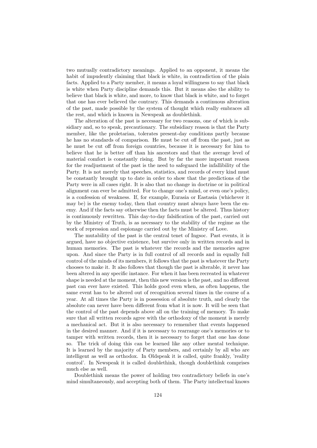two mutually contradictory meanings. Applied to an opponent, it means the habit of impudently claiming that black is white, in contradiction of the plain facts. Applied to a Party member, it means a loyal willingness to say that black is white when Party discipline demands this. But it means also the ability to believe that black is white, and more, to know that black is white, and to forget that one has ever believed the contrary. This demands a continuous alteration of the past, made possible by the system of thought which really embraces all the rest, and which is known in Newspeak as doublethink.

The alteration of the past is necessary for two reasons, one of which is subsidiary and, so to speak, precautionary. The subsidiary reason is that the Party member, like the proletarian, tolerates present-day conditions partly because he has no standards of comparison. He must be cut off from the past, just as he must be cut off from foreign countries, because it is necessary for him to believe that he is better off than his ancestors and that the average level of material comfort is constantly rising. But by far the more important reason for the readjustment of the past is the need to safeguard the infallibility of the Party. It is not merely that speeches, statistics, and records of every kind must be constantly brought up to date in order to show that the predictions of the Party were in all cases right. It is also that no change in doctrine or in political alignment can ever be admitted. For to change one's mind, or even one's policy, is a confession of weakness. If, for example, Eurasia or Eastasia (whichever it may be) is the enemy today, then that country must always have been the enemy. And if the facts say otherwise then the facts must be altered. Thus history is continuously rewritten. This day-to-day falsification of the past, carried out by the Ministry of Truth, is as necessary to the stability of the regime as the work of repression and espionage carried out by the Ministry of Love.

The mutability of the past is the central tenet of Ingsoc. Past events, it is argued, have no objective existence, but survive only in written records and in human memories. The past is whatever the records and the memories agree upon. And since the Party is in full control of all records and in equally full control of the minds of its members, it follows that the past is whatever the Party chooses to make it. It also follows that though the past is alterable, it never has been altered in any specific instance. For when it has been recreated in whatever shape is needed at the moment, then this new version is the past, and no different past can ever have existed. This holds good even when, as often happens, the same event has to be altered out of recognition several times in the course of a year. At all times the Party is in possession of absolute truth, and clearly the absolute can never have been different from what it is now. It will be seen that the control of the past depends above all on the training of memory. To make sure that all written records agree with the orthodoxy of the moment is merely a mechanical act. But it is also necessary to remember that events happened in the desired manner. And if it is necessary to rearrange one's memories or to tamper with written records, then it is necessary to forget that one has done so. The trick of doing this can be learned like any other mental technique. It is learned by the majority of Party members, and certainly by all who are intelligent as well as orthodox. In Oldspeak it is called, quite frankly, 'reality control'. In Newspeak it is called doublethink, though doublethink comprises much else as well.

Doublethink means the power of holding two contradictory beliefs in one's mind simultaneously, and accepting both of them. The Party intellectual knows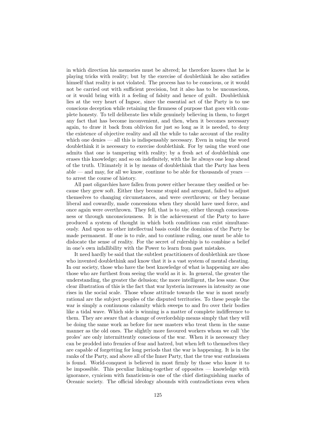in which direction his memories must be altered; he therefore knows that he is playing tricks with reality; but by the exercise of doublethink he also satisfies himself that reality is not violated. The process has to be conscious, or it would not be carried out with sufficient precision, but it also has to be unconscious, or it would bring with it a feeling of falsity and hence of guilt. Doublethink lies at the very heart of Ingsoc, since the essential act of the Party is to use conscious deception while retaining the firmness of purpose that goes with complete honesty. To tell deliberate lies while genuinely believing in them, to forget any fact that has become inconvenient, and then, when it becomes necessary again, to draw it back from oblivion for just so long as it is needed, to deny the existence of objective reality and all the while to take account of the reality which one denies — all this is indispensably necessary. Even in using the word doublethink it is necessary to exercise doublethink. For by using the word one admits that one is tampering with reality; by a fresh act of doublethink one erases this knowledge; and so on indefinitely, with the lie always one leap ahead of the truth. Ultimately it is by means of doublethink that the Party has been  $a$ ble — and may, for all we know, continue to be able for thousands of years  $\overline{\phantom{a}}$ to arrest the course of history.

All past oligarchies have fallen from power either because they ossified or because they grew soft. Either they became stupid and arrogant, failed to adjust themselves to changing circumstances, and were overthrown; or they became liberal and cowardly, made concessions when they should have used force, and once again were overthrown. They fell, that is to say, either through consciousness or through unconsciousness. It is the achievement of the Party to have produced a system of thought in which both conditions can exist simultaneously. And upon no other intellectual basis could the dominion of the Party be made permanent. If one is to rule, and to continue ruling, one must be able to dislocate the sense of reality. For the secret of rulership is to combine a belief in one's own infallibility with the Power to learn from past mistakes.

It need hardly be said that the subtlest practitioners of doublethink are those who invented doublethink and know that it is a vast system of mental cheating. In our society, those who have the best knowledge of what is happening are also those who are furthest from seeing the world as it is. In general, the greater the understanding, the greater the delusion; the more intelligent, the less sane. One clear illustration of this is the fact that war hysteria increases in intensity as one rises in the social scale. Those whose attitude towards the war is most nearly rational are the subject peoples of the disputed territories. To these people the war is simply a continuous calamity which sweeps to and fro over their bodies like a tidal wave. Which side is winning is a matter of complete indifference to them. They are aware that a change of overlordship means simply that they will be doing the same work as before for new masters who treat them in the same manner as the old ones. The slightly more favoured workers whom we call 'the proles' are only intermittently conscious of the war. When it is necessary they can be prodded into frenzies of fear and hatred, but when left to themselves they are capable of forgetting for long periods that the war is happening. It is in the ranks of the Party, and above all of the Inner Party, that the true war enthusiasm is found. World-conquest is believed in most firmly by those who know it to be impossible. This peculiar linking-together of opposites — knowledge with ignorance, cynicism with fanaticism-is one of the chief distinguishing marks of Oceanic society. The official ideology abounds with contradictions even when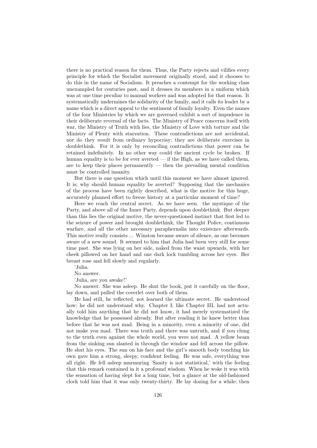there is no practical reason for them. Thus, the Party rejects and vilifies every principle for which the Socialist movement originally stood, and it chooses to do this in the name of Socialism. It preaches a contempt for the working class unexampled for centuries past, and it dresses its members in a uniform which was at one time peculiar to manual workers and was adopted for that reason. It systematically undermines the solidarity of the family, and it calls its leader by a name which is a direct appeal to the sentiment of family loyalty. Even the names of the four Ministries by which we are governed exhibit a sort of impudence in their deliberate reversal of the facts. The Ministry of Peace concerns itself with war, the Ministry of Truth with lies, the Ministry of Love with torture and the Ministry of Plenty with starvation. These contradictions are not accidental, nor do they result from ordinary hypocrisy; they are deliberate exercises in doublethink. For it is only by reconciling contradictions that power can be retained indefinitely. In no other way could the ancient cycle be broken. If human equality is to be for ever averted — if the High, as we have called them, are to keep their places permanently  $-$  then the prevailing mental condition must be controlled insanity.

But there is one question which until this moment we have almost ignored. It is; why should human equality be averted? Supposing that the mechanics of the process have been rightly described, what is the motive for this huge, accurately planned effort to freeze history at a particular moment of time?

Here we reach the central secret. As we have seen. the mystique of the Party, and above all of the Inner Party, depends upon doublethink. But deeper than this lies the original motive, the never-questioned instinct that first led to the seizure of power and brought doublethink, the Thought Police, continuous warfare, and all the other necessary paraphernalia into existence afterwards. This motive really consists ... Winston became aware of silence, as one becomes aware of a new sound. It seemed to him that Julia had been very still for some time past. She was lying on her side, naked from the waist upwards, with her cheek pillowed on her hand and one dark lock tumbling across her eyes. Her breast rose and fell slowly and regularly.

'Julia. No answer.

'Julia, are you awake?'

No answer. She was asleep. He shut the book, put it carefully on the floor, lay down, and pulled the coverlet over both of them.

He had still, he reflected, not learned the ultimate secret. He understood how; he did not understand why. Chapter I, like Chapter III, had not actually told him anything that he did not know, it had merely systematized the knowledge that he possessed already. But after reading it he knew better than before that he was not mad. Being in a minority, even a minority of one, did not make you mad. There was truth and there was untruth, and if you clung to the truth even against the whole world, you were not mad. A yellow beam from the sinking sun slanted in through the window and fell across the pillow. He shut his eyes. The sun on his face and the girl's smooth body touching his own gave him a strong, sleepy, confident feeling. He was safe, everything was all right. He fell asleep murmuring 'Sanity is not statistical,' with the feeling that this remark contained in it a profound wisdom. When he woke it was with the sensation of having slept for a long time, but a glance at the old-fashioned clock told him that it was only twenty-thirty. He lay dozing for a while; then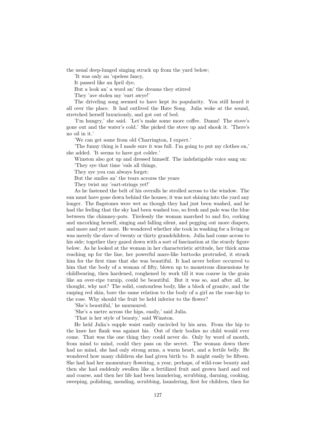the usual deep-lunged singing struck up from the yard below;

'It was only an 'opeless fancy,

It passed like an Ipril dye,

But a look an' a word an' the dreams they stirred

They 'ave stolen my 'eart awye!'

The driveling song seemed to have kept its popularity. You still heard it all over the place. It had outlived the Hate Song. Julia woke at the sound, stretched herself luxuriously, and got out of bed.

'I'm hungry,' she said. 'Let's make some more coffee. Damn! The stove's gone out and the water's cold.' She picked the stove up and shook it. 'There's no oil in it.'

'We can get some from old Charrington, I expect.'

'The funny thing is I made sure it was full. I'm going to put my clothes on,' she added. 'It seems to have got colder.'

Winston also got up and dressed himself. The indefatigable voice sang on: 'They sye that time 'eals all things,

They sye you can always forget;

But the smiles an' the tears acrorss the years

They twist my 'eart-strings yet!'

As he fastened the belt of his overalls he strolled across to the window. The sun must have gone down behind the houses; it was not shining into the yard any longer. The flagstones were wet as though they had just been washed, and he had the feeling that the sky had been washed too, so fresh and pale was the blue between the chimney-pots. Tirelessly the woman marched to and fro, corking and uncorking herself, singing and falling silent, and pegging out more diapers, and more and yet more. He wondered whether she took in washing for a living or was merely the slave of twenty or thirty grandchildren. Julia had come across to his side; together they gazed down with a sort of fascination at the sturdy figure below. As he looked at the woman in her characteristic attitude, her thick arms reaching up for the line, her powerful mare-like buttocks protruded, it struck him for the first time that she was beautiful. It had never before occurred to him that the body of a woman of fifty, blown up to monstrous dimensions by childbearing, then hardened, roughened by work till it was coarse in the grain like an over-ripe turnip, could be beautiful. But it was so, and after all, he thought, why not? The solid, contourless body, like a block of granite, and the rasping red skin, bore the same relation to the body of a girl as the rose-hip to the rose. Why should the fruit be held inferior to the flower?

'She's beautiful,' he murmured.

'She's a metre across the hips, easily,' said Julia.

'That is her style of beauty,' said Winston.

He held Julia's supple waist easily encircled by his arm. From the hip to the knee her flank was against his. Out of their bodies no child would ever come. That was the one thing they could never do. Only by word of mouth, from mind to mind, could they pass on the secret. The woman down there had no mind, she had only strong arms, a warm heart, and a fertile belly. He wondered how many children she had given birth to. It might easily be fifteen. She had had her momentary flowering, a year, perhaps, of wild-rose beauty and then she had suddenly swollen like a fertilized fruit and grown hard and red and coarse, and then her life had been laundering, scrubbing, darning, cooking, sweeping, polishing, mending, scrubbing, laundering, first for children, then for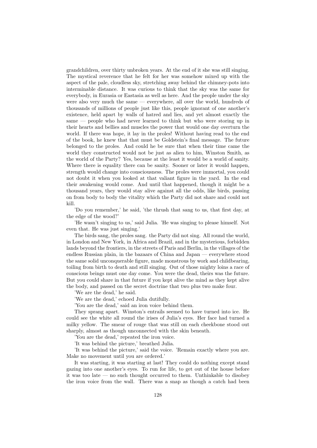grandchildren, over thirty unbroken years. At the end of it she was still singing. The mystical reverence that he felt for her was somehow mixed up with the aspect of the pale, cloudless sky, stretching away behind the chimney-pots into interminable distance. It was curious to think that the sky was the same for everybody, in Eurasia or Eastasia as well as here. And the people under the sky were also very much the same — everywhere, all over the world, hundreds of thousands of millions of people just like this, people ignorant of one another's existence, held apart by walls of hatred and lies, and yet almost exactly the same — people who had never learned to think but who were storing up in their hearts and bellies and muscles the power that would one day overturn the world. If there was hope, it lay in the proles! Without having read to the end of the book, he knew that that must be Goldstein's final message. The future belonged to the proles. And could he be sure that when their time came the world they constructed would not be just as alien to him, Winston Smith, as the world of the Party? Yes, because at the least it would be a world of sanity. Where there is equality there can be sanity. Sooner or later it would happen, strength would change into consciousness. The proles were immortal, you could not doubt it when you looked at that valiant figure in the yard. In the end their awakening would come. And until that happened, though it might be a thousand years, they would stay alive against all the odds, like birds, passing on from body to body the vitality which the Party did not share and could not kill.

'Do you remember,' he said, 'the thrush that sang to us, that first day, at the edge of the wood?'

'He wasn't singing to us,' said Julia. 'He was singing to please himself. Not even that. He was just singing.'

The birds sang, the proles sang. the Party did not sing. All round the world, in London and New York, in Africa and Brazil, and in the mysterious, forbidden lands beyond the frontiers, in the streets of Paris and Berlin, in the villages of the endless Russian plain, in the bazaars of China and Japan — everywhere stood the same solid unconquerable figure, made monstrous by work and childbearing, toiling from birth to death and still singing. Out of those mighty loins a race of conscious beings must one day come. You were the dead, theirs was the future. But you could share in that future if you kept alive the mind as they kept alive the body, and passed on the secret doctrine that two plus two make four.

'We are the dead,' he said.

'We are the dead,' echoed Julia dutifully.

'You are the dead,' said an iron voice behind them.

They sprang apart. Winston's entrails seemed to have turned into ice. He could see the white all round the irises of Julia's eyes. Her face had turned a milky yellow. The smear of rouge that was still on each cheekbone stood out sharply, almost as though unconnected with the skin beneath.

'You are the dead,' repeated the iron voice.

'It was behind the picture,' breathed Julia.

'It was behind the picture,' said the voice. 'Remain exactly where you are. Make no movement until you are ordered.'

It was starting, it was starting at last! They could do nothing except stand gazing into one another's eyes. To run for life, to get out of the house before it was too late — no such thought occurred to them. Unthinkable to disobey the iron voice from the wall. There was a snap as though a catch had been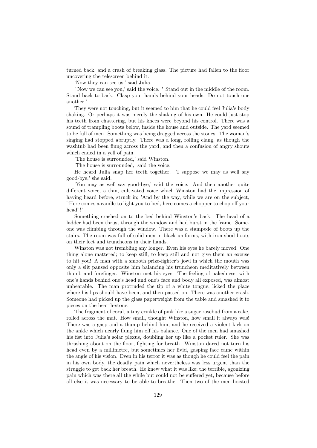turned back, and a crash of breaking glass. The picture had fallen to the floor uncovering the telescreen behind it.

'Now they can see us,' said Julia.

' Now we can see you,' said the voice. ' Stand out in the middle of the room. Stand back to back. Clasp your hands behind your heads. Do not touch one another.'

They were not touching, but it seemed to him that he could feel Julia's body shaking. Or perhaps it was merely the shaking of his own. He could just stop his teeth from chattering, but his knees were beyond his control. There was a sound of trampling boots below, inside the house and outside. The yard seemed to be full of men. Something was being dragged across the stones. The woman's singing had stopped abruptly. There was a long, rolling clang, as though the washtub had been flung across the yard, and then a confusion of angry shouts which ended in a yell of pain.

'The house is surrounded,' said Winston.

'The house is surrounded,' said the voice.

He heard Julia snap her teeth together. 'I suppose we may as well say good-bye,' she said.

'You may as well say good-bye,' said the voice. And then another quite different voice, a thin, cultivated voice which Winston had the impression of having heard before, struck in; 'And by the way, while we are on the subject, "Here comes a candle to light you to bed, here comes a chopper to chop off your head"!'

Something crashed on to the bed behind Winston's back. The head of a ladder had been thrust through the window and had burst in the frame. Someone was climbing through the window. There was a stampede of boots up the stairs. The room was full of solid men in black uniforms, with iron-shod boots on their feet and truncheons in their hands.

Winston was not trembling any longer. Even his eyes he barely moved. One thing alone mattered; to keep still, to keep still and not give them an excuse to hit you! A man with a smooth prize-fighter's jowl in which the mouth was only a slit paused opposite him balancing his truncheon meditatively between thumb and forefinger. Winston met his eyes. The feeling of nakedness, with one's hands behind one's head and one's face and body all exposed, was almost unbearable. The man protruded the tip of a white tongue, licked the place where his lips should have been, and then passed on. There was another crash. Someone had picked up the glass paperweight from the table and smashed it to pieces on the hearth-stone.

The fragment of coral, a tiny crinkle of pink like a sugar rosebud from a cake, rolled across the mat. How small, thought Winston, how small it always was! There was a gasp and a thump behind him, and he received a violent kick on the ankle which nearly flung him off his balance. One of the men had smashed his fist into Julia's solar plexus, doubling her up like a pocket ruler. She was thrashing about on the floor, fighting for breath. Winston dared not turn his head even by a millimetre, but sometimes her livid, gasping face came within the angle of his vision. Even in his terror it was as though he could feel the pain in his own body, the deadly pain which nevertheless was less urgent than the struggle to get back her breath. He knew what it was like; the terrible, agonizing pain which was there all the while but could not be suffered yet, because before all else it was necessary to be able to breathe. Then two of the men hoisted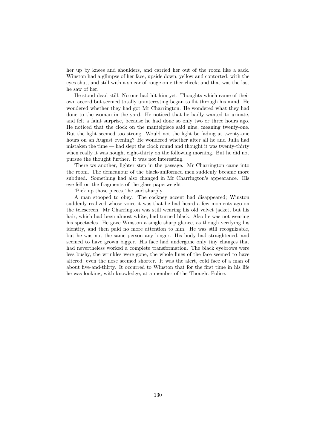her up by knees and shoulders, and carried her out of the room like a sack. Winston had a glimpse of her face, upside down, yellow and contorted, with the eyes shut, and still with a smear of rouge on either cheek; and that was the last he saw of her.

He stood dead still. No one had hit him yet. Thoughts which came of their own accord but seemed totally uninteresting began to flit through his mind. He wondered whether they had got Mr Charrington. He wondered what they had done to the woman in the yard. He noticed that he badly wanted to urinate, and felt a faint surprise, because he had done so only two or three hours ago. He noticed that the clock on the mantelpiece said nine, meaning twenty-one. But the light seemed too strong. Would not the light be fading at twenty-one hours on an August evening? He wondered whether after all he and Julia had mistaken the time — had slept the clock round and thought it was twenty-thirty when really it was nought eight-thirty on the following morning. But he did not pursue the thought further. It was not interesting.

There ws another, lighter step in the passage. Mr Charrington came into the room. The demeanour of the black-uniformed men suddenly became more subdued. Something had also changed in Mr Charrington's appearance. His eye fell on the fragments of the glass paperweight.

'Pick up those pieces,' he said sharply.

A man stooped to obey. The cockney accent had disappeared; Winston suddenly realized whose voice it was that he had heard a few moments ago on the telescreen. Mr Charrington was still wearing his old velvet jacket, but his hair, which had been almost white, had turned black. Also he was not wearing his spectacles. He gave Winston a single sharp glance, as though verifying his identity, and then paid no more attention to him. He was still recognizable, but he was not the same person any longer. His body had straightened, and seemed to have grown bigger. His face had undergone only tiny changes that had nevertheless worked a complete transformation. The black evebrows were less bushy, the wrinkles were gone, the whole lines of the face seemed to have altered; even the nose seemed shorter. It was the alert, cold face of a man of about five-and-thirty. It occurred to Winston that for the first time in his life he was looking, with knowledge, at a member of the Thought Police.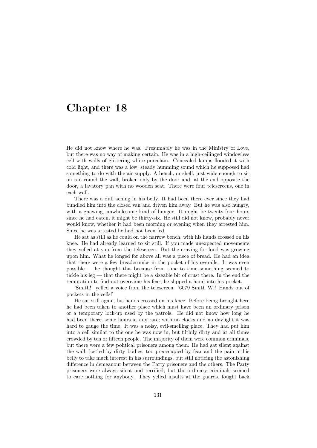## Chapter 18

He did not know where he was. Presumably he was in the Ministry of Love, but there was no way of making certain. He was in a high-ceilinged windowless cell with walls of glittering white porcelain. Concealed lamps flooded it with cold light, and there was a low, steady humming sound which he supposed had something to do with the air supply. A bench, or shelf, just wide enough to sit on ran round the wall, broken only by the door and, at the end opposite the door, a lavatory pan with no wooden seat. There were four telescreens, one in each wall.

There was a dull aching in his belly. It had been there ever since they had bundled him into the closed van and driven him away. But he was also hungry, with a gnawing, unwholesome kind of hunger. It might be twenty-four hours since he had eaten, it might be thirty-six. He still did not know, probably never would know, whether it had been morning or evening when they arrested him. Since he was arrested he had not been fed.

He sat as still as he could on the narrow bench, with his hands crossed on his knee. He had already learned to sit still. If you made unexpected movements they yelled at you from the telescreen. But the craving for food was growing upon him. What he longed for above all was a piece of bread. He had an idea that there were a few breadcrumbs in the pocket of his overalls. It was even  $_{\rm possible}$  — he thought this because from time to time something seemed to tickle his leg — that there might be a sizeable bit of crust there. In the end the temptation to find out overcame his fear; he slipped a hand into his pocket.

'Smith!' yelled a voice from the telescreen. '6079 Smith W.! Hands out of pockets in the cells!'

He sat still again, his hands crossed on his knee. Before being brought here he had been taken to another place which must have been an ordinary prison or a temporary lock-up used by the patrols. He did not know how long he had been there; some hours at any rate; with no clocks and no daylight it was hard to gauge the time. It was a noisy, evil-smelling place. They had put him into a cell similar to the one he was now in, but filthily dirty and at all times crowded by ten or fifteen people. The majority of them were common criminals, but there were a few political prisoners among them. He had sat silent against the wall, jostled by dirty bodies, too preoccupied by fear and the pain in his belly to take much interest in his surroundings, but still noticing the astonishing difference in demeanour between the Party prisoners and the others. The Party prisoners were always silent and terrified, but the ordinary criminals seemed to care nothing for anybody. They yelled insults at the guards, fought back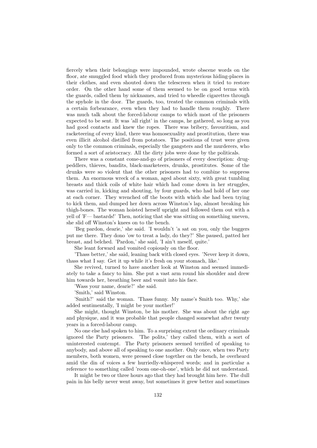fiercely when their belongings were impounded, wrote obscene words on the floor, ate smuggled food which they produced from mysterious hiding-places in their clothes, and even shouted down the telescreen when it tried to restore order. On the other hand some of them seemed to be on good terms with the guards, called them by nicknames, and tried to wheedle cigarettes through the spyhole in the door. The guards, too, treated the common criminals with a certain forbearance, even when they had to handle them roughly. There was much talk about the forced-labour camps to which most of the prisoners expected to be sent. It was 'all right' in the camps, he gathered, so long as you had good contacts and knew the ropes. There was bribery, favouritism, and racketeering of every kind, there was homosexuality and prostitution, there was even illicit alcohol distilled from potatoes. The positions of trust were given only to the common criminals, especially the gangsters and the murderers, who formed a sort of aristocracy. All the dirty jobs were done by the politicals.

There was a constant come-and-go of prisoners of every description: drugpeddlers, thieves, bandits, black-marketeers, drunks, prostitutes. Some of the drunks were so violent that the other prisoners had to combine to suppress them. An enormous wreck of a woman, aged about sixty, with great tumbling breasts and thick coils of white hair which had come down in her struggles, was carried in, kicking and shouting, by four guards, who had hold of her one at each corner. They wrenched off the boots with which she had been trying to kick them, and dumped her down across Winston's lap, almost breaking his thigh-bones. The woman hoisted herself upright and followed them out with a yell of 'F— bastards!' Then, noticing that she was sitting on something uneven, she slid off Winston's knees on to the bench.

'Beg pardon, dearie,' she said. 'I wouldn't 'a sat on you, only the buggers put me there. They dono 'ow to treat a lady, do they?' She paused, patted her breast, and belched. 'Pardon,' she said, 'I ain't meself, quite.'

She leant forward and vomited copiously on the floor.

'Thass better,' she said, leaning back with closed eyes. 'Never keep it down, thass what I say. Get it up while it's fresh on your stomach, like.'

She revived, turned to have another look at Winston and seemed immediately to take a fancy to him. She put a vast arm round his shoulder and drew him towards her, breathing beer and vomit into his face.

'Wass your name, dearie?' she said.

'Smith,' said Winston.

'Smith?' said the woman. 'Thass funny. My name's Smith too. Why,' she added sentimentally, 'I might be your mother!'

She might, thought Winston, be his mother. She was about the right age and physique, and it was probable that people changed somewhat after twenty years in a forced-labour camp.

No one else had spoken to him. To a surprising extent the ordinary criminals ignored the Party prisoners. 'The polits,' they called them, with a sort of uninterested contempt. The Party prisoners seemed terrified of speaking to anybody, and above all of speaking to one another. Only once, when two Party members, both women, were pressed close together on the bench, he overheard amid the din of voices a few hurriedly-whispered words; and in particular a reference to something called 'room one-oh-one', which he did not understand.

It might be two or three hours ago that they had brought him here. The dull pain in his belly never went away, but sometimes it grew better and sometimes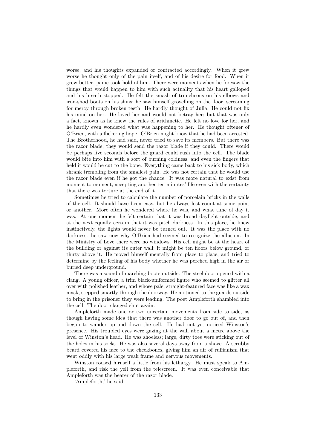worse, and his thoughts expanded or contracted accordingly. When it grew worse he thought only of the pain itself, and of his desire for food. When it grew better, panic took hold of him. There were moments when he foresaw the things that would happen to him with such actuality that his heart galloped and his breath stopped. He felt the smash of truncheons on his elbows and iron-shod boots on his shins; he saw himself grovelling on the floor, screaming for mercy through broken teeth. He hardly thought of Julia. He could not fix his mind on her. He loved her and would not betray her; but that was only a fact, known as he knew the rules of arithmetic. He felt no love for her, and he hardly even wondered what was happening to her. He thought oftener of O'Brien, with a flickering hope. O'Brien might know that he had been arrested. The Brotherhood, he had said, never tried to save its members. But there was the razor blade; they would send the razor blade if they could. There would be perhaps five seconds before the guard could rush into the cell. The blade would bite into him with a sort of burning coldness, and even the fingers that held it would be cut to the bone. Everything came back to his sick body, which shrank trembling from the smallest pain. He was not certain that he would use the razor blade even if he got the chance. It was more natural to exist from moment to moment, accepting another ten minutes' life even with the certainty that there was torture at the end of it.

Sometimes he tried to calculate the number of porcelain bricks in the walls of the cell. It should have been easy, but he always lost count at some point or another. More often he wondered where he was, and what time of day it was. At one moment he felt certain that it was broad daylight outside, and at the next equally certain that it was pitch darkness. In this place, he knew instinctively, the lights would never be turned out. It was the place with no darkness: he saw now why O'Brien had seemed to recognize the allusion. In the Ministry of Love there were no windows. His cell might be at the heart of the building or against its outer wall; it might be ten floors below ground, or thirty above it. He moved himself mentally from place to place, and tried to determine by the feeling of his body whether he was perched high in the air or buried deep underground.

There was a sound of marching boots outside. The steel door opened with a clang. A young officer, a trim black-uniformed figure who seemed to glitter all over with polished leather, and whose pale, straight-featured face was like a wax mask, stepped smartly through the doorway. He motioned to the guards outside to bring in the prisoner they were leading. The poet Ampleforth shambled into the cell. The door clanged shut again.

Ampleforth made one or two uncertain movements from side to side, as though having some idea that there was another door to go out of, and then began to wander up and down the cell. He had not yet noticed Winston's presence. His troubled eyes were gazing at the wall about a metre above the level of Winston's head. He was shoeless; large, dirty toes were sticking out of the holes in his socks. He was also several days away from a shave. A scrubby beard covered his face to the cheekbones, giving him an air of ruffianism that went oddly with his large weak frame and nervous movements.

Winston roused hirnself a little from his lethargy. He must speak to Ampleforth, and risk the yell from the telescreen. It was even conceivable that Ampleforth was the bearer of the razor blade.

'Ampleforth,' he said.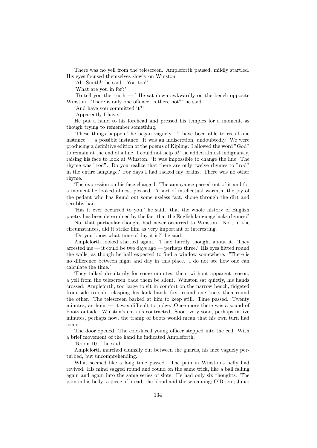There was no yell from the telescreen. Ampleforth paused, mildly startled. His eyes focused themselves slowly on Winston.

'Ah, Smith!' he said. 'You too!'

'What are you in for?'

'To tell you the truth  $-$  ' He sat down awkwardly on the bench opposite Winston. 'There is only one offence, is there not?' he said.

'And have you committed it?'

'Apparently I have.'

He put a hand to his forehead and pressed his temples for a moment, as though trying to remember something.

'These things happen,' he began vaguely. 'I have been able to recall one  $instance - a possible instance. It was an indicator of in the image. We were$ producing a definitive edition of the poems of Kipling. I allowed the word "God" to remain at the end of a line. I could not help it!' he added almost indignantly, raising his face to look at Winston. 'It was impossible to change the line. The rhyme was "rod". Do you realize that there are only twelve rhymes to "rod" in the entire language? For days I had racked my brains. There was no other rhyme.'

The expression on his face changed. The annoyance passed out of it and for a moment he looked almost pleased. A sort of intellectual warmth, the joy of the pedant who has found out some useless fact, shone through the dirt and scrubby hair.

'Has it ever occurred to you,' he said, 'that the whole history of English poetry has been determined by the fact that the English language lacks rhymes?'

No, that particular thought had never occurred to Winston. Nor, in the circumstances, did it strike him as very important or interesting.

'Do you know what time of day it is?' he said.

Ampleforth looked startled again. 'I had hardly thought about it. They arrested me  $-$  it could be two days ago  $-$  perhaps three.' His eyes flitted round the walls, as though he half expected to find a window somewhere. 'There is no difference between night and day in this place. I do not see how one can calculate the time.'

They talked desultorily for some minutes, then, without apparent reason, a yell from the telescreen bade them be silent. Winston sat quietly, his hands crossed. Ampleforth, too large to sit in comfort on the narrow bench, fidgeted from side to side, clasping his lank hands first round one knee, then round the other. The telescreen barked at him to keep still. Time passed. Twenty minutes, an hour — it was difficult to judge. Once more there was a sound of boots outside. Winston's entrails contracted. Soon, very soon, perhaps in five minutes, perhaps now, the tramp of boots would mean that his own turn had come.

The door opened. The cold-faced young officer stepped into the cell. With a brief movement of the hand he indicated Ampleforth.

'Room 101,' he said.

Ampleforth marched clumsily out between the guards, his face vaguely perturbed, but uncomprehending.

What seemed like a long time passed. The pain in Winston's belly had revived. His mind sagged round and round on the same trick, like a ball falling again and again into the same series of slots. He had only six thoughts. The pain in his belly; a piece of bread; the blood and the screaming; O'Brien ; Julia;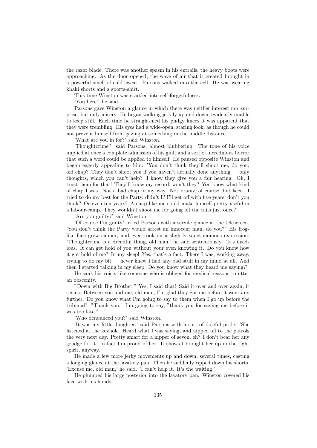the razor blade. There was another spasm in his entrails, the heavy boots were approaching. As the door opened, the wave of air that it created brought in a powerful smell of cold sweat. Parsons walked into the cell. He was wearing khaki shorts and a sports-shirt.

This time Winston was startled into self-forgetfulness.

'You here!' he said.

Parsons gave Winston a glance in which there was neither interest nor surprise, but only misery. He began walking jerkily up and down, evidently unable to keep still. Each time he straightened his pudgy knees it was apparent that they were trembling. His eyes had a wide-open, staring look, as though he could not prevent himself from gazing at something in the middle distance.

'What are you in for?' said Winston.

'Thoughtcrime!' said Parsons, almost blubbering. The tone of his voice implied at once a complete admission of his guilt and a sort of incredulous horror that such a word could be applied to himself. He paused opposite Winston and began eagerly appealing to him: 'You don't think they'll shoot me, do you, old chap? They don't shoot you if you haven't actually done anything — only thoughts, which you can't help? I know they give you a fair hearing. Oh, I trust them for that! They'll know my record, won't they? You know what kind of chap I was. Not a bad chap in my way. Not brainy, of course, but keen. I tried to do my best for the Party, didn't I? I'll get off with five years, don't you think? Or even ten years? A chap like me could make himself pretty useful in a labour-camp. They wouldn't shoot me for going off the rails just once?'

'Are you guilty?' said Winston.

'Of course I'm guilty!' cried Parsons with a servile glance at the telescreen. 'You don't think the Party would arrest an innocent man, do you?' His froglike face grew calmer, and even took on a slightly sanctimonious expression. 'Thoughtcrime is a dreadful thing, old man,' he said sententiously. 'It's insidious. It can get hold of you without your even knowing it. Do you know how it got hold of me? In my sleep! Yes, that's a fact. There I was, working away, trying to do my bit — never knew I had any bad stuff in my mind at all. And then I started talking in my sleep. Do you know what they heard me saying?'

He sank his voice, like someone who is obliged for medical reasons to utter an obscenity.

"Down with Big Brother!" Yes, I said that! Said it over and over again, it seems. Between you and me, old man, I'm glad they got me before it went any further. Do you know what I'm going to say to them when I go up before the tribunal? "Thank you," I'm going to say, "thank you for saving me before it was too late."

'Who denounced you?' said Winston.

'It was my little daughter,' said Parsons with a sort of doleful pride. 'She listened at the keyhole. Heard what I was saying, and nipped off to the patrols the very next day. Pretty smart for a nipper of seven, eh? I don't bear her any grudge for it. In fact I'm proud of her. It shows I brought her up in the right spirit, anyway.'

He made a few more jerky movements up and down, several times, casting a longing glance at the lavatory pan. Then he suddenly ripped down his shorts. 'Excuse me, old man,' he said. 'I can't help it. It's the waiting.'

He plumped his large posterior into the lavatory pan. Winston covered his face with his hands.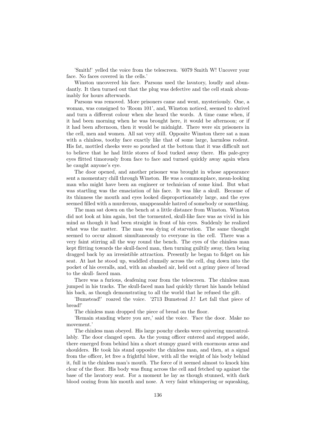'Smith!' yelled the voice from the telescreen. '6079 Smith W! Uncover your face. No faces covered in the cells.'

Winston uncovered his face. Parsons used the lavatory, loudly and abundantly. It then turned out that the plug was defective and the cell stank abominably for hours afterwards.

Parsons was removed. More prisoners came and went, mysteriously. One, a woman, was consigned to 'Room 101', and, Winston noticed, seemed to shrivel and turn a different colour when she heard the words. A time came when, if it had been morning when he was brought here, it would be afternoon; or if it had been afternoon, then it would be midnight. There were six prisoners in the cell, men and women. All sat very still. Opposite Winston there sat a man with a chinless, toothy face exactly like that of some large, harmless rodent. His fat, mottled cheeks were so pouched at the bottom that it was difficult not to believe that he had little stores of food tucked away there. His pale-grey eyes flitted timorously from face to face and turned quickly away again when he caught anyone's eye.

The door opened, and another prisoner was brought in whose appearance sent a momentary chill through Winston. He was a commonplace, mean-looking man who might have been an engineer or technician of some kind. But what was startling was the emaciation of his face. It was like a skull. Because of its thinness the mouth and eyes looked disproportionately large, and the eyes seemed filled with a murderous, unappeasable hatred of somebody or something.

The man sat down on the bench at a little distance from Winston. Winston did not look at him again, but the tormented, skull-like face was as vivid in his mind as though it had been straight in front of his eyes. Suddenly he realized what was the matter. The man was dying of starvation. The same thought seemed to occur almost simultaneously to everyone in the cell. There was a very faint stirring all the way round the bench. The eyes of the chinless man kept flitting towards the skull-faced man, then turning guiltily away, then being dragged back by an irresistible attraction. Presently he began to fidget on his seat. At last he stood up, waddled clumsily across the cell, dug down into the pocket of his overalls, and, with an abashed air, held out a grimy piece of bread to the skull- faced man.

There was a furious, deafening roar from the telescreen. The chinless man jumped in his tracks. The skull-faced man had quickly thrust his hands behind his back, as though demonstrating to all the world that he refused the gift.

'Bumstead!' roared the voice. '2713 Bumstead J.! Let fall that piece of bread!'

The chinless man dropped the piece of bread on the floor.

'Remain standing where you are,' said the voice. 'Face the door. Make no movement.'

The chinless man obeyed. His large pouchy cheeks were quivering uncontrollably. The door clanged open. As the young officer entered and stepped aside, there emerged from behind him a short stumpy guard with enormous arms and shoulders. He took his stand opposite the chinless man, and then, at a signal from the officer, let free a frightful blow, with all the weight of his body behind it, full in the chinless man's mouth. The force of it seemed almost to knock him clear of the floor. His body was flung across the cell and fetched up against the base of the lavatory seat. For a moment he lay as though stunned, with dark blood oozing from his mouth and nose. A very faint whimpering or squeaking,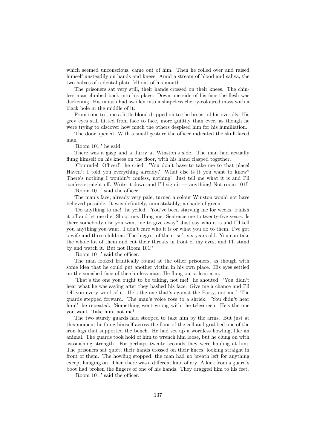which seemed unconscious, came out of him. Then he rolled over and raised himself unsteadily on hands and knees. Amid a stream of blood and saliva, the two halves of a dental plate fell out of his mouth.

The prisoners sat very still, their hands crossed on their knees. The chinless man climbed back into his place. Down one side of his face the flesh was darkening. His mouth had swollen into a shapeless cherry-coloured mass with a black hole in the middle of it.

From time to time a little blood dripped on to the breast of his overalls. His grey eyes still flitted from face to face, more guiltily than ever, as though he were trying to discover how much the others despised him for his humiliation.

The door opened. With a small gesture the officer indicated the skull-faced man.

'Room 101,' he said.

There was a gasp and a flurry at Winston's side. The man had actually flung himself on his knees on the floor, with his hand clasped together.

'Comrade! Officer!' he cried. 'You don't have to take me to that place! Haven't I told you everything already? What else is it you want to know? There's nothing I wouldn't confess, nothing! Just tell me what it is and I'll confess straight off. Write it down and I'll sign it — anything! Not room  $101$ !'

'Room 101,' said the officer.

The man's face, already very pale, turned a colour Winston would not have believed possible. It was definitely, unmistakably, a shade of green.

'Do anything to me!' he yelled. 'You've been starving me for weeks. Finish it off and let me die. Shoot me. Hang me. Sentence me to twenty-five years. Is there somebody else you want me to give away? Just say who it is and I'll tell you anything you want. I don't care who it is or what you do to them. I've got a wife and three children. The biggest of them isn't six years old. You can take the whole lot of them and cut their throats in front of my eyes, and I'll stand by and watch it. But not Room 101!'

'Room 101,' said the officer.

The man looked frantically round at the other prisoners, as though with some idea that he could put another victim in his own place. His eyes settled on the smashed face of the chinless man. He flung out a lean arm.

'That's the one you ought to be taking, not me!' he shouted. 'You didn't hear what he was saying after they bashed his face. Give me a chance and I'll tell you every word of it. He's the one that's against the Party, not me.' The guards stepped forward. The man's voice rose to a shriek. 'You didn't hear him!' he repeated. 'Something went wrong with the telescreen. He's the one you want. Take him, not me!'

The two sturdy guards had stooped to take him by the arms. But just at this moment he flung himself across the floor of the cell and grabbed one of the iron legs that supported the bench. He had set up a wordless howling, like an animal. The guards took hold of him to wrench him loose, but he clung on with astonishing strength. For perhaps twenty seconds they were hauling at him. The prisoners sat quiet, their hands crossed on their knees, looking straight in front of them. The howling stopped; the man had no breath left for anything except hanging on. Then there was a different kind of cry. A kick from a guard's boot had broken the fingers of one of his hands. They dragged him to his feet.

'Room 101,' said the officer.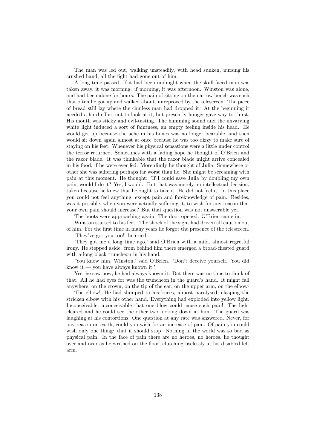The man was led out, walking unsteadily, with head sunken, nursing his crushed hand, all the fight had gone out of him.

A long time passed. If it had been midnight when the skull-faced man was taken away, it was morning: if morning, it was afternoon. Winston was alone, and had been alone for hours. The pain of sitting on the narrow bench was such that often he got up and walked about, unreproved by the telescreen. The piece of bread still lay where the chinless man had dropped it. At the beginning it needed a hard effort not to look at it, but presently hunger gave way to thirst. His mouth was sticky and evil-tasting. The humming sound and the unvarying white light induced a sort of faintness, an empty feeling inside his head. He would get up because the ache in his bones was no longer bearable, and then would sit down again almost at once because he was too dizzy to make sure of staying on his feet. Whenever his physical sensations were a little under control the terror returned. Sometimes with a fading hope he thought of O'Brien and the razor blade. It was thinkable that the razor blade might arrive concealed in his food, if he were ever fed. More dimly he thought of Julia. Somewhere or other she was suffering perhaps far worse than he. She might be screaming with pain at this moment. He thought: 'If I could save Julia by doubling my own pain, would I do it? Yes, I would.' But that was merely an intellectual decision, taken because he knew that he ought to take it. He did not feel it. In this place you could not feel anything, except pain and foreknowledge of pain. Besides, was it possible, when you were actually suffering it, to wish for any reason that your own pain should increase? But that question was not answerable yet.

The boots were approaching again. The door opened. O'Brien came in.

Winston started to his feet. The shock of the sight had driven all caution out of him. For the first time in many years he forgot the presence of the telescreen.

'They've got you too!' he cried.

'They got me a long time ago,' said O'Brien with a mild, almost regretful irony. He stepped aside. from behind him there emerged a broad-chested guard with a long black truncheon in his hand.

'You know him, Winston,' said O'Brien. 'Don't deceive yourself. You did know it — you have always known it.'

Yes, he saw now, he had always known it. But there was no time to think of that. All he had eyes for was the truncheon in the guard's hand. It might fall anywhere; on the crown, on the tip of the ear, on the upper arm, on the elbow-

The elbow! He had slumped to his knees, almost paralysed, clasping the stricken elbow with his other hand. Everything had exploded into yellow light. Inconceivable, inconceivable that one blow could cause such pain! The light cleared and he could see the other two looking down at him. The guard was laughing at his contortions. One question at any rate was answered. Never, for any reason on earth, could you wish for an increase of pain. Of pain you could wish only one thing: that it should stop. Nothing in the world was so bad as physical pain. In the face of pain there are no heroes, no heroes, he thought over and over as he writhed on the floor, clutching uselessly at his disabled left arm.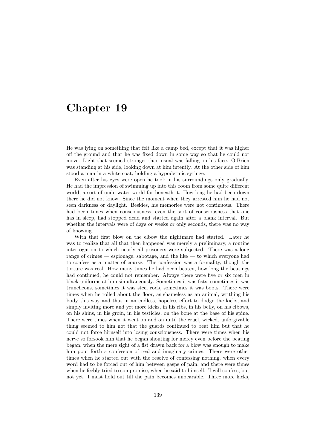## Chapter 19

He was lying on something that felt like a camp bed, except that it was higher off the ground and that he was fixed down in some way so that he could not move. Light that seemed stronger than usual was falling on his face. O'Brien was standing at his side, looking down at him intently. At the other side of him stood a man in a white coat, holding a hypodermic syringe.

Even after his eyes were open he took in his surroundings only gradually. He had the impression of swimming up into this room from some quite different world, a sort of underwater world far beneath it. How long he had been down there he did not know. Since the moment when they arrested him he had not seen darkness or daylight. Besides, his memories were not continuous. There had been times when consciousness, even the sort of consciousness that one has in sleep, had stopped dead and started again after a blank interval. But whether the intervals were of days or weeks or only seconds, there was no way of knowing.

With that first blow on the elbow the nightmare had started. Later he was to realize that all that then happened was merely a preliminary, a routine interrogation to which nearly all prisoners were subjected. There was a long range of crimes — espionage, sabotage, and the like — to which everyone had to confess as a matter of course. The confession was a formality, though the torture was real. How many times he had been beaten, how long the beatings had continued, he could not remember. Always there were five or six men in black uniforms at him simultaneously. Sometimes it was fists, sometimes it was truncheons, sometimes it was steel rods, sometimes it was boots. There were times when he rolled about the floor, as shameless as an animal, writhing his body this way and that in an endless, hopeless effort to dodge the kicks, and simply inviting more and yet more kicks, in his ribs, in his belly, on his elbows, on his shins, in his groin, in his testicles, on the bone at the base of his spine. There were times when it went on and on until the cruel, wicked, unforgivable thing seemed to him not that the guards continued to beat him but that he could not force hirnself into losing consciousness. There were times when his nerve so forsook him that he began shouting for mercy even before the beating began, when the mere sight of a fist drawn back for a blow was enough to make him pour forth a confession of real and imaginary crimes. There were other times when he started out with the resolve of confessing nothing, when every word had to be forced out of him between gasps of pain, and there were times when he feebly tried to compromise, when he said to himself: 'I will confess, but not yet. I must hold out till the pain becomes unbearable. Three more kicks,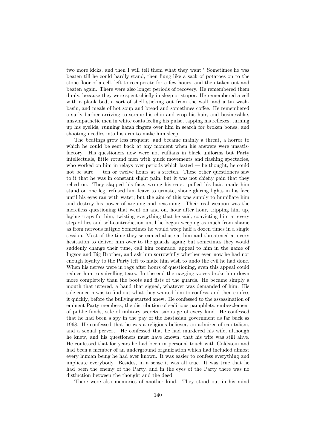two more kicks, and then I will tell them what they want.' Sometimes he was beaten till he could hardly stand, then flung like a sack of potatoes on to the stone floor of a cell, left to recuperate for a few hours, and then taken out and beaten again. There were also longer periods of recovery. He remembered them dimly, because they were spent chiefly in sleep or stupor. He remembered a cell with a plank bed, a sort of shelf sticking out from the wall, and a tin washbasin, and meals of hot soup and bread and sometimes coffee. He remembered a surly barber arriving to scrape his chin and crop his hair, and businesslike, unsympathetic men in white coats feeling his pulse, tapping his reflexes, turning up his eyelids, running harsh fingers over him in search for broken bones, and shooting needles into his arm to make him sleep.

The beatings grew less frequent, and became mainly a threat, a horror to which he could be sent back at any moment when his answers were unsatisfactory. His questioners now were not ruffians in black uniforms but Party intellectuals, little rotund men with quick movements and flashing spectacles, who worked on him in relays over periods which lasted — he thought, he could not be sure — ten or twelve hours at a stretch. These other questioners saw to it that he was in constant slight pain, but it was not chiefly pain that they relied on. They slapped his face, wrung his ears. pulled his hair, made him stand on one leg, refused him leave to urinate, shone glaring lights in his face until his eyes ran with water; but the aim of this was simply to humiliate him and destroy his power of arguing and reasoning. Their real weapon was the merciless questioning that went on and on, hour after hour, tripping him up, laying traps for him, twisting everything that he said, convicting him at every step of lies and self-contradiction until he began weeping as much from shame as from nervous fatigue Sometimes he would weep half a dozen times in a single session. Most of the time they screamed abuse at him and threatened at every hesitation to deliver him over to the guards again; but sometimes they would suddenly change their tune, call him comrade, appeal to him in the name of Ingsoc and Big Brother, and ask him sorrowfully whether even now he had not enough loyalty to the Party left to make him wish to undo the evil he had done. When his nerves were in rags after hours of questioning, even this appeal could reduce him to snivelling tears. In the end the nagging voices broke him down more completely than the boots and fists of the guards. He became simply a mouth that uttered, a hand that signed, whatever was demanded of him. His sole concern was to find out what they wanted him to confess, and then confess it quickly, before the bullying started anew. He confessed to the assassination of eminent Party members, the distribution of seditious pamphlets, embezzlement of public funds, sale of military secrets, sabotage of every kind. He confessed that he had been a spy in the pay of the Eastasian government as far back as 1968. He confessed that he was a religious believer, an admirer of capitalism, and a sexual pervert. He confessed that he had murdered his wife, although he knew, and his questioners must have known, that his wife was still alive. He confessed that for years he had been in personal touch with Goldstein and had been a member of an underground organization which had included almost every human being he had ever known. It was easier to confess everything and implicate everybody. Besides, in a sense it was all true. It was true that he had been the enemy of the Party, and in the eyes of the Party there was no distinction between the thought and the deed.

There were also memories of another kind. They stood out in his mind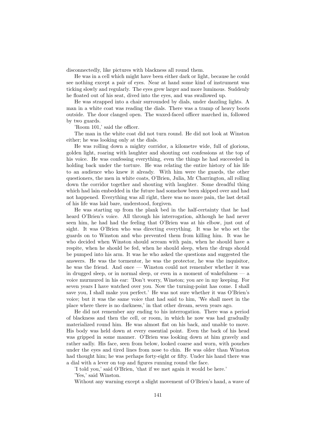disconnectedly, like pictures with blackness all round them.

He was in a cell which might have been either dark or light, because he could see nothing except a pair of eyes. Near at hand some kind of instrument was ticking slowly and regularly. The eyes grew larger and more luminous. Suddenly he floated out of his seat, dived into the eyes, and was swallowed up.

He was strapped into a chair surrounded by dials, under dazzling lights. A man in a white coat was reading the dials. There was a tramp of heavy boots outside. The door clanged open. The waxed-faced officer marched in, followed by two guards.

'Room 101,' said the officer.

The man in the white coat did not turn round. He did not look at Winston either; he was looking only at the dials.

He was rolling down a mighty corridor, a kilometre wide, full of glorious, golden light, roaring with laughter and shouting out confessions at the top of his voice. He was confessing everything, even the things he had succeeded in holding back under the torture. He was relating the entire history of his life to an audience who knew it already. With him were the guards, the other questioners, the men in white coats, O'Brien, Julia, Mr Charrington, all rolling down the corridor together and shouting with laughter. Some dreadful thing which had lain embedded in the future had somehow been skipped over and had not happened. Everything was all right, there was no more pain, the last detail of his life was laid bare, understood, forgiven.

He was starting up from the plank bed in the half-certainty that he had heard O'Brien's voice. All through his interrogation, although he had never seen him, he had had the feeling that O'Brien was at his elbow, just out of sight. It was O'Brien who was directing everything. It was he who set the guards on to Winston and who prevented them from killing him. It was he who decided when Winston should scream with pain, when he should have a respite, when he should be fed, when he should sleep, when the drugs should be pumped into his arm. It was he who asked the questions and suggested the answers. He was the tormentor, he was the protector, he was the inquisitor, he was the friend. And once — Winston could not remember whether it was in drugged sleep, or in normal sleep, or even in a moment of wakefulness — a voice murmured in his ear: 'Don't worry, Winston; you are in my keeping. For seven years I have watched over you. Now the turning-point has come. I shall save you, I shall make you perfect.' He was not sure whether it was O'Brien's voice; but it was the same voice that had said to him, 'We shall meet in the place where there is no darkness,' in that other dream, seven years ago.

He did not remember any ending to his interrogation. There was a period of blackness and then the cell, or room, in which he now was had gradually materialized round him. He was almost flat on his back, and unable to move. His body was held down at every essential point. Even the back of his head was gripped in some manner. O'Brien was looking down at him gravely and rather sadly. His face, seen from below, looked coarse and worn, with pouches under the eyes and tired lines from nose to chin. He was older than Winston had thought him; he was perhaps forty-eight or fifty. Under his hand there was a dial with a lever on top and figures running round the face.

'I told you,' said O'Brien, 'that if we met again it would be here.'

'Yes,' said Winston.

Without any warning except a slight movement of O'Brien's hand, a wave of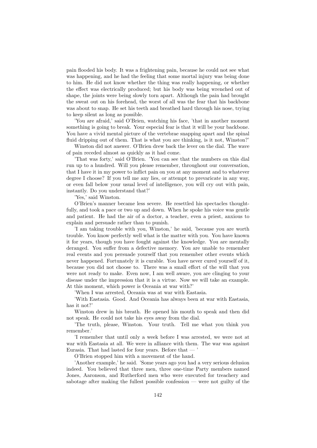pain flooded his body. It was a frightening pain, because he could not see what was happening, and he had the feeling that some mortal injury was being done to him. He did not know whether the thing was really happening, or whether the effect was electrically produced; but his body was being wrenched out of shape, the joints were being slowly torn apart. Although the pain had brought the sweat out on his forehead, the worst of all was the fear that his backbone was about to snap. He set his teeth and breathed hard through his nose, trying to keep silent as long as possible.

'You are afraid,' said O'Brien, watching his face, 'that in another moment something is going to break. Your especial fear is that it will be your backbone. You have a vivid mental picture of the vertebrae snapping apart and the spinal fluid dripping out of them. That is what you are thinking, is it not, Winston?'

Winston did not answer. O'Brien drew back the lever on the dial. The wave of pain receded almost as quickly as it had come.

'That was forty,' said O'Brien. 'You can see that the numbers on this dial run up to a hundred. Will you please remember, throughout our conversation, that I have it in my power to inflict pain on you at any moment and to whatever degree I choose? If you tell me any lies, or attempt to prevaricate in any way, or even fall below your usual level of intelligence, you will cry out with pain, instantly. Do you understand that?'

'Yes,' said Winston.

O'Brien's manner became less severe. He resettled his spectacles thoughtfully, and took a pace or two up and down. When he spoke his voice was gentle and patient. He had the air of a doctor, a teacher, even a priest, anxious to explain and persuade rather than to punish.

'I am taking trouble with you, Winston,' he said, 'because you are worth trouble. You know perfectly well what is the matter with you. You have known it for years, though you have fought against the knowledge. You are mentally deranged. You suffer from a defective memory. You are unable to remember real events and you persuade yourself that you remember other events which never happened. Fortunately it is curable. You have never cured yourself of it, because you did not choose to. There was a small effort of the will that you were not ready to make. Even now, I am well aware, you are clinging to your disease under the impression that it is a virtue. Now we will take an example. At this moment, which power is Oceania at war with?'

'When I was arrested, Oceania was at war with Eastasia.

'With Eastasia. Good. And Oceania has always been at war with Eastasia, has it not?'

Winston drew in his breath. He opened his mouth to speak and then did not speak. He could not take his eyes away from the dial.

'The truth, please, Winston. Your truth. Tell me what you think you remember.'

'I remember that until only a week before I was arrested, we were not at war with Eastasia at all. We were in alliance with them. The war was against Eurasia. That had lasted for four years. Before that — '

O'Brien stopped him with a movement of the hand.

'Another example,' he said. 'Some years ago you had a very serious delusion indeed. You believed that three men, three one-time Party members named Jones, Aaronson, and Rutherford men who were executed for treachery and sabotage after making the fullest possible confession — were not guilty of the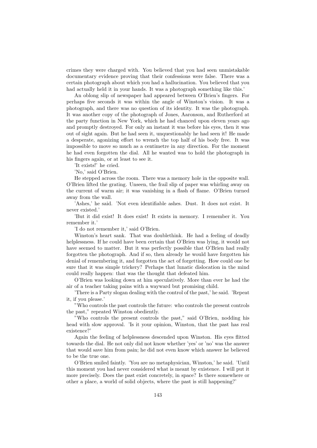crimes they were charged with. You believed that you had seen unmistakable documentary evidence proving that their confessions were false. There was a certain photograph about which you had a hallucination. You believed that you had actually held it in your hands. It was a photograph something like this.'

An oblong slip of newspaper had appeared between O'Brien's fingers. For perhaps five seconds it was within the angle of Winston's vision. It was a photograph, and there was no question of its identity. It was the photograph. It was another copy of the photograph of Jones, Aaronson, and Rutherford at the party function in New York, which he had chanced upon eleven years ago and promptly destroyed. For only an instant it was before his eyes, then it was out of sight again. But he had seen it, unquestionably he had seen it! He made a desperate, agonizing effort to wrench the top half of his body free. It was impossible to move so much as a centimetre in any direction. For the moment he had even forgotten the dial. All he wanted was to hold the photograph in his fingers again, or at least to see it.

'It exists!' he cried.

'No,' said O'Brien.

He stepped across the room. There was a memory hole in the opposite wall. O'Brien lifted the grating. Unseen, the frail slip of paper was whirling away on the current of warm air; it was vanishing in a flash of flame. O'Brien turned away from the wall.

'Ashes,' he said. 'Not even identifiable ashes. Dust. It does not exist. It never existed.'

'But it did exist! It does exist! It exists in memory. I remember it. You remember it.'

'I do not remember it,' said O'Brien.

Winston's heart sank. That was doublethink. He had a feeling of deadly helplessness. If he could have been certain that O'Brien was lying, it would not have seemed to matter. But it was perfectly possible that O'Brien had really forgotten the photograph. And if so, then already he would have forgotten his denial of remembering it, and forgotten the act of forgetting. How could one be sure that it was simple trickery? Perhaps that lunatic dislocation in the mind could really happen: that was the thought that defeated him.

O'Brien was looking down at him speculatively. More than ever he had the air of a teacher taking pains with a wayward but promising child.

'There is a Party slogan dealing with the control of the past,' he said. 'Repeat it, if you please.'

"Who controls the past controls the future: who controls the present controls the past," repeated Winston obediently.

"Who controls the present controls the past," said O'Brien, nodding his head with slow approval. 'Is it your opinion, Winston, that the past has real existence?'

Again the feeling of helplessness descended upon Winston. His eyes flitted towards the dial. He not only did not know whether 'yes' or 'no' was the answer that would save him from pain; he did not even know which answer he believed to be the true one.

O'Brien smiled faintly. 'You are no metaphysician, Winston,' he said. 'Until this moment you had never considered what is meant by existence. I will put it more precisely. Does the past exist concretely, in space? Is there somewhere or other a place, a world of solid objects, where the past is still happening?'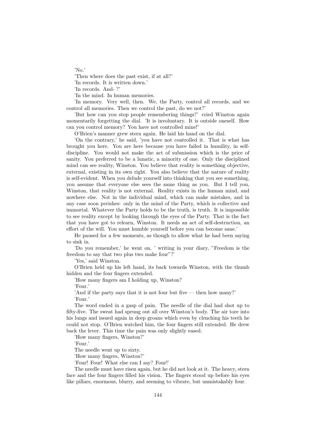'No.'

'Then where does the past exist, if at all?'

'In records. It is written down.'

'In records. And- ?'

'In the mind. In human memories.

'In memory. Very well, then. We, the Party, control all records, and we control all memories. Then we control the past, do we not?'

'But how can you stop people remembering things?' cried Winston again momentarily forgetting the dial. 'It is involuntary. It is outside oneself. How can you control memory? You have not controlled mine!'

O'Brien's manner grew stern again. He laid his hand on the dial.

'On the contrary,' he said, 'you have not controlled it. That is what has brought you here. You are here because you have failed in humility, in selfdiscipline. You would not make the act of submission which is the price of sanity. You preferred to be a lunatic, a minority of one. Only the disciplined mind can see reality, Winston. You believe that reality is something objective, external, existing in its own right. You also believe that the nature of reality is self-evident. When you delude yourself into thinking that you see something, you assume that everyone else sees the same thing as you. But I tell you, Winston, that reality is not external. Reality exists in the human mind, and nowhere else. Not in the individual mind, which can make mistakes, and in any case soon perishes: only in the mind of the Party, which is collective and immortal. Whatever the Party holds to be the truth, is truth. It is impossible to see reality except by looking through the eyes of the Party. That is the fact that you have got to relearn, Winston. It needs an act of self-destruction, an effort of the will. You must humble yourself before you can become sane.'

He paused for a few moments, as though to allow what he had been saying to sink in.

'Do you remember,' he went on, ' writing in your diary, "Freedom is the freedom to say that two plus two make four"?'

'Yes,' said Winston.

O'Brien held up his left hand, its back towards Winston, with the thumb hidden and the four fingers extended.

'How many fingers am I holding up, Winston?

'Four.'

'And if the party says that it is not four but five — then how many?' 'Four.'

The word ended in a gasp of pain. The needle of the dial had shot up to fifty-five. The sweat had sprung out all over Winston's body. The air tore into his lungs and issued again in deep groans which even by clenching his teeth he could not stop. O'Brien watched him, the four fingers still extended. He drew back the lever. This time the pain was only slightly eased.

'How many fingers, Winston?'

'Four.'

The needle went up to sixty.

'How many fingers, Winston?'

'Four! Four! What else can I say? Four!'

The needle must have risen again, but he did not look at it. The heavy, stern face and the four fingers filled his vision. The fingers stood up before his eyes like pillars, enormous, blurry, and seeming to vibrate, but unmistakably four.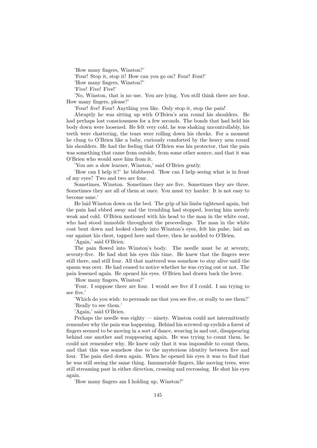'How many fingers, Winston?'

'Four! Stop it, stop it! How can you go on? Four! Four!'

'How many fingers, Winston?'

'Five! Five! Five!'

'No, Winston, that is no use. You are lying. You still think there are four. How many fingers, please?'

'Four! five! Four! Anything you like. Only stop it, stop the pain!

Abruptly he was sitting up with O'Brien's arm round his shoulders. He had perhaps lost consciousness for a few seconds. The bonds that had held his body down were loosened. He felt very cold, he was shaking uncontrollably, his teeth were chattering, the tears were rolling down his cheeks. For a moment he clung to O'Brien like a baby, curiously comforted by the heavy arm round his shoulders. He had the feeling that O'Brien was his protector, that the pain was something that came from outside, from some other source, and that it was O'Brien who would save him from it.

'You are a slow learner, Winston,' said O'Brien gently.

'How can I help it?' he blubbered. 'How can I help seeing what is in front of my eyes? Two and two are four.

Sometimes, Winston. Sometimes they are five. Sometimes they are three. Sometimes they are all of them at once. You must try harder. It is not easy to become sane.'

He laid Winston down on the bed. The grip of his limbs tightened again, but the pain had ebbed away and the trembling had stopped, leaving him merely weak and cold. O'Brien motioned with his head to the man in the white coat, who had stood immobile throughout the proceedings. The man in the white coat bent down and looked closely into Winston's eyes, felt his pulse, laid an ear against his chest, tapped here and there, then he nodded to O'Brien.

'Again,' said O'Brien.

The pain flowed into Winston's body. The needle must be at seventy, seventy-five. He had shut his eyes this time. He knew that the fingers were still there, and still four. All that mattered was somehow to stay alive until the spasm was over. He had ceased to notice whether he was crying out or not. The pain lessened again. He opened his eyes. O'Brien had drawn back the lever.

'How many fingers, Winston?'

'Four. I suppose there are four. I would see five if I could. I am trying to see five.'

'Which do you wish: to persuade me that you see five, or really to see them?' 'Really to see them.'

'Again,' said O'Brien.

Perhaps the needle was eighty — ninety. Winston could not intermittently remember why the pain was happening. Behind his screwed-up eyelids a forest of fingers seemed to be moving in a sort of dance, weaving in and out, disappearing behind one another and reappearing again. He was trying to count them, he could not remember why. He knew only that it was impossible to count them, and that this was somehow due to the mysterious identity between five and four. The pain died down again. When he opened his eyes it was to find that he was still seeing the same thing. Innumerable fingers, like moving trees, were still streaming past in either direction, crossing and recrossing. He shut his eyes again.

'How many fingers am I holding up, Winston?'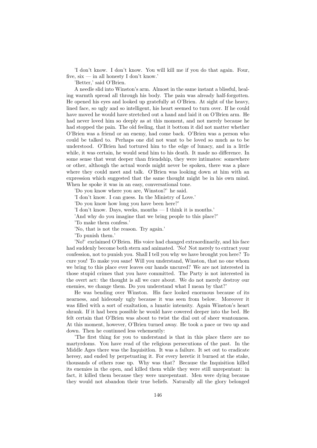'I don't know. I don't know. You will kill me if you do that again. Four, five,  $six - in$  all honesty I don't know.'

'Better,' said O'Brien.

A needle slid into Winston's arm. Almost in the same instant a blissful, healing warmth spread all through his body. The pain was already half-forgotten. He opened his eyes and looked up gratefully at O'Brien. At sight of the heavy, lined face, so ugly and so intelligent, his heart seemed to turn over. If he could have moved he would have stretched out a hand and laid it on O'Brien arm. He had never loved him so deeply as at this moment, and not merely because he had stopped the pain. The old feeling, that it bottom it did not matter whether O'Brien was a friend or an enemy, had come back. O'Brien was a person who could be talked to. Perhaps one did not want to be loved so much as to be understood. O'Brien had tortured him to the edge of lunacy, and in a little while, it was certain, he would send him to his death. It made no difference. In some sense that went deeper than friendship, they were intimates: somewhere or other, although the actual words might never be spoken, there was a place where they could meet and talk. O'Brien was looking down at him with an expression which suggested that the same thought might be in his own mind. When he spoke it was in an easy, conversational tone.

'Do you know where you are, Winston?' he said.

'I don't know. I can guess. In the Ministry of Love.'

'Do you know how long you have been here?'

'I don't know. Days, weeks, months — I think it is months.'

'And why do you imagine that we bring people to this place?'

'To make them confess.'

'No, that is not the reason. Try again.'

'To punish them.'

'No!' exclaimed O'Brien. His voice had changed extraordinarily, and his face had suddenly become both stern and animated. 'No! Not merely to extract your confession, not to punish you. Shall I tell you why we have brought you here? To cure you! To make you sane! Will you understand, Winston, that no one whom we bring to this place ever leaves our hands uncured? We are not interested in those stupid crimes that you have committed. The Party is not interested in the overt act: the thought is all we care about. We do not merely destroy our enemies, we change them. Do you understand what I mean by that?'

He was bending over Winston. His face looked enormous because of its nearness, and hideously ugly because it was seen from below. Moreover it was filled with a sort of exaltation, a lunatic intensity. Again Winston's heart shrank. If it had been possible he would have cowered deeper into the bed. He felt certain that O'Brien was about to twist the dial out of sheer wantonness. At this moment, however, O'Brien turned away. He took a pace or two up and down. Then he continued less vehemently:

'The first thing for you to understand is that in this place there are no martyrdoms. You have read of the religious persecutions of the past. In the Middle Ages there was the Inquisitlon. It was a failure. It set out to eradicate heresy, and ended by perpetuating it. For every heretic it burned at the stake, thousands of others rose up. Why was that? Because the Inquisition killed its enemies in the open, and killed them while they were still unrepentant: in fact, it killed them because they were unrepentant. Men were dying because they would not abandon their true beliefs. Naturally all the glory belonged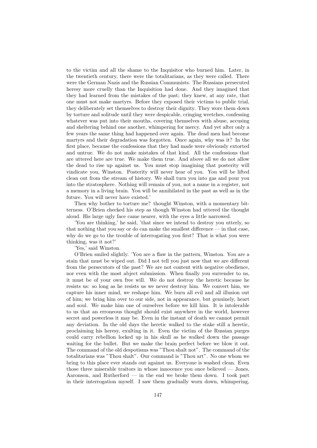to the victim and all the shame to the Inquisitor who burned him. Later, in the twentieth century, there were the totalitarians, as they were called. There were the German Nazis and the Russian Communists. The Russians persecuted heresy more cruelly than the Inquisition had done. And they imagined that they had learned from the mistakes of the past; they knew, at any rate, that one must not make martyrs. Before they exposed their victims to public trial, they deliberately set themselves to destroy their dignity. They wore them down by torture and solitude until they were despicable, cringing wretches, confessing whatever was put into their mouths, covering themselves with abuse, accusing and sheltering behind one another, whimpering for mercy. And yet after only a few years the same thing had happened over again. The dead men had become martyrs and their degradation was forgotten. Once again, why was it? In the first place, because the confessions that they had made were obviously extorted and untrue. We do not make mistakes of that kind. All the confessions that are uttered here are true. We make them true. And above all we do not allow the dead to rise up against us. You must stop imagining that posterity will vindicate you, Winston. Posterity will never hear of you. You will be lifted clean out from the stream of history. We shall turn you into gas and pour you into the stratosphere. Nothing will remain of you, not a name in a register, not a memory in a living brain. You will be annihilated in the past as well as in the future. You will never have existed.'

Then why bother to torture me? thought Winston, with a momentary bitterness. O'Brien checked his step as though Winston had uttered the thought aloud. His large ugly face came nearer, with the eyes a little narrowed.

'You are thinking,' he said, 'that since we intend to destroy you utterly, so that nothing that you say or do can make the smallest difference — in that case, why do we go to the trouble of interrogating you first? That is what you were thinking, was it not?'

'Yes,' said Winston.

O'Brien smiled slightly. 'You are a flaw in the pattern, Winston. You are a stain that must be wiped out. Did I not tell you just now that we are different from the persecutors of the past? We are not content with negative obedience, nor even with the most abject submission. When finally you surrender to us, it must be of your own free will. We do not destroy the heretic because he resists us: so long as he resists us we never destroy him. We convert him, we capture his inner mind, we reshape him. We burn all evil and all illusion out of him; we bring him over to our side, not in appearance, but genuinely, heart and soul. We make him one of ourselves before we kill him. It is intolerable to us that an erroneous thought should exist anywhere in the world, however secret and powerless it may be. Even in the instant of death we cannot permit any deviation. In the old days the heretic walked to the stake still a heretic, proclaiming his heresy, exulting in it. Even the victim of the Russian purges could carry rebellion locked up in his skull as he walked down the passage waiting for the bullet. But we make the brain perfect before we blow it out. The command of the old despotisms was "Thou shalt not". The command of the totalitarians was "Thou shalt". Our command is "Thou art". No one whom we bring to this place ever stands out against us. Everyone is washed clean. Even those three miserable traitors in whose innocence you once believed — Jones, Aaronson, and Rutherford — in the end we broke them down. I took part in their interrogation myself. I saw them gradually worn down, whimpering,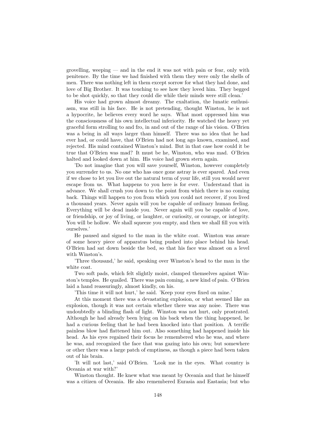grovelling, we eping  $-$  and in the end it was not with pain or fear, only with penitence. By the time we had finished with them they were only the shells of men. There was nothing left in them except sorrow for what they had done, and love of Big Brother. It was touching to see how they loved him. They begged to be shot quickly, so that they could die while their minds were still clean.'

His voice had grown almost dreamy. The exaltation, the lunatic enthusiasm, was still in his face. He is not pretending, thought Winston, he is not a hypocrite, he believes every word he says. What most oppressed him was the consciousness of his own intellectual inferiority. He watched the heavy yet graceful form strolling to and fro, in and out of the range of his vision. O'Brien was a being in all ways larger than himself. There was no idea that he had ever had, or could have, that O'Brien had not long ago known, examined, and rejected. His mind contained Winston's mind. But in that case how could it be true that O'Brien was mad? It must be he, Winston, who was mad. O'Brien halted and looked down at him. His voice had grown stern again.

'Do not imagine that you will save yourself, Winston, however completely you surrender to us. No one who has once gone astray is ever spared. And even if we chose to let you live out the natural term of your life, still you would never escape from us. What happens to you here is for ever. Understand that in advance. We shall crush you down to the point from which there is no coming back. Things will happen to you from which you could not recover, if you lived a thousand years. Never again will you be capable of ordinary human feeling. Everything will be dead inside you. Never again will you be capable of love, or friendship, or joy of living, or laughter, or curiosity, or courage, or integrity. You will be hollow. We shall squeeze you empty, and then we shall fill you with ourselves.'

He paused and signed to the man in the white coat. Winston was aware of some heavy piece of apparatus being pushed into place behind his head. O'Brien had sat down beside the bed, so that his face was almost on a level with Winston's.

'Three thousand,' he said, speaking over Winston's head to the man in the white coat.

Two soft pads, which felt slightly moist, clamped themselves against Winston's temples. He quailed. There was pain coming, a new kind of pain. O'Brien laid a hand reassuringly, almost kindly, on his.

'This time it will not hurt,' he said. 'Keep your eyes fixed on mine.'

At this moment there was a devastating explosion, or what seemed like an explosion, though it was not certain whether there was any noise. There was undoubtedly a blinding flash of light. Winston was not hurt, only prostrated. Although he had already been lying on his back when the thing happened, he had a curious feeling that he had been knocked into that position. A terrific painless blow had flattened him out. Also something had happened inside his head. As his eyes regained their focus he remembered who he was, and where he was, and recognized the face that was gazing into his own; but somewhere or other there was a large patch of emptiness, as though a piece had been taken out of his brain.

'It will not last,' said O'Brien. 'Look me in the eyes. What country is Oceania at war with?'

Winston thought. He knew what was meant by Oceania and that he himself was a citizen of Oceania. He also remembered Eurasia and Eastasia; but who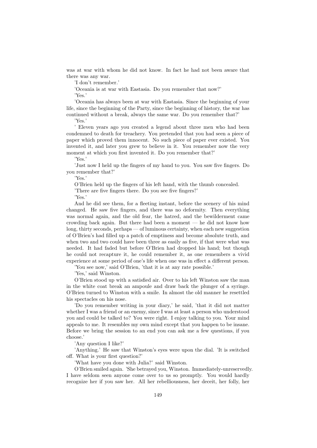was at war with whom he did not know. In fact he had not been aware that there was any war.

'I don't remember.'

'Oceania is at war with Eastasia. Do you remember that now?'

'Yes.'

'Oceania has always been at war with Eastasia. Since the beginning of your life, since the beginning of the Party, since the beginning of history, the war has continued without a break, always the same war. Do you remember that?'

'Yes.'

' Eleven years ago you created a legend about three men who had been condemned to death for treachery. You pretended that you had seen a piece of paper which proved them innocent. No such piece of paper ever existed. You invented it, and later you grew to believe in it. You remember now the very moment at which you first invented it. Do you remember that?'

'Yes.'

'Just now I held up the fingers of my hand to you. You saw five fingers. Do you remember that?'

'Yes.'

O'Brien held up the fingers of his left hand, with the thumb concealed.

'There are five fingers there. Do you see five fingers?'

'Yes.'

And he did see them, for a fleeting instant, before the scenery of his mind changed. He saw five fingers, and there was no deformity. Then everything was normal again, and the old fear, the hatred, and the bewilderment came crowding back again. But there had been a moment — he did not know how long, thirty seconds, perhaps — of luminous certainty, when each new suggestion of O'Brien's had filled up a patch of emptiness and become absolute truth, and when two and two could have been three as easily as five, if that were what was needed. It had faded but before O'Brien had dropped his hand; but though he could not recapture it, he could remember it, as one remembers a vivid experience at some period of one's life when one was in effect a different person.

'You see now,' said O'Brien, 'that it is at any rate possible.'

'Yes,' said Winston.

O'Brien stood up with a satisfied air. Over to his left Winston saw the man in the white coat break an ampoule and draw back the plunger of a syringe. O'Brien turned to Winston with a smile. In almost the old manner he resettled his spectacles on his nose.

'Do you remember writing in your diary,' he said, 'that it did not matter whether I was a friend or an enemy, since I was at least a person who understood you and could be talked to? You were right. I enjoy talking to you. Your mind appeals to me. It resembles my own mind except that you happen to be insane. Before we bring the session to an end you can ask me a few questions, if you choose.'

'Any question I like?'

'Anything.' He saw that Winston's eyes were upon the dial. 'It is switched off. What is your first question?'

'What have you done with Julia?' said Winston.

O'Brien smiled again. 'She betrayed you, Winston. Immediately-unreservedly. I have seldom seen anyone come over to us so promptly. You would hardly recognize her if you saw her. All her rebelliousness, her deceit, her folly, her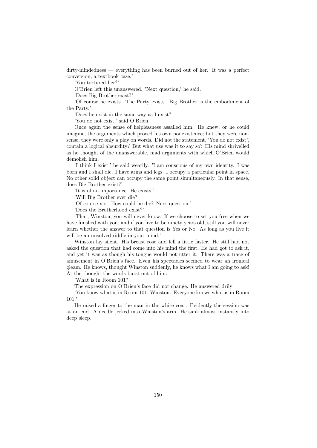dirty-mindedness — everything has been burned out of her. It was a perfect conversion, a textbook case.'

'You tortured her?'

O'Brien left this unanswered. 'Next question,' he said.

'Does Big Brother exist?'

'Of course he exists. The Party exists. Big Brother is the embodiment of the Party.'

'Does he exist in the same way as I exist?

'You do not exist,' said O'Brien.

Once again the sense of helplessness assailed him. He knew, or he could imagine, the arguments which proved his own nonexistence; but they were nonsense, they were only a play on words. Did not the statement, 'You do not exist', contain a logical absurdity? But what use was it to say so? His mind shrivelled as he thought of the unanswerable, mad arguments with which O'Brien would demolish him.

'I think I exist,' he said wearily. 'I am conscious of my own identity. I was born and I shall die. I have arms and legs. I occupy a particular point in space. No other solid object can occupy the same point simultaneously. In that sense, does Big Brother exist?'

'It is of no importance. He exists.'

'Will Big Brother ever die?'

'Of course not. How could he die? Next question.'

'Does the Brotherhood exist?'

'That, Winston, you will never know. If we choose to set you free when we have finished with you, and if you live to be ninety years old, still you will never learn whether the answer to that question is Yes or No. As long as you live it will be an unsolved riddle in your mind.'

Winston lay silent. His breast rose and fell a little faster. He still had not asked the question that had come into his mind the first. He had got to ask it, and yet it was as though his tongue would not utter it. There was a trace of amusement in O'Brien's face. Even his spectacles seemed to wear an ironical gleam. He knows, thought Winston suddenly, he knows what I am going to ask! At the thought the words burst out of him:

'What is in Room 101?'

The expression on O'Brien's face did not change. He answered drily:

'You know what is in Room 101, Winston. Everyone knows what is in Room 101.'

He raised a finger to the man in the white coat. Evidently the session was at an end. A needle jerked into Winston's arm. He sank almost instantly into deep sleep.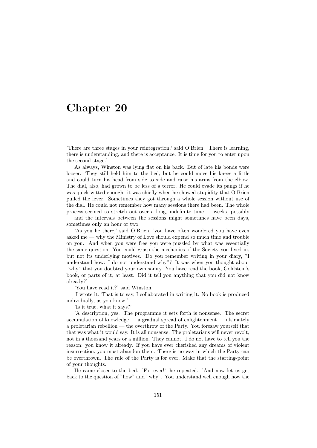## Chapter 20

'There are three stages in your reintegration,' said O'Brien. 'There is learning, there is understanding, and there is acceptance. It is time for you to enter upon the second stage.'

As always, Winston was lying flat on his back. But of late his bonds were looser. They still held him to the bed, but he could move his knees a little and could turn his head from side to side and raise his arms from the elbow. The dial, also, had grown to be less of a terror. He could evade its pangs if he was quick-witted enough: it was chiefly when he showed stupidity that O'Brien pulled the lever. Sometimes they got through a whole session without use of the dial. He could not remember how many sessions there had been. The whole process seemed to stretch out over a long, indefinite time — weeks, possibly — and the intervals between the sessions might sometimes have been days, sometimes only an hour or two.

'As you lie there,' said O'Brien, 'you have often wondered you have even asked me — why the Ministry of Love should expend so much time and trouble on you. And when you were free you were puzzled by what was essentially the same question. You could grasp the mechanics of the Society you lived in, but not its underlying motives. Do you remember writing in your diary, "I understand how: I do not understand why"? It was when you thought about "why" that you doubted your own sanity. You have read the book, Goldstein's book, or parts of it, at least. Did it tell you anything that you did not know already?'

'You have read it?' said Winston.

'I wrote it. That is to say, I collaborated in writing it. No book is produced individually, as you know.'

'Is it true, what it says?'

'A description, yes. The programme it sets forth is nonsense. The secret accumulation of knowledge — a gradual spread of enlightenment — ultimately a proletarian rebellion — the overthrow of the Party. You foresaw yourself that that was what it would say. It is all nonsense. The proletarians will never revolt, not in a thousand years or a million. They cannot. I do not have to tell you the reason: you know it already. If you have ever cherished any dreams of violent insurrection, you must abandon them. There is no way in which the Party can be overthrown. The rule of the Party is for ever. Make that the starting-point of your thoughts.'

He came closer to the bed. 'For ever!' he repeated. 'And now let us get back to the question of "how" and "why". You understand well enough how the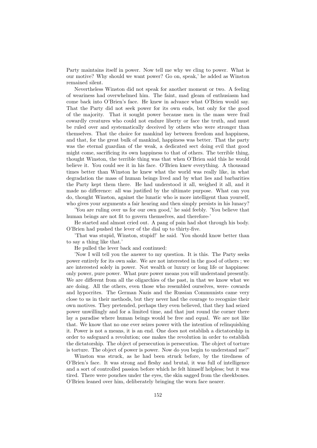Party maintains itself in power. Now tell me why we cling to power. What is our motive? Why should we want power? Go on, speak,' he added as Winston remained silent.

Nevertheless Winston did not speak for another moment or two. A feeling of weariness had overwhelmed him. The faint, mad gleam of enthusiasm had come back into O'Brien's face. He knew in advance what O'Brien would say. That the Party did not seek power for its own ends, but only for the good of the majority. That it sought power because men in the mass were frail cowardly creatures who could not endure liberty or face the truth, and must be ruled over and systematically deceived by others who were stronger than themselves. That the choice for mankind lay between freedom and happiness, and that, for the great bulk of mankind, happiness was better. That the party was the eternal guardian of the weak, a dedicated sect doing evil that good might come, sacrificing its own happiness to that of others. The terrible thing, thought Winston, the terrible thing was that when O'Brien said this he would believe it. You could see it in his face. O'Brien knew everything. A thousand times better than Winston he knew what the world was really like, in what degradation the mass of human beings lived and by what lies and barbarities the Party kept them there. He had understood it all, weighed it all, and it made no difference: all was justified by the ultimate purpose. What can you do, thought Winston, against the lunatic who is more intelligent than yourself, who gives your arguments a fair hearing and then simply persists in his lunacy?

'You are ruling over us for our own good,' he said feebly. 'You believe that human beings are not fit to govern themselves, and therefore-'

He started and almost cried out. A pang of pain had shot through his body. O'Brien had pushed the lever of the dial up to thirty-five.

'That was stupid, Winston, stupid!' he said. 'You should know better than to say a thing like that.'

He pulled the lever back and continued:

'Now I will tell you the answer to my question. It is this. The Party seeks power entirely for its own sake. We are not interested in the good of others ; we are interested solely in power. Not wealth or luxury or long life or happiness: only power, pure power. What pure power means you will understand presently. We are different from all the oligarchies of the past, in that we know what we are doing. All the others, even those who resembled ourselves, were- cowards and hypocrites. The German Nazis and the Russian Communists came very close to us in their methods, but they never had the courage to recognize their own motives. They pretended, perhaps they even believed, that they had seized power unwillingly and for a limited time, and that just round the corner there lay a paradise where human beings would be free and equal. We are not like that. We know that no one ever seizes power with the intention of relinquishing it. Power is not a means, it is an end. One does not establish a dictatorship in order to safeguard a revolution; one makes the revolution in order to establish the dictatorship. The object of persecution is persecution. The object of torture is torture. The object of power is power. Now do you begin to understand me?'

Winston was struck, as he had been struck before, by the tiredness of O'Brien's face. It was strong and fleshy and brutal, it was full of intelligence and a sort of controlled passion before which he felt himself helpless; but it was tired. There were pouches under the eyes, the skin sagged from the cheekbones. O'Brien leaned over him, deliberately bringing the worn face nearer.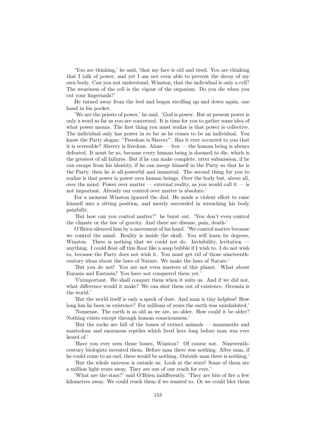'You are thinking,' he said, 'that my face is old and tired. You are thinking that I talk of power, and yet I am not even able to prevent the decay of my own body. Can you not understand, Winston, that the individual is only a cell? The weariness of the cell is the vigour of the organism. Do you die when you cut your fingernails?'

He turned away from the bed and began strolling up and down again, one hand in his pocket.

'We are the priests of power,' he said. 'God is power. But at present power is only a word so far as you are concerned. It is time for you to gather some idea of what power means. The first thing you must realize is that power is collective. The individual only has power in so far as he ceases to be an individual. You know the Party slogan: "Freedom is Slavery". Has it ever occurred to you that it is reversible? Slavery is freedom. Alone — free — the human being is always defeated. It must be so, because every human being is doomed to die, which is the greatest of all failures. But if he can make complete, utter submission, if he can escape from his identity, if he can merge himself in the Party so that he is the Party, then he is all-powerful and immortal. The second thing for you to realize is that power is power over human beings. Over the body but, above all, over the mind. Power over matter — external reality, as you would call it — is not important. Already our control over matter is absolute.'

For a moment Winston ignored the dial. He made a violent effort to raise himself into a sitting position, and merely succeeded in wrenching his body painfully.

'But how can you control matter?' he burst out. 'You don't even control the climate or the law of gravity. And there are disease, pain, death-'

O'Brien silenced him by a movement of his hand. 'We control matter because we control the mind. Reality is inside the skull. You will learn by degrees, Winston. There is nothing that we could not do. Invisibility, levitation  $$ anything. I could float off this floor like a soap bubble if I wish to. I do not wish to, because the Party does not wish it. You must get rid of those nineteenthcentury ideas about the laws of Nature. We make the laws of Nature.'

'But you do not! You are not even masters of this planet. What about Eurasia and Eastasia? You have not conquered them yet.'

'Unimportant. We shall conquer them when it suits us. And if we did not, what difference would it make? We can shut them out of existence. Oceania is the world.'

'But the world itself is only a speck of dust. And man is tiny helpless! How long has he been in existence? For millions of years the earth was uninhabited.'

'Nonsense. The earth is as old as we are, no older. How could it be older? Nothing exists except through human consciousness.'

'But the rocks are full of the bones of extinct animals — mammoths and mastodons and enormous reptiles which lived here long before man was ever heard of.'

'Have you ever seen those bones, Winston? Of course not. Nineteenthcentury biologists invented them. Before man there was nothing. After man, if he could come to an end, there would be nothing. Outside man there is nothing.'

'But the whole universe is outside us. Look at the stars! Some of them are a million light-years away. They are out of our reach for ever.'

'What are the stars?' said O'Brien indifferently. 'They are bits of fire a few kilometres away. We could reach them if we wanted to. Or we could blot them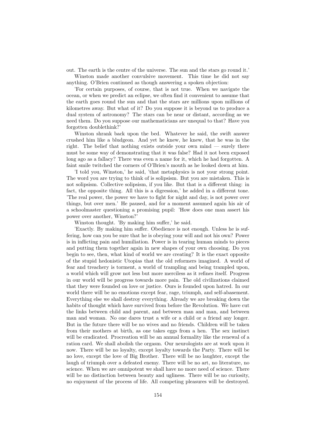out. The earth is the centre of the universe. The sun and the stars go round it.'

Winston made another convulsive movement. This time he did not say anything. O'Brien continued as though answering a spoken objection:

'For certain purposes, of course, that is not true. When we navigate the ocean, or when we predict an eclipse, we often find it convenient to assume that the earth goes round the sun and that the stars are millions upon millions of kilometres away. But what of it? Do you suppose it is beyond us to produce a dual system of astronomy? The stars can be near or distant, according as we need them. Do you suppose our mathematicians are unequal to that? Have you forgotten doublethink?'

Winston shrank back upon the bed. Whatever he said, the swift answer crushed him like a bludgeon. And yet he knew, he knew, that he was in the right. The belief that nothing exists outside your own mind — surely there must be some way of demonstrating that it was false? Had it not been exposed long ago as a fallacy? There was even a name for it, which he had forgotten. A faint smile twitched the corners of O'Brien's mouth as he looked down at him.

'I told you, Winston,' he said, 'that metaphysics is not your strong point. The word you are trying to think of is solipsism. But you are mistaken. This is not solipsism. Collective solipsism, if you like. But that is a different thing: in fact, the opposite thing. All this is a digression,' he added in a different tone. 'The real power, the power we have to fight for night and day, is not power over things, but over men.' He paused, and for a moment assumed again his air of a schoolmaster questioning a promising pupil: 'How does one man assert his power over another, Winston?'

Winston thought. 'By making him suffer,' he said.

'Exactly. By making him suffer. Obedience is not enough. Unless he is suffering, how can you be sure that he is obeying your will and not his own? Power is in inflicting pain and humiliation. Power is in tearing human minds to pieces and putting them together again in new shapes of your own choosing. Do you begin to see, then, what kind of world we are creating? It is the exact opposite of the stupid hedonistic Utopias that the old reformers imagined. A world of fear and treachery is torment, a world of trampling and being trampled upon, a world which will grow not less but more merciless as it refines itself. Progress in our world will be progress towards more pain. The old civilizations claimed that they were founded on love or justice. Ours is founded upon hatred. In our world there will be no emotions except fear, rage, triumph, and self-abasement. Everything else we shall destroy everything. Already we are breaking down the habits of thought which have survived from before the Revolution. We have cut the links between child and parent, and between man and man, and between man and woman. No one dares trust a wife or a child or a friend any longer. But in the future there will be no wives and no friends. Children will be taken from their mothers at birth, as one takes eggs from a hen. The sex instinct will be eradicated. Procreation will be an annual formality like the renewal of a ration card. We shall abolish the orgasm. Our neurologists are at work upon it now. There will be no loyalty, except loyalty towards the Party. There will be no love, except the love of Big Brother. There will be no laughter, except the laugh of triumph over a defeated enemy. There will be no art, no literature, no science. When we are omnipotent we shall have no more need of science. There will be no distinction between beauty and ugliness. There will be no curiosity, no enjoyment of the process of life. All competing pleasures will be destroyed.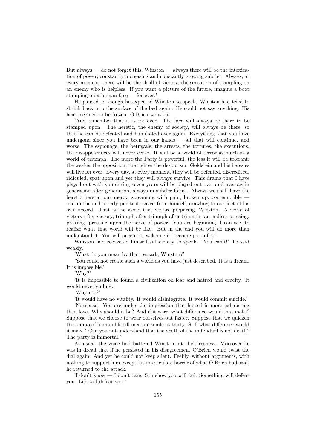But always — do not forget this, Winston — always there will be the intoxication of power, constantly increasing and constantly growing subtler. Always, at every moment, there will be the thrill of victory, the sensation of trampling on an enemy who is helpless. If you want a picture of the future, imagine a boot stamping on a human face — for ever.'

He paused as though he expected Winston to speak. Winston had tried to shrink back into the surface of the bed again. He could not say anything. His heart seemed to be frozen. O'Brien went on:

'And remember that it is for ever. The face will always be there to be stamped upon. The heretic, the enemy of society, will always be there, so that he can be defeated and humiliated over again. Everything that you have undergone since you have been in our hands — all that will continue, and worse. The espionage, the betrayals, the arrests, the tortures, the executions, the disappearances will never cease. It will be a world of terror as much as a world of triumph. The more the Party is powerful, the less it will be tolerant: the weaker the opposition, the tighter the despotism. Goldstein and his heresies will live for ever. Every day, at every moment, they will be defeated, discredited, ridiculed, spat upon and yet they will always survive. This drama that I have played out with you during seven years will be played out over and over again generation after generation, always in subtler forms. Always we shall have the heretic here at our mercy, screaming with pain, broken up, contemptible and in the end utterly penitent, saved from himself, crawling to our feet of his own accord. That is the world that we are preparing, Winston. A world of victory after victory, triumph after triumph after triumph: an endless pressing, pressing, pressing upon the nerve of power. You are beginning, I can see, to realize what that world will be like. But in the end you will do more than understand it. You will accept it, welcome it, become part of it.'

Winston had recovered himself sufficiently to speak. 'You can't!' he said weakly.

'What do you mean by that remark, Winston?'

'You could not create such a world as you have just described. It is a dream. It is impossible.'

'Why?'

'It is impossible to found a civilization on fear and hatred and cruelty. It would never endure.'

'Why not?'

'It would have no vitality. It would disintegrate. It would commit suicide.'

'Nonsense. You are under the impression that hatred is more exhausting than love. Why should it be? And if it were, what difference would that make? Suppose that we choose to wear ourselves out faster. Suppose that we quicken the tempo of human life till men are senile at thirty. Still what difference would it make? Can you not understand that the death of the individual is not death? The party is immortal.'

As usual, the voice had battered Winston into helplessness. Moreover he was in dread that if he persisted in his disagreement O'Brien would twist the dial again. And yet he could not keep silent. Feebly, without arguments, with nothing to support him except his inarticulate horror of what O'Brien had said, he returned to the attack.

'I don't know — I don't care. Somehow you will fail. Something will defeat you. Life will defeat you.'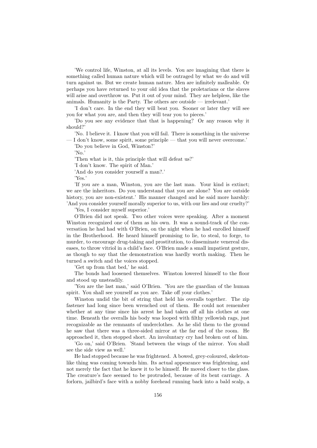'We control life, Winston, at all its levels. You are imagining that there is something called human nature which will be outraged by what we do and will turn against us. But we create human nature. Men are infinitely malleable. Or perhaps you have returned to your old idea that the proletarians or the slaves will arise and overthrow us. Put it out of your mind. They are helpless, like the animals. Humanity is the Party. The others are outside — irrelevant.'

'I don't care. In the end they will beat you. Sooner or later they will see you for what you are, and then they will tear you to pieces.'

'Do you see any evidence that that is happening? Or any reason why it should?'

'No. I believe it. I know that you will fail. There is something in the universe — I don't know, some spirit, some principle — that you will never overcome.'

'Do you believe in God, Winston?'

'No.'

'Then what is it, this principle that will defeat us?'

'I don't know. The spirit of Man.'

'And do you consider yourself a man?.'

'Yes.'

'If you are a man, Winston, you are the last man. Your kind is extinct; we are the inheritors. Do you understand that you are alone? You are outside history, you are non-existent.' His manner changed and he said more harshly: 'And you consider yourself morally superior to us, with our lies and our cruelty?'

'Yes, I consider myself superior.'

O'Brien did not speak. Two other voices were speaking. After a moment Winston recognized one of them as his own. It was a sound-track of the conversation he had had with O'Brien, on the night when he had enrolled himself in the Brotherhood. He heard himself promising to lie, to steal, to forge, to murder, to encourage drug-taking and prostitution, to disseminate venereal diseases, to throw vitriol in a child's face. O'Brien made a small impatient gesture, as though to say that the demonstration was hardly worth making. Then he turned a switch and the voices stopped.

'Get up from that bed,' he said.

The bonds had loosened themselves. Winston lowered himself to the floor and stood up unsteadily.

'You are the last man,' said O'Brien. 'You are the guardian of the human spirit. You shall see yourself as you are. Take off your clothes.'

Winston undid the bit of string that held his overalls together. The zip fastener had long since been wrenched out of them. He could not remember whether at any time since his arrest he had taken off all his clothes at one time. Beneath the overalls his body was looped with filthy yellowish rags, just recognizable as the remnants of underclothes. As he slid them to the ground he saw that there was a three-sided mirror at the far end of the room. He approached it, then stopped short. An involuntary cry had broken out of him.

'Go on,' said O'Brien. 'Stand between the wings of the mirror. You shall see the side view as well.'

He had stopped because he was frightened. A bowed, grey-coloured, skeletonlike thing was coming towards him. Its actual appearance was frightening, and not merely the fact that he knew it to be himself. He moved closer to the glass. The creature's face seemed to be protruded, because of its bent carriage. A forlorn, jailbird's face with a nobby forehead running back into a bald scalp, a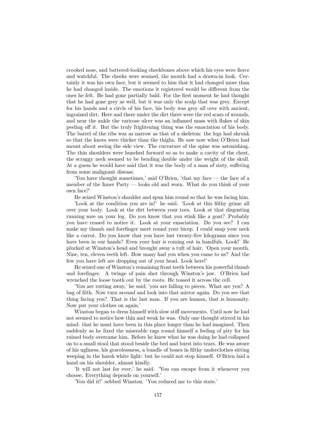crooked nose, and battered-looking cheekbones above which his eyes were fierce and watchful. The cheeks were seamed, the mouth had a drawn-in look. Certainly it was his own face, but it seemed to him that it had changed more than he had changed inside. The emotions it registered would be different from the ones he felt. He had gone partially bald. For the first moment he had thought that he had gone grey as well, but it was only the scalp that was grey. Except for his hands and a circle of his face, his body was grey all over with ancient, ingrained dirt. Here and there under the dirt there were the red scars of wounds, and near the ankle the varicose ulcer was an inflamed mass with flakes of skin peeling off it. But the truly frightening thing was the emaciation of his body. The barrel of the ribs was as narrow as that of a skeleton: the legs had shrunk so that the knees were thicker than the thighs. He saw now what O'Brien had meant about seeing the side view. The curvature of the spine was astonishing. The thin shoulders were hunched forward so as to make a cavity of the chest, the scraggy neck seemed to be bending double under the weight of the skull. At a guess he would have said that it was the body of a man of sixty, suffering from some malignant disease.

'You have thought sometimes,' said O'Brien, 'that my face — the face of a member of the Inner Party — looks old and worn. What do you think of your own face?'

He seized Winston's shoulder and spun him round so that he was facing him.

'Look at the condition you are in!' he said. 'Look at this filthy grime all over your body. Look at the dirt between your toes. Look at that disgusting running sore on your leg. Do you know that you stink like a goat? Probably you have ceased to notice it. Look at your emaciation. Do you see? I can make my thumb and forefinger meet round your bicep. I could snap your neck like a carrot. Do you know that you have lost twenty-five kilograms since you have been in our hands? Even your hair is coming out in handfuls. Look!' He plucked at Winston's head and brought away a tuft of hair. 'Open your mouth. Nine, ten, eleven teeth left. How many had you when you came to us? And the few you have left are dropping out of your head. Look here!'

He seized one of Winston's remaining front teeth between his powerful thumb and forefinger. A twinge of pain shot through Winston's jaw. O'Brien had wrenched the loose tooth out by the roots. He tossed it across the cell.

'You are rotting away,' he said; 'you are falling to pieces. What are you? A bag of filth. Now turn around and look into that mirror again. Do you see that thing facing you? That is the last man. If you are human, that is humanity. Now put your clothes on again.'

Winston began to dress himself with slow stiff movements. Until now he had not seemed to notice how thin and weak he was. Only one thought stirred in his mind: that he must have been in this place longer than he had imagined. Then suddenly as he fixed the miserable rags round himself a feeling of pity for his ruined body overcame him. Before he knew what he was doing he had collapsed on to a small stool that stood beside the bed and burst into tears. He was aware of his ugliness, his gracelessness, a bundle of bones in filthy underclothes sitting weeping in the harsh white light: but he could not stop himself. O'Brien laid a hand on his shoulder, almost kindly.

'It will not last for ever,' he said. 'You can escape from it whenever you choose. Everything depends on yourself.'

'You did it!' sobbed Winston. 'You reduced me to this state.'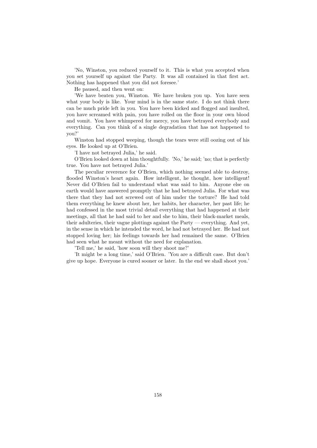'No, Winston, you reduced yourself to it. This is what you accepted when you set yourself up against the Party. It was all contained in that first act. Nothing has happened that you did not foresee.'

He paused, and then went on:

'We have beaten you, Winston. We have broken you up. You have seen what your body is like. Your mind is in the same state. I do not think there can be much pride left in you. You have been kicked and flogged and insulted, you have screamed with pain, you have rolled on the floor in your own blood and vomit. You have whimpered for mercy, you have betrayed everybody and everything. Can you think of a single degradation that has not happened to you?'

Winston had stopped weeping, though the tears were still oozing out of his eyes. He looked up at O'Brien.

'I have not betrayed Julia,' he said.

O'Brien looked down at him thoughtfully. 'No,' he said; 'no; that is perfectly true. You have not betrayed Julia.'

The peculiar reverence for O'Brien, which nothing seemed able to destroy, flooded Winston's heart again. How intelligent, he thought, how intelligent! Never did O'Brien fail to understand what was said to him. Anyone else on earth would have answered promptly that he had betrayed Julia. For what was there that they had not screwed out of him under the torture? He had told them everything he knew about her, her habits, her character, her past life; he had confessed in the most trivial detail everything that had happened at their meetings, all that he had said to her and she to him, their black-market meals, their adulteries, their vague plottings against the Party — everything. And yet, in the sense in which he intended the word, he had not betrayed her. He had not stopped loving her; his feelings towards her had remained the same. O'Brien had seen what he meant without the need for explanation.

'Tell me,' he said, 'how soon will they shoot me?'

'It might be a long time,' said O'Brien. 'You are a difficult case. But don't give up hope. Everyone is cured sooner or later. In the end we shall shoot you.'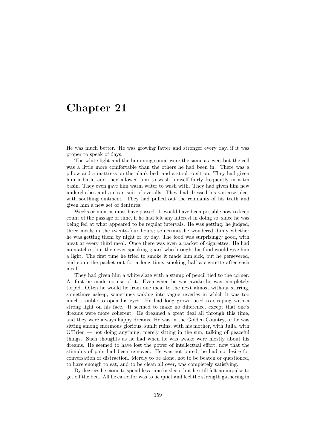### Chapter 21

He was much better. He was growing fatter and stronger every day, if it was proper to speak of days.

The white light and the humming sound were the same as ever, but the cell was a little more comfortable than the others he had been in. There was a pillow and a mattress on the plank bed, and a stool to sit on. They had given him a bath, and they allowed him to wash himself fairly frequently in a tin basin. They even gave him warm water to wash with. They had given him new underclothes and a clean suit of overalls. They had dressed his varicose ulcer with soothing ointment. They had pulled out the remnants of his teeth and given him a new set of dentures.

Weeks or months must have passed. It would have been possible now to keep count of the passage of time, if he had felt any interest in doing so, since he was being fed at what appeared to be regular intervals. He was getting, he judged, three meals in the twenty-four hours; sometimes he wondered dimly whether he was getting them by night or by day. The food was surprisingly good, with meat at every third meal. Once there was even a packet of cigarettes. He had no matches, but the never-speaking guard who brought his food would give him a light. The first time he tried to smoke it made him sick, but he persevered, and spun the packet out for a long time, smoking half a cigarette after each meal.

They had given him a white slate with a stump of pencil tied to the corner. At first he made no use of it. Even when he was awake he was completely torpid. Often he would lie from one meal to the next almost without stirring, sometimes asleep, sometimes waking into vague reveries in which it was too much trouble to open his eyes. He had long grown used to sleeping with a strong light on his face. It seemed to make no difference, except that one's dreams were more coherent. He dreamed a great deal all through this time, and they were always happy dreams. He was in the Golden Country, or he was sitting among enormous glorious, sunlit ruins, with his mother, with Julia, with O'Brien — not doing anything, merely sitting in the sun, talking of peaceful things. Such thoughts as he had when he was awake were mostly about his dreams. He seemed to have lost the power of intellectual effort, now that the stimulus of pain had been removed. He was not bored, he had no desire for conversation or distraction. Merely to be alone, not to be beaten or questioned, to have enough to eat, and to be clean all over, was completely satisfying.

By degrees he came to spend less time in sleep, but he still felt no impulse to get off the bed. All he cared for was to lie quiet and feel the strength gathering in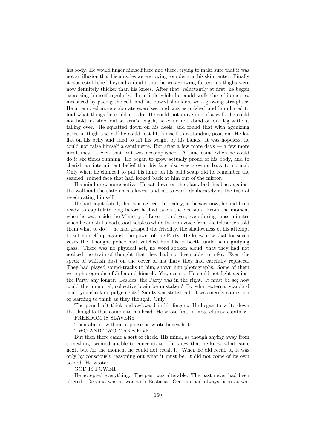his body. He would finger himself here and there, trying to make sure that it was not an illusion that his muscles were growing rounder and his skin tauter. Finally it was established beyond a doubt that he was growing fatter; his thighs were now definitely thicker than his knees. After that, reluctantly at first, he began exercising himself regularly. In a little while he could walk three kilometres, measured by pacing the cell, and his bowed shoulders were growing straighter. He attempted more elaborate exercises, and was astonished and humiliated to find what things he could not do. He could not move out of a walk, he could not hold his stool out at arm's length, he could not stand on one leg without falling over. He squatted down on his heels, and found that with agonizing pains in thigh and calf he could just lift himself to a standing position. He lay flat on his belly and tried to lift his weight by his hands. It was hopeless, he could not raise himself a centimetre. But after a few more days  $-$  a few more mealtimes — even that feat was accomplished. A time came when he could do it six times running. He began to grow actually proud of his body, and to cherish an intermittent belief that his face also was growing back to normal. Only when he chanced to put his hand on his bald scalp did he remember the seamed, ruined face that had looked back at him out of the mirror.

His mind grew more active. He sat down on the plank bed, his back against the wall and the slate on his knees, and set to work deliberately at the task of re-educating himself.

He had capitulated, that was agreed. In reality, as he saw now, he had been ready to capitulate long before he had taken the decision. From the moment when he was inside the Ministry of Love — and yes, even during those minutes when he and Julia had stood helpless while the iron voice from the telescreen told them what to  $do$  — he had grasped the frivolity, the shallowness of his attempt to set himself up against the power of the Party. He knew now that for seven years the Thought police had watched him like a beetle under a magnifying glass. There was no physical act, no word spoken aloud, that they had not noticed, no train of thought that they had not been able to infer. Even the speck of whitish dust on the cover of his diary they had carefully replaced. They had played sound-tracks to him, shown him photographs. Some of them were photographs of Julia and himself. Yes, even ... He could not fight against the Party any longer. Besides, the Party was in the right. It must be so; how could the immortal, collective brain be mistaken? By what external standard could you check its judgements? Sanity was statistical. It was merely a question of learning to think as they thought. Only!

The pencil felt thick and awkward in his fingers. He began to write down the thoughts that came into his head. He wrote first in large clumsy capitals:

#### FREEDOM IS SLAVERY

Then almost without a pause he wrote beneath it:

### TWO AND TWO MAKE FIVE

But then there came a sort of check. His mind, as though shying away from something, seemed unable to concentrate. He knew that he knew what came next, but for the moment he could not recall it. When he did recall it, it was only by consciously reasoning out what it must be: it did not come of its own accord. He wrote:

#### GOD IS POWER

He accepted everything. The past was alterable. The past never had been altered. Oceania was at war with Eastasia. Oceania had always been at war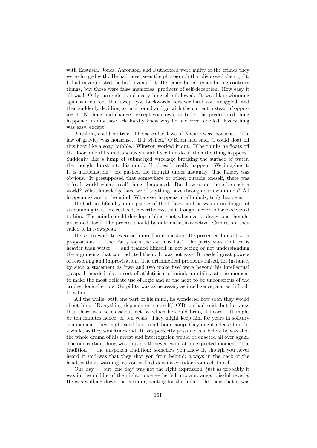with Eastasia. Jones, Aaronson, and Rutherford were guilty of the crimes they were charged with. He had never seen the photograph that disproved their guilt. It had never existed, he had invented it. He remembered remembering contrary things, but those were false memories, products of self-deception. How easy it all was! Only surrender, and everything else followed. It was like swimming against a current that swept you backwards however hard you struggled, and then suddenly deciding to turn round and go with the current instead of opposing it. Nothing had changed except your own attitude: the predestined thing happened in any case. He hardly knew why he had ever rebelled. Everything was easy, except!

Anything could be true. The so-called laws of Nature were nonsense. The law of gravity was nonsense. 'If I wished,' O'Brien had said, 'I could float off this floor like a soap bubble.' Winston worked it out. 'If he thinks he floats off the floor, and if I simultaneously think I see him do it, then the thing happens.' Suddenly, like a lump of submerged wreckage breaking the surface of water, the thought burst into his mind: 'It doesn't really happen. We imagine it. It is hallucination.' He pushed the thought under instantly. The fallacy was obvious. It presupposed that somewhere or other, outside oneself, there was a 'real' world where 'real' things happened. But how could there be such a world? What knowledge have we of anything, save through our own minds? All happenings are in the mind. Whatever happens in all minds, truly happens.

He had no difficulty in disposing of the fallacy, and he was in no danger of succumbing to it. He realized, nevertheless, that it ought never to have occurred to him. The mind should develop a blind spot whenever a dangerous thought presented itself. The process should be automatic, instinctive. Crimestop, they called it in Newspeak.

He set to work to exercise himself in crimestop. He presented himself with propositions — 'the Party says the earth is flat', 'the party says that ice is heavier than water' — and trained himself in not seeing or not understanding the arguments that contradicted them. It was not easy. It needed great powers of reasoning and improvisation. The arithmetical problems raised, for instance, by such a statement as 'two and two make five' were beyond his intellectual grasp. It needed also a sort of athleticism of mind, an ability at one moment to make the most delicate use of logic and at the next to be unconscious of the crudest logical errors. Stupidity was as necessary as intelligence, and as difficult to attain.

All the while, with one part of his mind, he wondered how soon they would shoot him. 'Everything depends on yourself,' O'Brien had said; but he knew that there was no conscious act by which he could bring it nearer. It might be ten minutes hence, or ten years. They might keep him for years in solitary confinement, they might send him to a labour-camp, they might release him for a while, as they sometimes did. It was perfectly possible that before he was shot the whole drama of his arrest and interrogation would be enacted all over again. The one certain thing was that death never came at an expected moment. The tradition — the unspoken tradition: somehow you knew it, though you never heard it said-was that they shot you from behind; always in the back of the head, without warning, as you walked down a corridor from cell to cell.

One day — but 'one day' was not the right expression; just as probably it was in the middle of the night: once — he fell into a strange, blissful reverie. He was walking down the corridor, waiting for the bullet. He knew that it was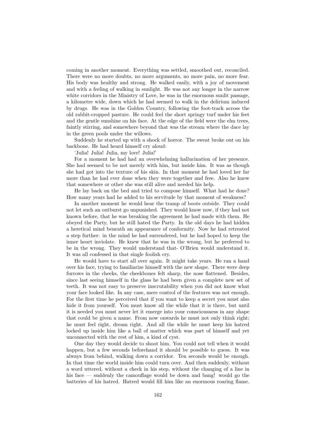coming in another moment. Everything was settled, smoothed out, reconciled. There were no more doubts, no more arguments, no more pain, no more fear. His body was healthy and strong. He walked easily, with a joy of movement and with a feeling of walking in sunlight. He was not any longer in the narrow white corridors in the Ministry of Love, he was in the enormous sunlit passage, a kilometre wide, down which he had seemed to walk in the delirium induced by drugs. He was in the Golden Country, following the foot-track across the old rabbit-cropped pasture. He could feel the short springy turf under his feet and the gentle sunshine on his face. At the edge of the field were the elm trees, faintly stirring, and somewhere beyond that was the stream where the dace lay in the green pools under the willows.

Suddenly he started up with a shock of horror. The sweat broke out on his backbone. He had heard himself cry aloud:

'Julia! Julia! Julia, my love! Julia!'

For a moment he had had an overwhelming hallucination of her presence. She had seemed to be not merely with him, but inside him. It was as though she had got into the texture of his skin. In that moment he had loved her far more than he had ever done when they were together and free. Also he knew that somewhere or other she was still alive and needed his help.

He lay back on the bed and tried to compose himself. What had he done? How many years had he added to his servitude by that moment of weakness?

In another moment he would hear the tramp of boots outside. They could not let such an outburst go unpunished. They would know now, if they had not known before, that he was breaking the agreement he had made with them. He obeyed the Party, but he still hated the Party. In the old days he had hidden a heretical mind beneath an appearance of conformity. Now he had retreated a step further: in the mind he had surrendered, but he had hoped to keep the inner heart inviolate. He knew that he was in the wrong, but he preferred to be in the wrong. They would understand that- O'Brien would understand it. It was all confessed in that single foolish cry.

He would have to start all over again. It might take years. He ran a hand over his face, trying to familiarize himself with the new shape. There were deep furrows in the cheeks, the cheekbones felt sharp, the nose flattened. Besides, since last seeing himself in the glass he had been given a complete new set of teeth. It was not easy to preserve inscrutability when you did not know what your face looked like. In any case, mere control of the features was not enough. For the first time he perceived that if you want to keep a secret you must also hide it from yourself. You must know all the while that it is there, but until it is needed you must never let it emerge into your consciousness in any shape that could be given a name. From now onwards he must not only think right; he must feel right, dream right. And all the while he must keep his hatred locked up inside him like a ball of matter which was part of himself and yet unconnected with the rest of him, a kind of cyst.

One day they would decide to shoot him. You could not tell when it would happen, but a few seconds beforehand it should be possible to guess. It was always from behind, walking down a corridor. Ten seconds would be enough. In that time the world inside him could turn over. And then suddenly, without a word uttered, without a check in his step, without the changing of a line in his face — suddenly the camouflage would be down and bang! would go the batteries of his hatred. Hatred would fill him like an enormous roaring flame.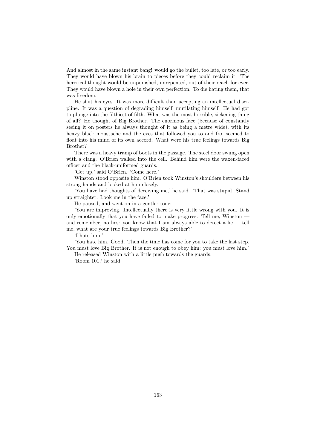And almost in the same instant bang! would go the bullet, too late, or too early. They would have blown his brain to pieces before they could reclaim it. The heretical thought would be unpunished, unrepented, out of their reach for ever. They would have blown a hole in their own perfection. To die hating them, that was freedom.

He shut his eyes. It was more difficult than accepting an intellectual discipline. It was a question of degrading himself, mutilating himself. He had got to plunge into the filthiest of filth. What was the most horrible, sickening thing of all? He thought of Big Brother. The enormous face (because of constantly seeing it on posters he always thought of it as being a metre wide), with its heavy black moustache and the eyes that followed you to and fro, seemed to float into his mind of its own accord. What were his true feelings towards Big Brother?

There was a heavy tramp of boots in the passage. The steel door swung open with a clang. O'Brien walked into the cell. Behind him were the waxen-faced officer and the black-uniformed guards.

'Get up,' said O'Brien. 'Come here.'

Winston stood opposite him. O'Brien took Winston's shoulders between his strong hands and looked at him closely.

'You have had thoughts of deceiving me,' he said. 'That was stupid. Stand up straighter. Look me in the face.'

He paused, and went on in a gentler tone:

'You are improving. Intellectually there is very little wrong with you. It is only emotionally that you have failed to make progress. Tell me, Winston and remember, no lies: you know that I am always able to detect a lie  $-$  tell me, what are your true feelings towards Big Brother?'

'I hate him.'

'You hate him. Good. Then the time has come for you to take the last step. You must love Big Brother. It is not enough to obey him: you must love him.'

He released Winston with a little push towards the guards.

'Room 101,' he said.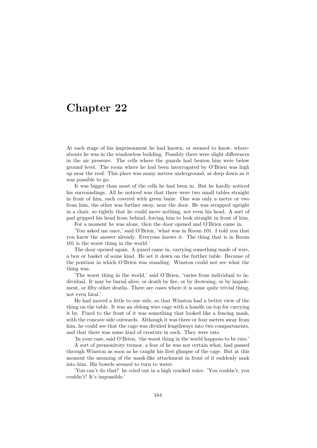### Chapter 22

At each stage of his imprisonment he had known, or seemed to know, whereabouts he was in the windowless building. Possibly there were slight differences in the air pressure. The cells where the guards had beaten him were below ground level. The room where he had been interrogated by O'Brien was high up near the roof. This place was many metres underground, as deep down as it was possible to go.

It was bigger than most of the cells he had been in. But he hardly noticed his surroundings. All he noticed was that there were two small tables straight in front of him, each covered with green baize. One was only a metre or two from him, the other was further away, near the door. He was strapped upright in a chair, so tightly that he could move nothing, not even his head. A sort of pad gripped his head from behind, forcing him to look straight in front of him.

For a moment he was alone, then the door opened and O'Brien came in.

'You asked me once,' said O'Brien, 'what was in Room 101. I told you that you knew the answer already. Everyone knows it. The thing that is in Room 101 is the worst thing in the world.'

The door opened again. A guard came in, carrying something made of wire, a box or basket of some kind. He set it down on the further table. Because of the position in which O'Brien was standing. Winston could not see what the thing was.

'The worst thing in the world,' said O'Brien, 'varies from individual to individual. It may be burial alive, or death by fire, or by drowning, or by impalement, or fifty other deaths. There are cases where it is some quite trivial thing, not even fatal.'

He had moved a little to one side, so that Winston had a better view of the thing on the table. It was an oblong wire cage with a handle on top for carrying it by. Fixed to the front of it was something that looked like a fencing mask, with the concave side outwards. Although it was three or four metres away from him, he could see that the cage was divided lengthways into two compartments, and that there was some kind of creature in each. They were rats.

'In your case, said O'Brien, 'the worst thing in the world happens to be rats.'

A sort of premonitory tremor, a fear of he was not certain what, had passed through Winston as soon as he caught his first glimpse of the cage. But at this moment the meaning of the mask-like attachment in front of it suddenly sank into him. His bowels seemed to turn to water.

'You can't do that!' he cried out in a high cracked voice. 'You couldn't, you couldn't! It's impossible.'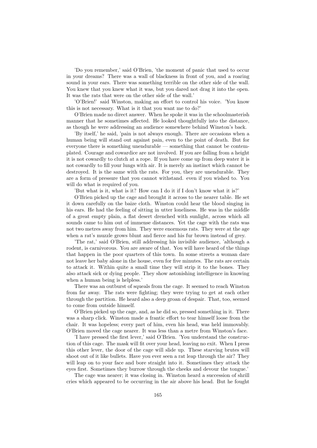'Do you remember,' said O'Brien, 'the moment of panic that used to occur in your dreams? There was a wall of blackness in front of you, and a roaring sound in your ears. There was something terrible on the other side of the wall. You knew that you knew what it was, but you dared not drag it into the open. It was the rats that were on the other side of the wall.'

'O'Brien!' said Winston, making an effort to control his voice. 'You know this is not necessary. What is it that you want me to do?'

O'Brien made no direct answer. When he spoke it was in the schoolmasterish manner that he sometimes affected. He looked thoughtfully into the distance, as though he were addressing an audience somewhere behind Winston's back.

'By itself,' he said, 'pain is not always enough. There are occasions when a human being will stand out against pain, even to the point of death. But for everyone there is something unendurable — something that cannot be contemplated. Courage and cowardice are not involved. If you are falling from a height it is not cowardly to clutch at a rope. If you have come up from deep water it is not cowardly to fill your lungs with air. It is merely an instinct which cannot be destroyed. It is the same with the rats. For you, they are unendurable. They are a form of pressure that you cannot withstand. even if you wished to. You will do what is required of you.

'But what is it, what is it? How can I do it if I don't know what it is?'

O'Brien picked up the cage and brought it across to the nearer table. He set it down carefully on the baize cloth. Winston could hear the blood singing in his ears. He had the feeling of sitting in utter loneliness. He was in the middle of a great empty plain, a flat desert drenched with sunlight, across which all sounds came to him out of immense distances. Yet the cage with the rats was not two metres away from him. They were enormous rats. They were at the age when a rat's muzzle grows blunt and fierce and his fur brown instead of grey.

'The rat,' said O'Brien, still addressing his invisible audience, 'although a rodent, is carnivorous. You are aware of that. You will have heard of the things that happen in the poor quarters of this town. In some streets a woman dare not leave her baby alone in the house, even for five minutes. The rats are certain to attack it. Within quite a small time they will strip it to the bones. They also attack sick or dying people. They show astonishing intelligence in knowing when a human being is helpless.'

There was an outburst of squeals from the cage. It seemed to reach Winston from far away. The rats were fighting; they were trying to get at each other through the partition. He heard also a deep groan of despair. That, too, seemed to come from outside himself.

O'Brien picked up the cage, and, as he did so, pressed something in it. There was a sharp click. Winston made a frantic effort to tear himself loose from the chair. It was hopeless; every part of him, even his head, was held immovably. O'Brien moved the cage nearer. It was less than a metre from Winston's face.

'I have pressed the first lever,' said O'Brien. 'You understand the construction of this cage. The mask will fit over your head, leaving no exit. When I press this other lever, the door of the cage will slide up. These starving brutes will shoot out of it like bullets. Have you ever seen a rat leap through the air? They will leap on to your face and bore straight into it. Sometimes they attack the eyes first. Sometimes they burrow through the cheeks and devour the tongue.'

The cage was nearer; it was closing in. Winston heard a succession of shrill cries which appeared to be occurring in the air above his head. But he fought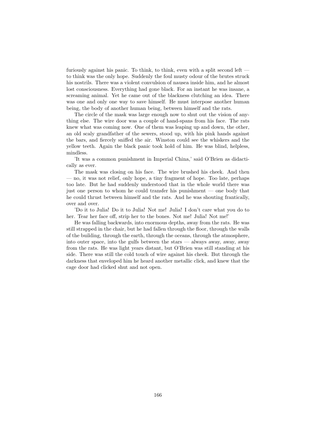furiously against his panic. To think, to think, even with a split second left  $$ to think was the only hope. Suddenly the foul musty odour of the brutes struck his nostrils. There was a violent convulsion of nausea inside him, and he almost lost consciousness. Everything had gone black. For an instant he was insane, a screaming animal. Yet he came out of the blackness clutching an idea. There was one and only one way to save himself. He must interpose another human being, the body of another human being, between himself and the rats.

The circle of the mask was large enough now to shut out the vision of anything else. The wire door was a couple of hand-spans from his face. The rats knew what was coming now. One of them was leaping up and down, the other, an old scaly grandfather of the sewers, stood up, with his pink hands against the bars, and fiercely sniffed the air. Winston could see the whiskers and the yellow teeth. Again the black panic took hold of him. He was blind, helpless, mindless.

'It was a common punishment in Imperial China,' said O'Brien as didactically as ever.

The mask was closing on his face. The wire brushed his cheek. And then — no, it was not relief, only hope, a tiny fragment of hope. Too late, perhaps too late. But he had suddenly understood that in the whole world there was just one person to whom he could transfer his punishment — one body that he could thrust between himself and the rats. And he was shouting frantically, over and over.

'Do it to Julia! Do it to Julia! Not me! Julia! I don't care what you do to her. Tear her face off, strip her to the bones. Not me! Julia! Not me!'

He was falling backwards, into enormous depths, away from the rats. He was still strapped in the chair, but he had fallen through the floor, through the walls of the building, through the earth, through the oceans, through the atmosphere, into outer space, into the gulfs between the stars — always away, away, away from the rats. He was light years distant, but O'Brien was still standing at his side. There was still the cold touch of wire against his cheek. But through the darkness that enveloped him he heard another metallic click, and knew that the cage door had clicked shut and not open.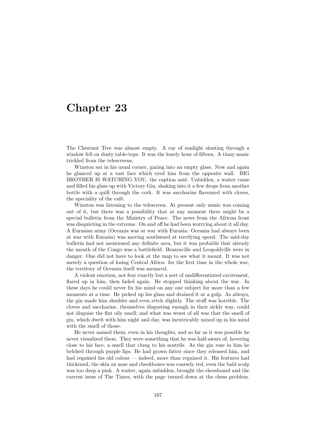### Chapter 23

The Chestnut Tree was almost empty. A ray of sunlight slanting through a window fell on dusty table-tops. It was the lonely hour of fifteen. A tinny music trickled from the telescreens.

Winston sat in his usual corner, gazing into an empty glass. Now and again he glanced up at a vast face which eyed him from the opposite wall. BIG BROTHER IS WATCHING YOU, the caption said. Unbidden, a waiter came and filled his glass up with Victory Gin, shaking into it a few drops from another bottle with a quill through the cork. It was saccharine flavoured with cloves, the speciality of the café.

Winston was listening to the telescreen. At present only music was coming out of it, but there was a possibility that at any moment there might be a special bulletin from the Ministry of Peace. The news from the African front was disquieting in the extreme. On and off he had been worrying about it all day. A Eurasian army (Oceania was at war with Eurasia: Oceania had always been at war with Eurasia) was moving southward at terrifying speed. The mid-day bulletin had not mentioned any definite area, but it was probable that already the mouth of the Congo was a battlefield. Brazzaville and Leopoldville were in danger. One did not have to look at the map to see what it meant. It was not merely a question of losing Central Africa: for the first time in the whole war, the territory of Oceania itself was menaced.

A violent emotion, not fear exactly but a sort of undifferentiated excitement, flared up in him, then faded again. He stopped thinking about the war. In these days he could never fix his mind on any one subject for more than a few moments at a time. He picked up his glass and drained it at a gulp. As always, the gin made him shudder and even retch slightly. The stuff was horrible. The cloves and saccharine, themselves disgusting enough in their sickly way, could not disguise the flat oily smell; and what was worst of all was that the smell of gin, which dwelt with him night and day, was inextricably mixed up in his mind with the smell of those-

He never named them, even in his thoughts, and so far as it was possible he never visualized them. They were something that he was half-aware of, hovering close to his face, a smell that clung to his nostrils. As the gin rose in him he belched through purple lips. He had grown fatter since they released him, and had regained his old colour — indeed, more than regained it. His features had thickened, the skin on nose and cheekbones was coarsely red, even the bald scalp was too deep a pink. A waiter, again unbidden, brought the chessboard and the current issue of The Times, with the page turned down at the chess problem.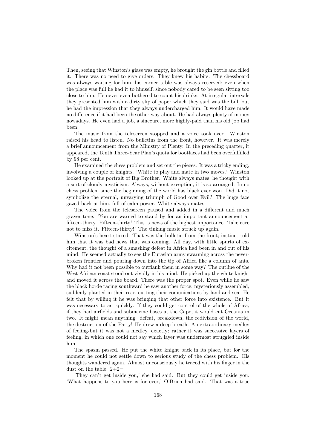Then, seeing that Winston's glass was empty, he brought the gin bottle and filled it. There was no need to give orders. They knew his habits. The chessboard was always waiting for him, his corner table was always reserved; even when the place was full he had it to himself, since nobody cared to be seen sitting too close to him. He never even bothered to count his drinks. At irregular intervals they presented him with a dirty slip of paper which they said was the bill, but he had the impression that they always undercharged him. It would have made no difference if it had been the other way about. He had always plenty of money nowadays. He even had a job, a sinecure, more highly-paid than his old job had been.

The music from the telescreen stopped and a voice took over. Winston raised his head to listen. No bulletins from the front, however. It was merely a brief announcement from the Ministry of Plenty. In the preceding quarter, it appeared, the Tenth Three-Year Plan's quota for bootlaces had been overfulfilled by 98 per cent.

He examined the chess problem and set out the pieces. It was a tricky ending, involving a couple of knights. 'White to play and mate in two moves.' Winston looked up at the portrait of Big Brother. White always mates, he thought with a sort of cloudy mysticism. Always, without exception, it is so arranged. In no chess problem since the beginning of the world has black ever won. Did it not symbolize the eternal, unvarying triumph of Good over Evil? The huge face gazed back at him, full of calm power. White always mates.

The voice from the telescreen paused and added in a different and much graver tone: 'You are warned to stand by for an important announcement at fifteen-thirty. Fifteen-thirty! This is news of the highest importance. Take care not to miss it. Fifteen-thirty!' The tinking music struck up again.

Winston's heart stirred. That was the bulletin from the front; instinct told him that it was bad news that was coming. All day, with little spurts of excitement, the thought of a smashing defeat in Africa had been in and out of his mind. He seemed actually to see the Eurasian army swarming across the neverbroken frontier and pouring down into the tip of Africa like a column of ants. Why had it not been possible to outflank them in some way? The outline of the West African coast stood out vividly in his mind. He picked up the white knight and moved it across the board. There was the proper spot. Even while he saw the black horde racing southward he saw another force, mysteriously assembled, suddenly planted in their rear, cutting their comunications by land and sea. He felt that by willing it he was bringing that other force into existence. But it was necessary to act quickly. If they could get control of the whole of Africa, if they had airfields and submarine bases at the Cape, it would cut Oceania in two. It might mean anything: defeat, breakdown, the redivision of the world, the destruction of the Party! He drew a deep breath. An extraordinary medley of feeling-but it was not a medley, exactly; rather it was successive layers of feeling, in which one could not say which layer was undermost struggled inside him.

The spasm passed. He put the white knight back in its place, but for the moment he could not settle down to serious study of the chess problem. His thoughts wandered again. Almost unconsciously he traced with his finger in the dust on the table:  $2+2=$ 

'They can't get inside you,' she had said. But they could get inside you. 'What happens to you here is for ever,' O'Brien had said. That was a true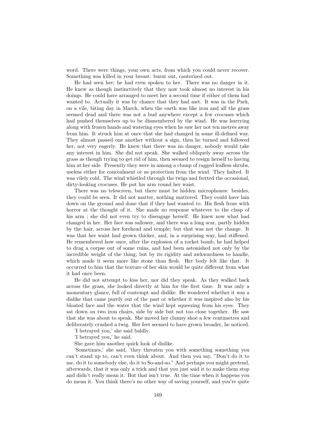word. There were things, your own acts, from which you could never recover. Something was killed in your breast: burnt out, cauterized out.

He had seen her; he had even spoken to her. There was no danger in it. He knew as though instinctively that they now took almost no interest in his doings. He could have arranged to meet her a second time if either of them had wanted to. Actually it was by chance that they had met. It was in the Park, on a vile, biting day in March, when the earth was like iron and all the grass seemed dead and there was not a bud anywhere except a few crocuses which had pushed themselves up to be dismembered by the wind. He was hurrying along with frozen hands and watering eyes when he saw her not ten metres away from him. It struck him at once that she had changed in some ill-defined way. They almost passed one another without a sign, then he turned and followed her, not very eagerly. He knew that there was no danger, nobody would take any interest in him. She did not speak. She walked obliquely away across the grass as though trying to get rid of him, then seemed to resign herself to having him at her side. Presently they were in among a clump of ragged leafless shrubs, useless either for concealment or as protection from the wind. They halted. It was vilely cold. The wind whistled through the twigs and fretted the occasional, dirty-looking crocuses. He put his arm round her waist.

There was no telescreen, but there must be hidden microphones: besides, they could be seen. It did not matter, nothing mattered. They could have lain down on the ground and done that if they had wanted to. His flesh froze with horror at the thought of it. She made no response whatever to the clasp of his arm ; she did not even try to disengage herself. He knew now what had changed in her. Her face was sallower, and there was a long scar, partly hidden by the hair, across her forehead and temple; but that was not the change. It was that her waist had grown thicker, and, in a surprising way, had stiffened. He remembered how once, after the explosion of a rocket bomb, he had helped to drag a corpse out of some ruins, and had been astonished not only by the incredible weight of the thing, but by its rigidity and awkwardness to handle, which made it seem more like stone than flesh. Her body felt like that. It occurred to him that the texture of her skin would be quite different from what it had once been.

He did not attempt to kiss her, nor did they speak. As they walked back across the grass, she looked directly at him for the first time. It was only a momentary glance, full of contempt and dislike. He wondered whether it was a dislike that came purely out of the past or whether it was inspired also by his bloated face and the water that the wind kept squeezing from his eyes. They sat down on two iron chairs, side by side but not too close together. He saw that she was about to speak. She moved her clumsy shoe a few centimetres and deliberately crushed a twig. Her feet seemed to have grown broader, he noticed.

'I betrayed you,' she said baldly.

'I betrayed you,' he said.

She gave him another quick look of dislike.

'Sometimes,' she said, 'they threaten you with something something you can't stand up to, can't even think about. And then you say, "Don't do it to me, do it to somebody else, do it to So-and-so." And perhaps you might pretend, afterwards, that it was only a trick and that you just said it to make them stop and didn't really mean it. But that isn't true. At the time when it happens you do mean it. You think there's no other way of saving yourself, and you're quite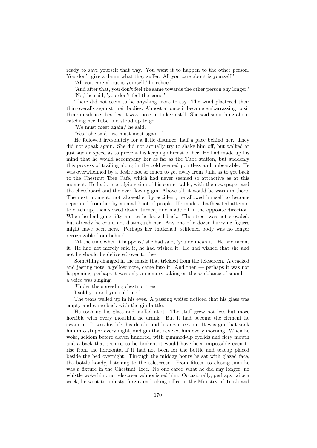ready to save yourself that way. You want it to happen to the other person. You don't give a damn what they suffer. All you care about is yourself.'

'All you care about is yourself,' he echoed.

'And after that, you don't feel the same towards the other person any longer.' 'No,' he said, 'you don't feel the same.'

There did not seem to be anything more to say. The wind plastered their thin overalls against their bodies. Almost at once it became embarrassing to sit there in silence: besides, it was too cold to keep still. She said something about catching her Tube and stood up to go.

'We must meet again,' he said.

'Yes,' she said, 'we must meet again. '

He followed irresolutely for a little distance, half a pace behind her. They did not speak again. She did not actually try to shake him off, but walked at just such a speed as to prevent his keeping abreast of her. He had made up his mind that he would accompany her as far as the Tube station, but suddenly this process of trailing along in the cold seemed pointless and unbearable. He was overwhelmed by a desire not so much to get away from Julia as to get back to the Chestnut Tree Café, which had never seemed so attractive as at this moment. He had a nostalgic vision of his corner table, with the newspaper and the chessboard and the ever-flowing gin. Above all, it would be warm in there. The next moment, not altogether by accident, he allowed himself to become separated from her by a small knot of people. He made a halfhearted attempt to catch up, then slowed down, turned, and made off in the opposite direction. When he had gone fifty metres he looked back. The street was not crowded, but already he could not distinguish her. Any one of a dozen hurrying figures might have been hers. Perhaps her thickened, stiffened body was no longer recognizable from behind.

'At the time when it happens,' she had said, 'you do mean it.' He had meant it. He had not merely said it, he had wished it. He had wished that she and not he should be delivered over to the-

Something changed in the music that trickled from the telescreen. A cracked and jeering note, a yellow note, came into it. And then — perhaps it was not happening, perhaps it was only a memory taking on the semblance of sound a voice was singing:

'Under the spreading chestnut tree

I sold you and you sold me '

The tears welled up in his eyes. A passing waiter noticed that his glass was empty and came back with the gin bottle.

He took up his glass and sniffed at it. The stuff grew not less but more horrible with every mouthful he drank. But it had become the element he swam in. It was his life, his death, and his resurrection. It was gin that sank him into stupor every night, and gin that revived him every morning. When he woke, seldom before eleven hundred, with gummed-up eyelids and fiery mouth and a back that seemed to be broken, it would have been impossible even to rise from the horizontal if it had not been for the bottle and teacup placed beside the bed overnight. Through the midday hours he sat with glazed face, the bottle handy, listening to the telescreen. From fifteen to closing-time he was a fixture in the Chestnut Tree. No one cared what he did any longer, no whistle woke him, no telescreen admonished him. Occasionally, perhaps twice a week, he went to a dusty, forgotten-looking office in the Ministry of Truth and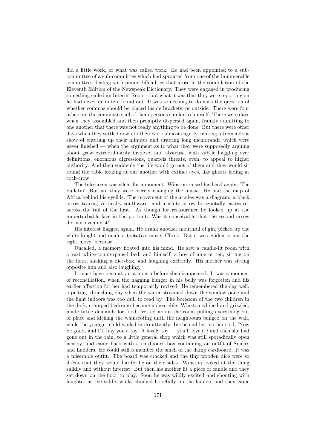did a little work, or what was called work. He had been appointed to a subcommittee of a sub-committee which had sprouted from one of the innumerable committees dealing with minor difficulties that arose in the compilation of the Eleventh Edition of the Newspeak Dictionary. They were engaged in producing something called an Interim Report, but what it was that they were reporting on he had never definitely found out. It was something to do with the question of whether commas should be placed inside brackets, or outside. There were four others on the committee, all of them persons similar to himself. There were days when they assembled and then promptly dispersed again, frankly admitting to one another that there was not really anything to be done. But there were other days when they settled down to their work almost eagerly, making a tremendous show of entering up their minutes and drafting long memoranda which were never finished — when the argument as to what they were supposedly arguing about grew extraordinarily involved and abstruse, with subtle haggling over definitions, enormous digressions, quarrels threats, even, to appeal to higher authority. And then suddenly the life would go out of them and they would sit round the table looking at one another with extinct eyes, like ghosts fading at cock-crow.

The telescreen was silent for a moment. Winston raised his head again. The bulletin! But no, they were merely changing the music. He had the map of Africa behind his eyelids. The movement of the armies was a diagram: a black arrow tearing vertically southward, and a white arrow horizontally eastward, across the tail of the first. As though for reassurance he looked up at the imperturbable face in the portrait. Was it conceivable that the second arrow did not even exist?

His interest flagged again. He drank another mouthful of gin, picked up the white knight and made a tentative move. Check. But it was evidently not the right move, because

Uncalled, a memory floated into his mind. He saw a candle-lit room with a vast white-counterpaned bed, and himself, a boy of nine or ten, sitting on the floor, shaking a dice-box, and laughing excitedly. His mother was sitting opposite him and also laughing.

It must have been about a month before she disappeared. It was a moment of reconciliation, when the nagging hunger in his belly was forgotten and his earlier affection for her had temporarily revived. He remembered the day well, a pelting, drenching day when the water streamed down the window-pane and the light indoors was too dull to read by. The boredom of the two children in the dark, cramped bedroom became unbearable. Winston whined and grizzled, made futile demands for food, fretted about the room pulling everything out of place and kicking the wainscoting until the neighbours banged on the wall, while the younger child wailed intermittently. In the end his mother said, 'Now be good, and I'Il buy you a toy. A lovely toy — you'll love it'; and then she had gone out in the rain, to a little general shop which was still sporadically open nearby, and came back with a cardboard box containing an outfit of Snakes and Ladders. He could still remember the smell of the damp cardboard. It was a miserable outfit. The board was cracked and the tiny wooden dice were so ill-cut that they would hardly lie on their sides. Winston looked at the thing sulkily and without interest. But then his mother lit a piece of candle and they sat down on the floor to play. Soon he was wildly excited and shouting with laughter as the tiddly-winks climbed hopefully up the ladders and then came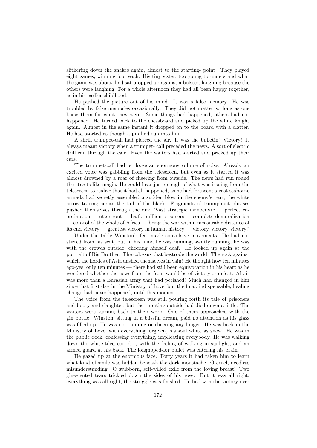slithering down the snakes again, almost to the starting- point. They played eight games, winning four each. His tiny sister, too young to understand what the game was about, had sat propped up against a bolster, laughing because the others were laughing. For a whole afternoon they had all been happy together, as in his earlier childhood.

He pushed the picture out of his mind. It was a false memory. He was troubled by false memories occasionally. They did not matter so long as one knew them for what they were. Some things had happened, others had not happened. He turned back to the chessboard and picked up the white knight again. Almost in the same instant it dropped on to the board with a clatter. He had started as though a pin had run into him.

A shrill trumpet-call had pierced the air. It was the bulletin! Victory! It always meant victory when a trumpet- call preceded the news. A sort of electric drill ran through the café. Even the waiters had started and pricked up their ears.

The trumpet-call had let loose an enormous volume of noise. Already an excited voice was gabbling from the telescreen, but even as it started it was almost drowned by a roar of cheering from outside. The news had run round the streets like magic. He could hear just enough of what was issuing from the telescreen to realize that it had all happened, as he had foreseen; a vast seaborne armada had secretly assembled a sudden blow in the enemy's rear, the white arrow tearing across the tail of the black. Fragments of triumphant phrases pushed themselves through the din: 'Vast strategic manoeuvre — perfect coordination — utter rout — half a million prisoners — complete demoralization — control of the whole of Africa — bring the war within measurable distance of its end victory — greatest victory in human history — victory, victory, victory!'

Under the table Winston's feet made convulsive movements. He had not stirred from his seat, but in his mind he was running, swiftly running, he was with the crowds outside, cheering himself deaf. He looked up again at the portrait of Big Brother. The colossus that bestrode the world! The rock against which the hordes of Asia dashed themselves in vain! He thought how ten minutes ago-yes, only ten minutes — there had still been equivocation in his heart as he wondered whether the news from the front would be of victory or defeat. Ah, it was more than a Eurasian army that had perished! Much had changed in him since that first day in the Ministry of Love, but the final, indispensable, healing change had never happened, until this moment.

The voice from the telescreen was still pouring forth its tale of prisoners and booty and slaughter, but the shouting outside had died down a little. The waiters were turning back to their work. One of them approached with the gin bottle. Winston, sitting in a blissful dream, paid no attention as his glass was filled up. He was not running or cheering any longer. He was back in the Ministry of Love, with everything forgiven, his soul white as snow. He was in the public dock, confessing everything, implicating everybody. He was walking down the white-tiled corridor, with the feeling of walking in sunlight, and an armed guard at his back. The longhoped-for bullet was entering his brain.

He gazed up at the enormous face. Forty years it had taken him to learn what kind of smile was hidden beneath the dark moustache. O cruel, needless misunderstanding! O stubborn, self-willed exile from the loving breast! Two gin-scented tears trickled down the sides of his nose. But it was all right, everything was all right, the struggle was finished. He had won the victory over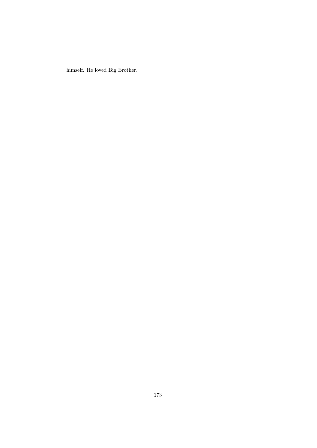himself. He loved Big Brother.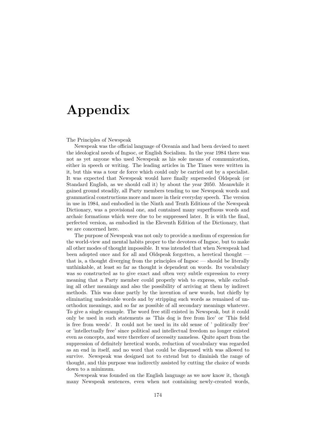# Appendix

The Principles of Newspeak

Newspeak was the official language of Oceania and had been devised to meet the ideological needs of Ingsoc, or English Socialism. In the year 1984 there was not as yet anyone who used Newspeak as his sole means of communication, either in speech or writing. The leading articles in The Times were written in it, but this was a tour de force which could only be carried out by a specialist. It was expected that Newspeak would have finally superseded Oldspeak (or Standard English, as we should call it) by about the year 2050. Meanwhile it gained ground steadily, all Party members tending to use Newspeak words and grammatical constructions more and more in their everyday speech. The version in use in 1984, and embodied in the Ninth and Tenth Editions of the Newspeak Dictionary, was a provisional one, and contained many superfluous words and archaic formations which were due to be suppressed later. It is with the final, perfected version, as embodied in the Eleventh Edition of the Dictionary, that we are concerned here.

The purpose of Newspeak was not only to provide a medium of expression for the world-view and mental habits proper to the devotees of Ingsoc, but to make all other modes of thought impossible. It was intended that when Newspeak had been adopted once and for all and Oldspeak forgotten, a heretical thought that is, a thought diverging from the principles of Ingsoc — should be literally unthinkable, at least so far as thought is dependent on words. Its vocabulary was so constructed as to give exact and often very subtle expression to every meaning that a Party member could properly wish to express, while excluding all other meanings and also the possibility of arriving at them by indirect methods. This was done partly by the invention of new words, but chiefly by eliminating undesirable words and by stripping such words as remained of unorthodox meanings, and so far as possible of all secondary meanings whatever. To give a single example. The word free still existed in Newspeak, but it could only be used in such statements as 'This dog is free from lice' or 'This field is free from weeds'. It could not be used in its old sense of ' politically free' or 'intellectually free' since political and intellectual freedom no longer existed even as concepts, and were therefore of necessity nameless. Quite apart from the suppression of definitely heretical words, reduction of vocabulary was regarded as an end in itself, and no word that could be dispensed with was allowed to survive. Newspeak was designed not to extend but to diminish the range of thought, and this purpose was indirectly assisted by cutting the choice of words down to a minimum.

Newspeak was founded on the English language as we now know it, though many Newspeak sentences, even when not containing newly-created words,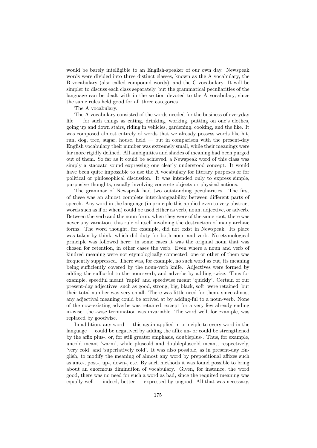would be barely intelligible to an English-speaker of our own day. Newspeak words were divided into three distinct classes, known as the A vocabulary, the B vocabulary (also called compound words), and the C vocabulary. It will be simpler to discuss each class separately, but the grammatical peculiarities of the language can be dealt with in the section devoted to the A vocabulary, since the same rules held good for all three categories.

The A vocabulary.

The A vocabulary consisted of the words needed for the business of everyday life — for such things as eating, drinking, working, putting on one's clothes. going up and down stairs, riding in vehicles, gardening, cooking, and the like. It was composed almost entirely of words that we already possess words like hit, run, dog, tree, sugar, house, field — but in comparison with the present-day English vocabulary their number was extremely small, while their meanings were far more rigidly defined. All ambiguities and shades of meaning had been purged out of them. So far as it could be achieved, a Newspeak word of this class was simply a staccato sound expressing one clearly understood concept. It would have been quite impossible to use the A vocabulary for literary purposes or for political or philosophical discussion. It was intended only to express simple, purposive thoughts, usually involving concrete objects or physical actions.

The grammar of Newspeak had two outstanding peculiarities. The first of these was an almost complete interchangeability between different parts of speech. Any word in the language (in principle this applied even to very abstract words such as if or when) could be used either as verb, noun, adjective, or adverb. Between the verb and the noun form, when they were of the same root, there was never any variation, this rule of itself involving the destruction of many archaic forms. The word thought, for example, did not exist in Newspeak. Its place was taken by think, which did duty for both noun and verb. No etymological principle was followed here: in some cases it was the original noun that was chosen for retention, in other cases the verb. Even where a noun and verb of kindred meaning were not etymologically connected, one or other of them was frequently suppressed. There was, for example, no such word as cut, its meaning being sufficiently covered by the noun-verb knife. Adjectives were formed by adding the suffix-ful to the noun-verb, and adverbs by adding -wise. Thus for example, speedful meant 'rapid' and speedwise meant 'quickly'. Certain of our present-day adjectives, such as good, strong, big, black, soft, were retained, but their total number was very small. There was little need for them, since almost any adjectival meaning could be arrived at by adding-ful to a noun-verb. None of the now-existing adverbs was retained, except for a very few already ending in-wise: the -wise termination was invariable. The word well, for example, was replaced by goodwise.

In addition, any word — this again applied in principle to every word in the language — could be negatived by adding the affix un- or could be strengthened by the affix plus-, or, for still greater emphasis, doubleplus-. Thus, for example, uncold meant 'warm', while pluscold and doublepluscold meant, respectively, 'very cold' and 'superlatively cold'. It was also possible, as in present-day English, to modify the meaning of almost any word by prepositional affixes such as ante-, post-, up-, down-, etc. By such methods it was found possible to bring about an enormous diminution of vocabulary. Given, for instance, the word good, there was no need for such a word as bad, since the required meaning was equally well — indeed, better — expressed by ungood. All that was necessary,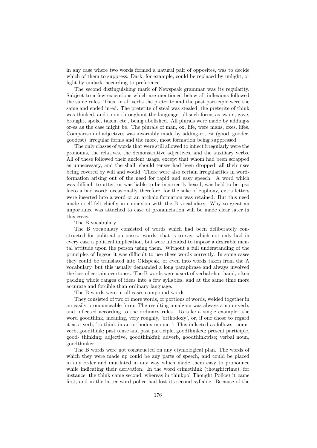in any case where two words formed a natural pair of opposites, was to decide which of them to suppress. Dark, for example, could be replaced by unlight, or light by undark, according to preference.

The second distinguishing mark of Newspeak grammar was its regularity. Subject to a few exceptions which are mentioned below all inflexions followed the same rules. Thus, in all verbs the preterite and the past participle were the same and ended in-ed. The preterite of steal was stealed, the preterite of think was thinked, and so on throughout the language, all such forms as swam, gave, brought, spoke, taken, etc., being abolished. All plurals were made by adding-s or-es as the case might be. The plurals of man, ox, life, were mans, oxes, lifes. Comparison of adjectives was invariably made by adding-er,-est (good, gooder, goodest), irregular forms and the more, most formation being suppressed.

The only classes of words that were still allowed to inflect irregularly were the pronouns, the relatives, the demonstrative adjectives, and the auxiliary verbs. All of these followed their ancient usage, except that whom had been scrapped as unnecessary, and the shall, should tenses had been dropped, all their uses being covered by will and would. There were also certain irregularities in wordformation arising out of the need for rapid and easy speech. A word which was difficult to utter, or was liable to be incorrectly heard, was held to be ipso facto a bad word: occasionally therefore, for the sake of euphony, extra letters were inserted into a word or an archaic formation was retained. But this need made itself felt chiefly in connexion with the B vocabulary. Why so great an importance was attached to ease of pronunciation will be made clear later in this essay.

The B vocabulary.

The B vocabulary consisted of words which had been deliberately constructed for political purposes: words, that is to say, which not only had in every case a political implication, but were intended to impose a desirable mental attitude upon the person using them. Without a full understanding of the principles of Ingsoc it was difficult to use these words correctly. In some cases they couId be translated into Oldspeak, or even into words taken from the A vocabulary, but this usually demanded a long paraphrase and always involved the loss of certain overtones. The B words were a sort of verbal shorthand, often packing whole ranges of ideas into a few syllables, and at the same time more accurate and forcible than ordinary language.

The B words were in all cases compound words.

They consisted of two or more words, or portions of words, welded together in an easily pronounceable form. The resulting amalgam was always a noun-verb, and inflected according to the ordinary rules. To take a single example: the word goodthink, meaning, very roughly, 'orthodoxy', or, if one chose to regard it as a verb, 'to think in an orthodox manner'. This inflected as follows: nounverb, goodthink; past tense and past participle, goodthinked; present participle, good- thinking; adjective, goodthinkful; adverb, goodthinkwise; verbal noun, goodthinker.

The B words were not constructed on any etymological plan. The words of which they were made up could be any parts of speech, and could be placed in any order and mutilated in any way which made them easy to pronounce while indicating their derivation. In the word crimethink (thoughtcrime), for instance, the think came second, whereas in thinkpol Thought Police) it came first, and in the latter word police had lost its second syllable. Because of the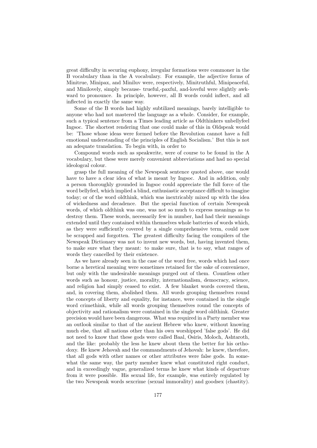great difficuIty in securing euphony, irregular formations were commoner in the B vocabulary than in the A vocabulary. For example, the adjective forms of Minitrue, Minipax, and Miniluv were, respectively, Minitruthful, Minipeaceful, and Minilovely, simply because- trueful,-paxful, and-loveful were slightly awkward to pronounce. In principle, however, all B words could inflect, and all inflected in exactly the same way.

Some of the B words had highly subtilized meanings, barely intelligible to anyone who had not mastered the language as a whole. Consider, for example, such a typical sentence from a Times leading article as Oldthinkers unbellyfeel Ingsoc. The shortest rendering that one could make of this in Oldspeak would be: 'Those whose ideas were formed before the Revolution cannot have a full emotional understanding of the principles of English Socialism.' But this is not an adequate translation. To begin with, in order to

Compound words such as speakwrite, were of course to be found in the A vocabulary, but these were merely convenient abbreviations and had no special ideologcal colour.

grasp the full meaning of the Newspeak sentence quoted above, one would have to have a clear idea of what is meant by Ingsoc. And in addition, only a person thoroughly grounded in Ingsoc could appreciate the full force of the word bellyfeel, which implied a blind, enthusiastic acceptance difficult to imagine today; or of the word oldthink, which was inextricably mixed up with the idea of wickedness and decadence. But the special function of certain Newspeak words, of which oldthink was one, was not so much to express meanings as to destroy them. These words, necessarily few in number, had had their meanings extended until they contained within themselves whole batteries of words which, as they were sufficiently covered by a single comprehensive term, could now be scrapped and forgotten. The greatest difficulty facing the compilers of the Newspeak Dictionary was not to invent new words, but, having invented them, to make sure what they meant: to make sure, that is to say, what ranges of words they cancelled by their existence.

As we have already seen in the case of the word free, words which had once borne a heretical meaning were sometimes retained for the sake of convenience, but only with the undesirable meanings purged out of them. Countless other words such as honour, justice, morality, internationalism, democracy, science, and religion had simply ceased to exist. A few blanket words covered them, and, in covering them, abolished them. All words grouping themselves round the concepts of liberty and equality, for instance, were contained in the single word crimethink, while all words grouping themselves round the concepts of objectivity and rationalism were contained in the single word oldthink. Greater precision would have been dangerous. What was required in a Party member was an outlook similar to that of the ancient Hebrew who knew, without knowing much else, that all nations other than his own worshipped 'false gods'. He did not need to know that these gods were called Baal, Osiris, Moloch, Ashtaroth, and the like: probably the less he knew about them the better for his orthodoxy. He knew Jehovah and the commandments of Jehovah: he knew, therefore, that all gods with other names or other attributes were false gods. In somewhat the same way, the party member knew what constituted right conduct, and in exceedingly vague, generalized terms he knew what kinds of departure from it were possible. His sexual life, for example, was entirely regulated by the two Newspeak words sexcrime (sexual immorality) and goodsex (chastity).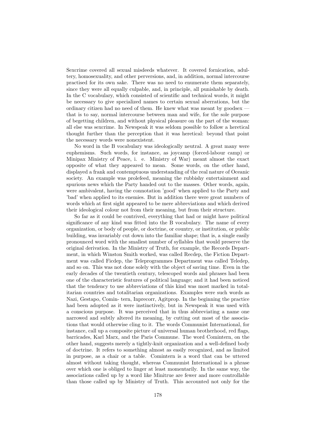Sexcrime covered all sexual misdeeds whatever. It covered fornication, adultery, homosexuality, and other perversions, and, in addition, normal intercourse practised for its own sake. There was no need to enumerate them separately, since they were all equally culpable, and, in principle, all punishable by death. In the C vocabulary, which consisted of scientific and technical words, it might be necessary to give specialized names to certain sexual aberrations, but the ordinary citizen had no need of them. He knew what was meant by goodsex that is to say, normal intercourse between man and wife, for the sole purpose of begetting children, and without physical pleasure on the part of the woman: all else was sexcrime. In Newspeak it was seldom possible to follow a heretical thought further than the perception that it was heretical: beyond that point the necessary words were nonexistent.

No word in the B vocabulary was ideologically neutral. A great many were euphemisms. Such words, for instance, as joycamp (forced-labour camp) or Minipax Ministry of Peace, i. e. Ministry of War) meant almost the exact opposite of what they appeared to mean. Some words, on the other hand, displayed a frank and contemptuous understanding of the real nature of Oceanic society. An example was prolefeed, meaning the rubbishy entertainment and spurious news which the Party handed out to the masses. Other words, again, were ambivalent, having the connotation 'good' when applied to the Party and 'bad' when applied to its enemies. But in addition there were great numbers of words which at first sight appeared to be mere abbreviations and which derived their ideological colour not from their meaning, but from their structure.

So far as it could be contrived, everything that had or might have political significance of any kind was fitted into the B vocabulary. The name of every organization, or body of people, or doctrine, or country, or institution, or public building, was invariably cut down into the familiar shape; that is, a single easily pronounced word with the smallest number of syllables that would preserve the original derivation. In the Ministry of Truth, for example, the Records Department, in which Winston Smith worked, was called Recdep, the Fiction Department was called Ficdep, the Teleprogrammes Department was called Teledep, and so on. This was not done solely with the object of saving time. Even in the early decades of the twentieth century, telescoped words and phrases had been one of the characteristic features of political language; and it had been noticed that the tendency to use abbreviations of this kind was most marked in totalitarian countries and totalitarian organizations. Examples were such words as Nazi, Gestapo, Comin- tern, Inprecorr, Agitprop. In the beginning the practice had been adopted as it were instinctively, but in Newspeak it was used with a conscious purpose. It was perceived that in thus abbreviating a name one narrowed and subtly altered its meaning, by cutting out most of the associations that would otherwise cling to it. The words Communist International, for instance, call up a composite picture of universal human brotherhood, red flags, barricades, Karl Marx, and the Paris Commune. The word Comintern, on the other hand, suggests merely a tightly-knit organization and a well-defined body of doctrine. It refers to something almost as easily recognized, and as limited in purpose, as a chair or a table. Comintern is a word that can be uttered almost without taking thought, whereas Communist International is a phrase over which one is obliged to linger at least momentarily. In the same way, the associations called up by a word like Minitrue are fewer and more controllable than those called up by Ministry of Truth. This accounted not only for the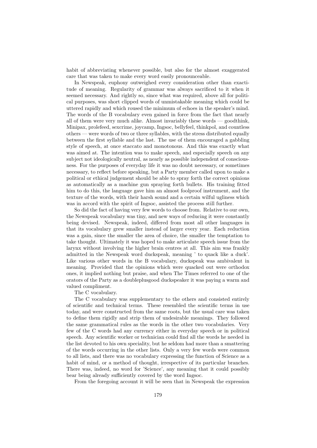habit of abbreviating whenever possible, but also for the almost exaggerated care that was taken to make every word easily pronounceable.

In Newspeak, euphony outweighed every consideration other than exactitude of meaning. Regularity of grammar was always sacrificed to it when it seemed necessary. And rightly so, since what was required, above all for political purposes, was short clipped words of unmistakable meaning which could be uttered rapidly and which roused the minimum of echoes in the speaker's mind. The words of the B vocabulary even gained in force from the fact that nearly all of them were very much alike. Almost invariably these words  $-$  goodthink, Minipax, prolefeed, sexcrime, joycamp, Ingsoc, bellyfeel, thinkpol, and countless others — were words of two or three syllables, with the stress distributed equally between the first syllable and the last. The use of them encouraged a gabbling style of speech, at once staccato and monotonous. And this was exactly what was aimed at. The intention was to make speech, and especially speech on any subject not ideologically neutral, as nearly as possible independent of consciousness. For the purposes of everyday life it was no doubt necessary, or sometimes necessary, to reflect before speaking, but a Party member called upon to make a political or ethical judgement should be able to spray forth the correct opinions as automatically as a machine gun spraying forth bullets. His training fitted him to do this, the language gave him an almost foolproof instrument, and the texture of the words, with their harsh sound and a certain wilful ugliness which was in accord with the spirit of Ingsoc, assisted the process still further.

So did the fact of having very few words to choose from. Relative to our own, the Newspeak vocabulary was tiny, and new ways of reducing it were constantly being devised. Newspeak, indeed, differed from most all other languages in that its vocabulary grew smaller instead of larger every year. Each reduction was a gain, since the smaller the area of choice, the smaller the temptation to take thought. Ultimately it was hoped to make articulate speech issue from the larynx without involving the higher brain centres at all. This aim was frankly admitted in the Newspeak word duckspeak, meaning ' to quack like a duck'. Like various other words in the B vocabulary, duckspeak was ambivalent in meaning. Provided that the opinions which were quacked out were orthodox ones, it implied nothing but praise, and when The Times referred to one of the orators of the Party as a doubleplusgood duckspeaker it was paying a warm and valued compliment.

The C vocabulary.

The C vocabulary was supplementary to the others and consisted entirely of scientific and technical terms. These resembled the scientific terms in use today, and were constructed from the same roots, but the usual care was taken to define them rigidly and strip them of undesirable meanings. They followed the same grammatical rules as the words in the other two vocabularies. Very few of the C words had any currency either in everyday speech or in political speech. Any scientific worker or technician could find all the words he needed in the list devoted to his own speciality, but he seldom had more than a smattering of the words occurring in the other lists. Only a very few words were common to all lists, and there was no vocabulary expressing the function of Science as a habit of mind, or a method of thought, irrespective of its particular branches. There was, indeed, no word for 'Science', any meaning that it could possibly bear being already sufficiently covered by the word Ingsoc.

From the foregoing account it will be seen that in Newspeak the expression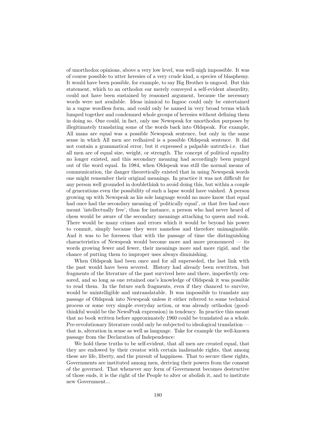of unorthodox opinions, above a very low level, was well-nigh impossible. It was of course possible to utter heresies of a very crude kind, a species of blasphemy. It would have been possible, for example, to say Big Brother is ungood. But this statement, which to an orthodox ear merely conveyed a self-evident absurdity, could not have been sustained by reasoned argument, because the necessary words were not available. Ideas inimical to Ingsoc could only be entertained in a vague wordless form, and could only be named in very broad terms which lumped together and condemned whole groups of heresies without defining them in doing so. One could, in fact, only use Newspeak for unorthodox purposes by illegitimately translating some of the words back into Oldspeak. For example, All mans are equal was a possible Newspeak sentence, but only in the same sense in which All men are redhaired is a possible Oldspeak sentence. It did not contain a grammatical error, but it expressed a palpable untruth-i.e. that all men are of equal size, weight, or strength. The concept of political equality no longer existed, and this secondary meaning had accordingly been purged out of the word equal. In 1984, when Oldspeak was still the normal means of communication, the danger theoretically existed that in using Newspeak words one might remember their original meanings. In practice it was not difficult for any person well grounded in doublethink to avoid doing this, but within a couple of generations even the possibility of such a lapse would have vaished. A person growing up with Newspeak as his sole language would no more know that equal had once had the secondary meaning of 'politically equal', or that free had once meant 'intellectually free', than for instance, a person who had never heard of chess would be aware of the secondary meanings attaching to queen and rook. There would be many crimes and errors which it would be beyond his power to commit, simply because they were nameless and therefore unimaginable. And it was to be foreseen that with the passage of time the distinguishing characteristics of Newspeak would become more and more pronounced — its words growing fewer and fewer, their meanings more and more rigid, and the chance of putting them to improper uses always diminishing.

When Oldspeak had been once and for all superseded, the last link with the past would have been severed. History had already been rewritten, but fragments of the literature of the past survived here and there, imperfectly censored, and so long as one retained one's knowledge of Oldspeak it was possible to read them. In the future such fragments, even if they chanced to survive, would be unintelligible and untranslatable. It was impossible to translate any passage of Oldspeak into Newspeak unless it either referred to some technical process or some very simple everyday action, or was already orthodox (goodthinkful would be the NewsPeak expression) in tendency. In practice this meant that no book written before approximately 1960 could be translated as a whole. Pre-revolutionary literature could only be subjected to ideological translation that is, alteration in sense as well as language. Take for example the well-known passage from the Declaration of Independence:

We hold these truths to be self-evident, that all men are created equal, that they are endowed by their creator with certain inalienable rights, that among these are life, liberty, and the pursuit of happiness. That to secure these rights, Governments are instituted among men, deriving their powers from the consent of the governed. That whenever any form of Government becomes destructive of those ends, it is the right of the People to alter or abolish it, and to institute new Government...